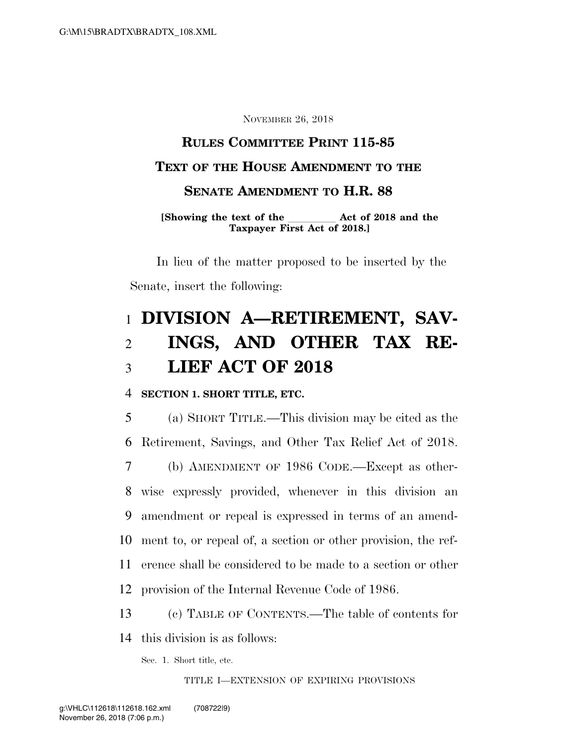NOVEMBER 26, 2018

# **RULES COMMITTEE PRINT 115-85 TEXT OF THE HOUSE AMENDMENT TO THE SENATE AMENDMENT TO H.R. 88**

**[Showing the text of the**  $\qquad$  **Act of 2018 and the Taxpayer First Act of 2018.]** 

In lieu of the matter proposed to be inserted by the Senate, insert the following:

# 1 **DIVISION A—RETIREMENT, SAV-**2 **INGS, AND OTHER TAX RE-**3 **LIEF ACT OF 2018**

### 4 **SECTION 1. SHORT TITLE, ETC.**

 (a) SHORT TITLE.—This division may be cited as the Retirement, Savings, and Other Tax Relief Act of 2018. (b) AMENDMENT OF 1986 CODE.—Except as other- wise expressly provided, whenever in this division an amendment or repeal is expressed in terms of an amend- ment to, or repeal of, a section or other provision, the ref- erence shall be considered to be made to a section or other provision of the Internal Revenue Code of 1986.

13 (c) TABLE OF CONTENTS.—The table of contents for

14 this division is as follows:

Sec. 1. Short title, etc.

TITLE I—EXTENSION OF EXPIRING PROVISIONS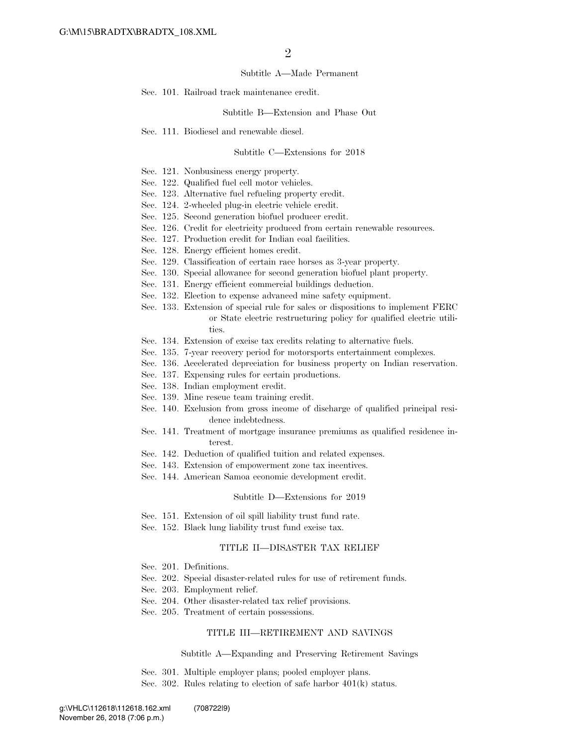#### Subtitle A—Made Permanent

Sec. 101. Railroad track maintenance credit.

Subtitle B—Extension and Phase Out

Sec. 111. Biodiesel and renewable diesel.

#### Subtitle C—Extensions for 2018

- Sec. 121. Nonbusiness energy property.
- Sec. 122. Qualified fuel cell motor vehicles.
- Sec. 123. Alternative fuel refueling property credit.
- Sec. 124. 2-wheeled plug-in electric vehicle credit.
- Sec. 125. Second generation biofuel producer credit.
- Sec. 126. Credit for electricity produced from certain renewable resources.
- Sec. 127. Production credit for Indian coal facilities.
- Sec. 128. Energy efficient homes credit.
- Sec. 129. Classification of certain race horses as 3-year property.
- Sec. 130. Special allowance for second generation biofuel plant property.
- Sec. 131. Energy efficient commercial buildings deduction.
- Sec. 132. Election to expense advanced mine safety equipment.
- Sec. 133. Extension of special rule for sales or dispositions to implement FERC or State electric restructuring policy for qualified electric utilities.
- Sec. 134. Extension of excise tax credits relating to alternative fuels.
- Sec. 135. 7-year recovery period for motorsports entertainment complexes.
- Sec. 136. Accelerated depreciation for business property on Indian reservation.
- Sec. 137. Expensing rules for certain productions.
- Sec. 138. Indian employment credit.
- Sec. 139. Mine rescue team training credit.
- Sec. 140. Exclusion from gross income of discharge of qualified principal residence indebtedness.
- Sec. 141. Treatment of mortgage insurance premiums as qualified residence interest.
- Sec. 142. Deduction of qualified tuition and related expenses.
- Sec. 143. Extension of empowerment zone tax incentives.
- Sec. 144. American Samoa economic development credit.

#### Subtitle D—Extensions for 2019

- Sec. 151. Extension of oil spill liability trust fund rate.
- Sec. 152. Black lung liability trust fund excise tax.

#### TITLE II—DISASTER TAX RELIEF

- Sec. 201. Definitions.
- Sec. 202. Special disaster-related rules for use of retirement funds.
- Sec. 203. Employment relief.
- Sec. 204. Other disaster-related tax relief provisions.
- Sec. 205. Treatment of certain possessions.

#### TITLE III—RETIREMENT AND SAVINGS

#### Subtitle A—Expanding and Preserving Retirement Savings

- Sec. 301. Multiple employer plans; pooled employer plans.
- Sec. 302. Rules relating to election of safe harbor 401(k) status.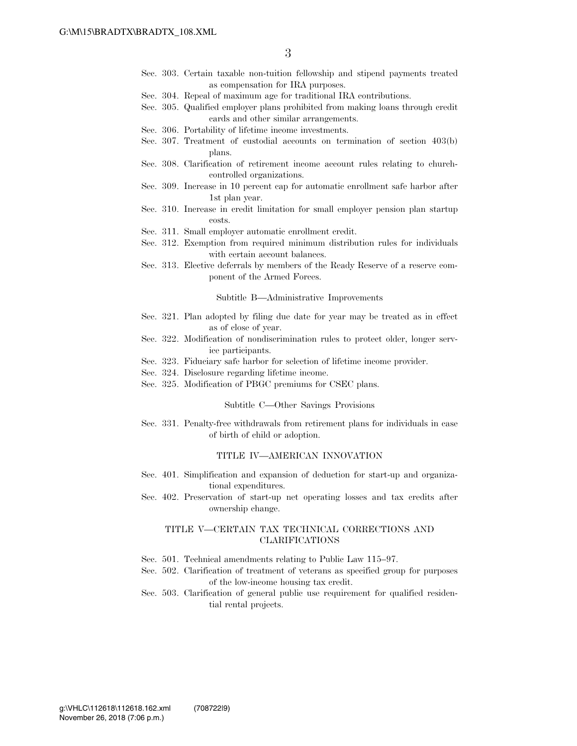- Sec. 303. Certain taxable non-tuition fellowship and stipend payments treated as compensation for IRA purposes.
- Sec. 304. Repeal of maximum age for traditional IRA contributions.
- Sec. 305. Qualified employer plans prohibited from making loans through credit cards and other similar arrangements.
- Sec. 306. Portability of lifetime income investments.
- Sec. 307. Treatment of custodial accounts on termination of section 403(b) plans.
- Sec. 308. Clarification of retirement income account rules relating to churchcontrolled organizations.
- Sec. 309. Increase in 10 percent cap for automatic enrollment safe harbor after 1st plan year.
- Sec. 310. Increase in credit limitation for small employer pension plan startup costs.
- Sec. 311. Small employer automatic enrollment credit.
- Sec. 312. Exemption from required minimum distribution rules for individuals with certain account balances.
- Sec. 313. Elective deferrals by members of the Ready Reserve of a reserve component of the Armed Forces.

Subtitle B—Administrative Improvements

- Sec. 321. Plan adopted by filing due date for year may be treated as in effect as of close of year.
- Sec. 322. Modification of nondiscrimination rules to protect older, longer service participants.
- Sec. 323. Fiduciary safe harbor for selection of lifetime income provider.
- Sec. 324. Disclosure regarding lifetime income.
- Sec. 325. Modification of PBGC premiums for CSEC plans.

#### Subtitle C—Other Savings Provisions

Sec. 331. Penalty-free withdrawals from retirement plans for individuals in case of birth of child or adoption.

#### TITLE IV—AMERICAN INNOVATION

- Sec. 401. Simplification and expansion of deduction for start-up and organizational expenditures.
- Sec. 402. Preservation of start-up net operating losses and tax credits after ownership change.

#### TITLE V—CERTAIN TAX TECHNICAL CORRECTIONS AND CLARIFICATIONS

- Sec. 501. Technical amendments relating to Public Law 115–97.
- Sec. 502. Clarification of treatment of veterans as specified group for purposes of the low-income housing tax credit.
- Sec. 503. Clarification of general public use requirement for qualified residential rental projects.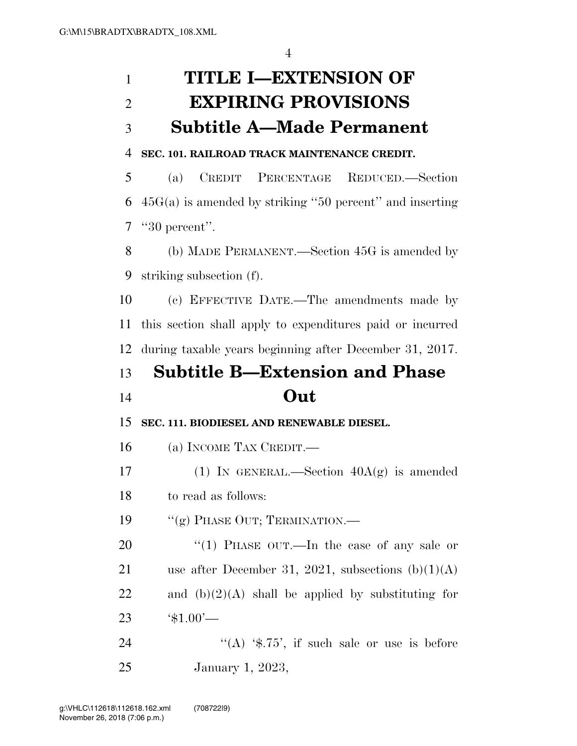# **TITLE I—EXTENSION OF EXPIRING PROVISIONS Subtitle A—Made Permanent**

### **SEC. 101. RAILROAD TRACK MAINTENANCE CREDIT.**

 (a) CREDIT PERCENTAGE REDUCED.—Section 45G(a) is amended by striking ''50 percent'' and inserting ''30 percent''.

 (b) MADE PERMANENT.—Section 45G is amended by striking subsection (f).

 (c) EFFECTIVE DATE.—The amendments made by this section shall apply to expenditures paid or incurred during taxable years beginning after December 31, 2017.

# **Subtitle B—Extension and Phase Out**

**SEC. 111. BIODIESEL AND RENEWABLE DIESEL.** 

(a) INCOME TAX CREDIT.—

17 (1) IN GENERAL.—Section  $40A(g)$  is amended to read as follows:

19 "(g) PHASE OUT; TERMINATION.—

20 "(1) PHASE OUT.—In the case of any sale or 21 use after December 31, 2021, subsections  $(b)(1)(A)$ 22 and  $(b)(2)(A)$  shall be applied by substituting for '\$1.00'—

24  $((A)$  '\$.75', if such sale or use is before January 1, 2023,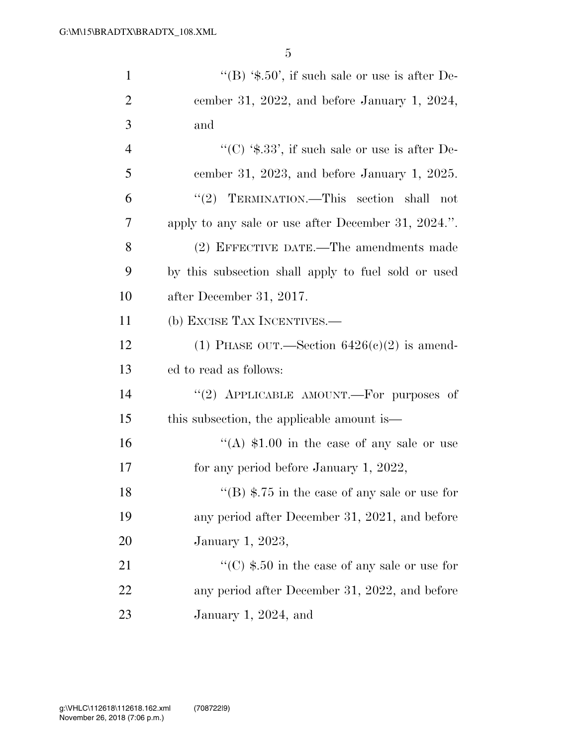| $\mathbf{1}$   | "(B) $\text{\$.50', if such sale or use is after De-}$              |
|----------------|---------------------------------------------------------------------|
| $\overline{2}$ | cember 31, 2022, and before January 1, 2024,                        |
| 3              | and                                                                 |
| $\overline{4}$ | "(C) $\text{\textdegree{*}}.33$ ", if such sale or use is after De- |
| 5              | cember 31, 2023, and before January 1, 2025.                        |
| 6              | "(2) TERMINATION.—This section shall not                            |
| 7              | apply to any sale or use after December 31, 2024.".                 |
| 8              | (2) EFFECTIVE DATE.—The amendments made                             |
| 9              | by this subsection shall apply to fuel sold or used                 |
| 10             | after December 31, 2017.                                            |
| 11             | (b) EXCISE TAX INCENTIVES.—                                         |
| 12             | (1) PHASE OUT.—Section $6426(c)(2)$ is amend-                       |
| 13             | ed to read as follows:                                              |
| 14             | "(2) APPLICABLE AMOUNT.—For purposes of                             |
| 15             | this subsection, the applicable amount is—                          |
| 16             | "(A) $$1.00$ in the case of any sale or use                         |
| 17             | for any period before January 1, 2022,                              |
| 18             | "(B) $\$$ .75 in the case of any sale or use for                    |
| 19             | any period after December 31, 2021, and before                      |
| 20             | January 1, 2023,                                                    |
| 21             | "(C) $$.50$ in the case of any sale or use for                      |
| 22             | any period after December 31, 2022, and before                      |
| 23             | January 1, 2024, and                                                |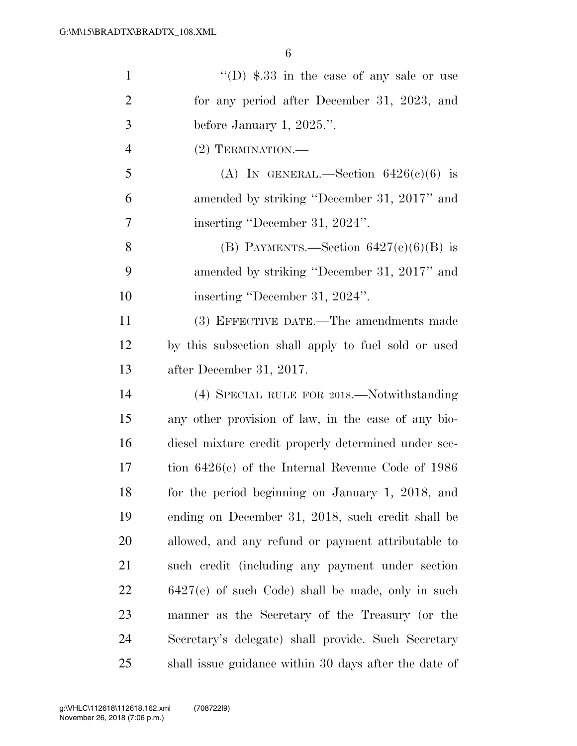| $\mathbf{1}$   | "(D) $\$$ .33 in the case of any sale or use          |
|----------------|-------------------------------------------------------|
| $\overline{2}$ | for any period after December 31, 2023, and           |
| 3              | before January 1, $2025$ .".                          |
| $\overline{4}$ | $(2)$ TERMINATION.—                                   |
| 5              | (A) IN GENERAL.—Section $6426(c)(6)$ is               |
| 6              | amended by striking "December 31, 2017" and           |
| 7              | inserting "December 31, 2024".                        |
| 8              | (B) PAYMENTS.—Section $6427(e)(6)(B)$ is              |
| 9              | amended by striking "December 31, 2017" and           |
| 10             | inserting "December 31, 2024".                        |
| 11             | (3) EFFECTIVE DATE.—The amendments made               |
| 12             | by this subsection shall apply to fuel sold or used   |
| 13             | after December 31, 2017.                              |
| 14             | (4) SPECIAL RULE FOR 2018.—Notwithstanding            |
| 15             | any other provision of law, in the case of any bio-   |
| 16             | diesel mixture credit properly determined under sec-  |
| 17             | tion $6426(c)$ of the Internal Revenue Code of 1986   |
| 18             | for the period beginning on January 1, 2018, and      |
| 19             | ending on December 31, 2018, such credit shall be     |
| 20             | allowed, and any refund or payment attributable to    |
| 21             | such credit (including any payment under section      |
| 22             | 6427(e) of such Code) shall be made, only in such     |
| 23             | manner as the Secretary of the Treasury (or the       |
| 24             | Secretary's delegate) shall provide. Such Secretary   |
| 25             | shall issue guidance within 30 days after the date of |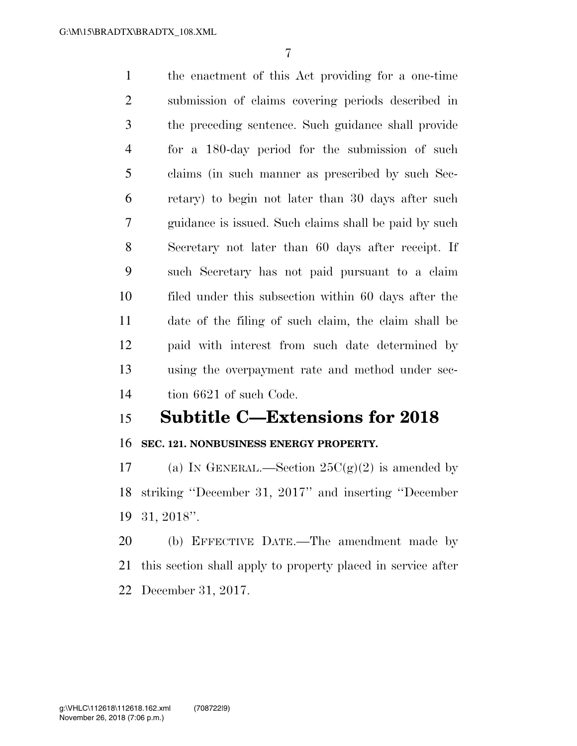the enactment of this Act providing for a one-time submission of claims covering periods described in the preceding sentence. Such guidance shall provide for a 180-day period for the submission of such claims (in such manner as prescribed by such Sec- retary) to begin not later than 30 days after such guidance is issued. Such claims shall be paid by such Secretary not later than 60 days after receipt. If such Secretary has not paid pursuant to a claim filed under this subsection within 60 days after the date of the filing of such claim, the claim shall be paid with interest from such date determined by using the overpayment rate and method under sec-tion 6621 of such Code.

## **Subtitle C—Extensions for 2018**

### **SEC. 121. NONBUSINESS ENERGY PROPERTY.**

17 (a) IN GENERAL.—Section  $25C(g)(2)$  is amended by striking ''December 31, 2017'' and inserting ''December 31, 2018''.

 (b) EFFECTIVE DATE.—The amendment made by this section shall apply to property placed in service after December 31, 2017.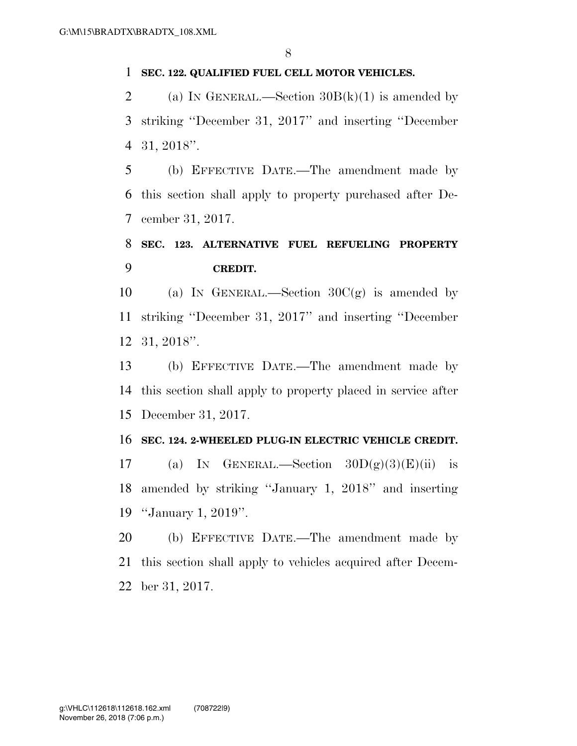#### **SEC. 122. QUALIFIED FUEL CELL MOTOR VEHICLES.**

2 (a) IN GENERAL.—Section  $30B(k)(1)$  is amended by striking ''December 31, 2017'' and inserting ''December 31, 2018''.

 (b) EFFECTIVE DATE.—The amendment made by this section shall apply to property purchased after De-cember 31, 2017.

## **SEC. 123. ALTERNATIVE FUEL REFUELING PROPERTY CREDIT.**

10 (a) In GENERAL.—Section  $30C(g)$  is amended by striking ''December 31, 2017'' and inserting ''December 31, 2018''.

 (b) EFFECTIVE DATE.—The amendment made by this section shall apply to property placed in service after December 31, 2017.

### **SEC. 124. 2-WHEELED PLUG-IN ELECTRIC VEHICLE CREDIT.**

17 (a) IN GENERAL.—Section  $30D(g)(3)(E)(ii)$  is amended by striking ''January 1, 2018'' and inserting ''January 1, 2019''.

 (b) EFFECTIVE DATE.—The amendment made by this section shall apply to vehicles acquired after Decem-ber 31, 2017.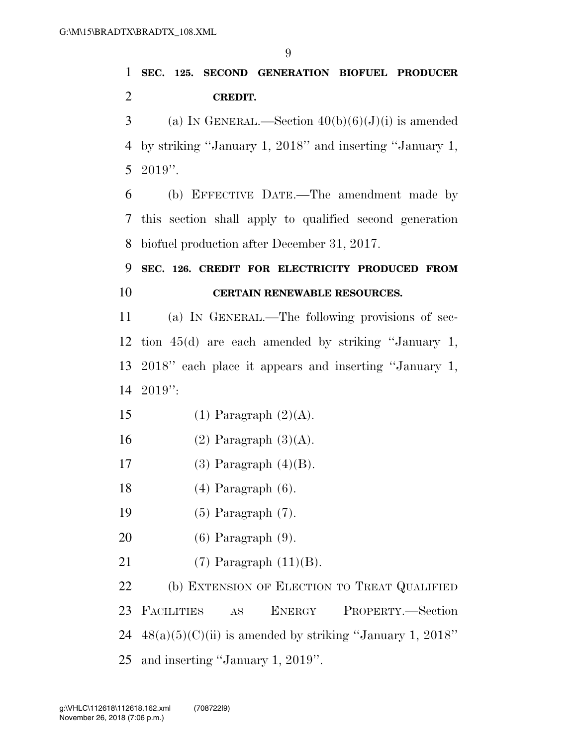# **SEC. 125. SECOND GENERATION BIOFUEL PRODUCER CREDIT.**

3 (a) IN GENERAL.—Section  $40(b)(6)(J)(i)$  is amended by striking ''January 1, 2018'' and inserting ''January 1, 2019''.

 (b) EFFECTIVE DATE.—The amendment made by this section shall apply to qualified second generation biofuel production after December 31, 2017.

## **SEC. 126. CREDIT FOR ELECTRICITY PRODUCED FROM CERTAIN RENEWABLE RESOURCES.**

 (a) IN GENERAL.—The following provisions of sec- tion 45(d) are each amended by striking ''January 1, 2018'' each place it appears and inserting ''January 1, 2019'':

- 15 (1) Paragraph  $(2)(A)$ .
- 16 (2) Paragraph  $(3)(A)$ .
- 17 (3) Paragraph  $(4)(B)$ .
- (4) Paragraph (6).
- (5) Paragraph (7).
- (6) Paragraph (9).
- 21  $(7)$  Paragraph  $(11)(B)$ .

22 (b) EXTENSION OF ELECTION TO TREAT QUALIFIED FACILITIES AS ENERGY PROPERTY.—Section  $48(a)(5)(C)(ii)$  is amended by striking "January 1, 2018" and inserting ''January 1, 2019''.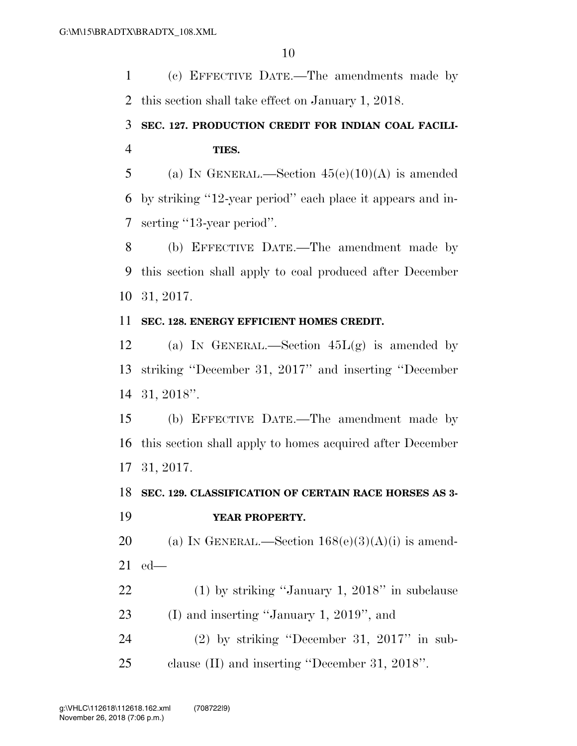(c) EFFECTIVE DATE.—The amendments made by this section shall take effect on January 1, 2018.

## **SEC. 127. PRODUCTION CREDIT FOR INDIAN COAL FACILI-TIES.**

5 (a) IN GENERAL.—Section  $45(e)(10)(A)$  is amended by striking ''12-year period'' each place it appears and in-serting ''13-year period''.

 (b) EFFECTIVE DATE.—The amendment made by this section shall apply to coal produced after December 31, 2017.

### **SEC. 128. ENERGY EFFICIENT HOMES CREDIT.**

12 (a) In GENERAL.—Section  $45L(g)$  is amended by striking ''December 31, 2017'' and inserting ''December 31, 2018''.

 (b) EFFECTIVE DATE.—The amendment made by this section shall apply to homes acquired after December 31, 2017.

### **SEC. 129. CLASSIFICATION OF CERTAIN RACE HORSES AS 3- YEAR PROPERTY.**

20 (a) IN GENERAL.—Section  $168(e)(3)(A)(i)$  is amend-ed—

 (1) by striking ''January 1, 2018'' in subclause (I) and inserting ''January 1, 2019'', and

 (2) by striking ''December 31, 2017'' in sub-clause (II) and inserting ''December 31, 2018''.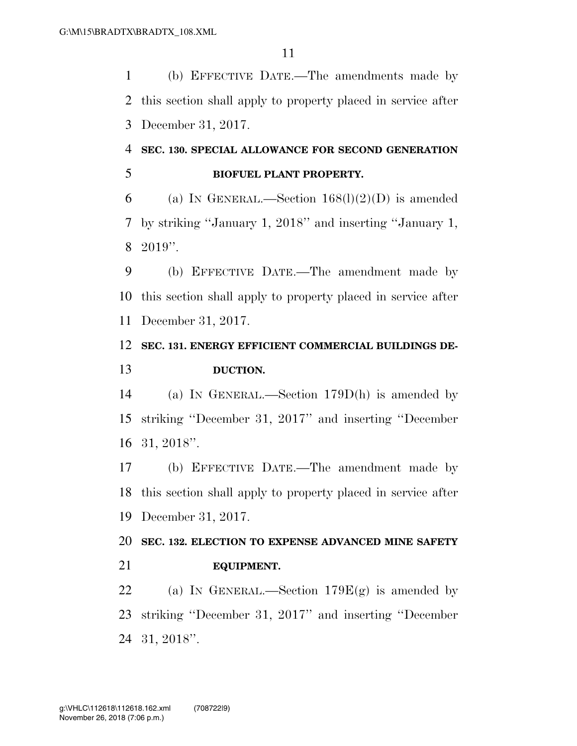(b) EFFECTIVE DATE.—The amendments made by this section shall apply to property placed in service after December 31, 2017.

## **SEC. 130. SPECIAL ALLOWANCE FOR SECOND GENERATION BIOFUEL PLANT PROPERTY.**

6 (a) IN GENERAL.—Section  $168(l)(2)(D)$  is amended by striking ''January 1, 2018'' and inserting ''January 1, 2019''.

 (b) EFFECTIVE DATE.—The amendment made by this section shall apply to property placed in service after December 31, 2017.

### **SEC. 131. ENERGY EFFICIENT COMMERCIAL BUILDINGS DE-DUCTION.**

 (a) IN GENERAL.—Section 179D(h) is amended by striking ''December 31, 2017'' and inserting ''December 31, 2018''.

 (b) EFFECTIVE DATE.—The amendment made by this section shall apply to property placed in service after December 31, 2017.

 **SEC. 132. ELECTION TO EXPENSE ADVANCED MINE SAFETY EQUIPMENT.** 

22 (a) IN GENERAL.—Section  $179E(g)$  is amended by striking ''December 31, 2017'' and inserting ''December 31, 2018''.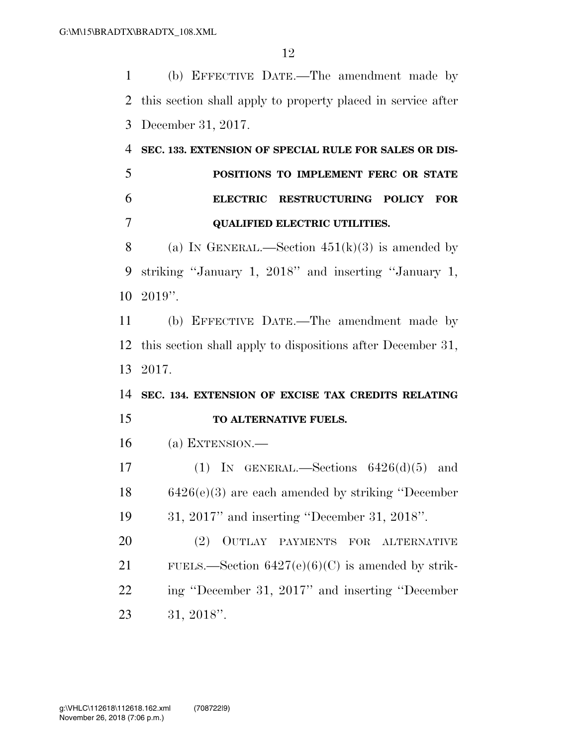(b) EFFECTIVE DATE.—The amendment made by this section shall apply to property placed in service after December 31, 2017.

# **SEC. 133. EXTENSION OF SPECIAL RULE FOR SALES OR DIS- POSITIONS TO IMPLEMENT FERC OR STATE ELECTRIC RESTRUCTURING POLICY FOR QUALIFIED ELECTRIC UTILITIES.**

8 (a) IN GENERAL.—Section  $451(k)(3)$  is amended by striking ''January 1, 2018'' and inserting ''January 1, 2019''.

 (b) EFFECTIVE DATE.—The amendment made by this section shall apply to dispositions after December 31, 2017.

# **SEC. 134. EXTENSION OF EXCISE TAX CREDITS RELATING TO ALTERNATIVE FUELS.**

(a) EXTENSION.—

17 (1) IN GENERAL.—Sections  $6426(d)(5)$  and 6426(e)(3) are each amended by striking ''December 31, 2017'' and inserting ''December 31, 2018''.

 (2) OUTLAY PAYMENTS FOR ALTERNATIVE 21 FUELS.—Section  $6427(e)(6)(C)$  is amended by strik- ing ''December 31, 2017'' and inserting ''December 31, 2018''.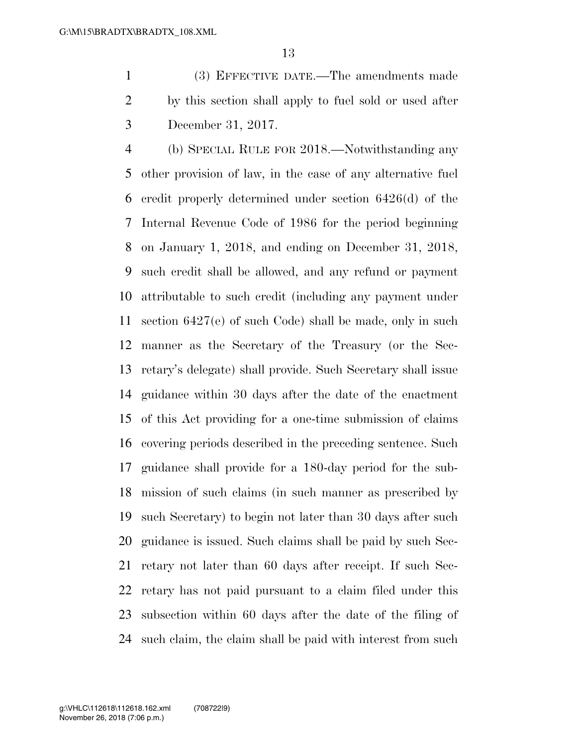(3) EFFECTIVE DATE.—The amendments made by this section shall apply to fuel sold or used after December 31, 2017.

 (b) SPECIAL RULE FOR 2018.—Notwithstanding any other provision of law, in the case of any alternative fuel credit properly determined under section 6426(d) of the Internal Revenue Code of 1986 for the period beginning on January 1, 2018, and ending on December 31, 2018, such credit shall be allowed, and any refund or payment attributable to such credit (including any payment under section 6427(e) of such Code) shall be made, only in such manner as the Secretary of the Treasury (or the Sec- retary's delegate) shall provide. Such Secretary shall issue guidance within 30 days after the date of the enactment of this Act providing for a one-time submission of claims covering periods described in the preceding sentence. Such guidance shall provide for a 180-day period for the sub- mission of such claims (in such manner as prescribed by such Secretary) to begin not later than 30 days after such guidance is issued. Such claims shall be paid by such Sec- retary not later than 60 days after receipt. If such Sec- retary has not paid pursuant to a claim filed under this subsection within 60 days after the date of the filing of such claim, the claim shall be paid with interest from such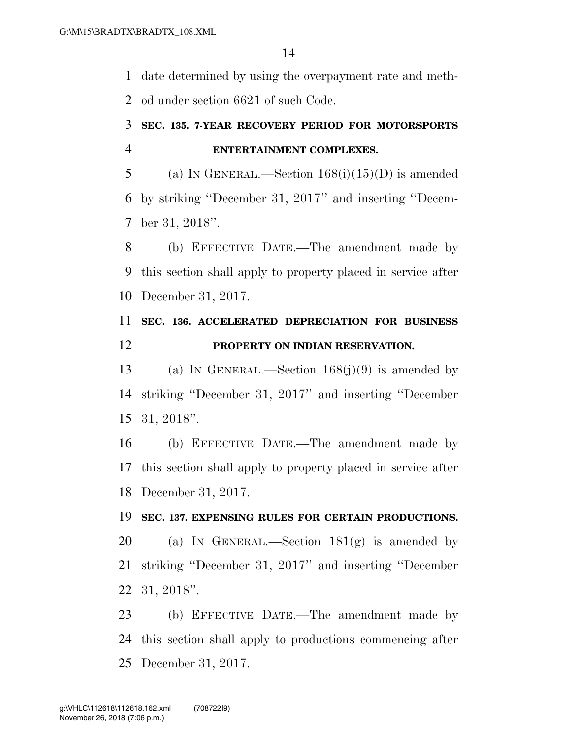date determined by using the overpayment rate and meth-od under section 6621 of such Code.

### **SEC. 135. 7-YEAR RECOVERY PERIOD FOR MOTORSPORTS ENTERTAINMENT COMPLEXES.**

5 (a) IN GENERAL.—Section  $168(i)(15)(D)$  is amended by striking ''December 31, 2017'' and inserting ''Decem-ber 31, 2018''.

 (b) EFFECTIVE DATE.—The amendment made by this section shall apply to property placed in service after December 31, 2017.

## **SEC. 136. ACCELERATED DEPRECIATION FOR BUSINESS PROPERTY ON INDIAN RESERVATION.**

 (a) IN GENERAL.—Section 168(j)(9) is amended by striking ''December 31, 2017'' and inserting ''December 31, 2018''.

 (b) EFFECTIVE DATE.—The amendment made by this section shall apply to property placed in service after December 31, 2017.

### **SEC. 137. EXPENSING RULES FOR CERTAIN PRODUCTIONS.**

20 (a) IN GENERAL.—Section  $181(g)$  is amended by striking ''December 31, 2017'' and inserting ''December 31, 2018''.

 (b) EFFECTIVE DATE.—The amendment made by this section shall apply to productions commencing after December 31, 2017.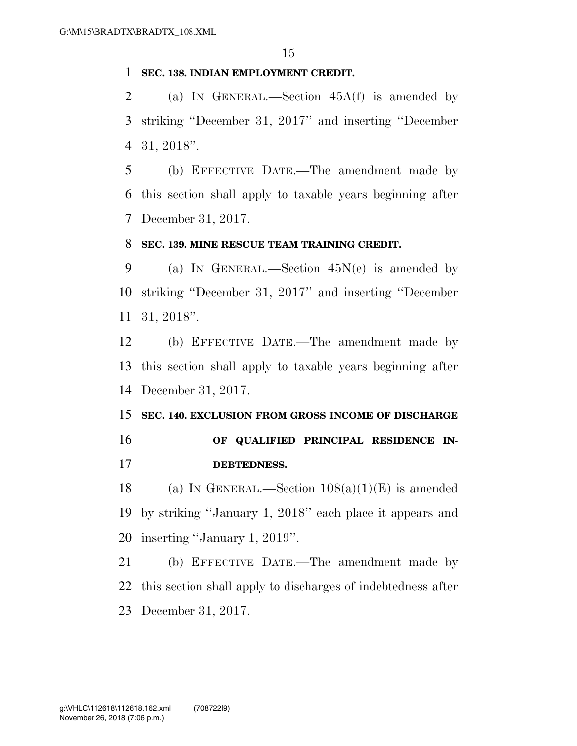#### **SEC. 138. INDIAN EMPLOYMENT CREDIT.**

 (a) IN GENERAL.—Section 45A(f) is amended by striking ''December 31, 2017'' and inserting ''December 31, 2018''.

 (b) EFFECTIVE DATE.—The amendment made by this section shall apply to taxable years beginning after December 31, 2017.

### **SEC. 139. MINE RESCUE TEAM TRAINING CREDIT.**

 (a) IN GENERAL.—Section 45N(e) is amended by striking ''December 31, 2017'' and inserting ''December 31, 2018''.

 (b) EFFECTIVE DATE.—The amendment made by this section shall apply to taxable years beginning after December 31, 2017.

# **SEC. 140. EXCLUSION FROM GROSS INCOME OF DISCHARGE**

### **OF QUALIFIED PRINCIPAL RESIDENCE IN-DEBTEDNESS.**

18 (a) IN GENERAL.—Section  $108(a)(1)(E)$  is amended by striking ''January 1, 2018'' each place it appears and inserting ''January 1, 2019''.

 (b) EFFECTIVE DATE.—The amendment made by this section shall apply to discharges of indebtedness after December 31, 2017.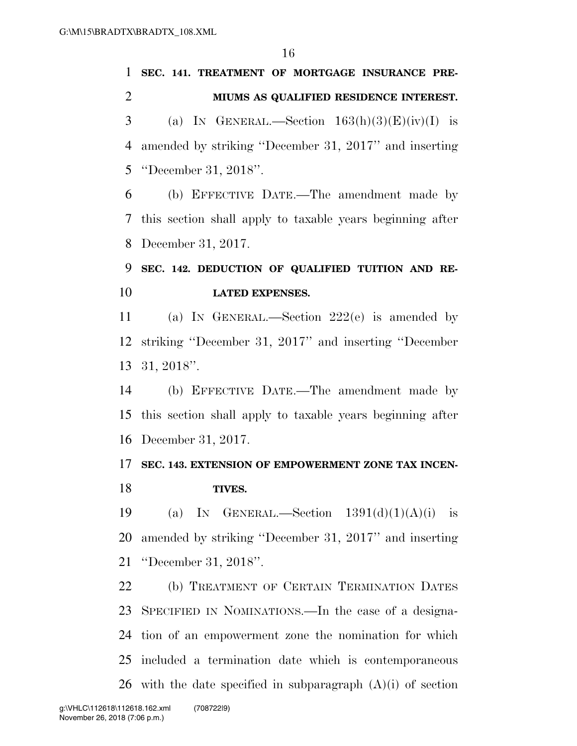# **SEC. 141. TREATMENT OF MORTGAGE INSURANCE PRE- MIUMS AS QUALIFIED RESIDENCE INTEREST.**  3 (a) IN GENERAL.—Section  $163(h)(3)(E)(iv)(I)$  is amended by striking ''December 31, 2017'' and inserting ''December 31, 2018''. (b) EFFECTIVE DATE.—The amendment made by this section shall apply to taxable years beginning after December 31, 2017. **SEC. 142. DEDUCTION OF QUALIFIED TUITION AND RE- LATED EXPENSES.**  (a) IN GENERAL.—Section 222(e) is amended by striking ''December 31, 2017'' and inserting ''December 31, 2018''. (b) EFFECTIVE DATE.—The amendment made by this section shall apply to taxable years beginning after December 31, 2017. **SEC. 143. EXTENSION OF EMPOWERMENT ZONE TAX INCEN- TIVES.**  19 (a) IN GENERAL.—Section  $1391(d)(1)(A)(i)$  is amended by striking ''December 31, 2017'' and inserting ''December 31, 2018''. (b) TREATMENT OF CERTAIN TERMINATION DATES

 SPECIFIED IN NOMINATIONS.—In the case of a designa- tion of an empowerment zone the nomination for which included a termination date which is contemporaneous 26 with the date specified in subparagraph  $(A)(i)$  of section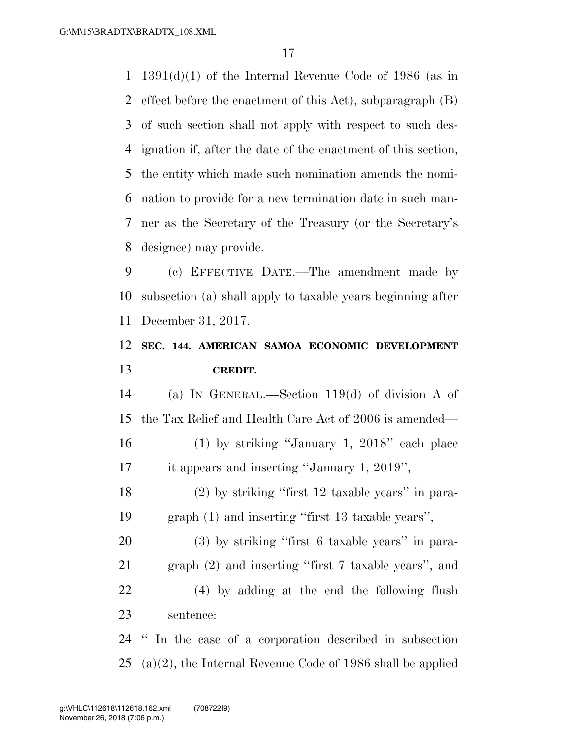1391(d)(1) of the Internal Revenue Code of 1986 (as in effect before the enactment of this Act), subparagraph (B) of such section shall not apply with respect to such des- ignation if, after the date of the enactment of this section, the entity which made such nomination amends the nomi- nation to provide for a new termination date in such man- ner as the Secretary of the Treasury (or the Secretary's designee) may provide.

 (c) EFFECTIVE DATE.—The amendment made by subsection (a) shall apply to taxable years beginning after December 31, 2017.

### **SEC. 144. AMERICAN SAMOA ECONOMIC DEVELOPMENT CREDIT.**

 (a) IN GENERAL.—Section 119(d) of division A of the Tax Relief and Health Care Act of 2006 is amended— (1) by striking ''January 1, 2018'' each place

it appears and inserting ''January 1, 2019'',

 (2) by striking ''first 12 taxable years'' in para-graph (1) and inserting ''first 13 taxable years'',

 (3) by striking ''first 6 taxable years'' in para- graph (2) and inserting ''first 7 taxable years'', and (4) by adding at the end the following flush sentence:

 '' In the case of a corporation described in subsection (a)(2), the Internal Revenue Code of 1986 shall be applied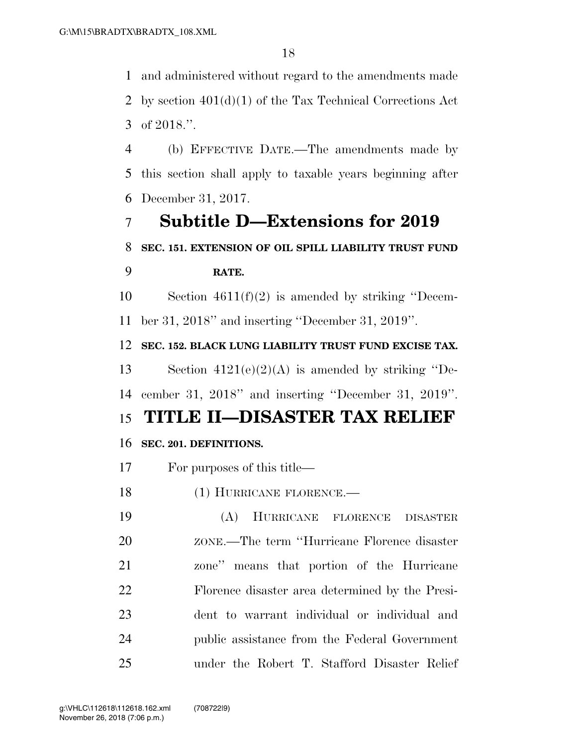and administered without regard to the amendments made by section 401(d)(1) of the Tax Technical Corrections Act of 2018.''.

 (b) EFFECTIVE DATE.—The amendments made by this section shall apply to taxable years beginning after December 31, 2017.

# **Subtitle D—Extensions for 2019 SEC. 151. EXTENSION OF OIL SPILL LIABILITY TRUST FUND**

### **RATE.**

 Section 4611(f)(2) is amended by striking ''Decem-ber 31, 2018'' and inserting ''December 31, 2019''.

 **SEC. 152. BLACK LUNG LIABILITY TRUST FUND EXCISE TAX.**  Section 4121(e)(2)(A) is amended by striking ''De-

cember 31, 2018'' and inserting ''December 31, 2019''.

## **TITLE II—DISASTER TAX RELIEF**

### **SEC. 201. DEFINITIONS.**

For purposes of this title—

- 18 (1) HURRICANE FLORENCE.—
- (A) HURRICANE FLORENCE DISASTER ZONE.—The term ''Hurricane Florence disaster zone'' means that portion of the Hurricane Florence disaster area determined by the Presi- dent to warrant individual or individual and public assistance from the Federal Government under the Robert T. Stafford Disaster Relief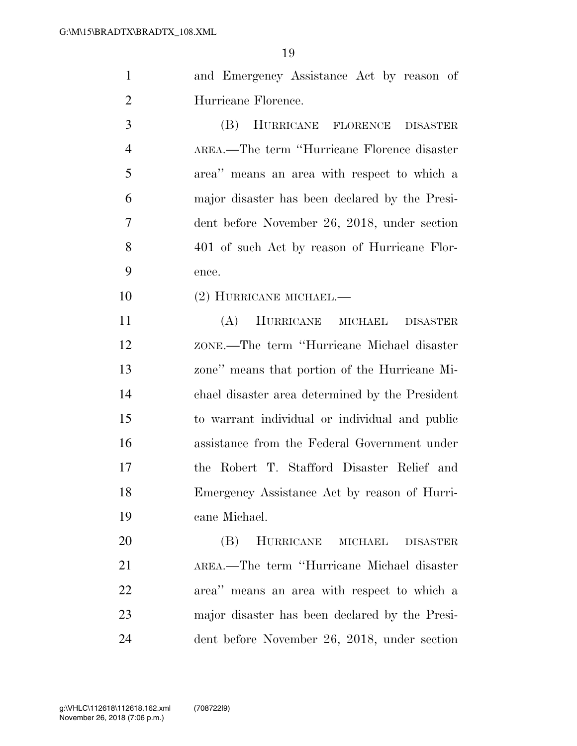| and Emergency Assistance Act by reason of |
|-------------------------------------------|
| Hurricane Florence.                       |

 (B) HURRICANE FLORENCE DISASTER AREA.—The term ''Hurricane Florence disaster area'' means an area with respect to which a major disaster has been declared by the Presi- dent before November 26, 2018, under section 401 of such Act by reason of Hurricane Flor-ence.

(2) HURRICANE MICHAEL.—

 (A) HURRICANE MICHAEL DISASTER ZONE.—The term ''Hurricane Michael disaster zone'' means that portion of the Hurricane Mi- chael disaster area determined by the President to warrant individual or individual and public assistance from the Federal Government under the Robert T. Stafford Disaster Relief and Emergency Assistance Act by reason of Hurri-cane Michael.

 (B) HURRICANE MICHAEL DISASTER AREA.—The term ''Hurricane Michael disaster area'' means an area with respect to which a major disaster has been declared by the Presi-dent before November 26, 2018, under section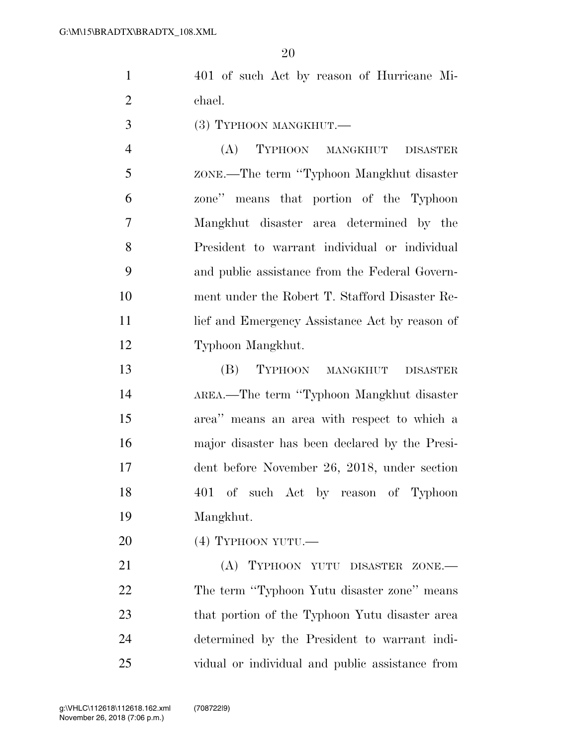401 of such Act by reason of Hurricane Mi-chael.

3 (3) TYPHOON MANGKHUT.

 (A) TYPHOON MANGKHUT DISASTER ZONE.—The term ''Typhoon Mangkhut disaster zone'' means that portion of the Typhoon Mangkhut disaster area determined by the President to warrant individual or individual and public assistance from the Federal Govern- ment under the Robert T. Stafford Disaster Re-11 lief and Emergency Assistance Act by reason of Typhoon Mangkhut.

 (B) TYPHOON MANGKHUT DISASTER AREA.—The term ''Typhoon Mangkhut disaster area'' means an area with respect to which a major disaster has been declared by the Presi- dent before November 26, 2018, under section 401 of such Act by reason of Typhoon Mangkhut.

(4) TYPHOON YUTU.—

21 (A) TYPHOON YUTU DISASTER ZONE.— 22 The term "Typhoon Yutu disaster zone" means 23 that portion of the Typhoon Yutu disaster area determined by the President to warrant indi-vidual or individual and public assistance from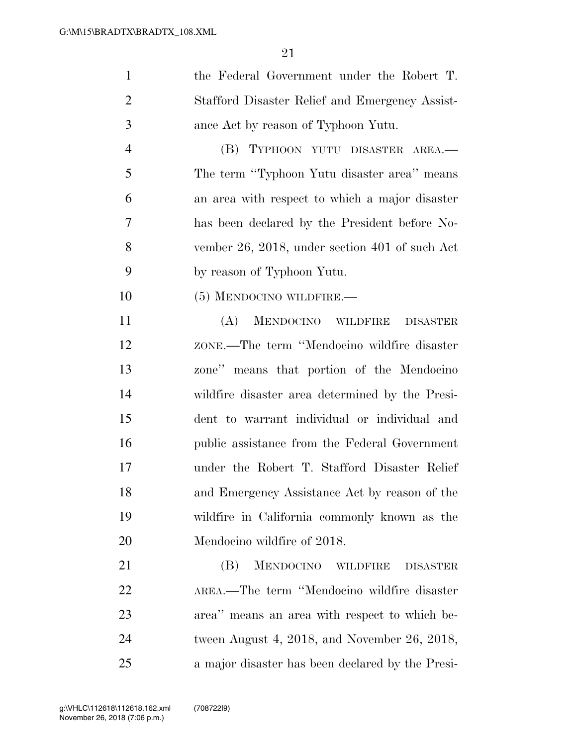| $\mathbf{1}$   | the Federal Government under the Robert T.                    |
|----------------|---------------------------------------------------------------|
| $\overline{2}$ | Stafford Disaster Relief and Emergency Assist-                |
| 3              | ance Act by reason of Typhoon Yutu.                           |
| $\overline{4}$ | TYPHOON YUTU DISASTER AREA.-<br>(B)                           |
| 5              | The term "Typhoon Yutu disaster area" means                   |
| 6              | an area with respect to which a major disaster                |
| 7              | has been declared by the President before No-                 |
| 8              | vember 26, 2018, under section 401 of such Act                |
| 9              | by reason of Typhoon Yutu.                                    |
| 10             | (5) MENDOCINO WILDFIRE.—                                      |
| 11             | MENDOCINO WILDFIRE<br>(A)<br><b>DISASTER</b>                  |
| 12             | ZONE.—The term "Mendocino wildfire disaster                   |
| 13             | zone" means that portion of the Mendocino                     |
| 14             | wildfire disaster area determined by the Presi-               |
| 15             | dent to warrant individual or individual and                  |
| 16             | public assistance from the Federal Government                 |
| 17             | under the Robert T. Stafford Disaster Relief                  |
| 18             | and Emergency Assistance Act by reason of the                 |
| 19             | wildfire in California commonly known as the                  |
| 20             | Mendocino wildfire of 2018.                                   |
| 21             | <b>MENDOCINO</b><br>(B)<br><b>WILDFIRE</b><br><b>DISASTER</b> |
| 22             | AREA.—The term "Mendocino wildfire disaster                   |
| 23             | area" means an area with respect to which be-                 |
| 24             | tween August 4, 2018, and November 26, 2018,                  |
| 25             | a major disaster has been declared by the Presi-              |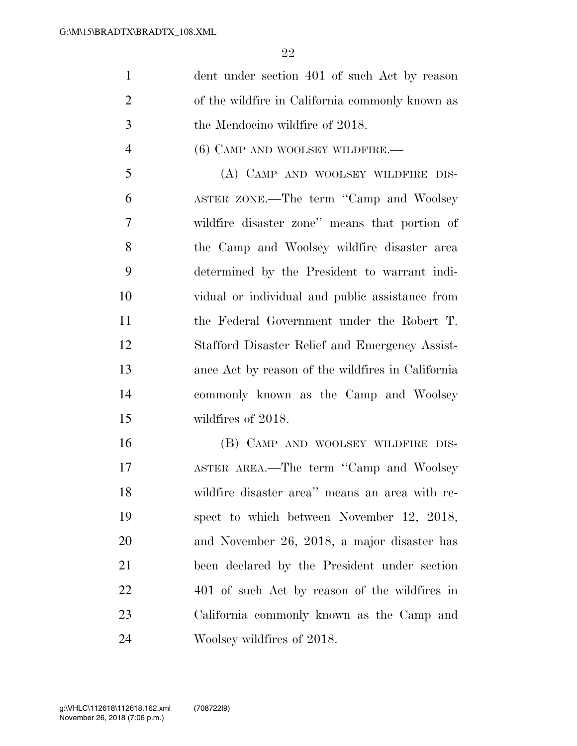| $\mathbf{1}$   | dent under section 401 of such Act by reason      |
|----------------|---------------------------------------------------|
| $\overline{2}$ | of the wildfire in California commonly known as   |
| 3              | the Mendocino wildfire of 2018.                   |
| $\overline{4}$ | $(6)$ CAMP AND WOOLSEY WILDFIRE.—                 |
| 5              | (A) CAMP AND WOOLSEY WILDFIRE DIS-                |
| 6              | ASTER ZONE.—The term "Camp and Woolsey            |
| 7              | wildfire disaster zone" means that portion of     |
| 8              | the Camp and Woolsey wildfire disaster area       |
| 9              | determined by the President to warrant indi-      |
| 10             | vidual or individual and public assistance from   |
| 11             | the Federal Government under the Robert T.        |
| 12             | Stafford Disaster Relief and Emergency Assist-    |
| 13             | ance Act by reason of the wildfires in California |
| 14             | commonly known as the Camp and Woolsey            |
| 15             | wildfires of 2018.                                |
| 16             | (B) CAMP AND WOOLSEY WILDFIRE DIS-                |
| 17             | ASTER AREA.—The term "Camp and Woolsey            |
| 18             | wildfire disaster area" means an area with re-    |
| 19             | spect to which between November 12, 2018,         |
| 20             | and November 26, 2018, a major disaster has       |
|                |                                                   |

been declared by the President under section

401 of such Act by reason of the wildfires in

California commonly known as the Camp and

Woolsey wildfires of 2018.

November 26, 2018 (7:06 p.m.) g:\VHLC\112618\112618.162.xml (708722|9)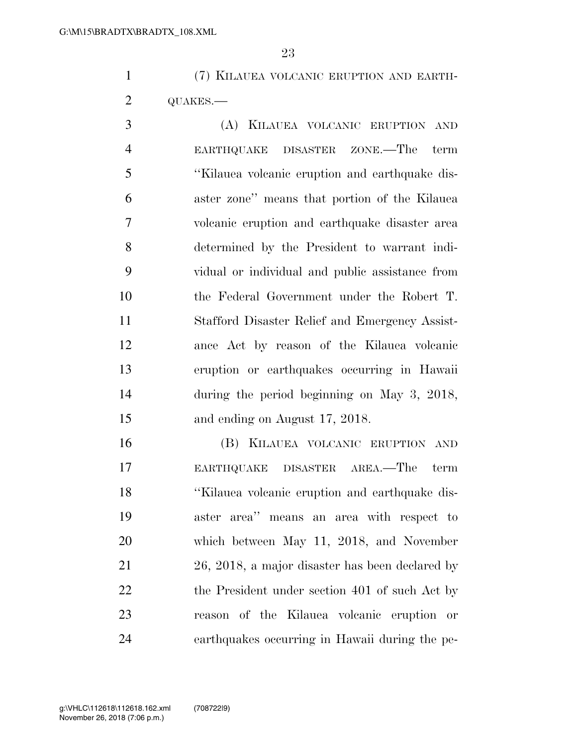(7) KILAUEA VOLCANIC ERUPTION AND EARTH-QUAKES.—

 (A) KILAUEA VOLCANIC ERUPTION AND EARTHQUAKE DISASTER ZONE.—The term ''Kilauea volcanic eruption and earthquake dis- aster zone'' means that portion of the Kilauea volcanic eruption and earthquake disaster area determined by the President to warrant indi- vidual or individual and public assistance from the Federal Government under the Robert T. Stafford Disaster Relief and Emergency Assist- ance Act by reason of the Kilauea volcanic eruption or earthquakes occurring in Hawaii during the period beginning on May 3, 2018, and ending on August 17, 2018.

 (B) KILAUEA VOLCANIC ERUPTION AND EARTHQUAKE DISASTER AREA.—The term ''Kilauea volcanic eruption and earthquake dis- aster area'' means an area with respect to which between May 11, 2018, and November 26, 2018, a major disaster has been declared by 22 the President under section 401 of such Act by reason of the Kilauea volcanic eruption or earthquakes occurring in Hawaii during the pe-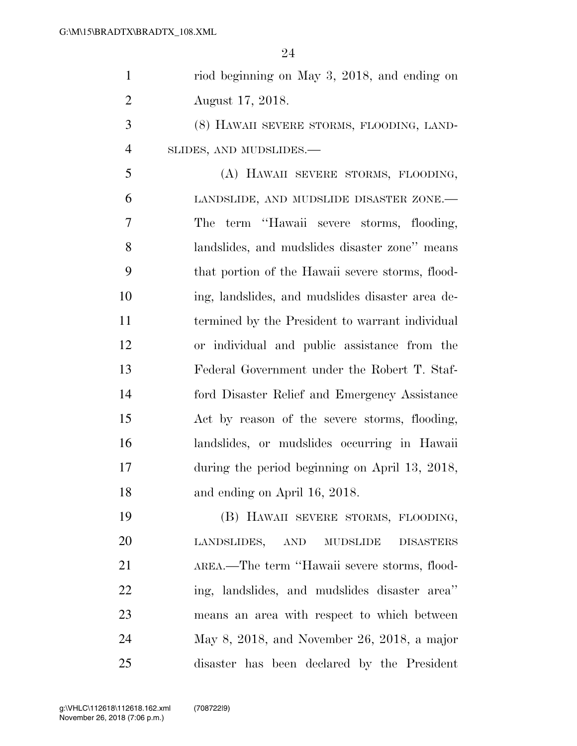| $\mathbf{1}$   | riod beginning on May 3, 2018, and ending on                     |
|----------------|------------------------------------------------------------------|
| $\overline{2}$ | August 17, 2018.                                                 |
| 3              | (8) HAWAII SEVERE STORMS, FLOODING, LAND-                        |
| $\overline{4}$ | SLIDES, AND MUDSLIDES.-                                          |
| 5              | (A) HAWAII SEVERE STORMS, FLOODING,                              |
| 6              | LANDSLIDE, AND MUDSLIDE DISASTER ZONE.-                          |
| 7              | term "Hawaii severe storms, flooding,<br>The                     |
| 8              | landslides, and mudslides disaster zone" means                   |
| 9              | that portion of the Hawaii severe storms, flood-                 |
| 10             | ing, landslides, and mudslides disaster area de-                 |
| 11             | termined by the President to warrant individual                  |
| 12             | or individual and public assistance from the                     |
| 13             | Federal Government under the Robert T. Staf-                     |
| 14             | ford Disaster Relief and Emergency Assistance                    |
| 15             | Act by reason of the severe storms, flooding,                    |
| 16             | landslides, or mudslides occurring in Hawaii                     |
| 17             | during the period beginning on April 13, 2018,                   |
| 18             | and ending on April 16, 2018.                                    |
| 19             | (B) HAWAII SEVERE STORMS, FLOODING,                              |
| 20             | LANDSLIDES,<br><b>AND</b><br><b>MUDSLIDE</b><br><b>DISASTERS</b> |
| 21             | AREA.—The term "Hawaii severe storms, flood-                     |
| 22             | ing, landslides, and mudslides disaster area"                    |
| 23             | means an area with respect to which between                      |
| 24             | May 8, 2018, and November 26, 2018, a major                      |
| 25             | disaster has been declared by the President                      |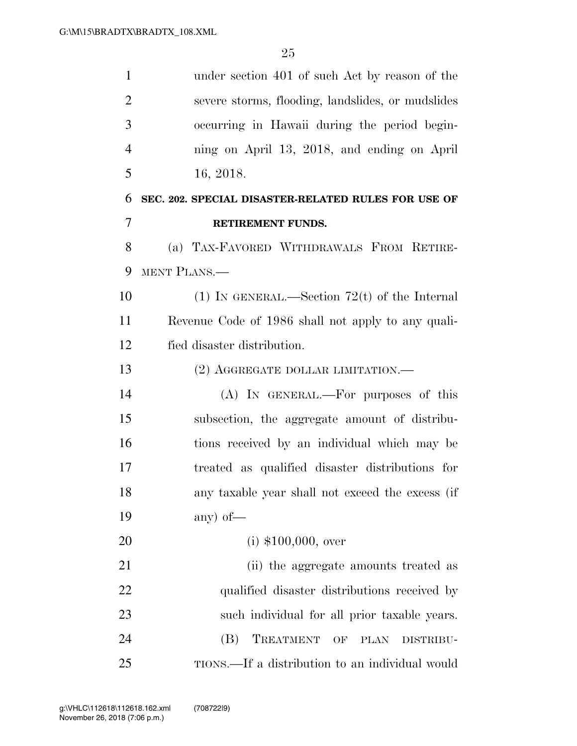| $\mathbf{1}$   | under section 401 of such Act by reason of the                         |
|----------------|------------------------------------------------------------------------|
| $\overline{2}$ | severe storms, flooding, landslides, or mudslides                      |
| 3              | occurring in Hawaii during the period begin-                           |
| $\overline{4}$ | ning on April 13, 2018, and ending on April                            |
| 5              | 16, 2018.                                                              |
| 6              | SEC. 202. SPECIAL DISASTER-RELATED RULES FOR USE OF                    |
| $\overline{7}$ | RETIREMENT FUNDS.                                                      |
| 8              | (a) TAX-FAVORED WITHDRAWALS FROM RETIRE-                               |
| 9              | MENT PLANS.—                                                           |
| 10             | (1) IN GENERAL.—Section 72(t) of the Internal                          |
| 11             | Revenue Code of 1986 shall not apply to any quali-                     |
| 12             | fied disaster distribution.                                            |
| 13             | (2) AGGREGATE DOLLAR LIMITATION.—                                      |
| 14             | (A) IN GENERAL.—For purposes of this                                   |
| 15             | subsection, the aggregate amount of distribu-                          |
| 16             | tions received by an individual which may be                           |
| 17             | treated as qualified disaster distributions for                        |
| 18             | any taxable year shall not exceed the excess (if                       |
| 19             | any) of $-$                                                            |
| 20             | $(i)$ \$100,000, over                                                  |
| 21             | (ii) the aggregate amounts treated as                                  |
| 22             | qualified disaster distributions received by                           |
| 23             | such individual for all prior taxable years.                           |
| 24             | TREATMENT<br>(B)<br>$\overline{\text{OF}}$<br><b>PLAN</b><br>DISTRIBU- |
| 25             | TIONS.—If a distribution to an individual would                        |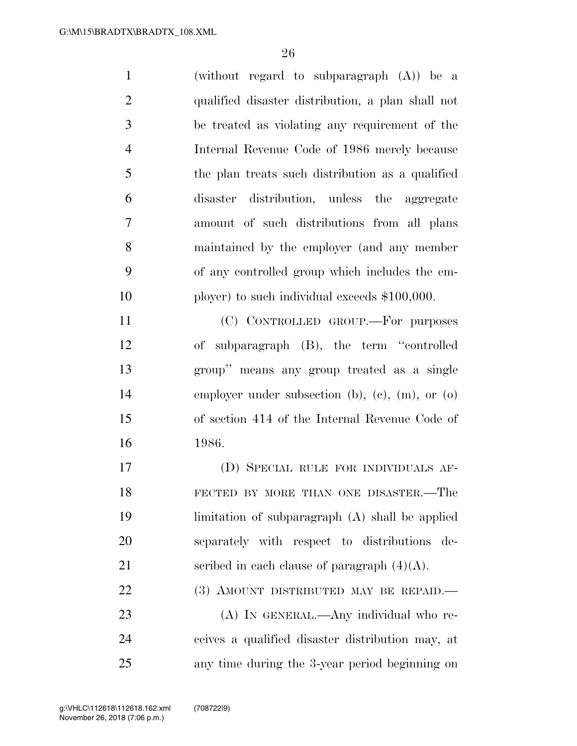| $\mathbf{1}$   | (without regard to subparagraph $(A)$ ) be a      |
|----------------|---------------------------------------------------|
| $\mathbf{2}$   | qualified disaster distribution, a plan shall not |
| 3              | be treated as violating any requirement of the    |
| $\overline{4}$ | Internal Revenue Code of 1986 merely because      |
| 5              | the plan treats such distribution as a qualified  |
| 6              | disaster distribution, unless the aggregate       |
| $\tau$         | amount of such distributions from all plans       |
| 8              | maintained by the employer (and any member        |
| 9              | of any controlled group which includes the em-    |
| 10             | ployer) to such individual exceeds \$100,000.     |
| 11             | (C) CONTROLLED GROUP.—For purposes                |
| 12             | of subparagraph (B), the term "controlled         |
| 13             | group" means any group treated as a single        |
| 14             | employer under subsection (b), (c), (m), or (o)   |
| 15             | of section 414 of the Internal Revenue Code of    |
| 16             | 1986.                                             |
| 17             | (D) SPECIAL RULE FOR INDIVIDUALS AF-              |
| 18             | FECTED BY MORE THAN ONE DISASTER.-The             |
| 19             | limitation of subparagraph (A) shall be applied   |
| 20             | separately with respect to distributions de-      |
| 21             | scribed in each clause of paragraph $(4)(A)$ .    |

(3) AMOUNT DISTRIBUTED MAY BE REPAID.—

 (A) IN GENERAL.—Any individual who re- ceives a qualified disaster distribution may, at any time during the 3-year period beginning on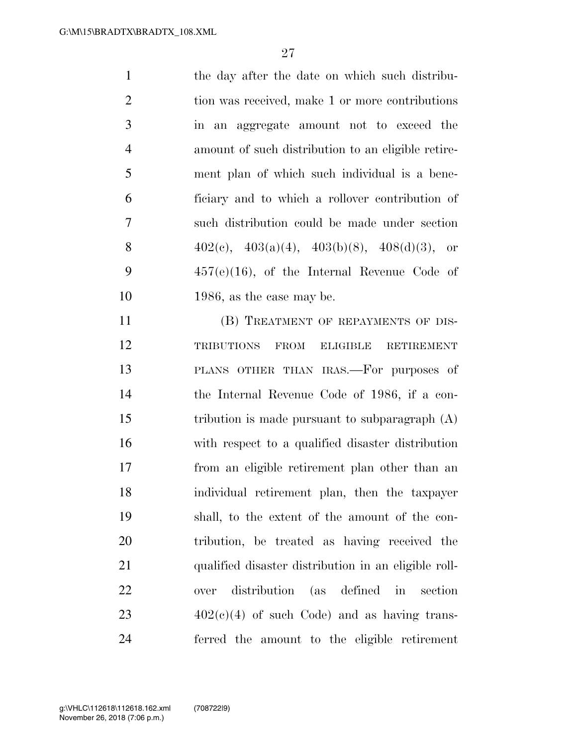| $\mathbf{1}$   | the day after the date on which such distribu-     |
|----------------|----------------------------------------------------|
| 2              | tion was received, make 1 or more contributions    |
| $\overline{3}$ | in an aggregate amount not to exceed the           |
| $\overline{4}$ | amount of such distribution to an eligible retire- |
| 5              | ment plan of which such individual is a bene-      |
| 6              | ficiary and to which a rollover contribution of    |
| 7              | such distribution could be made under section      |
| 8              | $402(c), 403(a)(4), 403(b)(8), 408(d)(3),$ or      |
| 9              | $457(e)(16)$ , of the Internal Revenue Code of     |
| 10             | 1986, as the case may be.                          |
|                |                                                    |

11 (B) TREATMENT OF REPAYMENTS OF DIS- TRIBUTIONS FROM ELIGIBLE RETIREMENT PLANS OTHER THAN IRAS.—For purposes of the Internal Revenue Code of 1986, if a con-15 tribution is made pursuant to subparagraph (A) with respect to a qualified disaster distribution from an eligible retirement plan other than an individual retirement plan, then the taxpayer shall, to the extent of the amount of the con- tribution, be treated as having received the qualified disaster distribution in an eligible roll- over distribution (as defined in section  $402(e)(4)$  of such Code) and as having trans-ferred the amount to the eligible retirement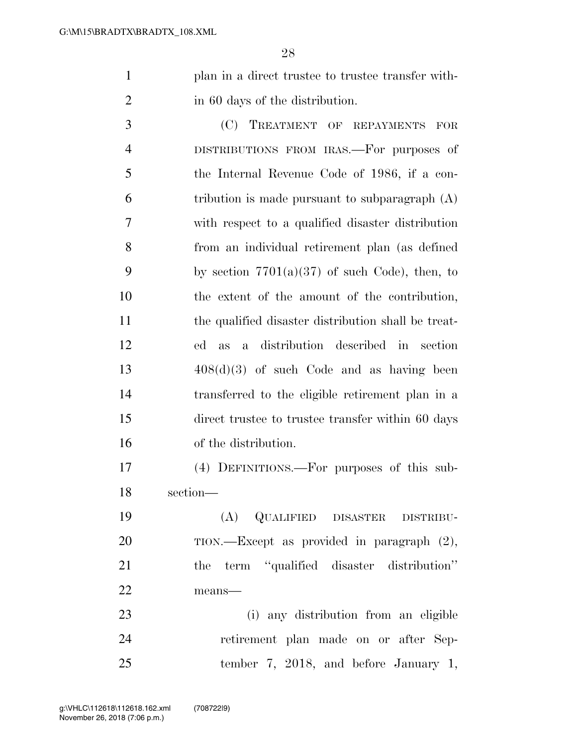plan in a direct trustee to trustee transfer with-in 60 days of the distribution.

 (C) TREATMENT OF REPAYMENTS FOR DISTRIBUTIONS FROM IRAS.—For purposes of the Internal Revenue Code of 1986, if a con- tribution is made pursuant to subparagraph (A) with respect to a qualified disaster distribution from an individual retirement plan (as defined 9 by section  $7701(a)(37)$  of such Code), then, to the extent of the amount of the contribution, 11 the qualified disaster distribution shall be treat- ed as a distribution described in section 408(d)(3) of such Code and as having been transferred to the eligible retirement plan in a direct trustee to trustee transfer within 60 days of the distribution.

 (4) DEFINITIONS.—For purposes of this sub-section—

 (A) QUALIFIED DISASTER DISTRIBU- TION.—Except as provided in paragraph (2), the term ''qualified disaster distribution'' means—

 (i) any distribution from an eligible retirement plan made on or after Sep-tember 7, 2018, and before January 1,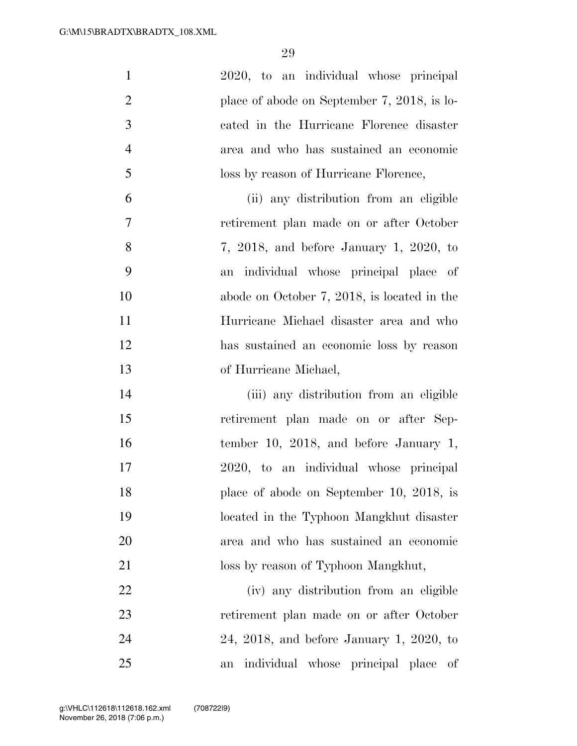| $\mathbf{1}$     | 2020, to an individual whose principal               |
|------------------|------------------------------------------------------|
| $\overline{2}$   | place of abode on September $7, 2018$ , is lo-       |
| 3                | cated in the Hurricane Florence disaster             |
| $\overline{4}$   | area and who has sustained an economic               |
| 5                | loss by reason of Hurricane Florence,                |
| 6                | (ii) any distribution from an eligible               |
| $\boldsymbol{7}$ | retirement plan made on or after October             |
| 8                | $7, 2018,$ and before January 1, 2020, to            |
| 9                | individual whose principal place of<br>an            |
| 10               | abode on October $7, 2018$ , is located in the       |
| 11               | Hurricane Michael disaster area and who              |
| 12               | has sustained an economic loss by reason             |
| 13               | of Hurricane Michael,                                |
| 14               | (iii) any distribution from an eligible              |
| 15               | retirement plan made on or after Sep-                |
| 16               | tember 10, 2018, and before January 1,               |
| 17               | 2020, to an individual whose principal               |
| 18               | place of abode on September 10, 2018, is             |
| 19               | located in the Typhoon Mangkhut disaster             |
| 20               | area and who has sustained an economic               |
| 21               | loss by reason of Typhoon Mangkhut,                  |
| 22               | (iv) any distribution from an eligible               |
| 23               | retirement plan made on or after October             |
| 24               | $24, 2018,$ and before January 1, 2020, to           |
| 25               | individual whose principal place<br>of<br>${\rm an}$ |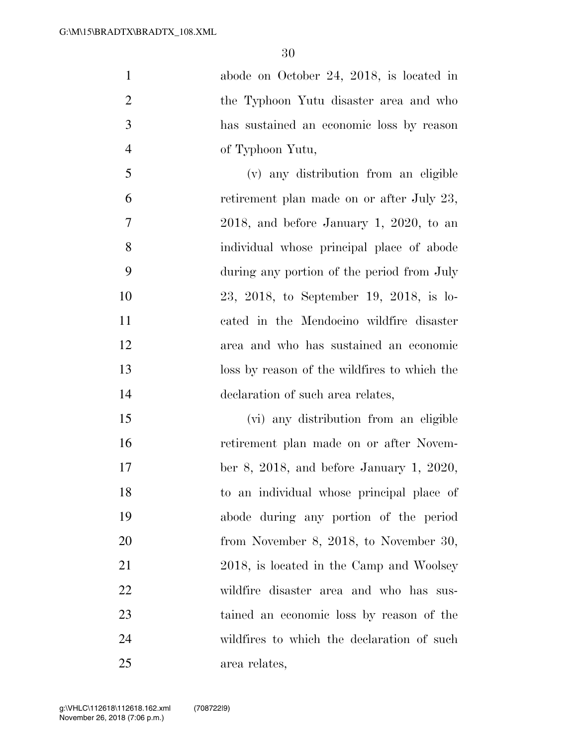abode on October 24, 2018, is located in the Typhoon Yutu disaster area and who has sustained an economic loss by reason of Typhoon Yutu, (v) any distribution from an eligible retirement plan made on or after July 23, 2018, and before January 1, 2020, to an individual whose principal place of abode during any portion of the period from July 23, 2018, to September 19, 2018, is lo-

 cated in the Mendocino wildfire disaster area and who has sustained an economic loss by reason of the wildfires to which the declaration of such area relates,

 (vi) any distribution from an eligible retirement plan made on or after Novem- ber 8, 2018, and before January 1, 2020, to an individual whose principal place of abode during any portion of the period 20 from November 8, 2018, to November 30, 21 2018, is located in the Camp and Woolsey wildfire disaster area and who has sus- tained an economic loss by reason of the wildfires to which the declaration of such area relates,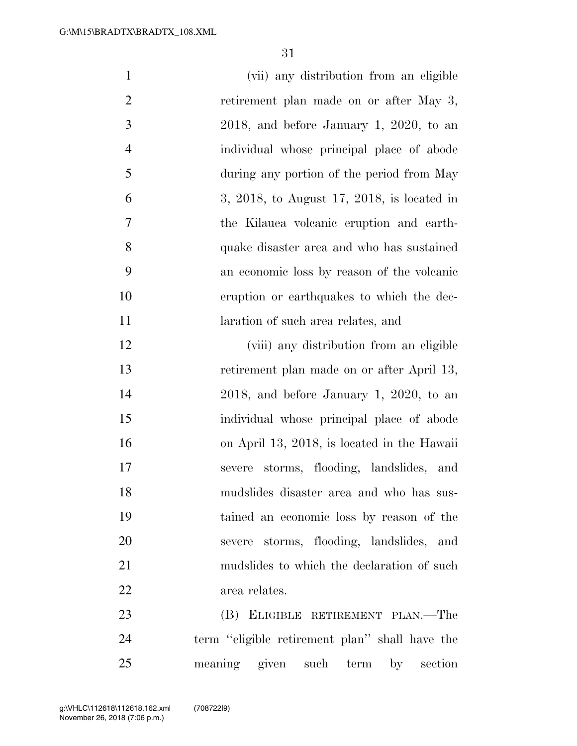| $\mathbf{1}$   | (vii) any distribution from an eligible        |
|----------------|------------------------------------------------|
| $\overline{2}$ | retirement plan made on or after May 3,        |
| 3              | $2018$ , and before January 1, 2020, to an     |
| $\overline{4}$ | individual whose principal place of abode      |
| 5              | during any portion of the period from May      |
| 6              | 3, 2018, to August 17, 2018, is located in     |
| 7              | the Kilauea volcanic eruption and earth-       |
| 8              | quake disaster area and who has sustained      |
| 9              | an economic loss by reason of the volcanic     |
| 10             | eruption or earthquakes to which the dec-      |
| 11             | laration of such area relates, and             |
| 12             | (viii) any distribution from an eligible       |
| 13             | retirement plan made on or after April 13,     |
| 14             | $2018$ , and before January 1, 2020, to an     |
| 15             | individual whose principal place of abode      |
| 16             | on April 13, 2018, is located in the Hawaii    |
| 17             | severe storms, flooding, landslides, and       |
| 18             | mudslides disaster area and who has sus-       |
| 19             | tained an economic loss by reason of the       |
| 20             | severe storms, flooding, landslides, and       |
| 21             | mudslides to which the declaration of such     |
| 22             | area relates.                                  |
| 23             | (B) ELIGIBLE RETIREMENT PLAN.—The              |
| 24             | term "eligible retirement plan" shall have the |
| $25\,$         | meaning given such term by<br>section          |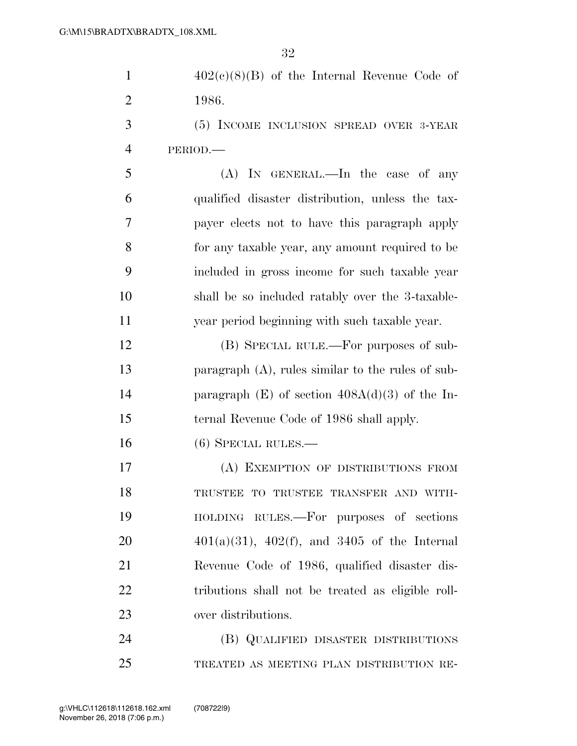|                | $402(e)(8)(B)$ of the Internal Revenue Code of |  |  |  |
|----------------|------------------------------------------------|--|--|--|
| $\overline{2}$ | 1986.                                          |  |  |  |

 (5) INCOME INCLUSION SPREAD OVER 3-YEAR PERIOD.—

 (A) IN GENERAL.—In the case of any qualified disaster distribution, unless the tax- payer elects not to have this paragraph apply for any taxable year, any amount required to be included in gross income for such taxable year shall be so included ratably over the 3-taxable-year period beginning with such taxable year.

 (B) SPECIAL RULE.—For purposes of sub- paragraph (A), rules similar to the rules of sub- paragraph (E) of section 408A(d)(3) of the In-ternal Revenue Code of 1986 shall apply.

(6) SPECIAL RULES.—

 (A) EXEMPTION OF DISTRIBUTIONS FROM TRUSTEE TO TRUSTEE TRANSFER AND WITH- HOLDING RULES.—For purposes of sections  $401(a)(31)$ ,  $402(f)$ , and  $3405$  of the Internal Revenue Code of 1986, qualified disaster dis- tributions shall not be treated as eligible roll-over distributions.

 (B) QUALIFIED DISASTER DISTRIBUTIONS TREATED AS MEETING PLAN DISTRIBUTION RE-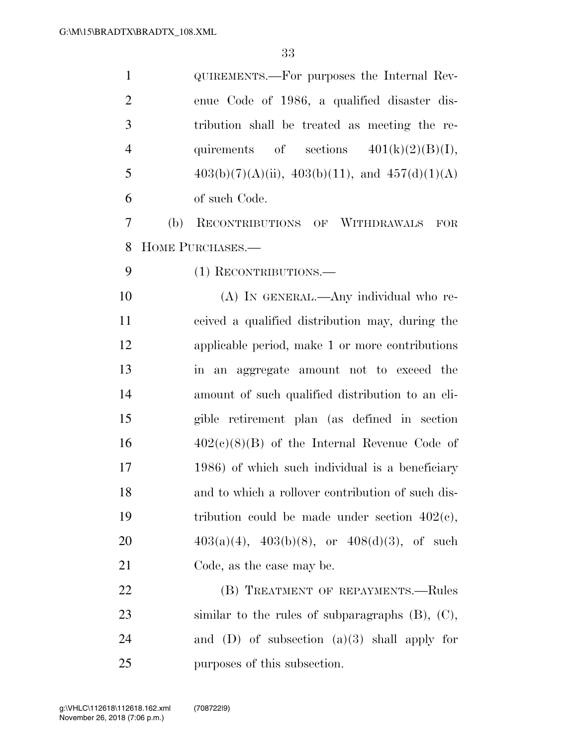| $\mathbf{1}$   |     | QUIREMENTS.—For purposes the Internal Rev-             |
|----------------|-----|--------------------------------------------------------|
| $\overline{2}$ |     | enue Code of 1986, a qualified disaster dis-           |
| 3              |     | tribution shall be treated as meeting the re-          |
| $\overline{4}$ |     | quirements of sections $401(k)(2)(B)(I)$ ,             |
| 5              |     | $403(b)(7)(A)(ii)$ , $403(b)(11)$ , and $457(d)(1)(A)$ |
| 6              |     | of such Code.                                          |
| 7              | (b) | RECONTRIBUTIONS OF WITHDRAWALS<br>FOR                  |
| 8              |     | HOME PURCHASES.-                                       |
| 9              |     | (1) RECONTRIBUTIONS.                                   |
| 10             |     | (A) IN GENERAL.—Any individual who re-                 |
| 11             |     | ceived a qualified distribution may, during the        |
| 12             |     | applicable period, make 1 or more contributions        |
| 13             |     | in an aggregate amount not to exceed the               |
| 14             |     | amount of such qualified distribution to an eli-       |
| 15             |     | gible retirement plan (as defined in section           |
| 16             |     | $402(c)(8)(B)$ of the Internal Revenue Code of         |
| 17             |     | 1986) of which such individual is a beneficiary        |
| 18             |     | and to which a rollover contribution of such dis-      |
| 19             |     | tribution could be made under section $402(c)$ ,       |
| 20             |     | $403(a)(4)$ , $403(b)(8)$ , or $408(d)(3)$ , of such   |
| 21             |     | Code, as the case may be.                              |
| 22             |     | (B) TREATMENT OF REPAYMENTS.-Rules                     |
| 23             |     | similar to the rules of subparagraphs $(B)$ , $(C)$ ,  |
| 24             |     | and (D) of subsection $(a)(3)$ shall apply for         |
| 25             |     | purposes of this subsection.                           |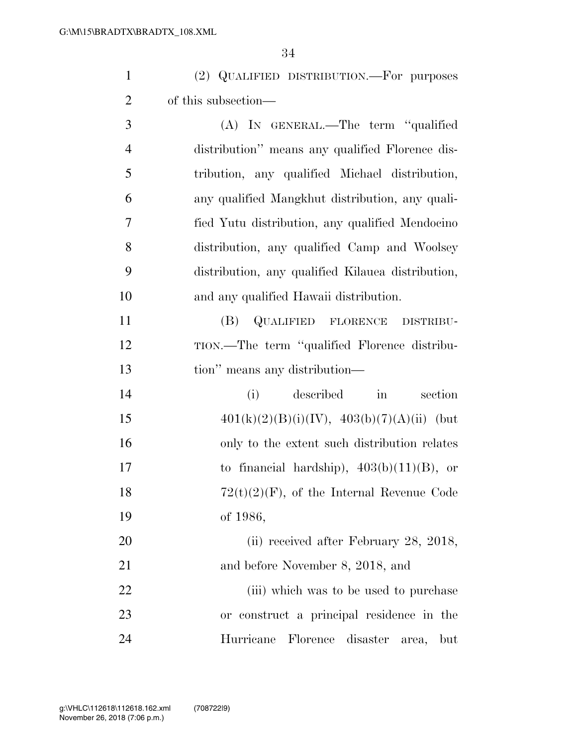|                | (2) QUALIFIED DISTRIBUTION.—For purposes |
|----------------|------------------------------------------|
| 2 <sup>1</sup> | of this subsection—                      |
| 3              | (A) IN GENERAL.—The term "qualified      |

| $\overline{4}$ | distribution" means any qualified Florence dis-   |
|----------------|---------------------------------------------------|
| 5              | tribution, any qualified Michael distribution,    |
| 6              | any qualified Mangkhut distribution, any quali-   |
| 7              | fied Yutu distribution, any qualified Mendocino   |
| 8              | distribution, any qualified Camp and Woolsey      |
| - 9            | distribution, any qualified Kilauea distribution, |
| 10             | and any qualified Hawaii distribution.            |

 (B) QUALIFIED FLORENCE DISTRIBU- TION.—The term ''qualified Florence distribu-tion'' means any distribution—

| 14     | described in<br>section<br>(i)                                   |
|--------|------------------------------------------------------------------|
| 15     | $401(k)(2)(B)(i)(IV), 403(b)(7)(A)(ii)$ (but                     |
| 16     | only to the extent such distribution relates                     |
| 17     | to financial hardship), $403(b)(11)(B)$ , or                     |
| 18     | $72(t)(2)(F)$ , of the Internal Revenue Code                     |
| 19     | of 1986,                                                         |
| $\cap$ | $(2)$ $\ldots$ $(4)$ $\ldots$ $\ldots$ $\ldots$ $\ldots$ 00 0010 |

20 (ii) received after February 28, 2018, and before November 8, 2018, and

22 (iii) which was to be used to purchase or construct a principal residence in the Hurricane Florence disaster area, but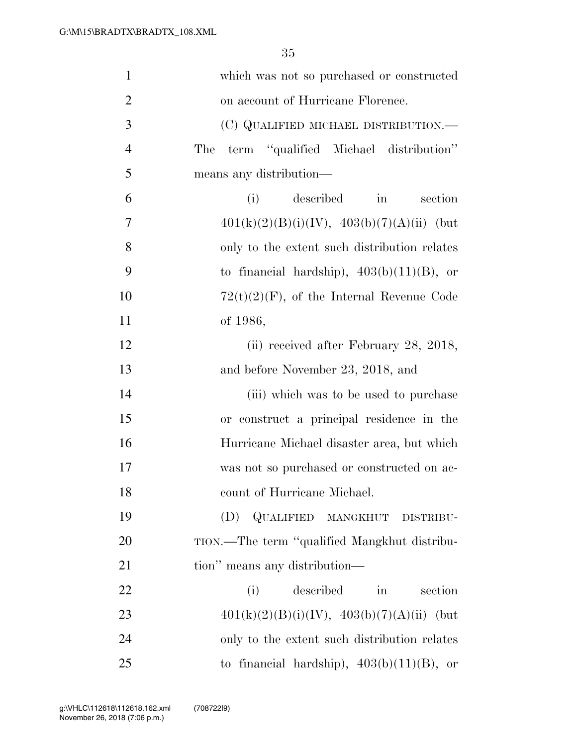| $\mathbf{1}$   | which was not so purchased or constructed          |
|----------------|----------------------------------------------------|
| $\overline{2}$ | on account of Hurricane Florence.                  |
| 3              | (C) QUALIFIED MICHAEL DISTRIBUTION.—               |
| $\overline{4}$ | term "qualified Michael distribution"<br>The       |
| 5              | means any distribution-                            |
| 6              | described<br>(i)<br>section<br>$\sin$              |
| 7              | $401(k)(2)(B)(i)(IV), 403(b)(7)(A)(ii)$ (but       |
| 8              | only to the extent such distribution relates       |
| 9              | to financial hardship), $403(b)(11)(B)$ , or       |
| 10             | $72(t)(2)(F)$ , of the Internal Revenue Code       |
| 11             | of 1986,                                           |
| 12             | (ii) received after February 28, 2018,             |
| 13             | and before November 23, 2018, and                  |
| 14             | (iii) which was to be used to purchase             |
| 15             | or construct a principal residence in the          |
| 16             | Hurricane Michael disaster area, but which         |
| 17             | was not so purchased or constructed on ac-         |
| 18             | count of Hurricane Michael.                        |
| 19             | (D) QUALIFIED MANGKHUT DISTRIBU-                   |
| 20             | TION.-The term "qualified Mangkhut distribu-       |
| 21             | tion" means any distribution—                      |
| 22             | described<br>section<br>(i)<br>$\operatorname{in}$ |
| 23             | $401(k)(2)(B)(i)(IV), 403(b)(7)(A)(ii)$ (but       |
| 24             | only to the extent such distribution relates       |
| 25             | to financial hardship), $403(b)(11)(B)$ , or       |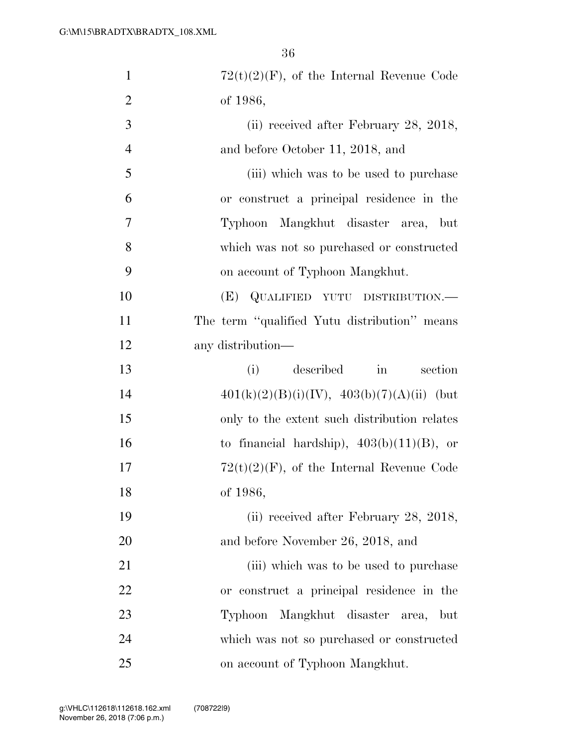| $\mathbf{1}$   | $72(t)(2)(F)$ , of the Internal Revenue Code |
|----------------|----------------------------------------------|
| $\overline{2}$ | of 1986,                                     |
| 3              | (ii) received after February 28, 2018,       |
| $\overline{4}$ | and before October 11, 2018, and             |
| 5              | (iii) which was to be used to purchase       |
| 6              | or construct a principal residence in the    |
| 7              | Typhoon Mangkhut disaster area, but          |
| 8              | which was not so purchased or constructed    |
| 9              | on account of Typhoon Mangkhut.              |
| 10             | (E) QUALIFIED YUTU DISTRIBUTION.—            |
| 11             | The term "qualified Yutu distribution" means |
| 12             | any distribution—                            |
| 13             | described<br>section<br>(i)<br>in            |
| 14             | $401(k)(2)(B)(i)(IV), 403(b)(7)(A)(ii)$ (but |
| 15             | only to the extent such distribution relates |
| 16             | to financial hardship), $403(b)(11)(B)$ , or |
| 17             | $72(t)(2)(F)$ , of the Internal Revenue Code |
| 18             | of 1986,                                     |
| 19             | (ii) received after February 28, 2018,       |
| 20             | and before November 26, 2018, and            |
| 21             | (iii) which was to be used to purchase       |
| 22             | or construct a principal residence in the    |
| 23             | Mangkhut disaster area,<br>Typhoon<br>but    |
| 24             | which was not so purchased or constructed    |
| 25             | on account of Typhoon Mangkhut.              |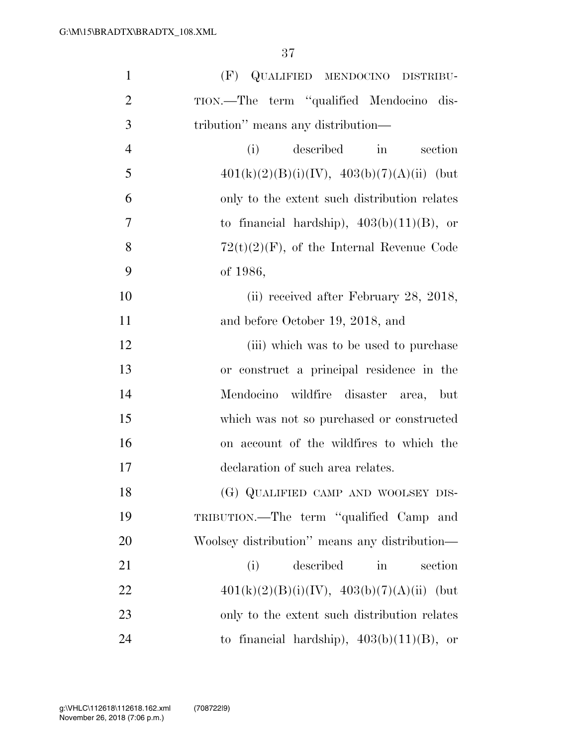| $\mathbf{1}$   | QUALIFIED MENDOCINO DISTRIBU-<br>(F)               |
|----------------|----------------------------------------------------|
| $\overline{2}$ | TION.-The term "qualified Mendocino dis-           |
| 3              | tribution" means any distribution—                 |
| $\overline{4}$ | (i)<br>described<br>$\sin$<br>section              |
| 5              | $401(k)(2)(B)(i)(IV), 403(b)(7)(A)(ii)$ (but       |
| 6              | only to the extent such distribution relates       |
| $\overline{7}$ | to financial hardship), $403(b)(11)(B)$ , or       |
| 8              | $72(t)(2)(F)$ , of the Internal Revenue Code       |
| 9              | of 1986,                                           |
| 10             | (ii) received after February 28, 2018,             |
| 11             | and before October 19, 2018, and                   |
| 12             | (iii) which was to be used to purchase             |
| 13             | or construct a principal residence in the          |
| 14             | Mendocino wildfire<br>disaster<br>area,<br>but     |
| 15             | which was not so purchased or constructed          |
| 16             | on account of the wildfires to which the           |
| 17             | declaration of such area relates.                  |
| 18             | (G) QUALIFIED CAMP AND WOOLSEY DIS-                |
| 19             | TRIBUTION.—The term "qualified Camp and            |
| 20             | Woolsey distribution" means any distribution—      |
| 21             | described<br>(i)<br>$\operatorname{in}$<br>section |
| 22             | $401(k)(2)(B)(i)(IV), 403(b)(7)(A)(ii)$ (but       |
| 23             | only to the extent such distribution relates       |
| 24             | to financial hardship), $403(b)(11)(B)$ , or       |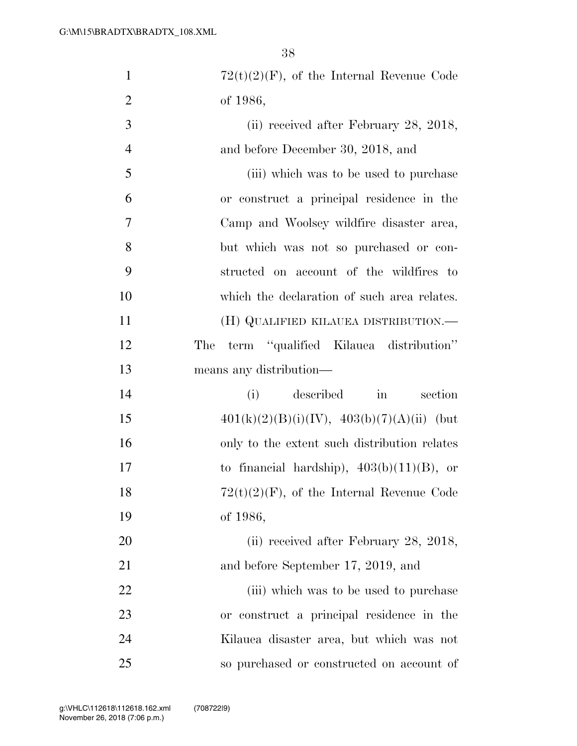| $\mathbf{1}$   | $72(t)(2)(F)$ , of the Internal Revenue Code       |
|----------------|----------------------------------------------------|
| $\overline{2}$ | of 1986,                                           |
| 3              | (ii) received after February 28, 2018,             |
| $\overline{4}$ | and before December 30, 2018, and                  |
| 5              | (iii) which was to be used to purchase             |
| 6              | or construct a principal residence in the          |
| 7              | Camp and Woolsey wildfire disaster area,           |
| 8              | but which was not so purchased or con-             |
| 9              | structed on account of the wildfires to            |
| 10             | which the declaration of such area relates.        |
| 11             | (H) QUALIFIED KILAUEA DISTRIBUTION.—               |
| 12             | term "qualified Kilauea distribution"<br>The       |
| 13             | means any distribution—                            |
| 14             | described<br>section<br>(i)<br>$\operatorname{in}$ |
| 15             | $401(k)(2)(B)(i)(IV), 403(b)(7)(A)(ii)$ (but       |
| 16             | only to the extent such distribution relates       |
| 17             | to financial hardship), $403(b)(11)(B)$ , or       |
| 18             | $72(t)(2)(F)$ , of the Internal Revenue Code       |
| 19             | of 1986,                                           |
| 20             | (ii) received after February 28, 2018,             |
| 21             | and before September 17, 2019, and                 |
| 22             | (iii) which was to be used to purchase             |
| 23             | or construct a principal residence in the          |
| 24             | Kilauea disaster area, but which was not           |
| 25             | so purchased or constructed on account of          |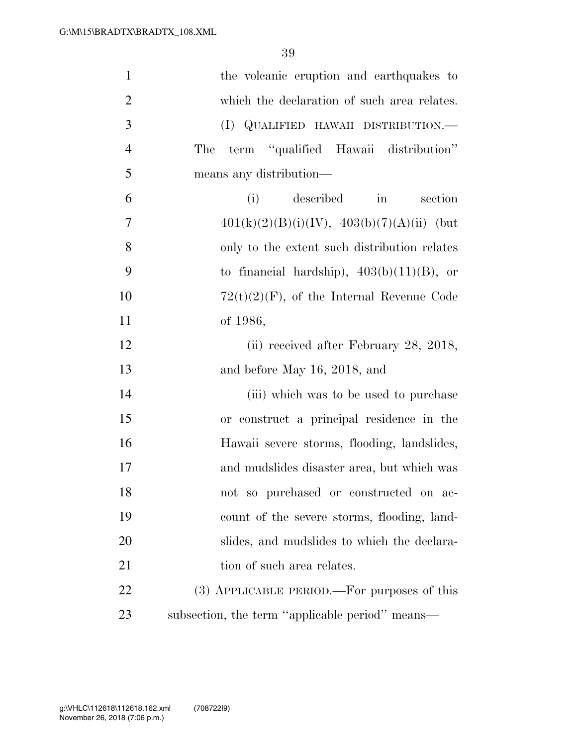| $\mathbf{1}$   | the volcanic eruption and earthquakes to        |
|----------------|-------------------------------------------------|
| $\overline{2}$ | which the declaration of such area relates.     |
| 3              | (I) QUALIFIED HAWAII DISTRIBUTION.—             |
| $\overline{4}$ | term "qualified Hawaii distribution"<br>The     |
| 5              | means any distribution—                         |
| 6              | described<br>(i)<br>section<br>in               |
| 7              | $401(k)(2)(B)(i)(IV), 403(b)(7)(A)(ii)$ (but    |
| 8              | only to the extent such distribution relates    |
| 9              | to financial hardship), $403(b)(11)(B)$ , or    |
| 10             | $72(t)(2)(F)$ , of the Internal Revenue Code    |
| 11             | of 1986,                                        |
| 12             | (ii) received after February 28, 2018,          |
| 13             | and before May 16, 2018, and                    |
| 14             | (iii) which was to be used to purchase          |
| 15             | or construct a principal residence in the       |
| 16             | Hawaii severe storms, flooding, landslides,     |
| 17             | and mudslides disaster area, but which was      |
| 18             | not so purchased or constructed on ac-          |
| 19             | count of the severe storms, flooding, land-     |
| 20             | slides, and mudslides to which the declara-     |
| 21             | tion of such area relates.                      |
| 22             | (3) APPLICABLE PERIOD.—For purposes of this     |
| 23             | subsection, the term "applicable period" means- |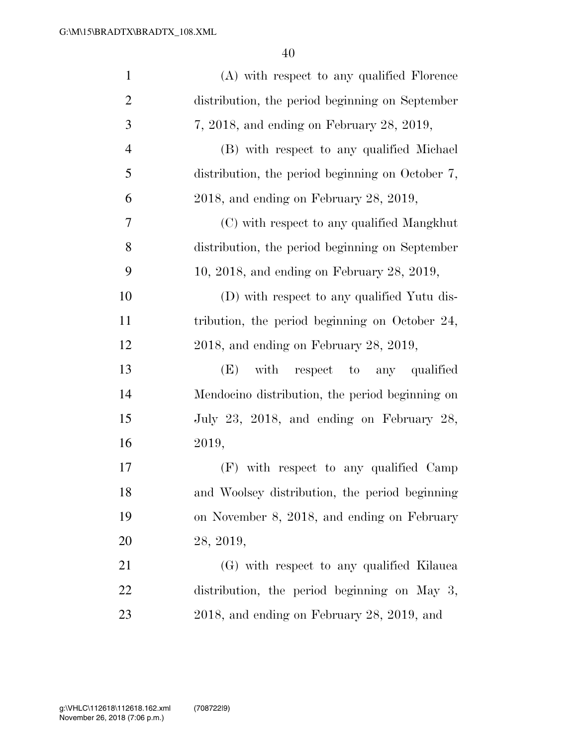| $\mathbf{1}$   | (A) with respect to any qualified Florence       |
|----------------|--------------------------------------------------|
| $\overline{2}$ | distribution, the period beginning on September  |
| 3              | 7, 2018, and ending on February 28, 2019,        |
| $\overline{4}$ | (B) with respect to any qualified Michael        |
| 5              | distribution, the period beginning on October 7, |
| 6              | $2018$ , and ending on February 28, 2019,        |
| 7              | (C) with respect to any qualified Mangkhut       |
| 8              | distribution, the period beginning on September  |
| 9              | $10, 2018$ , and ending on February 28, 2019,    |
| 10             | (D) with respect to any qualified Yutu dis-      |
| 11             | tribution, the period beginning on October 24,   |
| 12             | $2018$ , and ending on February 28, 2019,        |
| 13             | (E) with respect to any qualified                |
| 14             | Mendocino distribution, the period beginning on  |
| 15             | July 23, 2018, and ending on February 28,        |
| 16             | 2019,                                            |
| 17             | (F) with respect to any qualified Camp           |
| 18             | and Woolsey distribution, the period beginning   |
| 19             | on November 8, 2018, and ending on February      |
| 20             | 28, 2019,                                        |
| 21             | (G) with respect to any qualified Kilauea        |
| 22             | distribution, the period beginning on May 3,     |
| 23             | 2018, and ending on February 28, 2019, and       |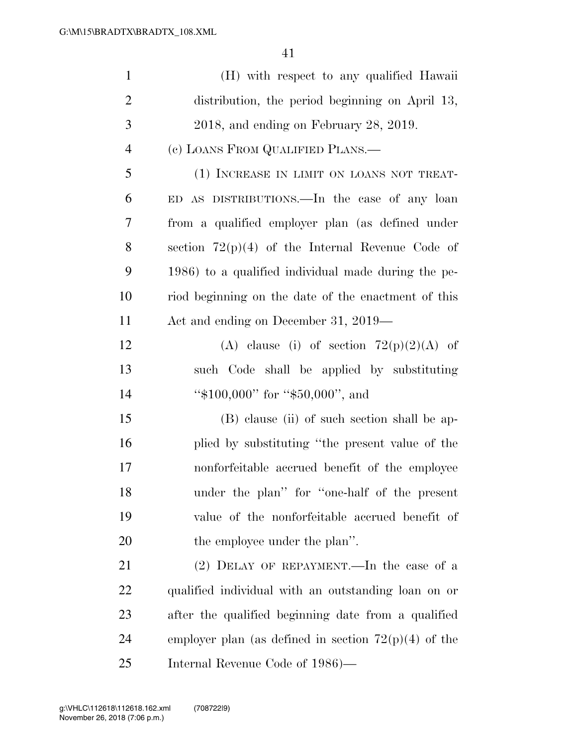| $\mathbf{1}$   | (H) with respect to any qualified Hawaii               |
|----------------|--------------------------------------------------------|
| $\overline{2}$ | distribution, the period beginning on April 13,        |
| 3              | 2018, and ending on February 28, 2019.                 |
| $\overline{4}$ | (c) LOANS FROM QUALIFIED PLANS.—                       |
| 5              | (1) INCREASE IN LIMIT ON LOANS NOT TREAT-              |
| 6              | ED AS DISTRIBUTIONS.—In the case of any loan           |
| 7              | from a qualified employer plan (as defined under       |
| 8              | section $72(p)(4)$ of the Internal Revenue Code of     |
| 9              | 1986) to a qualified individual made during the pe-    |
| 10             | riod beginning on the date of the enactment of this    |
| 11             | Act and ending on December 31, 2019—                   |
| 12             | (A) clause (i) of section $72(p)(2)(A)$ of             |
| 13             | such Code shall be applied by substituting             |
| 14             | " $$100,000"$ for " $$50,000"$ , and                   |
| 15             | (B) clause (ii) of such section shall be ap-           |
| 16             | plied by substituting "the present value of the        |
| 17             | nonforfeitable accrued benefit of the employee         |
| 18             | under the plan" for "one-half of the present           |
| 19             | value of the nonforfeitable accrued benefit of         |
| 20             | the employee under the plan".                          |
| 21             | $(2)$ DELAY OF REPAYMENT.—In the case of a             |
| <u>22</u>      | qualified individual with an outstanding loan on or    |
| 23             | after the qualified beginning date from a qualified    |
| 24             | employer plan (as defined in section $72(p)(4)$ of the |
| 25             | Internal Revenue Code of 1986)—                        |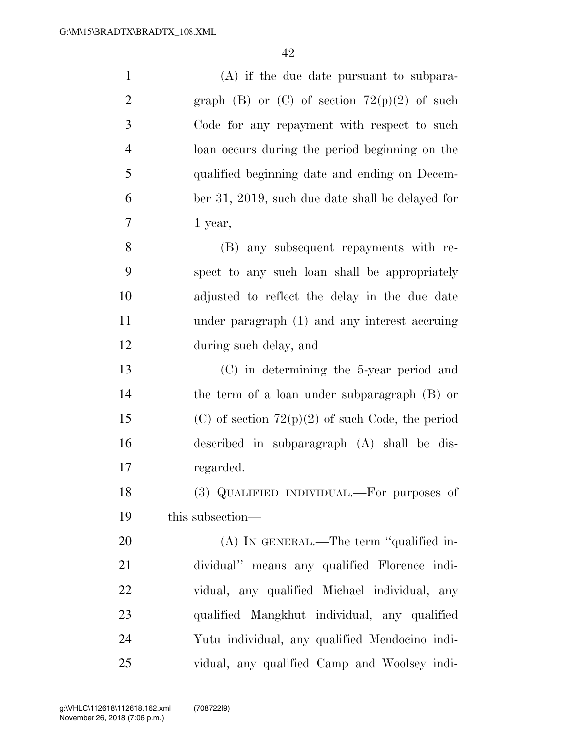| $\mathbf{1}$   | $(A)$ if the due date pursuant to subpara-         |
|----------------|----------------------------------------------------|
| $\overline{2}$ | graph (B) or (C) of section $72(p)(2)$ of such     |
| 3              | Code for any repayment with respect to such        |
| $\overline{4}$ | loan occurs during the period beginning on the     |
| 5              | qualified beginning date and ending on Decem-      |
| 6              | ber 31, 2019, such due date shall be delayed for   |
| $\tau$         | 1 year,                                            |
| 8              | (B) any subsequent repayments with re-             |
| 9              | spect to any such loan shall be appropriately      |
| 10             | adjusted to reflect the delay in the due date      |
| 11             | under paragraph (1) and any interest accruing      |
| 12             | during such delay, and                             |
| 13             | $(C)$ in determining the 5-year period and         |
| 14             | the term of a loan under subparagraph (B) or       |
| 15             | (C) of section $72(p)(2)$ of such Code, the period |
| 16             | described in subparagraph (A) shall be dis-        |
| 17             | regarded.                                          |
| 18             | (3) QUALIFIED INDIVIDUAL.—For purposes of          |
| 19             | this subsection—                                   |
| 20             | $(A)$ In GENERAL.—The term "qualified in-          |
| 21             | dividual" means any qualified Florence indi-       |
| 22             | vidual, any qualified Michael individual, any      |
| 23             | qualified Mangkhut individual, any qualified       |
| 24             | Yutu individual, any qualified Mendocino indi-     |
| 25             | vidual, any qualified Camp and Woolsey indi-       |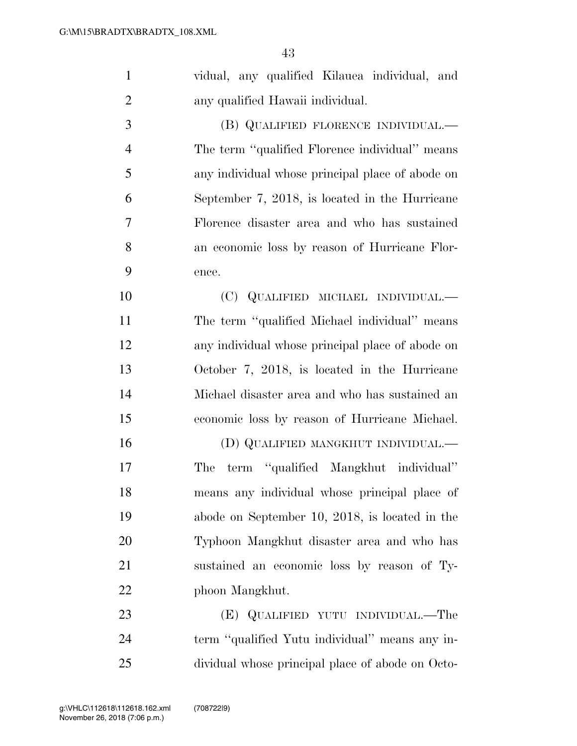| $\mathbf{1}$   | vidual, any qualified Kilauea individual, and    |
|----------------|--------------------------------------------------|
| $\overline{2}$ | any qualified Hawaii individual.                 |
| 3              | (B) QUALIFIED FLORENCE INDIVIDUAL.—              |
| $\overline{4}$ | The term "qualified Florence individual" means   |
| 5              | any individual whose principal place of abode on |
| 6              | September 7, 2018, is located in the Hurricane   |
| 7              | Florence disaster area and who has sustained     |
| 8              | an economic loss by reason of Hurricane Flor-    |
| 9              | ence.                                            |
| 10             | (C) QUALIFIED MICHAEL INDIVIDUAL.—               |
| 11             | The term "qualified Michael individual" means    |
| 12             | any individual whose principal place of abode on |
| 13             | October 7, 2018, is located in the Hurricane     |
| 14             | Michael disaster area and who has sustained an   |
| 15             | economic loss by reason of Hurricane Michael.    |
| 16             | (D) QUALIFIED MANGKHUT INDIVIDUAL.—              |
| 17             | term "qualified Mangkhut individual"<br>The      |
| 18             | means any individual whose principal place of    |
| 19             | abode on September 10, 2018, is located in the   |
| 20             | Typhoon Mangkhut disaster area and who has       |
| 21             | sustained an economic loss by reason of Ty-      |
| 22             | phoon Mangkhut.                                  |
| 23             | (E) QUALIFIED YUTU INDIVIDUAL.—The               |
| 24             | term "qualified Yutu individual" means any in-   |
| 25             | dividual whose principal place of abode on Octo- |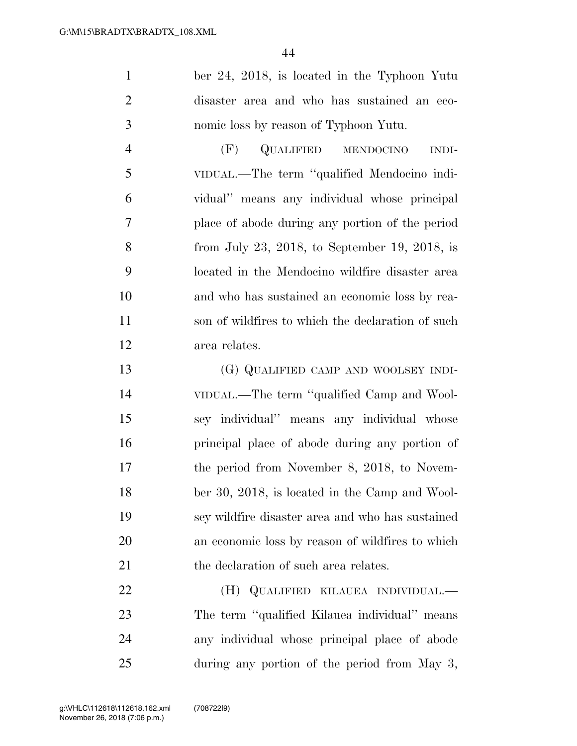ber 24, 2018, is located in the Typhoon Yutu disaster area and who has sustained an eco-nomic loss by reason of Typhoon Yutu.

 (F) QUALIFIED MENDOCINO INDI- VIDUAL.—The term ''qualified Mendocino indi- vidual'' means any individual whose principal place of abode during any portion of the period from July 23, 2018, to September 19, 2018, is located in the Mendocino wildfire disaster area and who has sustained an economic loss by rea- son of wildfires to which the declaration of such area relates.

 (G) QUALIFIED CAMP AND WOOLSEY INDI- VIDUAL.—The term ''qualified Camp and Wool- sey individual'' means any individual whose principal place of abode during any portion of the period from November 8, 2018, to Novem- ber 30, 2018, is located in the Camp and Wool- sey wildfire disaster area and who has sustained an economic loss by reason of wildfires to which 21 the declaration of such area relates.

 (H) QUALIFIED KILAUEA INDIVIDUAL.— The term ''qualified Kilauea individual'' means any individual whose principal place of abode during any portion of the period from May 3,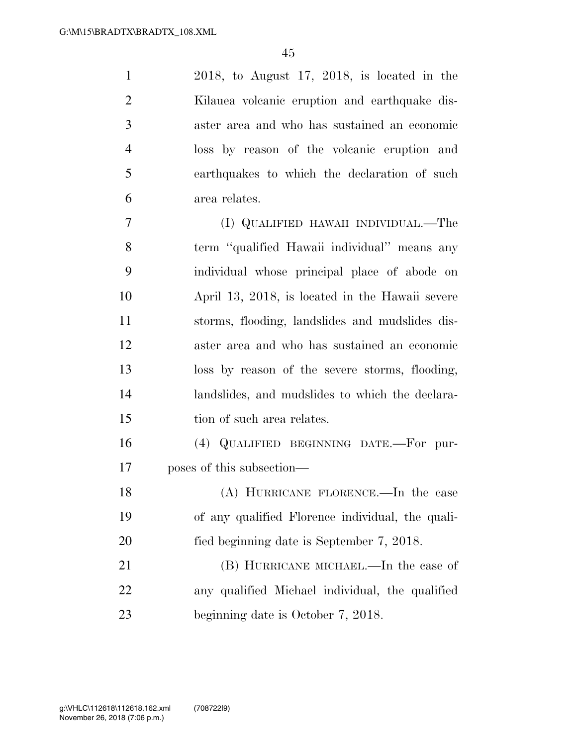2018, to August 17, 2018, is located in the Kilauea volcanic eruption and earthquake dis- aster area and who has sustained an economic loss by reason of the volcanic eruption and earthquakes to which the declaration of such area relates.

 (I) QUALIFIED HAWAII INDIVIDUAL.—The term ''qualified Hawaii individual'' means any individual whose principal place of abode on April 13, 2018, is located in the Hawaii severe storms, flooding, landslides and mudslides dis- aster area and who has sustained an economic loss by reason of the severe storms, flooding, landslides, and mudslides to which the declara-tion of such area relates.

 (4) QUALIFIED BEGINNING DATE.—For pur-poses of this subsection—

 (A) HURRICANE FLORENCE.—In the case of any qualified Florence individual, the quali-fied beginning date is September 7, 2018.

 (B) HURRICANE MICHAEL.—In the case of any qualified Michael individual, the qualified 23 beginning date is October 7, 2018.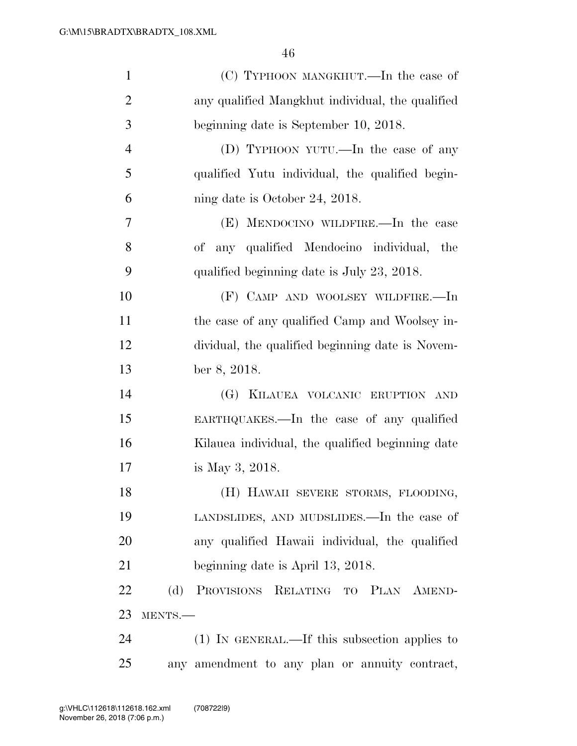| $\mathbf{1}$   | (C) TYPHOON MANGKHUT.—In the case of             |
|----------------|--------------------------------------------------|
| $\overline{2}$ | any qualified Mangkhut individual, the qualified |
| 3              | beginning date is September 10, 2018.            |
| $\overline{4}$ | (D) TYPHOON YUTU.—In the case of any             |
| 5              | qualified Yutu individual, the qualified begin-  |
| 6              | ning date is October 24, 2018.                   |
| 7              | (E) MENDOCINO WILDFIRE.—In the case              |
| 8              | of any qualified Mendocino individual, the       |
| 9              | qualified beginning date is July 23, 2018.       |
| 10             | (F) CAMP AND WOOLSEY WILDFIRE.—In                |
| 11             | the case of any qualified Camp and Woolsey in-   |
| 12             | dividual, the qualified beginning date is Novem- |
| 13             | ber 8, 2018.                                     |
| 14             | (G) KILAUEA VOLCANIC ERUPTION AND                |
| 15             | EARTHQUAKES.—In the case of any qualified        |
| 16             | Kilauea individual, the qualified beginning date |
| 17             | is May 3, 2018.                                  |
| 18             | (H) HAWAII SEVERE STORMS, FLOODING,              |
| 19             | LANDSLIDES, AND MUDSLIDES.—In the case of        |
| 20             | any qualified Hawaii individual, the qualified   |
| 21             | beginning date is April 13, 2018.                |
| 22             | (d) PROVISIONS RELATING TO PLAN AMEND-           |
| 23             | MENTS.-                                          |
| 24             | (1) IN GENERAL.—If this subsection applies to    |
| 25             | any amendment to any plan or annuity contract,   |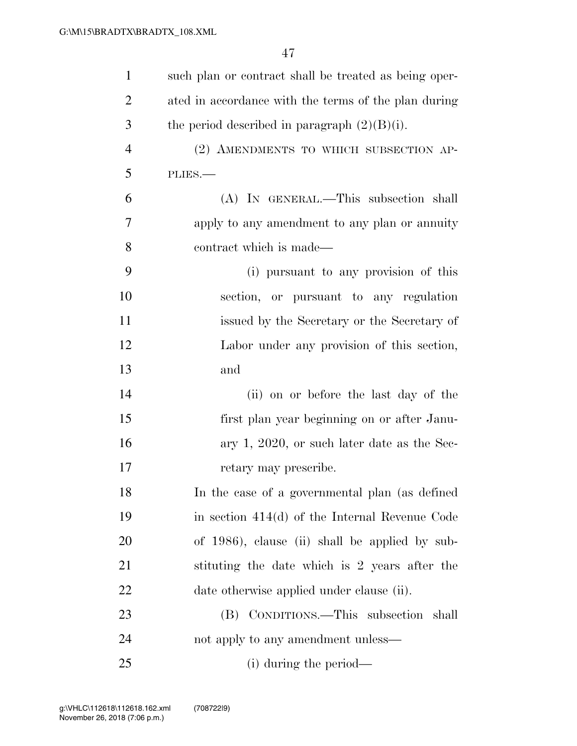| $\mathbf{1}$   | such plan or contract shall be treated as being oper- |
|----------------|-------------------------------------------------------|
| $\overline{2}$ | ated in accordance with the terms of the plan during  |
| 3              | the period described in paragraph $(2)(B)(i)$ .       |
| $\overline{4}$ | (2) AMENDMENTS TO WHICH SUBSECTION AP-                |
| 5              | PLIES.                                                |
| 6              | (A) IN GENERAL.—This subsection shall                 |
| 7              | apply to any amendment to any plan or annuity         |
| 8              | contract which is made—                               |
| 9              | (i) pursuant to any provision of this                 |
| 10             | section, or pursuant to any regulation                |
| 11             | issued by the Secretary or the Secretary of           |
| 12             | Labor under any provision of this section,            |
| 13             | and                                                   |
| 14             | (ii) on or before the last day of the                 |
| 15             | first plan year beginning on or after Janu-           |
| 16             | ary 1, 2020, or such later date as the Sec-           |
| 17             | retary may prescribe.                                 |
| 18             | In the case of a governmental plan (as defined        |
| 19             | in section $414(d)$ of the Internal Revenue Code      |
| 20             | of 1986), clause (ii) shall be applied by sub-        |
| 21             | stituting the date which is 2 years after the         |
| 22             | date otherwise applied under clause (ii).             |
| 23             | (B) CONDITIONS.—This subsection shall                 |
| 24             | not apply to any amendment unless—                    |
| 25             | (i) during the period—                                |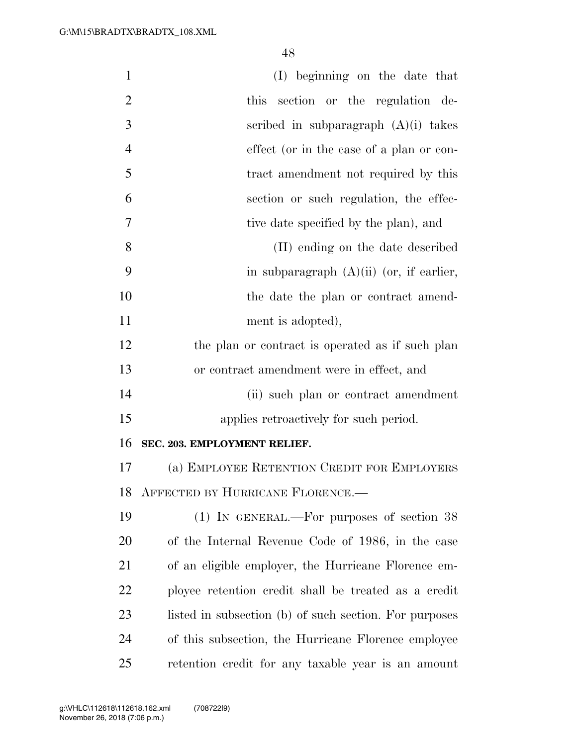| $\mathbf{1}$   | (I) beginning on the date that                         |
|----------------|--------------------------------------------------------|
| $\overline{2}$ | this<br>section or the regulation de-                  |
| 3              | scribed in subparagraph $(A)(i)$ takes                 |
| $\overline{4}$ | effect (or in the case of a plan or con-               |
| 5              | tract amendment not required by this                   |
| 6              | section or such regulation, the effec-                 |
| 7              | tive date specified by the plan), and                  |
| 8              | (II) ending on the date described                      |
| 9              | in subparagraph $(A)(ii)$ (or, if earlier,             |
| 10             | the date the plan or contract amend-                   |
| 11             | ment is adopted),                                      |
| 12             | the plan or contract is operated as if such plan       |
| 13             | or contract amendment were in effect, and              |
| 14             | (ii) such plan or contract amendment                   |
| 15             | applies retroactively for such period.                 |
| 16             | SEC. 203. EMPLOYMENT RELIEF.                           |
| 17             | (a) EMPLOYEE RETENTION CREDIT FOR EMPLOYERS            |
| 18             | AFFECTED BY HURRICANE FLORENCE.                        |
| 19             | $(1)$ IN GENERAL.—For purposes of section 38           |
| 20             | of the Internal Revenue Code of 1986, in the case      |
| 21             | of an eligible employer, the Hurricane Florence em-    |
| <u>22</u>      | ployee retention credit shall be treated as a credit   |
| 23             | listed in subsection (b) of such section. For purposes |
| 24             | of this subsection, the Hurricane Florence employee    |
| 25             | retention credit for any taxable year is an amount     |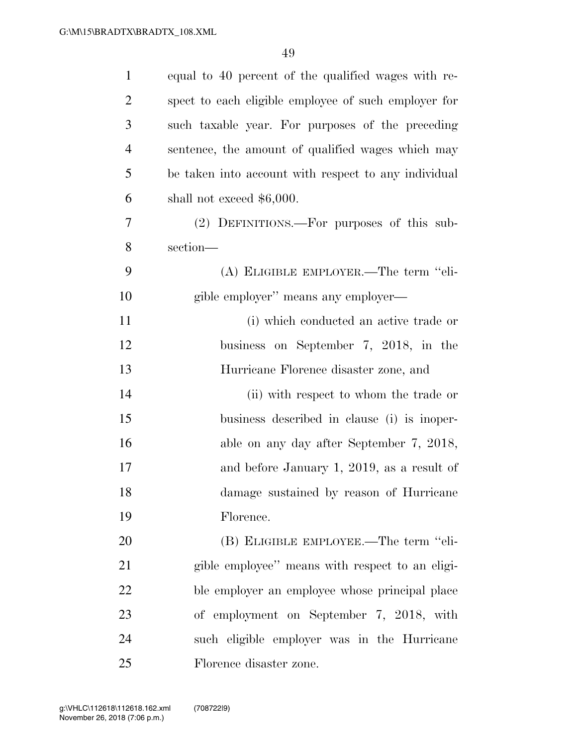| $\mathbf{1}$   | equal to 40 percent of the qualified wages with re-  |
|----------------|------------------------------------------------------|
| $\overline{2}$ | spect to each eligible employee of such employer for |
| 3              | such taxable year. For purposes of the preceding     |
| $\overline{4}$ | sentence, the amount of qualified wages which may    |
| 5              | be taken into account with respect to any individual |
| 6              | shall not exceed $$6,000$ .                          |
| 7              | (2) DEFINITIONS.—For purposes of this sub-           |
| 8              | section-                                             |
| 9              | (A) ELIGIBLE EMPLOYER.—The term "eli-                |
| 10             | gible employer" means any employer—                  |
| 11             | (i) which conducted an active trade or               |
| 12             | business on September 7, 2018, in the                |
| 13             | Hurricane Florence disaster zone, and                |
| 14             | (ii) with respect to whom the trade or               |
| 15             | business described in clause (i) is inoper-          |
| 16             | able on any day after September 7, 2018,             |
| 17             | and before January 1, 2019, as a result of           |
| 18             | damage sustained by reason of Hurricane              |
| 19             | Florence.                                            |
| 20             | (B) ELIGIBLE EMPLOYEE.—The term "eli-                |
| 21             | gible employee" means with respect to an eligi-      |
| 22             | ble employer an employee whose principal place       |
| 23             | of employment on September 7, 2018, with             |
| 24             | such eligible employer was in the Hurricane          |
| 25             | Florence disaster zone.                              |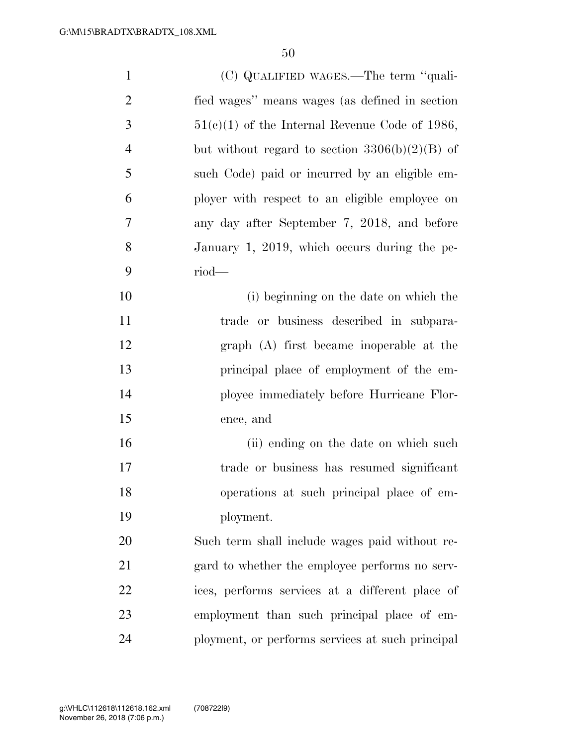| $\mathbf{1}$   | (C) QUALIFIED WAGES.—The term "quali-            |
|----------------|--------------------------------------------------|
| $\overline{2}$ | fied wages" means wages (as defined in section   |
| 3              | $51(c)(1)$ of the Internal Revenue Code of 1986, |
| 4              | but without regard to section $3306(b)(2)(B)$ of |
| 5              | such Code) paid or incurred by an eligible em-   |
| 6              | ployer with respect to an eligible employee on   |
| 7              | any day after September 7, 2018, and before      |
| 8              | January 1, 2019, which occurs during the pe-     |
| 9              | $riod$ —                                         |
| 10             | (i) beginning on the date on which the           |
| 11             | trade or business described in subpara-          |
| 12             | graph (A) first became inoperable at the         |
| 13             | principal place of employment of the em-         |
| 14             | ployee immediately before Hurricane Flor-        |
| 15             | ence, and                                        |
| 16             | (ii) ending on the date on which such            |
| 17             | trade or business has resumed significant        |
| 18             | operations at such principal place of em-        |
| 19             | ployment.                                        |
| 20             | Such term shall include wages paid without re-   |
| 21             | gard to whether the employee performs no serv-   |
| 22             | ices, performs services at a different place of  |
| 23             | employment than such principal place of em-      |
| 24             | ployment, or performs services at such principal |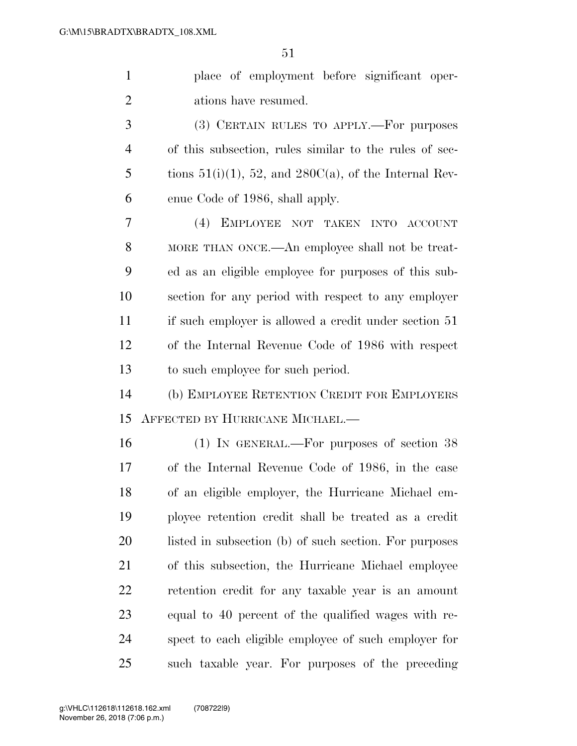place of employment before significant oper-ations have resumed.

 (3) CERTAIN RULES TO APPLY.—For purposes of this subsection, rules similar to the rules of sec-5 tions  $51(i)(1)$ ,  $52$ , and  $280C(a)$ , of the Internal Rev-enue Code of 1986, shall apply.

 (4) EMPLOYEE NOT TAKEN INTO ACCOUNT 8 MORE THAN ONCE.—An employee shall not be treat- ed as an eligible employee for purposes of this sub- section for any period with respect to any employer if such employer is allowed a credit under section 51 of the Internal Revenue Code of 1986 with respect to such employee for such period.

 (b) EMPLOYEE RETENTION CREDIT FOR EMPLOYERS AFFECTED BY HURRICANE MICHAEL.—

 (1) IN GENERAL.—For purposes of section 38 of the Internal Revenue Code of 1986, in the case of an eligible employer, the Hurricane Michael em- ployee retention credit shall be treated as a credit 20 listed in subsection (b) of such section. For purposes of this subsection, the Hurricane Michael employee retention credit for any taxable year is an amount equal to 40 percent of the qualified wages with re- spect to each eligible employee of such employer for such taxable year. For purposes of the preceding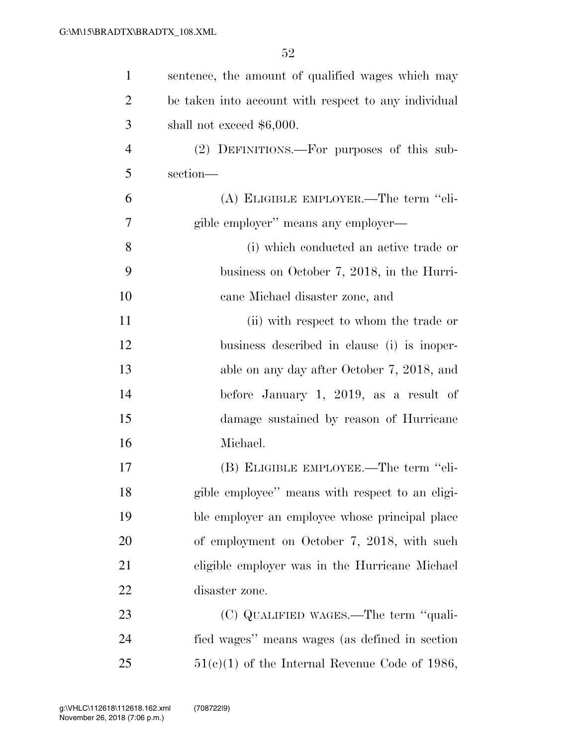| $\mathbf{1}$   | sentence, the amount of qualified wages which may    |
|----------------|------------------------------------------------------|
| $\overline{2}$ | be taken into account with respect to any individual |
| 3              | shall not exceed $$6,000$ .                          |
| $\overline{4}$ | (2) DEFINITIONS.—For purposes of this sub-           |
| 5              | section-                                             |
| 6              | (A) ELIGIBLE EMPLOYER.—The term "eli-                |
| 7              | gible employer" means any employer—                  |
| 8              | (i) which conducted an active trade or               |
| 9              | business on October 7, 2018, in the Hurri-           |
| 10             | cane Michael disaster zone, and                      |
| 11             | (ii) with respect to whom the trade or               |
| 12             | business described in clause (i) is inoper-          |
| 13             | able on any day after October 7, 2018, and           |
| 14             | before January 1, 2019, as a result of               |
| 15             | damage sustained by reason of Hurricane              |
| 16             | Michael.                                             |
| 17             | (B) ELIGIBLE EMPLOYEE.—The term "eli-                |
| 18             | gible employee" means with respect to an eligi-      |
| 19             | ble employer an employee whose principal place       |
| 20             | of employment on October 7, 2018, with such          |
| 21             | eligible employer was in the Hurricane Michael       |
| 22             | disaster zone.                                       |
| 23             | (C) QUALIFIED WAGES.—The term "quali-                |
| 24             | fied wages" means wages (as defined in section       |
| 25             | $51(c)(1)$ of the Internal Revenue Code of 1986,     |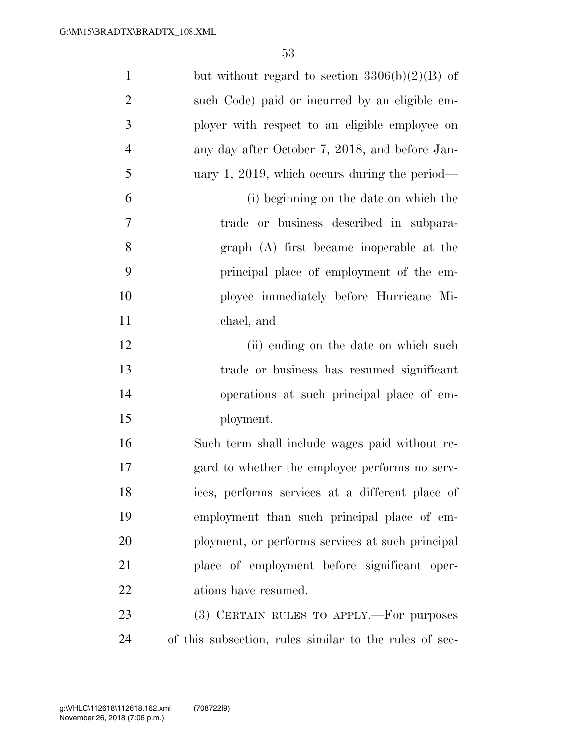| $\mathbf{1}$   | but without regard to section $3306(b)(2)(B)$ of       |
|----------------|--------------------------------------------------------|
| $\overline{2}$ | such Code) paid or incurred by an eligible em-         |
| 3              | ployer with respect to an eligible employee on         |
| $\overline{4}$ | any day after October 7, 2018, and before Jan-         |
| 5              | uary 1, 2019, which occurs during the period—          |
| 6              | (i) beginning on the date on which the                 |
| $\tau$         | trade or business described in subpara-                |
| 8              | graph (A) first became inoperable at the               |
| 9              | principal place of employment of the em-               |
| 10             | ployee immediately before Hurricane Mi-                |
| 11             | chael, and                                             |
| 12             | (ii) ending on the date on which such                  |
| 13             | trade or business has resumed significant              |
| 14             | operations at such principal place of em-              |
| 15             | ployment.                                              |
| 16             | Such term shall include wages paid without re-         |
| $17\,$         | gard to whether the employee performs no serv-         |
| 18             | ices, performs services at a different place of        |
| 19             | employment than such principal place of em-            |
| 20             | ployment, or performs services at such principal       |
| 21             | place of employment before significant oper-           |
| 22             | ations have resumed.                                   |
| 23             | (3) CERTAIN RULES TO APPLY.—For purposes               |
| 24             | of this subsection, rules similar to the rules of sec- |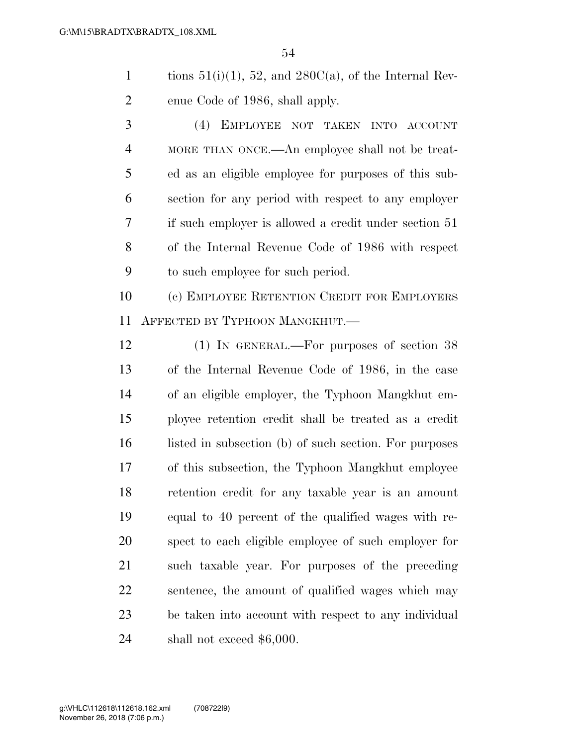1 tions  $51(i)(1)$ ,  $52$ , and  $280C(a)$ , of the Internal Rev-enue Code of 1986, shall apply.

 (4) EMPLOYEE NOT TAKEN INTO ACCOUNT MORE THAN ONCE.—An employee shall not be treat- ed as an eligible employee for purposes of this sub- section for any period with respect to any employer if such employer is allowed a credit under section 51 of the Internal Revenue Code of 1986 with respect to such employee for such period.

 (c) EMPLOYEE RETENTION CREDIT FOR EMPLOYERS AFFECTED BY TYPHOON MANGKHUT.—

 (1) IN GENERAL.—For purposes of section 38 of the Internal Revenue Code of 1986, in the case of an eligible employer, the Typhoon Mangkhut em- ployee retention credit shall be treated as a credit 16 listed in subsection (b) of such section. For purposes of this subsection, the Typhoon Mangkhut employee retention credit for any taxable year is an amount equal to 40 percent of the qualified wages with re- spect to each eligible employee of such employer for such taxable year. For purposes of the preceding sentence, the amount of qualified wages which may be taken into account with respect to any individual shall not exceed \$6,000.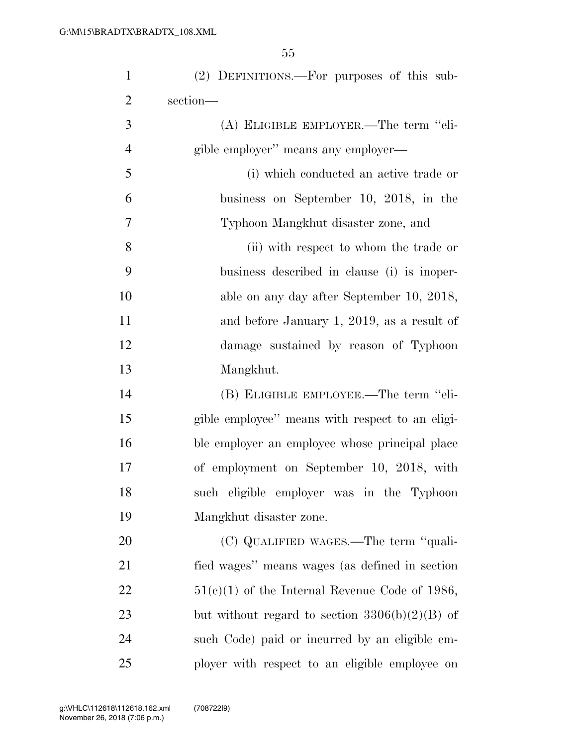| $\mathbf{1}$   | (2) DEFINITIONS.—For purposes of this sub-       |
|----------------|--------------------------------------------------|
| $\overline{2}$ | section-                                         |
| 3              | (A) ELIGIBLE EMPLOYER.—The term "eli-            |
| $\overline{4}$ | gible employer" means any employer-              |
| 5              | (i) which conducted an active trade or           |
| 6              | business on September 10, 2018, in the           |
| 7              | Typhoon Mangkhut disaster zone, and              |
| 8              | (ii) with respect to whom the trade or           |
| 9              | business described in clause (i) is inoper-      |
| 10             | able on any day after September 10, 2018,        |
| 11             | and before January 1, 2019, as a result of       |
| 12             | damage sustained by reason of Typhoon            |
| 13             | Mangkhut.                                        |
| 14             | (B) ELIGIBLE EMPLOYEE.—The term "eli-            |
| 15             | gible employee" means with respect to an eligi-  |
| 16             | ble employer an employee whose principal place   |
| 17             | of employment on September 10, 2018, with        |
| 18             | such eligible employer was in the Typhoon        |
| 19             | Mangkhut disaster zone.                          |
| 20             | (C) QUALIFIED WAGES.—The term "quali-            |
| 21             | fied wages" means wages (as defined in section   |
| 22             | $51(c)(1)$ of the Internal Revenue Code of 1986, |
| 23             | but without regard to section $3306(b)(2)(B)$ of |
| 24             | such Code) paid or incurred by an eligible em-   |
| 25             | ployer with respect to an eligible employee on   |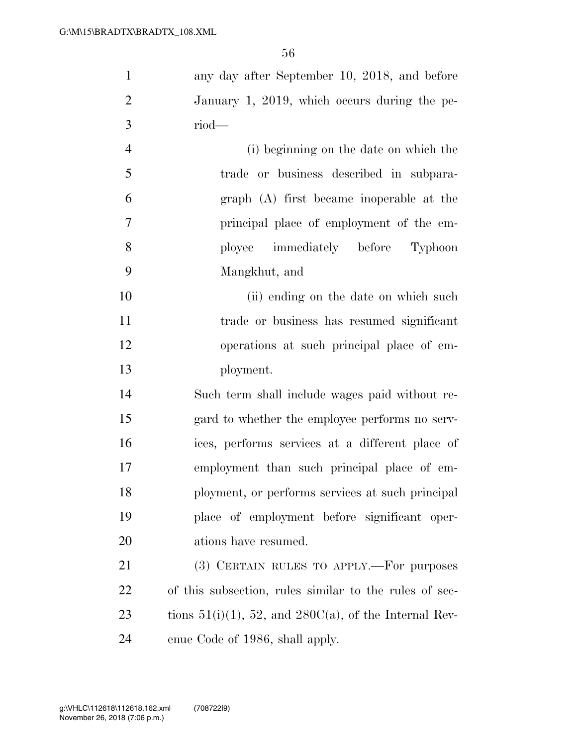| $\mathbf{1}$   | any day after September 10, 2018, and before                |
|----------------|-------------------------------------------------------------|
| $\overline{2}$ | January 1, 2019, which occurs during the pe-                |
| 3              | $riod$ —                                                    |
| $\overline{4}$ | (i) beginning on the date on which the                      |
| 5              | trade or business described in subpara-                     |
| 6              | graph (A) first became inoperable at the                    |
| 7              | principal place of employment of the em-                    |
| 8              | ployee immediately before Typhoon                           |
| 9              | Mangkhut, and                                               |
| 10             | (ii) ending on the date on which such                       |
| 11             | trade or business has resumed significant                   |
| 12             | operations at such principal place of em-                   |
| 13             | ployment.                                                   |
| 14             | Such term shall include wages paid without re-              |
| 15             | gard to whether the employee performs no serv-              |
| 16             | ices, performs services at a different place of             |
| 17             | employment than such principal place of em-                 |
| 18             | ployment, or performs services at such principal            |
| 19             | place of employment before significant oper-                |
| 20             | ations have resumed.                                        |
| 21             | (3) CERTAIN RULES TO APPLY.—For purposes                    |
| 22             | of this subsection, rules similar to the rules of sec-      |
| 23             | tions $51(i)(1)$ , 52, and $280C(a)$ , of the Internal Rev- |
| 24             | enue Code of 1986, shall apply.                             |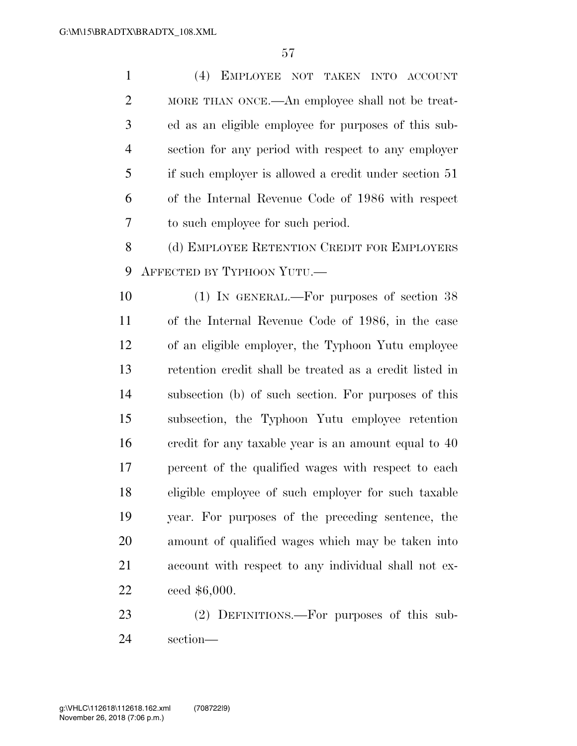(4) EMPLOYEE NOT TAKEN INTO ACCOUNT MORE THAN ONCE.—An employee shall not be treat- ed as an eligible employee for purposes of this sub- section for any period with respect to any employer if such employer is allowed a credit under section 51 of the Internal Revenue Code of 1986 with respect to such employee for such period. 8 (d) EMPLOYEE RETENTION CREDIT FOR EMPLOYERS AFFECTED BY TYPHOON YUTU.— (1) IN GENERAL.—For purposes of section 38 of the Internal Revenue Code of 1986, in the case of an eligible employer, the Typhoon Yutu employee retention credit shall be treated as a credit listed in subsection (b) of such section. For purposes of this subsection, the Typhoon Yutu employee retention credit for any taxable year is an amount equal to 40 percent of the qualified wages with respect to each eligible employee of such employer for such taxable year. For purposes of the preceding sentence, the amount of qualified wages which may be taken into account with respect to any individual shall not ex- ceed \$6,000. (2) DEFINITIONS.—For purposes of this sub-

section—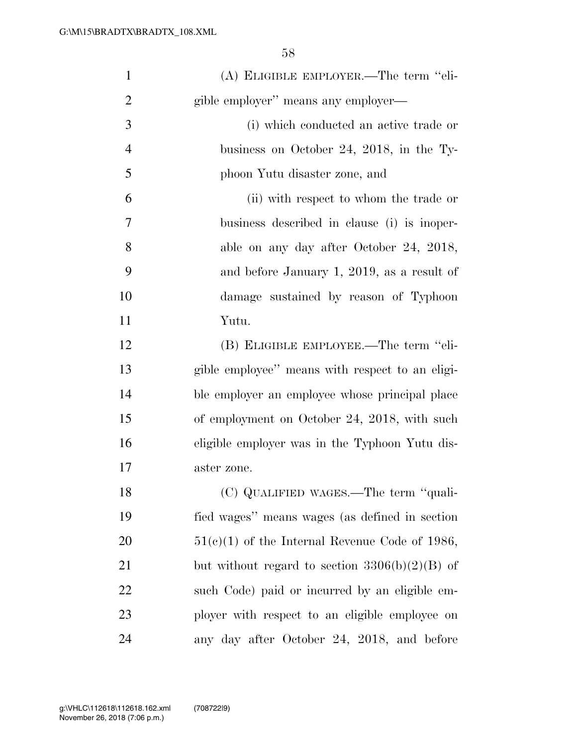| $\mathbf{1}$   | (A) ELIGIBLE EMPLOYER.—The term "eli-            |
|----------------|--------------------------------------------------|
| $\overline{2}$ | gible employer" means any employer—              |
| 3              | (i) which conducted an active trade or           |
| $\overline{4}$ | business on October 24, 2018, in the Ty-         |
| 5              | phoon Yutu disaster zone, and                    |
| 6              | (ii) with respect to whom the trade or           |
| 7              | business described in clause (i) is inoper-      |
| 8              | able on any day after October 24, 2018,          |
| 9              | and before January 1, 2019, as a result of       |
| 10             | damage sustained by reason of Typhoon            |
| 11             | Yutu.                                            |
| 12             | (B) ELIGIBLE EMPLOYEE.—The term "eli-            |
| 13             | gible employee" means with respect to an eligi-  |
| 14             | ble employer an employee whose principal place   |
| 15             | of employment on October 24, 2018, with such     |
| 16             | eligible employer was in the Typhoon Yutu dis-   |
| $17\,$         | aster zone.                                      |
| 18             | (C) QUALIFIED WAGES.—The term "quali-            |
| 19             | fied wages" means wages (as defined in section   |
| 20             | $51(c)(1)$ of the Internal Revenue Code of 1986, |
| 21             | but without regard to section $3306(b)(2)(B)$ of |
| 22             | such Code) paid or incurred by an eligible em-   |
| 23             | ployer with respect to an eligible employee on   |
| 24             | any day after October 24, 2018, and before       |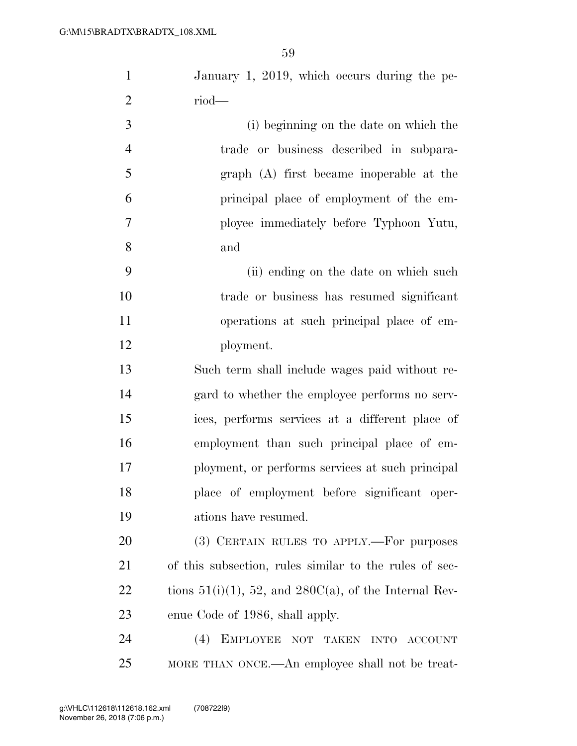| $\mathbf{1}$   | January 1, 2019, which occurs during the pe-                |
|----------------|-------------------------------------------------------------|
| $\overline{2}$ | $riod$ —                                                    |
| 3              | (i) beginning on the date on which the                      |
| $\overline{4}$ | trade or business described in subpara-                     |
| 5              | graph (A) first became inoperable at the                    |
| 6              | principal place of employment of the em-                    |
| $\tau$         | ployee immediately before Typhoon Yutu,                     |
| 8              | and                                                         |
| 9              | (ii) ending on the date on which such                       |
| 10             | trade or business has resumed significant                   |
| 11             | operations at such principal place of em-                   |
| 12             | ployment.                                                   |
| 13             | Such term shall include wages paid without re-              |
| 14             | gard to whether the employee performs no serv-              |
| 15             | ices, performs services at a different place of             |
| 16             | employment than such principal place of em-                 |
| 17             | ployment, or performs services at such principal            |
| 18             | place of employment before significant oper-                |
| 19             | ations have resumed.                                        |
| 20             | (3) CERTAIN RULES TO APPLY.—For purposes                    |
| 21             | of this subsection, rules similar to the rules of sec-      |
| 22             | tions $51(i)(1)$ , 52, and $280C(a)$ , of the Internal Rev- |
| 23             | enue Code of 1986, shall apply.                             |
| 24             | EMPLOYEE NOT TAKEN INTO ACCOUNT<br>(4)                      |
| 25             | MORE THAN ONCE.—An employee shall not be treat-             |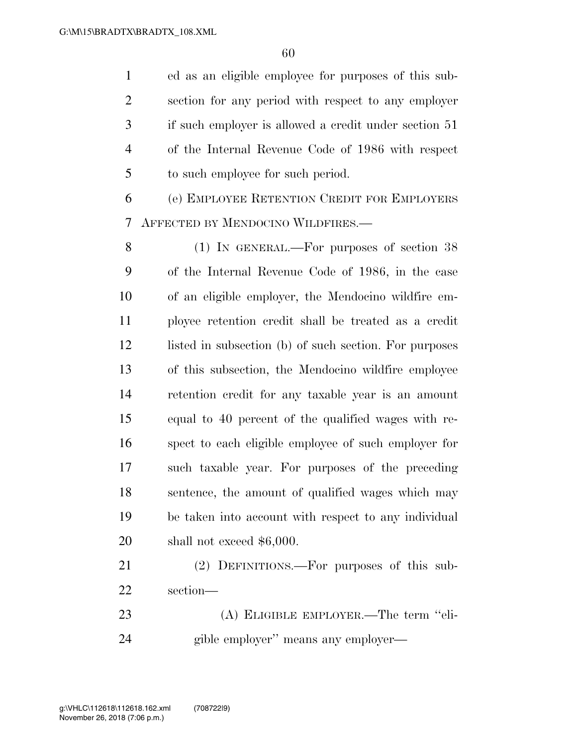ed as an eligible employee for purposes of this sub- section for any period with respect to any employer if such employer is allowed a credit under section 51 of the Internal Revenue Code of 1986 with respect to such employee for such period.

 (e) EMPLOYEE RETENTION CREDIT FOR EMPLOYERS AFFECTED BY MENDOCINO WILDFIRES.—

 (1) IN GENERAL.—For purposes of section 38 of the Internal Revenue Code of 1986, in the case of an eligible employer, the Mendocino wildfire em- ployee retention credit shall be treated as a credit 12 listed in subsection (b) of such section. For purposes of this subsection, the Mendocino wildfire employee retention credit for any taxable year is an amount equal to 40 percent of the qualified wages with re- spect to each eligible employee of such employer for such taxable year. For purposes of the preceding sentence, the amount of qualified wages which may be taken into account with respect to any individual shall not exceed \$6,000.

 (2) DEFINITIONS.—For purposes of this sub-section—

 (A) ELIGIBLE EMPLOYER.—The term ''eli-gible employer'' means any employer—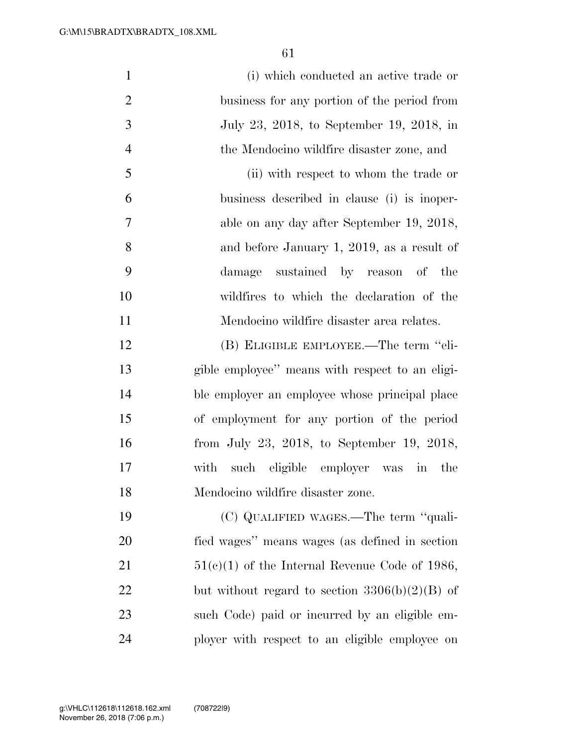| $\mathbf{1}$   | (i) which conducted an active trade or           |
|----------------|--------------------------------------------------|
| $\overline{2}$ | business for any portion of the period from      |
| 3              | July 23, 2018, to September 19, 2018, in         |
| $\overline{4}$ | the Mendocino wildfire disaster zone, and        |
| 5              | (ii) with respect to whom the trade or           |
| 6              | business described in clause (i) is inoper-      |
| 7              | able on any day after September 19, 2018,        |
| 8              | and before January 1, 2019, as a result of       |
| 9              | damage sustained by reason of the                |
| 10             | wildfires to which the declaration of the        |
| 11             | Mendocino wildfire disaster area relates.        |
| 12             | (B) ELIGIBLE EMPLOYEE.—The term "eli-            |
| 13             | gible employee" means with respect to an eligi-  |
| 14             | ble employer an employee whose principal place   |
| 15             | of employment for any portion of the period      |
| 16             | from July 23, 2018, to September 19, 2018,       |
| 17             | such eligible employer was in<br>with<br>the     |
| 18             | Mendocino wildfire disaster zone.                |
| 19             | (C) QUALIFIED WAGES.—The term "quali-            |
| 20             | fied wages" means wages (as defined in section   |
| 21             | $51(c)(1)$ of the Internal Revenue Code of 1986, |
| 22             | but without regard to section $3306(b)(2)(B)$ of |
| 23             | such Code) paid or incurred by an eligible em-   |
| 24             | ployer with respect to an eligible employee on   |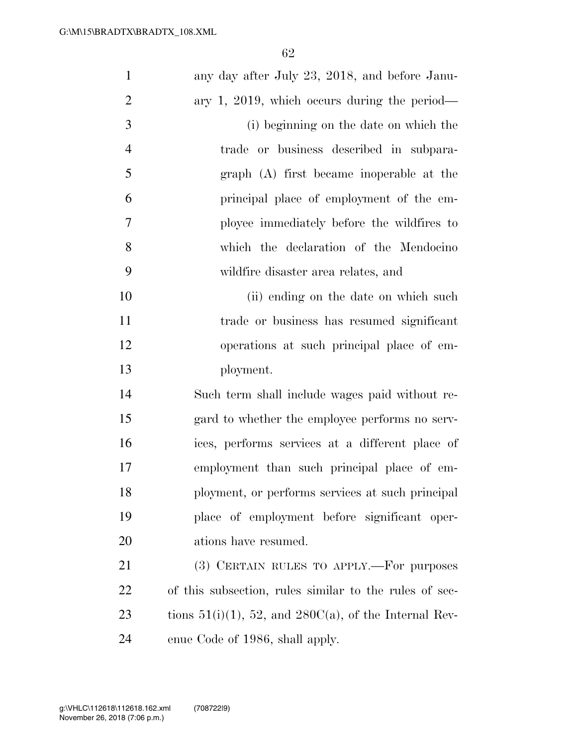| $\mathbf{1}$   | any day after July 23, 2018, and before Janu-               |
|----------------|-------------------------------------------------------------|
| $\overline{2}$ | ary 1, 2019, which occurs during the period—                |
| 3              | (i) beginning on the date on which the                      |
| $\overline{4}$ | trade or business described in subpara-                     |
| 5              | graph (A) first became inoperable at the                    |
| 6              | principal place of employment of the em-                    |
| 7              | ployee immediately before the wildfires to                  |
| 8              | which the declaration of the Mendocino                      |
| 9              | wildfire disaster area relates, and                         |
| 10             | (ii) ending on the date on which such                       |
| 11             | trade or business has resumed significant                   |
| 12             | operations at such principal place of em-                   |
| 13             | ployment.                                                   |
| 14             | Such term shall include wages paid without re-              |
| 15             | gard to whether the employee performs no serv-              |
| 16             | ices, performs services at a different place of             |
| 17             | employment than such principal place of em-                 |
| 18             | ployment, or performs services at such principal            |
| 19             | place of employment before significant oper-                |
| 20             | ations have resumed.                                        |
| 21             | (3) CERTAIN RULES TO APPLY.—For purposes                    |
| 22             | of this subsection, rules similar to the rules of sec-      |
| 23             | tions $51(i)(1)$ , 52, and $280C(a)$ , of the Internal Rev- |
| 24             | enue Code of 1986, shall apply.                             |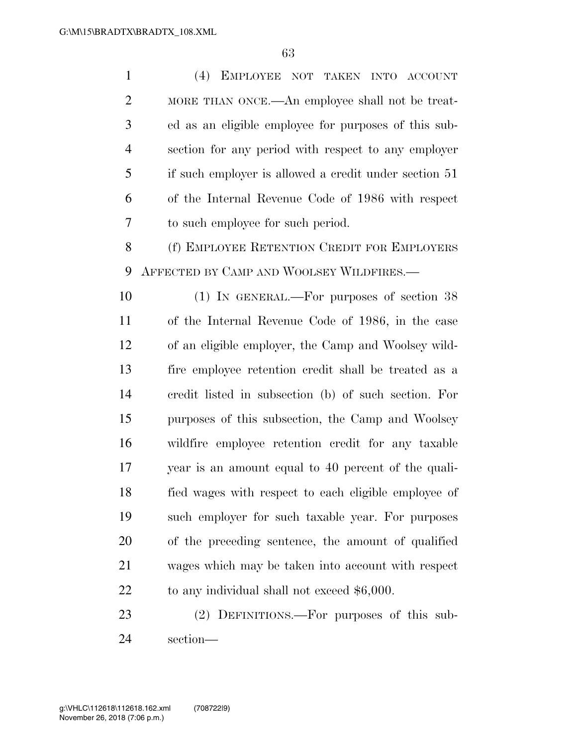(4) EMPLOYEE NOT TAKEN INTO ACCOUNT MORE THAN ONCE.—An employee shall not be treat- ed as an eligible employee for purposes of this sub- section for any period with respect to any employer if such employer is allowed a credit under section 51 of the Internal Revenue Code of 1986 with respect to such employee for such period. (f) EMPLOYEE RETENTION CREDIT FOR EMPLOYERS AFFECTED BY CAMP AND WOOLSEY WILDFIRES.— (1) IN GENERAL.—For purposes of section 38 of the Internal Revenue Code of 1986, in the case of an eligible employer, the Camp and Woolsey wild- fire employee retention credit shall be treated as a credit listed in subsection (b) of such section. For purposes of this subsection, the Camp and Woolsey wildfire employee retention credit for any taxable year is an amount equal to 40 percent of the quali- fied wages with respect to each eligible employee of such employer for such taxable year. For purposes of the preceding sentence, the amount of qualified wages which may be taken into account with respect 22 to any individual shall not exceed \$6,000. (2) DEFINITIONS.—For purposes of this sub-

section—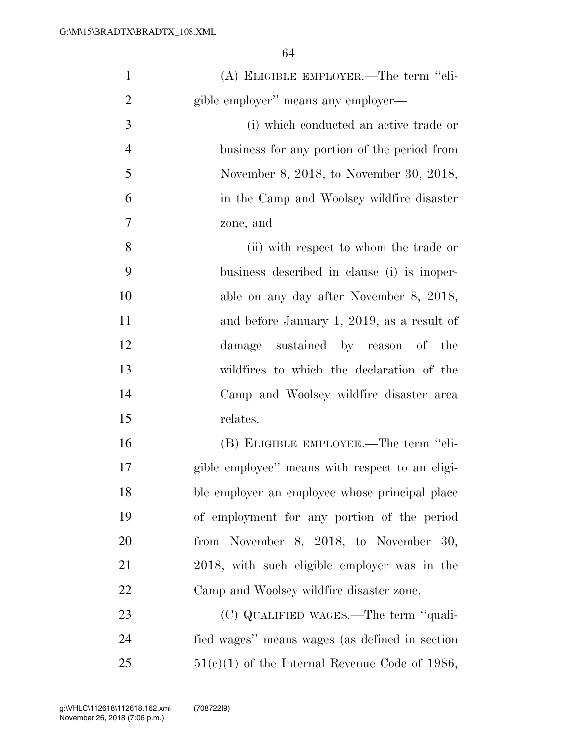| $\mathbf{1}$   | (A) ELIGIBLE EMPLOYER.—The term "eli-            |
|----------------|--------------------------------------------------|
| $\overline{2}$ | gible employer" means any employer—              |
| 3              | (i) which conducted an active trade or           |
| $\overline{4}$ | business for any portion of the period from      |
| 5              | November 8, 2018, to November 30, 2018,          |
| 6              | in the Camp and Woolsey wildfire disaster        |
| 7              | zone, and                                        |
| 8              | (ii) with respect to whom the trade or           |
| 9              | business described in clause (i) is inoper-      |
| 10             | able on any day after November 8, 2018,          |
| 11             | and before January 1, 2019, as a result of       |
| 12             | damage sustained by reason of the                |
| 13             | wildfires to which the declaration of the        |
| 14             | Camp and Woolsey wildfire disaster area          |
| 15             | relates.                                         |
| 16             | (B) ELIGIBLE EMPLOYEE.—The term "eli-            |
| 17             | gible employee" means with respect to an eligi-  |
| 18             | ble employer an employee whose principal place   |
| 19             | of employment for any portion of the period      |
| 20             | from November 8, 2018, to November 30,           |
| 21             | 2018, with such eligible employer was in the     |
| 22             | Camp and Woolsey wildfire disaster zone.         |
| 23             | (C) QUALIFIED WAGES.—The term "quali-            |
| 24             | fied wages" means wages (as defined in section   |
| 25             | $51(c)(1)$ of the Internal Revenue Code of 1986, |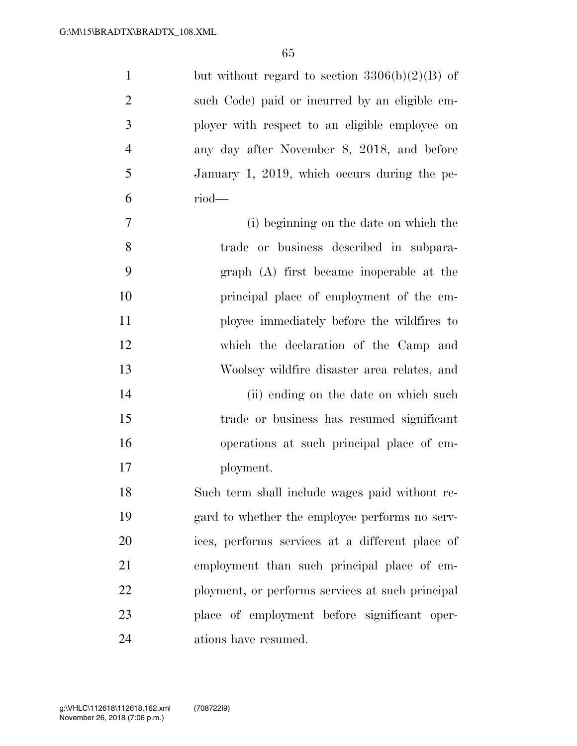| $\mathbf{1}$   | but without regard to section $3306(b)(2)(B)$ of |
|----------------|--------------------------------------------------|
| $\overline{2}$ | such Code) paid or incurred by an eligible em-   |
| 3              | ployer with respect to an eligible employee on   |
| $\overline{4}$ | any day after November 8, 2018, and before       |
| 5              | January 1, 2019, which occurs during the pe-     |
| 6              | $riod$ —                                         |
| $\overline{7}$ | (i) beginning on the date on which the           |
| 8              | trade or business described in subpara-          |
| 9              | graph (A) first became inoperable at the         |
| 10             | principal place of employment of the em-         |
| 11             | ployee immediately before the wildfires to       |
| 12             | which the declaration of the Camp and            |
| 13             | Woolsey wildfire disaster area relates, and      |
| 14             | (ii) ending on the date on which such            |
| 15             | trade or business has resumed significant        |
| 16             | operations at such principal place of em-        |
| 17             | ployment.                                        |
| 18             | Such term shall include wages paid without re-   |
| 19             | gard to whether the employee performs no serv-   |
| 20             | ices, performs services at a different place of  |
| 21             | employment than such principal place of em-      |
| 22             | ployment, or performs services at such principal |
| 23             | place of employment before significant oper-     |
| 24             | ations have resumed.                             |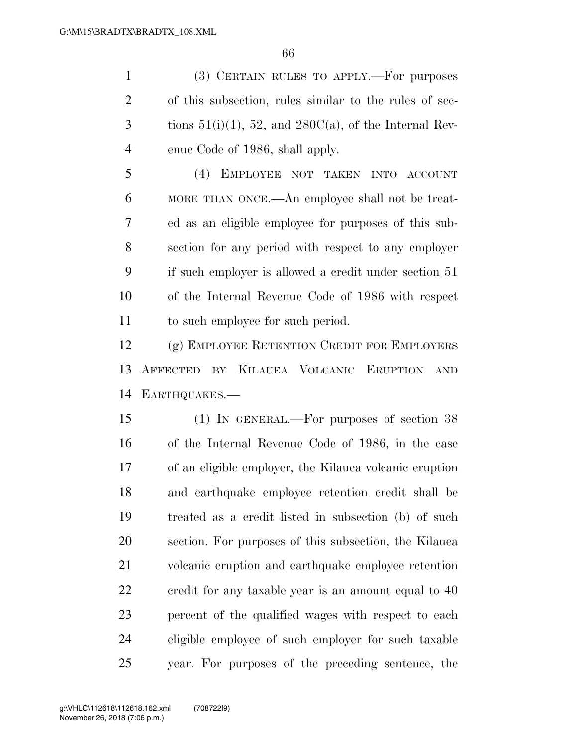(3) CERTAIN RULES TO APPLY.—For purposes of this subsection, rules similar to the rules of sec-3 tions  $51(i)(1)$ ,  $52$ , and  $280C(a)$ , of the Internal Rev-enue Code of 1986, shall apply.

 (4) EMPLOYEE NOT TAKEN INTO ACCOUNT MORE THAN ONCE.—An employee shall not be treat- ed as an eligible employee for purposes of this sub- section for any period with respect to any employer if such employer is allowed a credit under section 51 of the Internal Revenue Code of 1986 with respect to such employee for such period.

 (g) EMPLOYEE RETENTION CREDIT FOR EMPLOYERS AFFECTED BY KILAUEA VOLCANIC ERUPTION AND EARTHQUAKES.—

 (1) IN GENERAL.—For purposes of section 38 of the Internal Revenue Code of 1986, in the case of an eligible employer, the Kilauea volcanic eruption and earthquake employee retention credit shall be treated as a credit listed in subsection (b) of such section. For purposes of this subsection, the Kilauea volcanic eruption and earthquake employee retention credit for any taxable year is an amount equal to 40 percent of the qualified wages with respect to each eligible employee of such employer for such taxable year. For purposes of the preceding sentence, the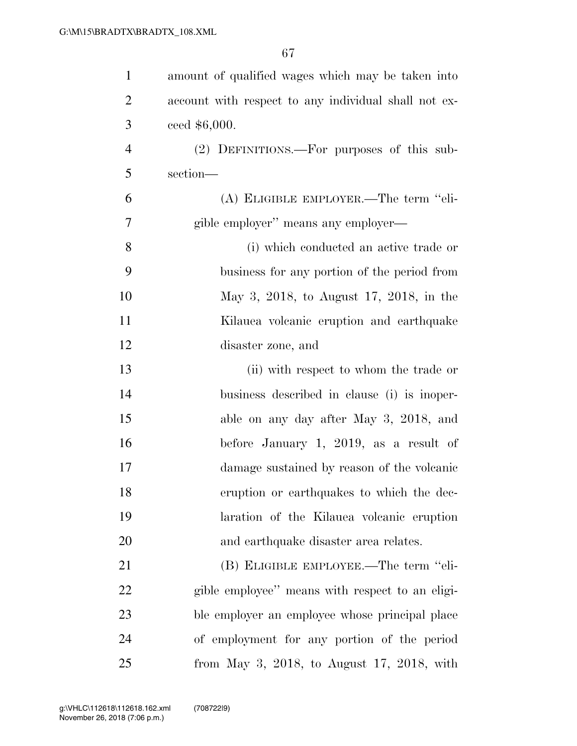| $\mathbf{1}$   | amount of qualified wages which may be taken into    |
|----------------|------------------------------------------------------|
| $\overline{2}$ | account with respect to any individual shall not ex- |
| 3              | ceed $$6,000.$                                       |
| $\overline{4}$ | (2) DEFINITIONS.—For purposes of this sub-           |
| 5              | section-                                             |
| 6              | (A) ELIGIBLE EMPLOYER.—The term "eli-                |
| 7              | gible employer" means any employer—                  |
| 8              | (i) which conducted an active trade or               |
| 9              | business for any portion of the period from          |
| 10             | May 3, 2018, to August 17, 2018, in the              |
| 11             | Kilauea volcanic eruption and earthquake             |
| 12             | disaster zone, and                                   |
| 13             | (ii) with respect to whom the trade or               |
| 14             | business described in clause (i) is inoper-          |
| 15             | able on any day after May 3, 2018, and               |
| 16             | before January 1, 2019, as a result of               |
| 17             | damage sustained by reason of the volcanic           |
| 18             | eruption or earthquakes to which the dec-            |
| 19             | laration of the Kilauea volcanic eruption            |
| 20             | and earthquake disaster area relates.                |
| 21             | (B) ELIGIBLE EMPLOYEE.—The term "eli-                |
| 22             | gible employee" means with respect to an eligi-      |
| 23             | ble employer an employee whose principal place       |
| 24             | of employment for any portion of the period          |
| 25             | from May 3, 2018, to August 17, 2018, with           |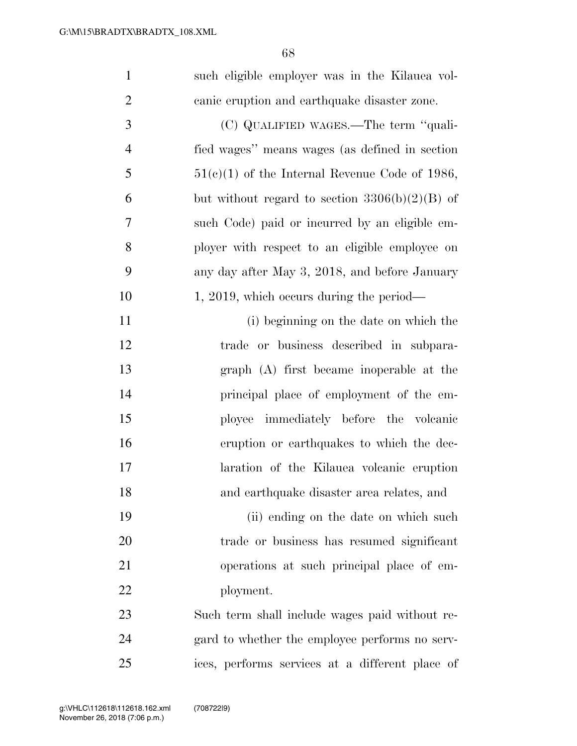| $\mathbf{1}$   | such eligible employer was in the Kilauea vol-   |
|----------------|--------------------------------------------------|
| $\overline{2}$ | canic eruption and earthquake disaster zone.     |
| 3              | (C) QUALIFIED WAGES.—The term "quali-            |
| $\overline{4}$ | fied wages" means wages (as defined in section   |
| 5              | $51(c)(1)$ of the Internal Revenue Code of 1986, |
| 6              | but without regard to section $3306(b)(2)(B)$ of |
| 7              | such Code) paid or incurred by an eligible em-   |
| 8              | ployer with respect to an eligible employee on   |
| 9              | any day after May 3, 2018, and before January    |
| 10             | $1, 2019$ , which occurs during the period—      |
| 11             | (i) beginning on the date on which the           |
| 12             | trade or business described in subpara-          |
| 13             | graph (A) first became inoperable at the         |
| 14             | principal place of employment of the em-         |
| 15             | ployee immediately before the volcanic           |
| 16             | eruption or earthquakes to which the dec-        |
| 17             | laration of the Kilauea volcanic eruption        |
| 18             | and earthquake disaster area relates, and        |
| 19             | (ii) ending on the date on which such            |
| 20             | trade or business has resumed significant        |
| 21             | operations at such principal place of em-        |
| 22             | ployment.                                        |
| 23             | Such term shall include wages paid without re-   |
| 24             | gard to whether the employee performs no serv-   |
| 25             | ices, performs services at a different place of  |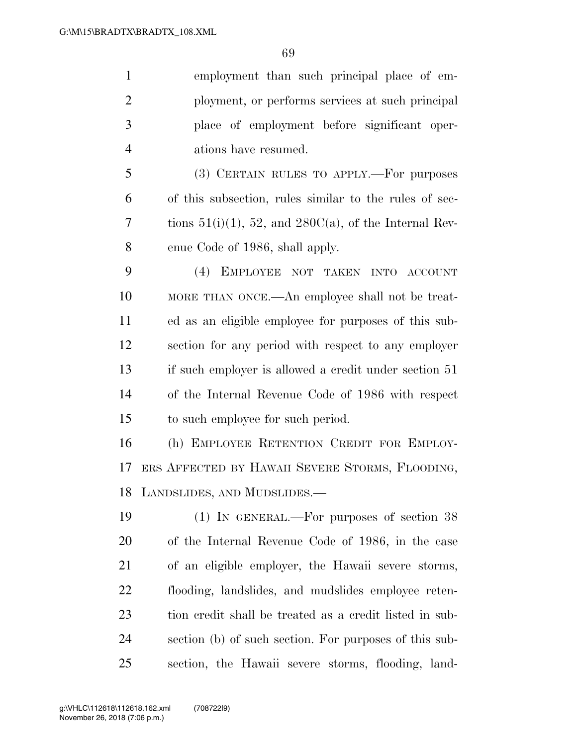employment than such principal place of em- ployment, or performs services at such principal place of employment before significant oper-ations have resumed.

 (3) CERTAIN RULES TO APPLY.—For purposes of this subsection, rules similar to the rules of sec-7 tions  $51(i)(1)$ , 52, and  $280C(a)$ , of the Internal Rev-enue Code of 1986, shall apply.

 (4) EMPLOYEE NOT TAKEN INTO ACCOUNT MORE THAN ONCE.—An employee shall not be treat- ed as an eligible employee for purposes of this sub- section for any period with respect to any employer if such employer is allowed a credit under section 51 of the Internal Revenue Code of 1986 with respect to such employee for such period.

 (h) EMPLOYEE RETENTION CREDIT FOR EMPLOY- ERS AFFECTED BY HAWAII SEVERE STORMS, FLOODING, LANDSLIDES, AND MUDSLIDES.—

 (1) IN GENERAL.—For purposes of section 38 of the Internal Revenue Code of 1986, in the case of an eligible employer, the Hawaii severe storms, flooding, landslides, and mudslides employee reten- tion credit shall be treated as a credit listed in sub- section (b) of such section. For purposes of this sub-section, the Hawaii severe storms, flooding, land-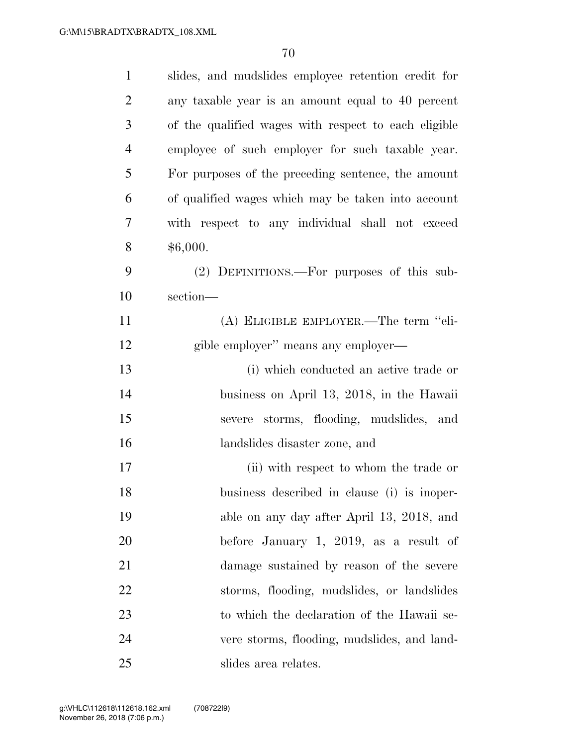| $\mathbf{1}$   | slides, and mudslides employee retention credit for  |
|----------------|------------------------------------------------------|
| $\overline{2}$ | any taxable year is an amount equal to 40 percent    |
| 3              | of the qualified wages with respect to each eligible |
| $\overline{4}$ | employee of such employer for such taxable year.     |
| 5              | For purposes of the preceding sentence, the amount   |
| 6              | of qualified wages which may be taken into account   |
| 7              | with respect to any individual shall not exceed      |
| 8              | \$6,000.                                             |
| 9              | (2) DEFINITIONS.—For purposes of this sub-           |
| 10             | section-                                             |
| 11             | (A) ELIGIBLE EMPLOYER.—The term "eli-                |
| 12             | gible employer" means any employer—                  |
| 13             | (i) which conducted an active trade or               |
| 14             | business on April 13, 2018, in the Hawaii            |
| 15             | severe storms, flooding, mudslides, and              |
| 16             | landslides disaster zone, and                        |
| 17             | (ii) with respect to whom the trade or               |
| 18             | business described in clause (i) is inoper-          |
| 19             | able on any day after April 13, 2018, and            |
| 20             | before January 1, 2019, as a result of               |
| 21             | damage sustained by reason of the severe             |
| 22             | storms, flooding, mudslides, or landslides           |
| 23             | to which the declaration of the Hawaii se-           |
| 24             | vere storms, flooding, mudslides, and land-          |
| 25             | slides area relates.                                 |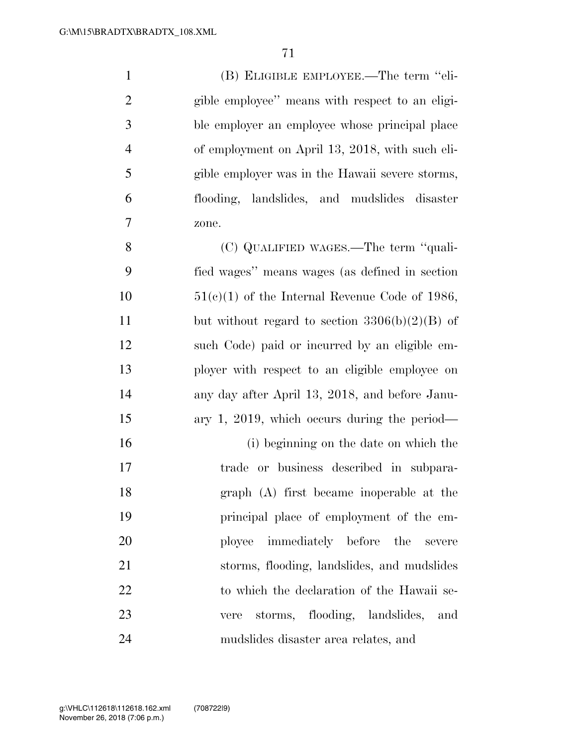(B) ELIGIBLE EMPLOYEE.—The term ''eli- gible employee'' means with respect to an eligi- ble employer an employee whose principal place of employment on April 13, 2018, with such eli- gible employer was in the Hawaii severe storms, flooding, landslides, and mudslides disaster zone.

 (C) QUALIFIED WAGES.—The term ''quali- fied wages'' means wages (as defined in section  $51(e)(1)$  of the Internal Revenue Code of 1986, 11 but without regard to section  $3306(b)(2)(B)$  of such Code) paid or incurred by an eligible em- ployer with respect to an eligible employee on any day after April 13, 2018, and before Janu-ary 1, 2019, which occurs during the period—

 (i) beginning on the date on which the trade or business described in subpara- graph (A) first became inoperable at the principal place of employment of the em- ployee immediately before the severe storms, flooding, landslides, and mudslides 22 to which the declaration of the Hawaii se- vere storms, flooding, landslides, and mudslides disaster area relates, and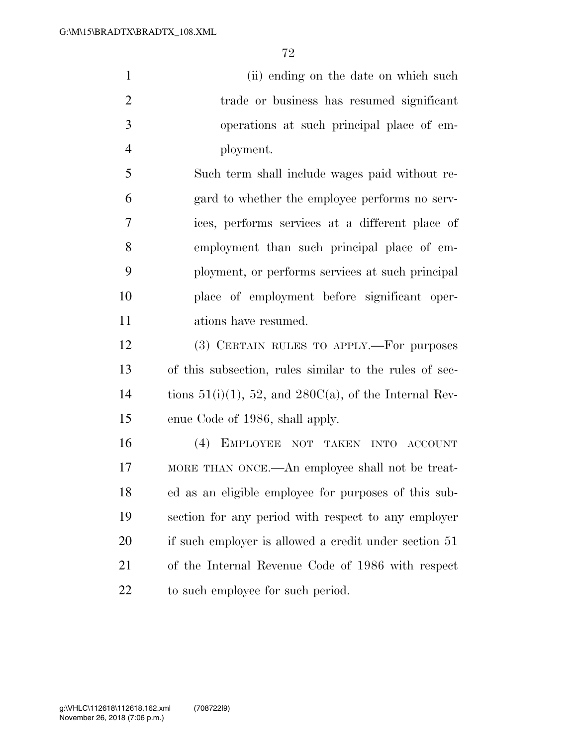1 (ii) ending on the date on which such trade or business has resumed significant operations at such principal place of em-ployment.

 Such term shall include wages paid without re- gard to whether the employee performs no serv- ices, performs services at a different place of employment than such principal place of em- ployment, or performs services at such principal place of employment before significant oper-ations have resumed.

 (3) CERTAIN RULES TO APPLY.—For purposes of this subsection, rules similar to the rules of sec-14 tions  $51(i)(1)$ , 52, and  $280C(a)$ , of the Internal Rev-enue Code of 1986, shall apply.

 (4) EMPLOYEE NOT TAKEN INTO ACCOUNT MORE THAN ONCE.—An employee shall not be treat- ed as an eligible employee for purposes of this sub- section for any period with respect to any employer 20 if such employer is allowed a credit under section 51 of the Internal Revenue Code of 1986 with respect to such employee for such period.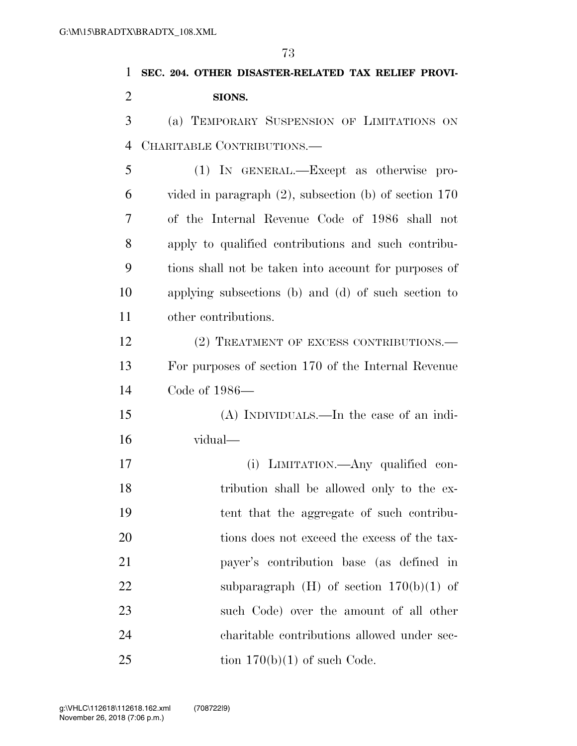**SEC. 204. OTHER DISASTER-RELATED TAX RELIEF PROVI- SIONS.**  (a) TEMPORARY SUSPENSION OF LIMITATIONS ON CHARITABLE CONTRIBUTIONS.— (1) IN GENERAL.—Except as otherwise pro- vided in paragraph (2), subsection (b) of section 170 of the Internal Revenue Code of 1986 shall not apply to qualified contributions and such contribu- tions shall not be taken into account for purposes of applying subsections (b) and (d) of such section to other contributions. 12 (2) TREATMENT OF EXCESS CONTRIBUTIONS.— For purposes of section 170 of the Internal Revenue Code of 1986— (A) INDIVIDUALS.—In the case of an indi- vidual— (i) LIMITATION.—Any qualified con- tribution shall be allowed only to the ex- tent that the aggregate of such contribu-20 tions does not exceed the excess of the tax-payer's contribution base (as defined in

22 subparagraph  $(H)$  of section  $170(b)(1)$  of

such Code) over the amount of all other

charitable contributions allowed under sec-

25 tion  $170(b)(1)$  of such Code.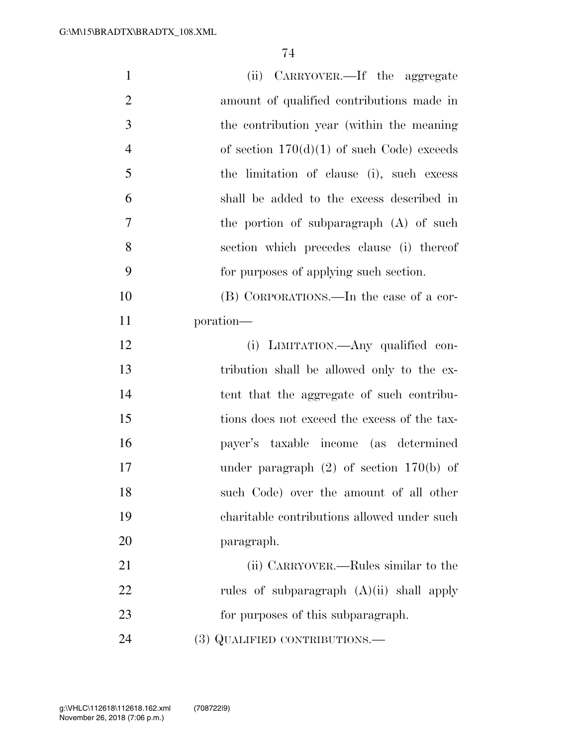| $\mathbf{1}$   | (ii) CARRYOVER.—If the aggregate             |
|----------------|----------------------------------------------|
| $\overline{2}$ | amount of qualified contributions made in    |
| 3              | the contribution year (within the meaning    |
| $\overline{4}$ | of section $170(d)(1)$ of such Code) exceeds |
| 5              | the limitation of clause (i), such excess    |
| 6              | shall be added to the excess described in    |
| 7              | the portion of subparagraph $(A)$ of such    |
| 8              | section which precedes clause (i) thereof    |
| 9              | for purposes of applying such section.       |
| 10             | (B) CORPORATIONS.—In the case of a cor-      |
| 11             | poration—                                    |
| 12             | (i) LIMITATION.—Any qualified con-           |
| 13             | tribution shall be allowed only to the ex-   |
| 14             | tent that the aggregate of such contribu-    |
| 15             | tions does not exceed the excess of the tax- |
| 16             | payer's taxable income (as determined        |
| 17             | under paragraph $(2)$ of section 170(b) of   |
| 18             | such Code) over the amount of all other      |
| 19             | charitable contributions allowed under such  |
| 20             | paragraph.                                   |
| 21             | (ii) CARRYOVER.—Rules similar to the         |
| 22             | rules of subparagraph $(A)(ii)$ shall apply  |
| 23             | for purposes of this subparagraph.           |
| 24             | (3) QUALIFIED CONTRIBUTIONS.—                |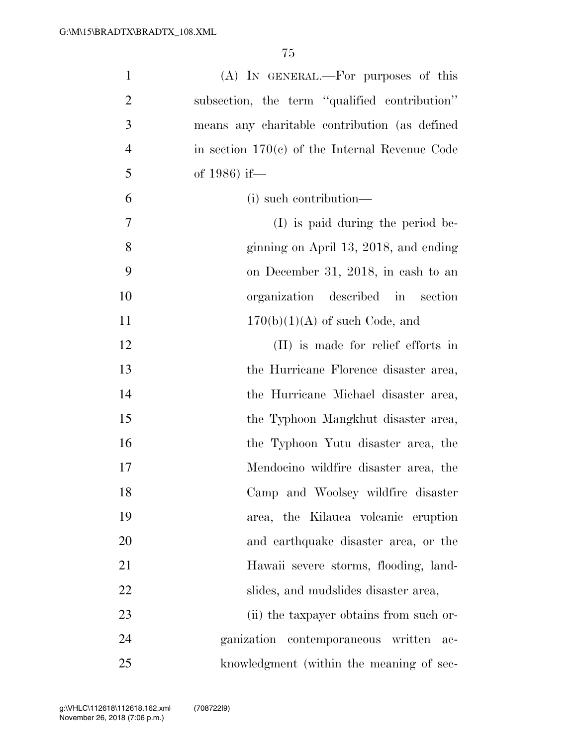| $\mathbf{1}$   | (A) IN GENERAL.—For purposes of this             |
|----------------|--------------------------------------------------|
| $\overline{2}$ | subsection, the term "qualified contribution"    |
| 3              | means any charitable contribution (as defined    |
| $\overline{4}$ | in section $170(c)$ of the Internal Revenue Code |
| 5              | of 1986) if—                                     |
| 6              | (i) such contribution—                           |
| $\overline{7}$ | (I) is paid during the period be-                |
| 8              | ginning on April 13, 2018, and ending            |
| 9              | on December 31, 2018, in cash to an              |
| 10             | organization described in section                |
| 11             | $170(b)(1)(A)$ of such Code, and                 |
| 12             | (II) is made for relief efforts in               |
| 13             | the Hurricane Florence disaster area,            |
| 14             | the Hurricane Michael disaster area,             |
| 15             | the Typhoon Mangkhut disaster area,              |
| 16             | the Typhoon Yutu disaster area, the              |
| 17             | Mendocino wildfire disaster area, the            |
| 18             | Camp and Woolsey wildfire disaster               |
| 19             | area, the Kilauea volcanic eruption              |
| 20             | and earthquake disaster area, or the             |
| 21             | Hawaii severe storms, flooding, land-            |
| 22             | slides, and mudslides disaster area,             |
| 23             | (ii) the taxpayer obtains from such or-          |
| 24             | ganization contemporaneous written<br>ac-        |
| 25             | knowledgment (within the meaning of sec-         |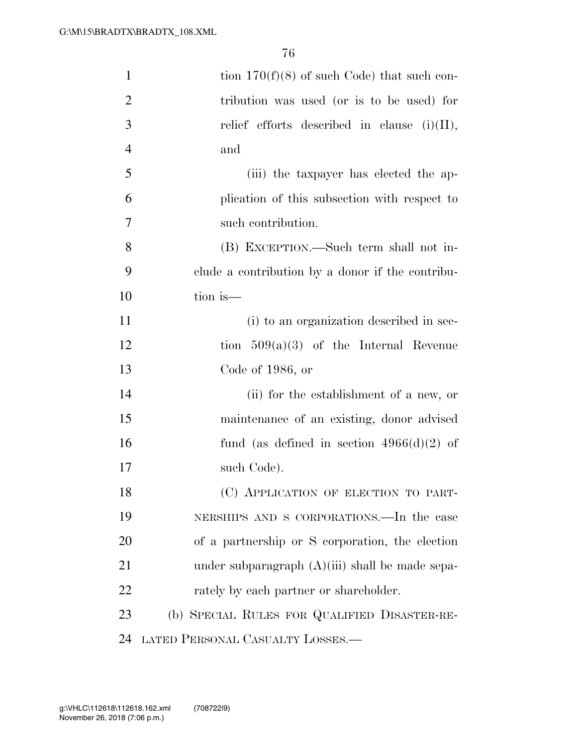| $\mathbf{1}$   | tion $170(f)(8)$ of such Code) that such con-     |
|----------------|---------------------------------------------------|
| $\overline{2}$ | tribution was used (or is to be used) for         |
| 3              | relief efforts described in clause $(i)(II)$ ,    |
| $\overline{4}$ | and                                               |
| 5              | (iii) the taxpayer has elected the ap-            |
| 6              | plication of this subsection with respect to      |
| 7              | such contribution.                                |
| 8              | (B) EXCEPTION.—Such term shall not in-            |
| 9              | clude a contribution by a donor if the contribu-  |
| 10             | tion is—                                          |
| 11             | (i) to an organization described in sec-          |
| 12             | tion $509(a)(3)$ of the Internal Revenue          |
| 13             | Code of $1986$ , or                               |
| 14             | (ii) for the establishment of a new, or           |
| 15             | maintenance of an existing, donor advised         |
| 16             | fund (as defined in section $4966(d)(2)$ of       |
| 17             | such Code).                                       |
| 18             | (C) APPLICATION OF ELECTION TO PART-              |
| 19             | NERSHIPS AND S CORPORATIONS.—In the case          |
| 20             | of a partnership or S corporation, the election   |
| 21             | under subparagraph $(A)(iii)$ shall be made sepa- |
| 22             | rately by each partner or shareholder.            |
| 23             | (b) SPECIAL RULES FOR QUALIFIED DISASTER-RE-      |
| 24             | LATED PERSONAL CASUALTY LOSSES.—                  |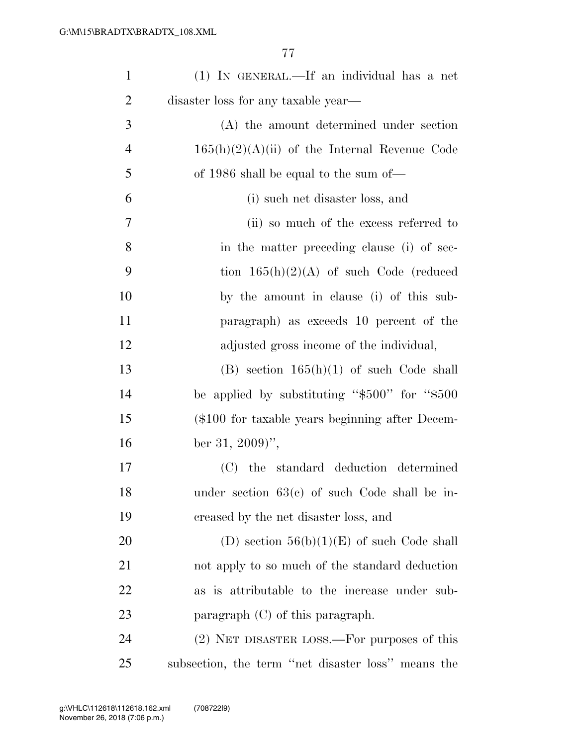| $\mathbf{1}$   | (1) IN GENERAL.—If an individual has a net          |
|----------------|-----------------------------------------------------|
| $\overline{2}$ | disaster loss for any taxable year—                 |
| 3              | (A) the amount determined under section             |
| $\overline{4}$ | $165(h)(2)(A)(ii)$ of the Internal Revenue Code     |
| 5              | of 1986 shall be equal to the sum of—               |
| 6              | (i) such net disaster loss, and                     |
| 7              | (ii) so much of the excess referred to              |
| 8              | in the matter preceding clause (i) of sec-          |
| 9              | tion $165(h)(2)(A)$ of such Code (reduced           |
| 10             | by the amount in clause (i) of this sub-            |
| 11             | paragraph) as exceeds 10 percent of the             |
| 12             | adjusted gross income of the individual,            |
| 13             | $(B)$ section $165(h)(1)$ of such Code shall        |
| 14             | be applied by substituting " $$500"$ for " $$500$ " |
| 15             | (\$100 for taxable years beginning after Decem-     |
| 16             | ber 31, 2009)'',                                    |
| 17             | (C) the standard deduction determined               |
| 18             | under section $63(c)$ of such Code shall be in-     |
| 19             | creased by the net disaster loss, and               |
| 20             | (D) section $56(b)(1)(E)$ of such Code shall        |
| 21             | not apply to so much of the standard deduction      |
| 22             | as is attributable to the increase under sub-       |
| 23             | paragraph $(C)$ of this paragraph.                  |
| 24             | (2) NET DISASTER LOSS.—For purposes of this         |
| 25             | subsection, the term "net disaster loss" means the  |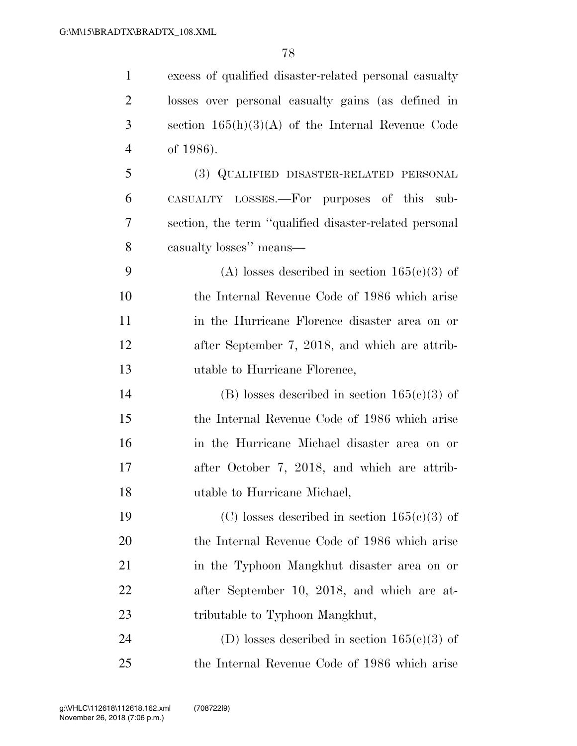| $\mathbf{1}$   | excess of qualified disaster-related personal casualty |
|----------------|--------------------------------------------------------|
| $\overline{c}$ | losses over personal casualty gains (as defined in     |
| 3              | section $165(h)(3)(A)$ of the Internal Revenue Code    |
| $\overline{4}$ | of 1986).                                              |
| 5              | (3) QUALIFIED DISASTER-RELATED PERSONAL                |
| 6              | CASUALTY LOSSES.—For purposes of this sub-             |
| 7              | section, the term "qualified disaster-related personal |
| 8              | casualty losses" means—                                |
| 9              | (A) losses described in section $165(c)(3)$ of         |
| 10             | the Internal Revenue Code of 1986 which arise          |
| 11             | in the Hurricane Florence disaster area on or          |
| 12             | after September 7, 2018, and which are attrib-         |
| 13             | utable to Hurricane Florence,                          |
| 14             | (B) losses described in section $165(c)(3)$ of         |
| 15             | the Internal Revenue Code of 1986 which arise          |
| 16             | in the Hurricane Michael disaster area on or           |
| 17             | after October 7, 2018, and which are attrib-           |
| 18             | utable to Hurricane Michael,                           |
| 19             | (C) losses described in section $165(e)(3)$ of         |
| 20             | the Internal Revenue Code of 1986 which arise          |
| 21             | in the Typhoon Mangkhut disaster area on or            |
| 22             | after September 10, 2018, and which are at-            |
| 23             | tributable to Typhoon Mangkhut,                        |
| 24             | (D) losses described in section $165(c)(3)$ of         |
| 25             | the Internal Revenue Code of 1986 which arise          |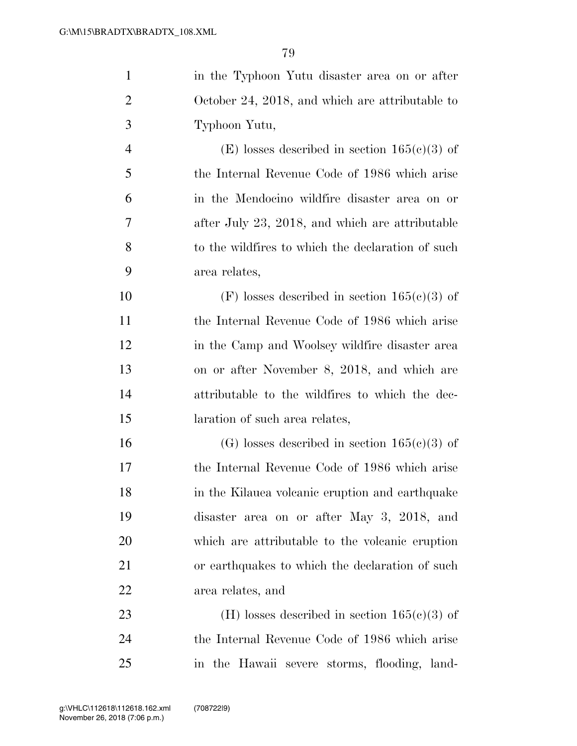| $\mathbf{1}$   | in the Typhoon Yutu disaster area on or after     |
|----------------|---------------------------------------------------|
| $\overline{2}$ | October 24, 2018, and which are attributable to   |
| 3              | Typhoon Yutu,                                     |
| $\overline{4}$ | (E) losses described in section $165(c)(3)$ of    |
| 5              | the Internal Revenue Code of 1986 which arise     |
| 6              | in the Mendocino wildfire disaster area on or     |
| 7              | after July 23, 2018, and which are attributable   |
| 8              | to the wildfires to which the declaration of such |
| 9              | area relates,                                     |
| 10             | $(F)$ losses described in section $165(c)(3)$ of  |
| 11             | the Internal Revenue Code of 1986 which arise     |
| 12             | in the Camp and Woolsey wildfire disaster area    |
| 13             | on or after November 8, 2018, and which are       |
| 14             | attributable to the wildfires to which the dec-   |
| 15             | laration of such area relates,                    |
| 16             | (G) losses described in section $165(c)(3)$ of    |
| 17             | the Internal Revenue Code of 1986 which arise     |
| 18             | in the Kilauea volcanic eruption and earthquake   |
| 19             | disaster area on or after May 3, 2018, and        |
| 20             | which are attributable to the volcanic eruption   |
| 21             | or earthquakes to which the declaration of such   |
| 22             | area relates, and                                 |
| 23             | (H) losses described in section $165(c)(3)$ of    |
| 24             | the Internal Revenue Code of 1986 which arise     |
| 25             | in the Hawaii severe storms, flooding, land-      |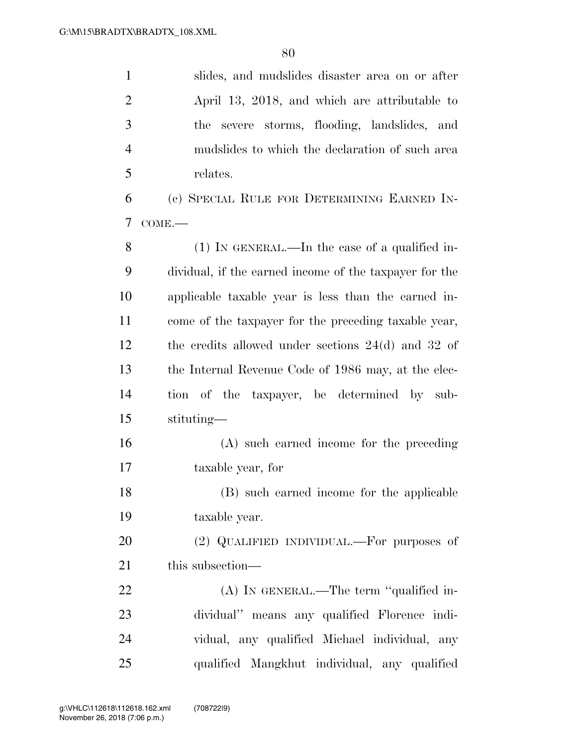| $\mathbf{1}$   | slides, and mudslides disaster area on or after        |
|----------------|--------------------------------------------------------|
| $\overline{2}$ | April 13, 2018, and which are attributable to          |
| 3              | the severe storms, flooding, landslides, and           |
| $\overline{4}$ | mudslides to which the declaration of such area        |
| 5              | relates.                                               |
| 6              | (c) SPECIAL RULE FOR DETERMINING EARNED IN-            |
| 7              | $COME$ .                                               |
| 8              | $(1)$ In GENERAL.—In the case of a qualified in-       |
| 9              | dividual, if the earned income of the taxpayer for the |
| 10             | applicable taxable year is less than the earned in-    |
| 11             | come of the taxpayer for the preceding taxable year,   |
| 12             | the credits allowed under sections $24(d)$ and $32$ of |
| 13             | the Internal Revenue Code of 1986 may, at the elec-    |
| 14             | tion of the<br>taxpayer, be determined by sub-         |
| 15             | stituting—                                             |
| 16             | (A) such earned income for the preceding               |
| 17             | taxable year, for                                      |
| 18             | (B) such earned income for the applicable              |
| 19             | taxable year.                                          |
| 20             | (2) QUALIFIED INDIVIDUAL.—For purposes of              |
| 21             | this subsection—                                       |
| 22             | $(A)$ In GENERAL.—The term "qualified in-              |
| 23             | dividual" means any qualified Florence indi-           |
| 24             | vidual, any qualified Michael individual, any          |
| 25             | qualified Mangkhut individual, any qualified           |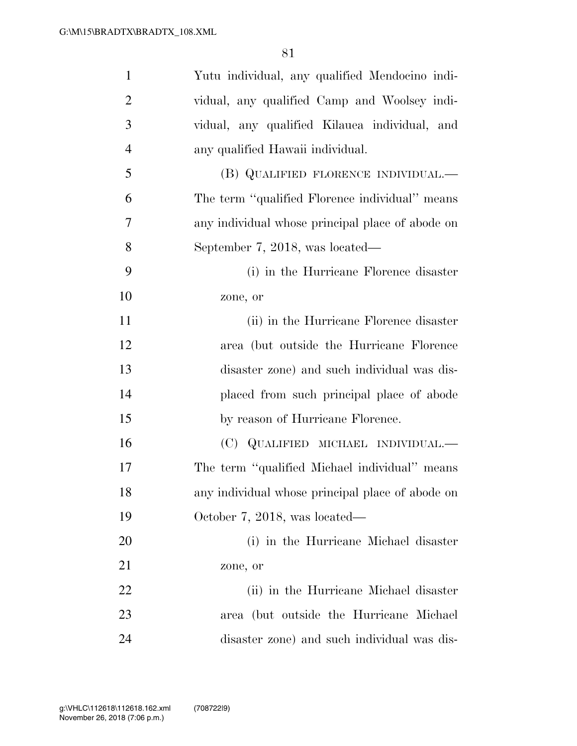| $\mathbf{1}$   | Yutu individual, any qualified Mendocino indi-   |
|----------------|--------------------------------------------------|
| $\overline{2}$ | vidual, any qualified Camp and Woolsey indi-     |
| 3              | vidual, any qualified Kilauea individual, and    |
| $\overline{4}$ | any qualified Hawaii individual.                 |
| 5              | (B) QUALIFIED FLORENCE INDIVIDUAL.—              |
| 6              | The term "qualified Florence individual" means   |
| 7              | any individual whose principal place of abode on |
| 8              | September 7, 2018, was located—                  |
| 9              | (i) in the Hurricane Florence disaster           |
| 10             | zone, or                                         |
| 11             | (ii) in the Hurricane Florence disaster          |
| 12             | area (but outside the Hurricane Florence         |
| 13             | disaster zone) and such individual was dis-      |
| 14             | placed from such principal place of abode        |
| 15             | by reason of Hurricane Florence.                 |
| 16             | (C) QUALIFIED MICHAEL INDIVIDUAL.—               |
| 17             | The term "qualified Michael individual" means    |
| 18             | any individual whose principal place of abode on |
| 19             | October 7, 2018, was located—                    |
| 20             | (i) in the Hurricane Michael disaster            |
| 21             | zone, or                                         |
| 22             | (ii) in the Hurricane Michael disaster           |
| 23             | area (but outside the Hurricane Michael          |
| 24             | disaster zone) and such individual was dis-      |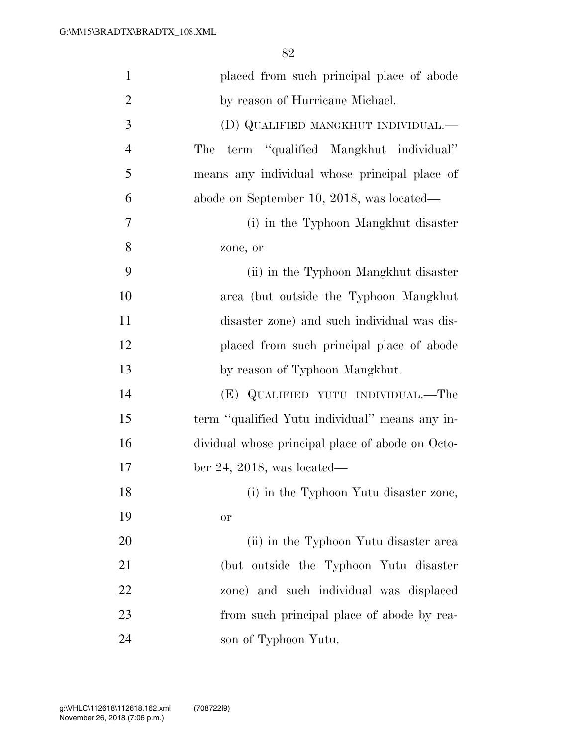| $\mathbf{1}$   | placed from such principal place of abode        |
|----------------|--------------------------------------------------|
| $\overline{2}$ | by reason of Hurricane Michael.                  |
| 3              | (D) QUALIFIED MANGKHUT INDIVIDUAL.-              |
| $\overline{4}$ | term "qualified Mangkhut individual"<br>The      |
| 5              | means any individual whose principal place of    |
| 6              | abode on September 10, 2018, was located—        |
| 7              | (i) in the Typhoon Mangkhut disaster             |
| 8              | zone, or                                         |
| 9              | (ii) in the Typhoon Mangkhut disaster            |
| 10             | area (but outside the Typhoon Mangkhut           |
| 11             | disaster zone) and such individual was dis-      |
| 12             | placed from such principal place of abode        |
| 13             | by reason of Typhoon Mangkhut.                   |
| 14             | (E) QUALIFIED YUTU INDIVIDUAL.—The               |
| 15             | term "qualified Yutu individual" means any in-   |
| 16             | dividual whose principal place of abode on Octo- |
| 17             | ber 24, 2018, was located—                       |
| 18             | (i) in the Typhoon Yutu disaster zone,           |
| 19             | <b>or</b>                                        |
| 20             | (ii) in the Typhoon Yutu disaster area           |
| 21             | (but outside the Typhoon Yutu disaster           |
| 22             | zone) and such individual was displaced          |
| 23             | from such principal place of abode by rea-       |
| 24             | son of Typhoon Yutu.                             |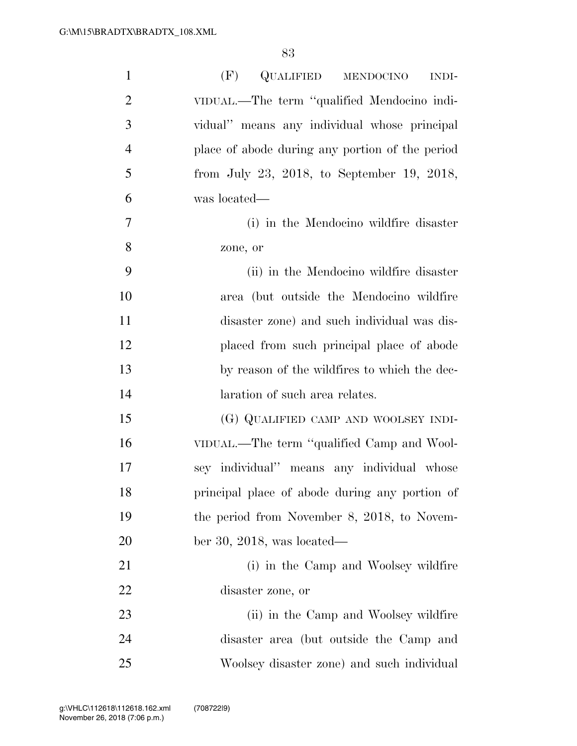| $\mathbf{1}$   | (F)<br>QUALIFIED MENDOCINO<br><b>INDI-</b>      |
|----------------|-------------------------------------------------|
| $\overline{c}$ | VIDUAL.—The term "qualified Mendocino indi-     |
| 3              | vidual" means any individual whose principal    |
| $\overline{4}$ | place of abode during any portion of the period |
| 5              | from July 23, 2018, to September 19, 2018,      |
| 6              | was located—                                    |
| 7              | (i) in the Mendocino wildfire disaster          |
| 8              | zone, or                                        |
| 9              | (ii) in the Mendocino wildfire disaster         |
| 10             | area (but outside the Mendocino wildfire        |
| 11             | disaster zone) and such individual was dis-     |
| 12             | placed from such principal place of abode       |
| 13             | by reason of the wildfires to which the dec-    |
| 14             | laration of such area relates.                  |
| 15             | (G) QUALIFIED CAMP AND WOOLSEY INDI-            |
| 16             | VIDUAL.—The term "qualified Camp and Wool-      |
| 17             | sey individual" means any individual whose      |
| 18             | principal place of abode during any portion of  |
| 19             | the period from November 8, 2018, to Novem-     |
| 20             | ber 30, 2018, was located—                      |
| 21             | (i) in the Camp and Woolsey wildfire            |
| 22             | disaster zone, or                               |
| 23             | (ii) in the Camp and Woolsey wildfire           |
| 24             | disaster area (but outside the Camp and         |
| 25             | Woolsey disaster zone) and such individual      |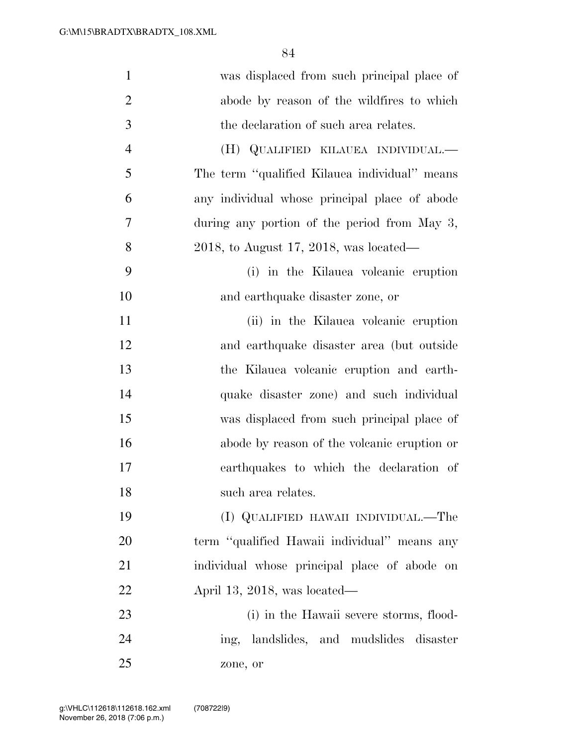| $\mathbf{1}$   | was displaced from such principal place of    |
|----------------|-----------------------------------------------|
| $\overline{2}$ | abode by reason of the wildfires to which     |
| 3              | the declaration of such area relates.         |
| $\overline{4}$ | (H) QUALIFIED KILAUEA INDIVIDUAL.—            |
| 5              | The term "qualified Kilauea individual" means |
| 6              | any individual whose principal place of abode |
| 7              | during any portion of the period from May 3,  |
| 8              | 2018, to August 17, 2018, was located—        |
| 9              | (i) in the Kilauea volcanic eruption          |
| 10             | and earthquake disaster zone, or              |
| 11             | (ii) in the Kilauea volcanic eruption         |
| 12             | and earthquake disaster area (but outside     |
| 13             | the Kilauea volcanic eruption and earth-      |
| 14             | quake disaster zone) and such individual      |
| 15             | was displaced from such principal place of    |
| 16             | abode by reason of the volcanic eruption or   |
| 17             | earthquakes to which the declaration of       |
| 18             | such area relates.                            |
| 19             | (I) QUALIFIED HAWAII INDIVIDUAL.—The          |
| 20             | term "qualified Hawaii individual" means any  |
| 21             | individual whose principal place of abode on  |
| 22             | April 13, 2018, was located—                  |
| 23             | (i) in the Hawaii severe storms, flood-       |
| 24             | landslides, and mudslides disaster<br>ing,    |
| 25             | zone, or                                      |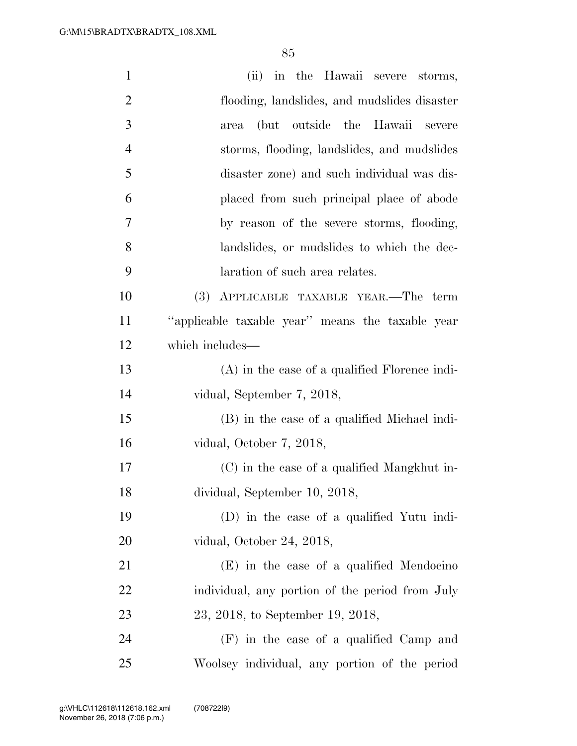| $\mathbf{1}$   | (ii) in the Hawaii severe storms,                |
|----------------|--------------------------------------------------|
| $\overline{2}$ | flooding, landslides, and mudslides disaster     |
| 3              | (but outside the Hawaii severe<br>area           |
| $\overline{4}$ | storms, flooding, landslides, and mudslides      |
| 5              | disaster zone) and such individual was dis-      |
| 6              | placed from such principal place of abode        |
| 7              | by reason of the severe storms, flooding,        |
| 8              | landslides, or mudslides to which the dec-       |
| 9              | laration of such area relates.                   |
| 10             | (3) APPLICABLE TAXABLE YEAR.—The term            |
| 11             | "applicable taxable year" means the taxable year |
| 12             | which includes—                                  |
| 13             | (A) in the case of a qualified Florence indi-    |
| 14             | vidual, September 7, 2018,                       |
| 15             | (B) in the case of a qualified Michael indi-     |
| 16             | vidual, October 7, 2018,                         |
| 17             | (C) in the case of a qualified Mangkhut in-      |
| 18             | dividual, September 10, 2018,                    |
| 19             | (D) in the case of a qualified Yutu indi-        |
| 20             | vidual, October 24, 2018,                        |
| 21             | (E) in the case of a qualified Mendocino         |
| 22             | individual, any portion of the period from July  |
| 23             | 23, 2018, to September 19, 2018,                 |
| 24             | (F) in the case of a qualified Camp and          |
| 25             | Woolsey individual, any portion of the period    |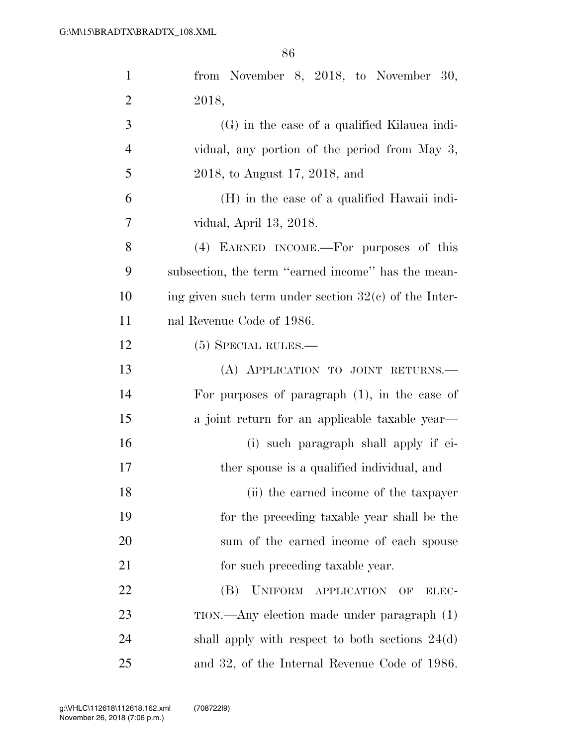| $\mathbf{1}$   | from November 8, 2018, to November 30,                  |
|----------------|---------------------------------------------------------|
| $\overline{2}$ | 2018,                                                   |
| 3              | $(G)$ in the case of a qualified Kilauea indi-          |
| $\overline{4}$ | vidual, any portion of the period from May 3,           |
| 5              | 2018, to August 17, 2018, and                           |
| 6              | (H) in the case of a qualified Hawaii indi-             |
| 7              | vidual, April 13, 2018.                                 |
| 8              | (4) EARNED INCOME.—For purposes of this                 |
| 9              | subsection, the term "earned income" has the mean-      |
| 10             | ing given such term under section $32(c)$ of the Inter- |
| 11             | nal Revenue Code of 1986.                               |
| 12             | $(5)$ SPECIAL RULES.—                                   |
| 13             | (A) APPLICATION TO JOINT RETURNS.                       |
| 14             | For purposes of paragraph $(1)$ , in the case of        |
| 15             | a joint return for an applicable taxable year—          |
| 16             | (i) such paragraph shall apply if ei-                   |
| 17             | ther spouse is a qualified individual, and              |
| 18             | (ii) the earned income of the taxpayer                  |
| 19             | for the preceding taxable year shall be the             |
| 20             | sum of the earned income of each spouse                 |
| 21             | for such preceding taxable year.                        |
| 22             | UNIFORM APPLICATION<br>(B)<br>OF<br>ELEC-               |
| 23             | TION.—Any election made under paragraph (1)             |
| 24             | shall apply with respect to both sections $24(d)$       |
| 25             | and 32, of the Internal Revenue Code of 1986.           |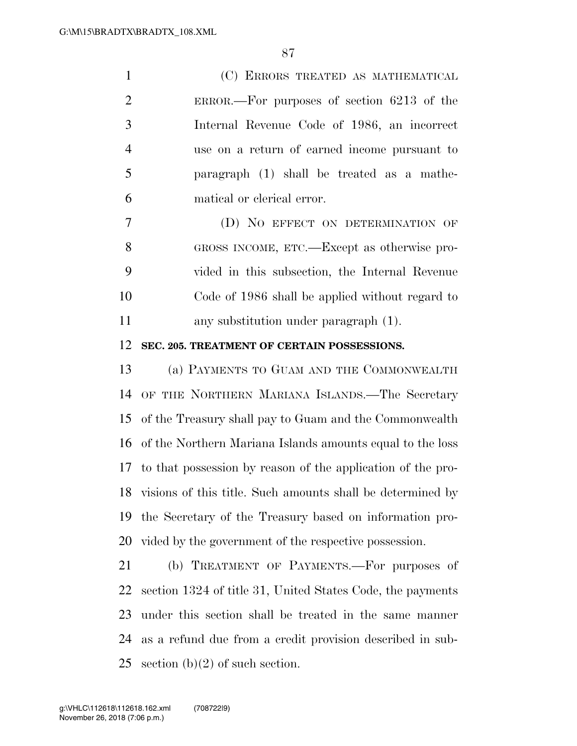(C) ERRORS TREATED AS MATHEMATICAL ERROR.—For purposes of section 6213 of the Internal Revenue Code of 1986, an incorrect use on a return of earned income pursuant to paragraph (1) shall be treated as a mathe-matical or clerical error.

 (D) NO EFFECT ON DETERMINATION OF GROSS INCOME, ETC.—Except as otherwise pro- vided in this subsection, the Internal Revenue Code of 1986 shall be applied without regard to any substitution under paragraph (1).

## **SEC. 205. TREATMENT OF CERTAIN POSSESSIONS.**

 (a) PAYMENTS TO GUAM AND THE COMMONWEALTH OF THE NORTHERN MARIANA ISLANDS.—The Secretary of the Treasury shall pay to Guam and the Commonwealth of the Northern Mariana Islands amounts equal to the loss to that possession by reason of the application of the pro- visions of this title. Such amounts shall be determined by the Secretary of the Treasury based on information pro-vided by the government of the respective possession.

 (b) TREATMENT OF PAYMENTS.—For purposes of section 1324 of title 31, United States Code, the payments under this section shall be treated in the same manner as a refund due from a credit provision described in sub-25 section  $(b)(2)$  of such section.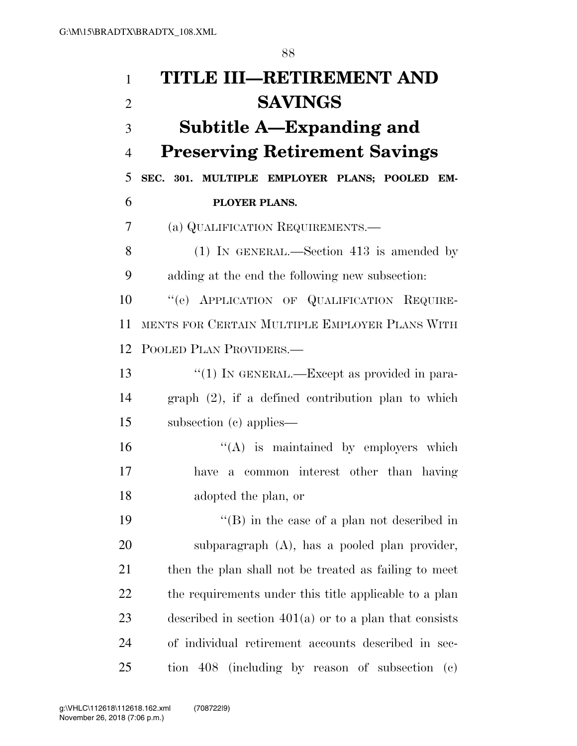| 1              | TITLE III-RETIREMENT AND                                                  |
|----------------|---------------------------------------------------------------------------|
| $\overline{2}$ | <b>SAVINGS</b>                                                            |
| 3              | Subtitle A—Expanding and                                                  |
| $\overline{4}$ | <b>Preserving Retirement Savings</b>                                      |
| 5              | SEC. 301. MULTIPLE EMPLOYER PLANS; POOLED EM-                             |
| 6              | PLOYER PLANS.                                                             |
| 7              | (a) QUALIFICATION REQUIREMENTS.                                           |
| 8              | $(1)$ IN GENERAL.—Section 413 is amended by                               |
| 9              | adding at the end the following new subsection:                           |
| 10             | "(e) APPLICATION OF QUALIFICATION REQUIRE-                                |
| 11             | MENTS FOR CERTAIN MULTIPLE EMPLOYER PLANS WITH                            |
| 12             | POOLED PLAN PROVIDERS.—                                                   |
| 13             | "(1) IN GENERAL.—Except as provided in para-                              |
| 14             | $graph (2)$ , if a defined contribution plan to which                     |
| 15             | subsection (c) applies—                                                   |
| 16             | $\lq\lq$ is maintained by employers which                                 |
| 17             | a common interest other than having<br>have                               |
| 18             | adopted the plan, or                                                      |
| 19             | $\lq\lq$ (B) in the case of a plan not described in                       |
| 20             | subparagraph (A), has a pooled plan provider,                             |
| 21             | then the plan shall not be treated as failing to meet                     |
| 22             | the requirements under this title applicable to a plan                    |
| 23             | described in section $401(a)$ or to a plan that consists                  |
| 24             | of individual retirement accounts described in sec-                       |
| 25             | tion 408 (including by reason of subsection<br>$\left( \mathrm{e}\right)$ |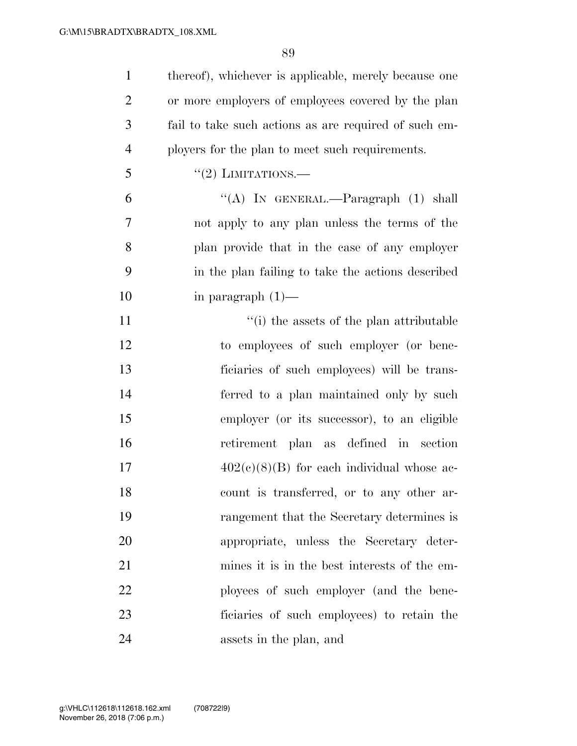| $\mathbf{1}$   | thereof), whichever is applicable, merely because one |
|----------------|-------------------------------------------------------|
| $\overline{2}$ | or more employers of employees covered by the plan    |
| 3              | fail to take such actions as are required of such em- |
| $\overline{4}$ | ployers for the plan to meet such requirements.       |
| 5              | $\cdot\cdot(2)$ LIMITATIONS.—                         |
| 6              | "(A) IN GENERAL.—Paragraph $(1)$ shall                |
| 7              | not apply to any plan unless the terms of the         |
| 8              | plan provide that in the case of any employer         |
| 9              | in the plan failing to take the actions described     |
| 10             | in paragraph $(1)$ —                                  |
| 11             | "(i) the assets of the plan attributable              |
| 12             | to employees of such employer (or bene-               |
| 13             | ficiaries of such employees) will be trans-           |
| 14             | ferred to a plan maintained only by such              |
| 15             | employer (or its successor), to an eligible           |
| 16             | retirement plan as defined in<br>section              |
| 17             | $402(c)(8)(B)$ for each individual whose ac-          |
| 18             | count is transferred, or to any other ar-             |
| 19             | rangement that the Secretary determines is            |
| 20             | appropriate, unless the Secretary deter-              |
| 21             | mines it is in the best interests of the em-          |
| 22             | ployees of such employer (and the bene-               |
| 23             | ficiaries of such employees) to retain the            |
| 24             | assets in the plan, and                               |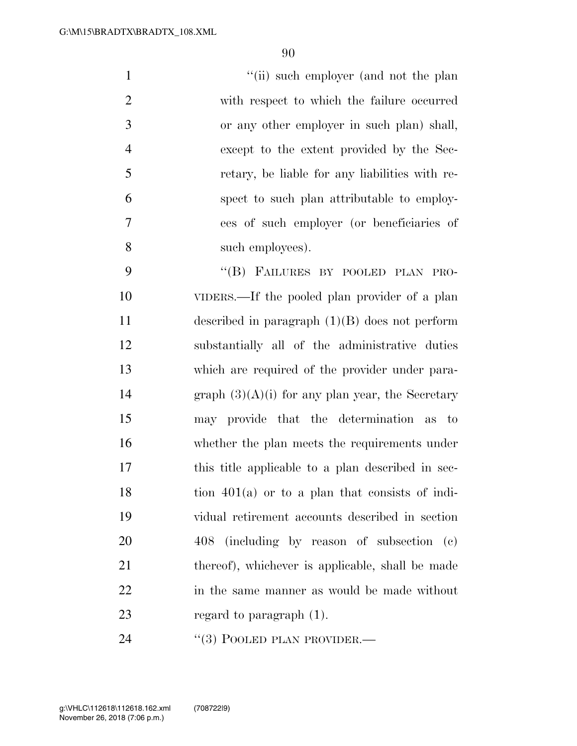1 ''(ii) such employer (and not the plan with respect to which the failure occurred or any other employer in such plan) shall, except to the extent provided by the Sec- retary, be liable for any liabilities with re- spect to such plan attributable to employ- ees of such employer (or beneficiaries of such employees).

9 "(B) FAILURES BY POOLED PLAN PRO- VIDERS.—If the pooled plan provider of a plan described in paragraph (1)(B) does not perform substantially all of the administrative duties which are required of the provider under para-14 graph  $(3)(A)(i)$  for any plan year, the Secretary may provide that the determination as to whether the plan meets the requirements under this title applicable to a plan described in sec- tion  $401(a)$  or to a plan that consists of indi- vidual retirement accounts described in section 408 (including by reason of subsection (c) 21 thereof), whichever is applicable, shall be made in the same manner as would be made without 23 regard to paragraph (1).

24 "(3) POOLED PLAN PROVIDER.—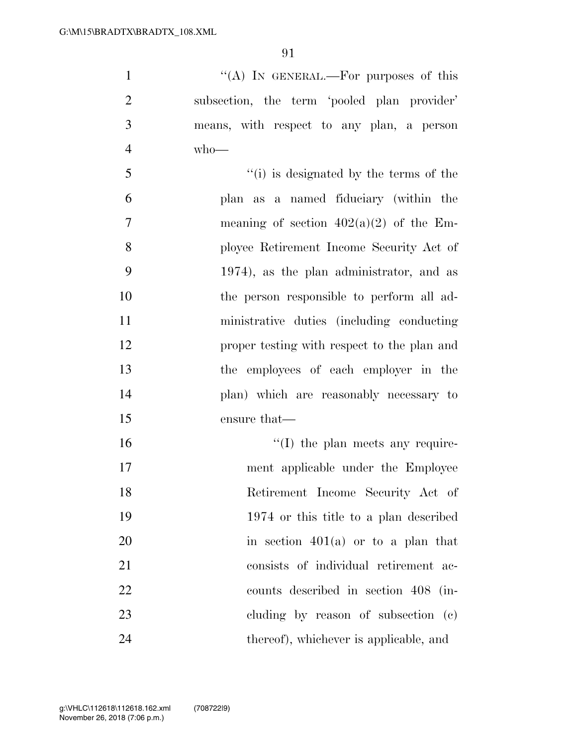| $\mathbf{1}$   | "(A) IN GENERAL.—For purposes of this                                                                                                                                                                                                                                                                                              |
|----------------|------------------------------------------------------------------------------------------------------------------------------------------------------------------------------------------------------------------------------------------------------------------------------------------------------------------------------------|
| $\overline{2}$ | subsection, the term 'pooled plan provider'                                                                                                                                                                                                                                                                                        |
| 3              | means, with respect to any plan, a person                                                                                                                                                                                                                                                                                          |
| $\overline{4}$ | $who$ —                                                                                                                                                                                                                                                                                                                            |
| 5              | "(i) is designated by the terms of the                                                                                                                                                                                                                                                                                             |
| 6              | plan as a named fiduciary (within the                                                                                                                                                                                                                                                                                              |
| $\overline{7}$ | meaning of section $402(a)(2)$ of the Em-                                                                                                                                                                                                                                                                                          |
| 8              | ployee Retirement Income Security Act of                                                                                                                                                                                                                                                                                           |
| 9              | 1974), as the plan administrator, and as                                                                                                                                                                                                                                                                                           |
| 10             | the person responsible to perform all ad-                                                                                                                                                                                                                                                                                          |
| 11             | ministrative duties (including conducting                                                                                                                                                                                                                                                                                          |
| 12             | proper testing with respect to the plan and                                                                                                                                                                                                                                                                                        |
| 13             | the employees of each employer in the                                                                                                                                                                                                                                                                                              |
| 14             | plan) which are reasonably necessary to                                                                                                                                                                                                                                                                                            |
| 15             | ensure that—                                                                                                                                                                                                                                                                                                                       |
| 16             | $\lq\lq$ (I) the plan meets any require-                                                                                                                                                                                                                                                                                           |
| 17             | ment applicable under the Employee                                                                                                                                                                                                                                                                                                 |
| $1^{\circ}$    | $\mathbf{D}$ $\mathbf{P}$ $\mathbf{I}$ $\mathbf{I}$ $\mathbf{I}$ $\mathbf{I}$ $\mathbf{I}$ $\mathbf{I}$ $\mathbf{I}$ $\mathbf{I}$ $\mathbf{I}$ $\mathbf{I}$ $\mathbf{I}$ $\mathbf{I}$ $\mathbf{I}$ $\mathbf{I}$ $\mathbf{I}$ $\mathbf{I}$ $\mathbf{I}$ $\mathbf{I}$ $\mathbf{I}$ $\mathbf{I}$ $\mathbf{I}$ $\mathbf{I}$ $\mathbf{$ |

 Retirement Income Security Act of 1974 or this title to a plan described 20 in section  $401(a)$  or to a plan that consists of individual retirement ac- counts described in section 408 (in- cluding by reason of subsection (c) thereof), whichever is applicable, and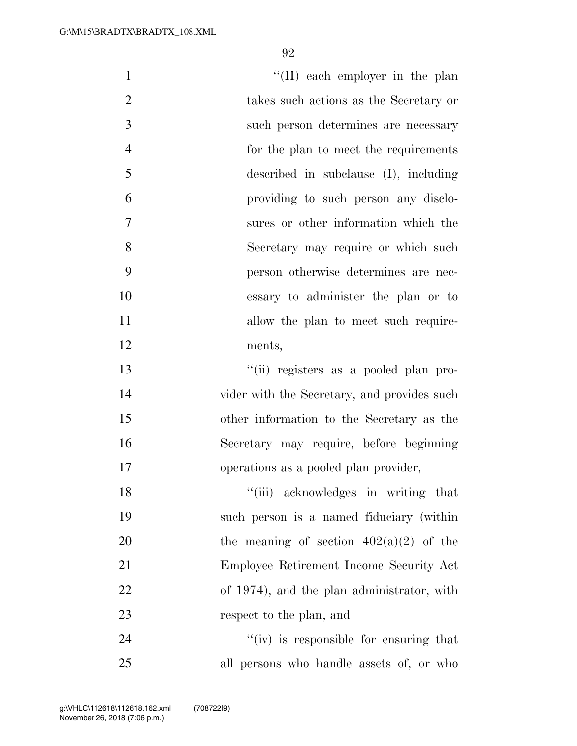| $\mathbf{1}$   | "(II) each employer in the plan             |
|----------------|---------------------------------------------|
| $\overline{2}$ | takes such actions as the Secretary or      |
| 3              | such person determines are necessary        |
| $\overline{4}$ | for the plan to meet the requirements       |
| 5              | described in subclause $(I)$ , including    |
| 6              | providing to such person any disclo-        |
| 7              | sures or other information which the        |
| 8              | Secretary may require or which such         |
| 9              | person otherwise determines are nec-        |
| 10             | essary to administer the plan or to         |
| 11             | allow the plan to meet such require-        |
| 12             | ments,                                      |
| 13             | "(ii) registers as a pooled plan pro-       |
| 14             | vider with the Secretary, and provides such |
| 15             | other information to the Secretary as the   |
| 16             | Secretary may require, before beginning     |
| 17             | operations as a pooled plan provider,       |
| 18             | "(iii) acknowledges in writing that         |
| 19             | such person is a named fiduciary (within    |
| 20             | the meaning of section $402(a)(2)$ of the   |
| 21             | Employee Retirement Income Security Act     |
| 22             | of 1974), and the plan administrator, with  |
| 23             | respect to the plan, and                    |
| 24             | "(iv) is responsible for ensuring that      |
| 25             | all persons who handle assets of, or who    |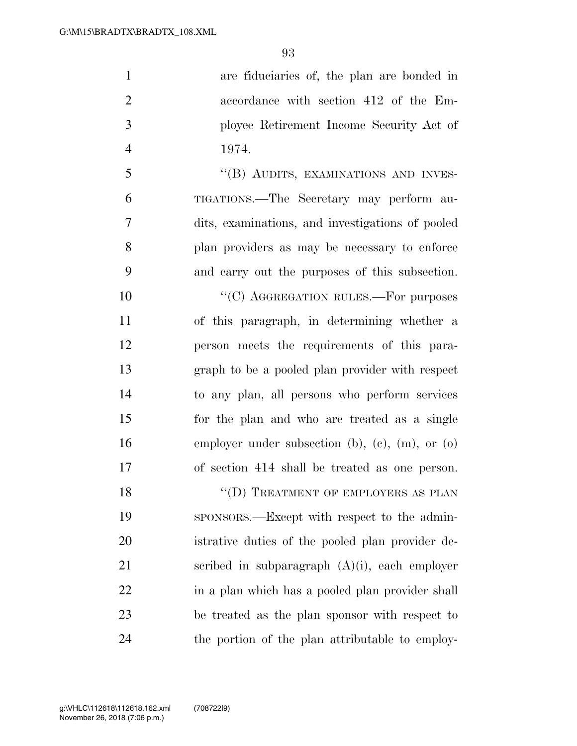| are fiduciaries of, the plan are bonded in       |
|--------------------------------------------------|
| accordance with section 412 of the Em-           |
| ployee Retirement Income Security Act of         |
| 1974.                                            |
| "(B) AUDITS, EXAMINATIONS AND INVES-             |
| TIGATIONS.—The Secretary may perform au-         |
| dits, examinations, and investigations of pooled |
| plan providers as may be necessary to enforce    |
| and carry out the purposes of this subsection.   |
| "(C) AGGREGATION RULES.-For purposes             |
| of this paragraph, in determining whether a      |
| person meets the requirements of this para-      |
| graph to be a pooled plan provider with respect  |
| to any plan, all persons who perform services    |
| for the plan and who are treated as a single     |
| employer under subsection (b), (c), (m), or (o)  |
| of section 414 shall be treated as one person.   |
| "(D) TREATMENT OF EMPLOYERS AS PLAN              |
| sponsors.—Except with respect to the admin-      |
| istrative duties of the pooled plan provider de- |
|                                                  |

scribed in subparagraph (A)(i), each employer

in a plan which has a pooled plan provider shall

be treated as the plan sponsor with respect to

the portion of the plan attributable to employ-

November 26, 2018 (7:06 p.m.) g:\VHLC\112618\112618.162.xml (708722|9)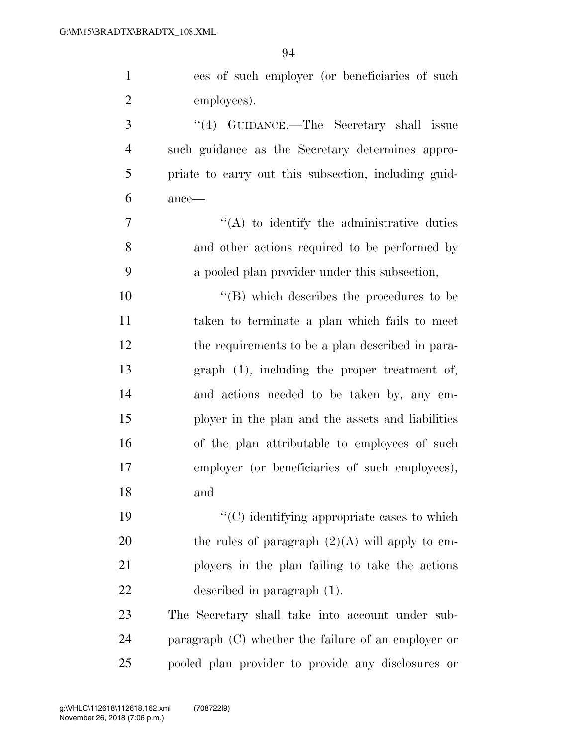| $\mathbf{1}$   | ees of such employer (or beneficiaries of such        |
|----------------|-------------------------------------------------------|
| $\overline{2}$ | employees).                                           |
| 3              | "(4) GUIDANCE.—The Secretary shall issue              |
| $\overline{4}$ | such guidance as the Secretary determines appro-      |
| 5              | priate to carry out this subsection, including guid-  |
| 6              | ance-                                                 |
| 7              | $\lq\lq$ to identify the administrative duties        |
| 8              | and other actions required to be performed by         |
| 9              | a pooled plan provider under this subsection,         |
| 10             | $\lq\lq$ which describes the procedures to be         |
| 11             | taken to terminate a plan which fails to meet         |
| 12             | the requirements to be a plan described in para-      |
| 13             | $graph(1)$ , including the proper treatment of,       |
| 14             | and actions needed to be taken by, any em-            |
| 15             | ployer in the plan and the assets and liabilities     |
| 16             | of the plan attributable to employees of such         |
| 17             | employer (or beneficiaries of such employees),        |
| 18             | and                                                   |
| 19             | $C$ ) identifying appropriate cases to which          |
| 20             | the rules of paragraph $(2)(A)$ will apply to em-     |
| 21             | ployers in the plan failing to take the actions       |
| 22             | described in paragraph $(1)$ .                        |
| 23             | The Secretary shall take into account under sub-      |
| 24             | paragraph $(C)$ whether the failure of an employer or |
| 25             | pooled plan provider to provide any disclosures or    |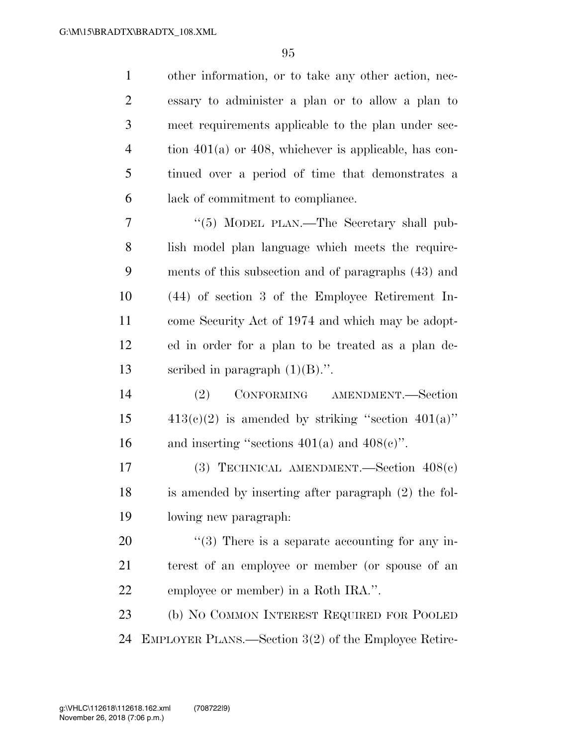| $\mathbf{1}$   | other information, or to take any other action, nec-       |
|----------------|------------------------------------------------------------|
| $\overline{2}$ | essary to administer a plan or to allow a plan to          |
| 3              | meet requirements applicable to the plan under sec-        |
| $\overline{4}$ | tion $401(a)$ or $408$ , whichever is applicable, has con- |
| 5              | tinued over a period of time that demonstrates a           |
| 6              | lack of commitment to compliance.                          |
| 7              | "(5) MODEL PLAN.—The Secretary shall pub-                  |
| 8              | lish model plan language which meets the require-          |
| 9              | ments of this subsection and of paragraphs (43) and        |
| 10             | (44) of section 3 of the Employee Retirement In-           |
| 11             | come Security Act of 1974 and which may be adopt-          |
| 12             | ed in order for a plan to be treated as a plan de-         |
| 13             | scribed in paragraph $(1)(B)$ .".                          |
| 14             | (2)<br>CONFORMING AMENDMENT.-Section                       |
| 15             | $413(c)(2)$ is amended by striking "section $401(a)$ "     |
| 16             | and inserting "sections $401(a)$ and $408(c)$ ".           |
| 17             | (3) TECHNICAL AMENDMENT. Section $408(c)$                  |
| 18             | is amended by inserting after paragraph (2) the fol-       |
| 19             | lowing new paragraph:                                      |
| 20             | $\lq(3)$ There is a separate accounting for any in-        |
| 21             | terest of an employee or member (or spouse of an           |
| 22             | employee or member) in a Roth IRA.".                       |
| 23             | (b) NO COMMON INTEREST REQUIRED FOR POOLED                 |
| 24             | EMPLOYER PLANS.—Section 3(2) of the Employee Retire-       |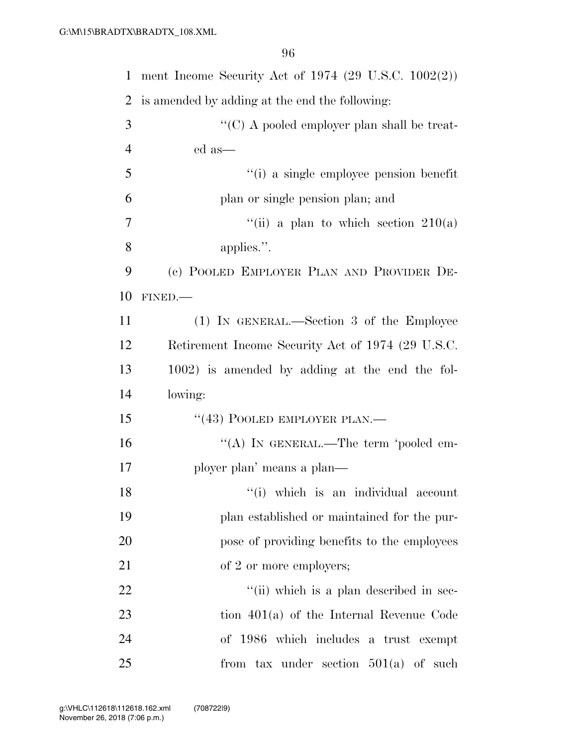| $\mathbf{1}$   | ment Income Security Act of 1974 (29 U.S.C. $1002(2)$ ) |
|----------------|---------------------------------------------------------|
| $\overline{2}$ | is amended by adding at the end the following:          |
| 3              | " $(C)$ A pooled employer plan shall be treat-          |
| $\overline{4}$ | ed as—                                                  |
| 5              | "(i) a single employee pension benefit                  |
| 6              | plan or single pension plan; and                        |
| 7              | "(ii) a plan to which section $210(a)$                  |
| 8              | applies.".                                              |
| 9              | (c) POOLED EMPLOYER PLAN AND PROVIDER DE-               |
| 10             | FINED.                                                  |
| 11             | (1) IN GENERAL.—Section 3 of the Employee               |
| 12             | Retirement Income Security Act of 1974 (29 U.S.C.       |
| 13             | 1002) is amended by adding at the end the fol-          |
| 14             | lowing:                                                 |
| 15             | "(43) POOLED EMPLOYER PLAN.—                            |
| 16             | "(A) IN GENERAL.—The term 'pooled em-                   |
| 17             | ployer plan' means a plan—                              |
| 18             | "(i) which is an individual account                     |
| 19             | plan established or maintained for the pur-             |
| 20             | pose of providing benefits to the employees             |
| 21             | of 2 or more employers;                                 |
| 22             | "(ii) which is a plan described in sec-                 |
| 23             | tion $401(a)$ of the Internal Revenue Code              |
| 24             | of 1986 which includes a trust exempt                   |
| 25             | from tax under section $501(a)$ of such                 |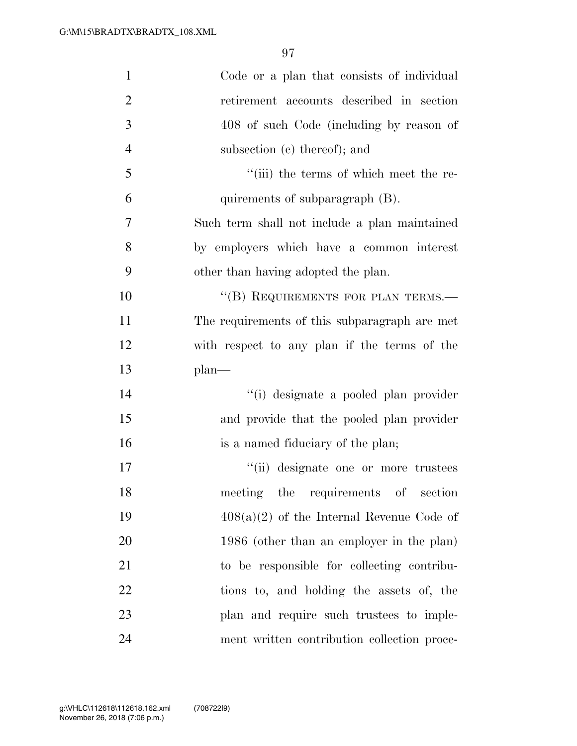| $\mathbf{1}$   | Code or a plan that consists of individual    |
|----------------|-----------------------------------------------|
| $\overline{2}$ | retirement accounts described in section      |
| 3              | 408 of such Code (including by reason of      |
| $\overline{4}$ | subsection (c) thereof); and                  |
| 5              | "(iii) the terms of which meet the re-        |
| 6              | quirements of subparagraph (B).               |
| 7              | Such term shall not include a plan maintained |
| 8              | by employers which have a common interest     |
| 9              | other than having adopted the plan.           |
| 10             | "(B) REQUIREMENTS FOR PLAN TERMS.-            |
| 11             | The requirements of this subparagraph are met |
| 12             | with respect to any plan if the terms of the  |
| 13             | $plan$ —                                      |
| 14             | "(i) designate a pooled plan provider         |
| 15             | and provide that the pooled plan provider     |
| 16             | is a named fiduciary of the plan;             |
| 17             | "(ii) designate one or more trustees          |
| 18             | meeting the requirements of section           |
| 19             | $408(a)(2)$ of the Internal Revenue Code of   |
| 20             | 1986 (other than an employer in the plan)     |
| 21             | to be responsible for collecting contribu-    |
| 22             | tions to, and holding the assets of, the      |
| 23             | plan and require such trustees to imple-      |
| 24             | ment written contribution collection proce-   |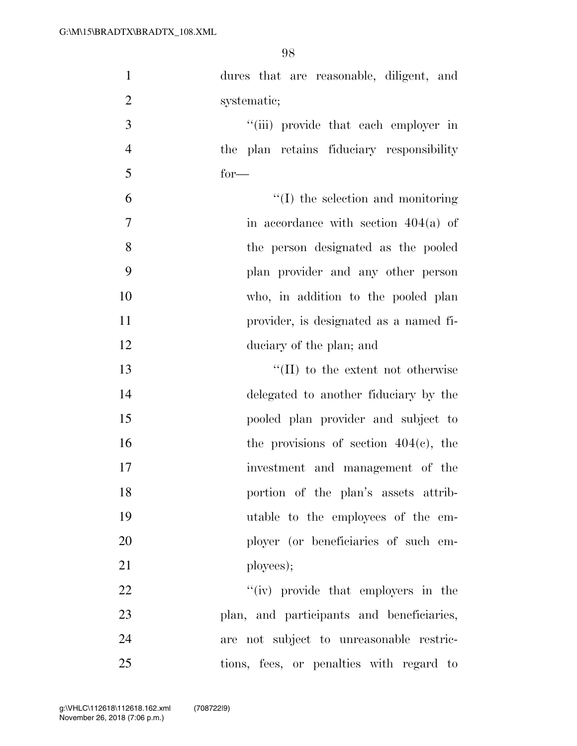| $\mathbf{1}$   | dures that are reasonable, diligent, and  |
|----------------|-------------------------------------------|
| $\overline{2}$ | systematic;                               |
| 3              | "(iii) provide that each employer in      |
| $\overline{4}$ | the plan retains fiduciary responsibility |
| 5              | $for-$                                    |
| 6              | $\lq\lq$ (I) the selection and monitoring |
| $\overline{7}$ | in accordance with section $404(a)$ of    |
| 8              | the person designated as the pooled       |
| 9              | plan provider and any other person        |
| 10             | who, in addition to the pooled plan       |
| 11             | provider, is designated as a named fi-    |
| 12             | duciary of the plan; and                  |
| 13             | $\lq\lq$ (II) to the extent not otherwise |
| 14             | delegated to another fiduciary by the     |
| 15             | pooled plan provider and subject to       |
| 16             | the provisions of section $404(c)$ , the  |
| 17             | investment and management of the          |
| 18             | portion of the plan's assets attrib-      |
| 19             | utable to the employees of the em-        |
| 20             | ployer (or beneficiaries of such em-      |
| 21             | ployees);                                 |
| 22             | "(iv) provide that employers in the       |
| 23             | plan, and participants and beneficiaries, |
| 24             | are not subject to unreasonable restric-  |
| 25             | tions, fees, or penalties with regard to  |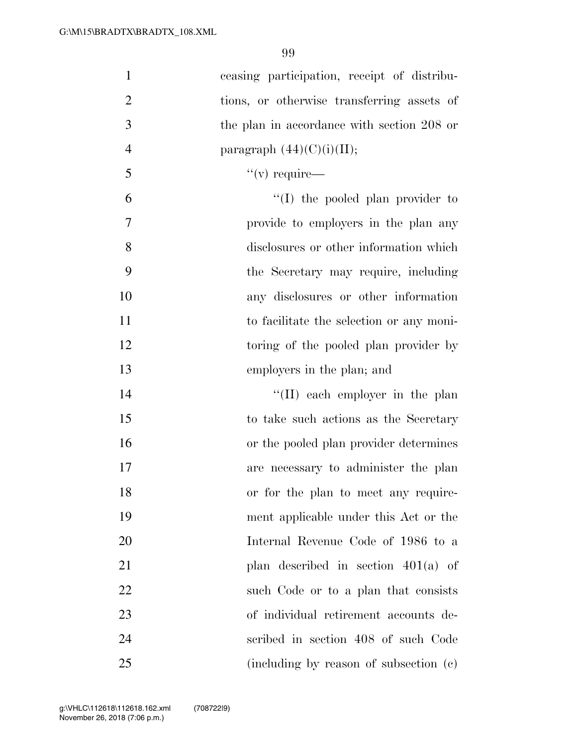| $\mathbf{1}$   | ceasing participation, receipt of distribu- |
|----------------|---------------------------------------------|
| $\overline{2}$ | tions, or otherwise transferring assets of  |
| 3              | the plan in accordance with section 208 or  |
| $\overline{4}$ | paragraph $(44)(C)(i)(II);$                 |
| 5              | $``(v)$ require—                            |
| 6              | $\lq\lq$ the pooled plan provider to        |
| 7              | provide to employers in the plan any        |
| 8              | disclosures or other information which      |
| 9              | the Secretary may require, including        |
| 10             | any disclosures or other information        |
| 11             | to facilitate the selection or any moni-    |
| 12             | toring of the pooled plan provider by       |
| 13             | employers in the plan; and                  |
| 14             | $\lq\lq$ (II) each employer in the plan     |
| 15             | to take such actions as the Secretary       |
| 16             | or the pooled plan provider determines      |
| 17             | are necessary to administer the plan        |
| 18             | or for the plan to meet any require-        |
| 19             | ment applicable under this Act or the       |
| 20             | Internal Revenue Code of 1986 to a          |
| 21             | plan described in section $401(a)$ of       |
| 22             | such Code or to a plan that consists        |
| 23             | of individual retirement accounts de-       |
| 24             | scribed in section 408 of such Code         |
| 25             | (including by reason of subsection (c)      |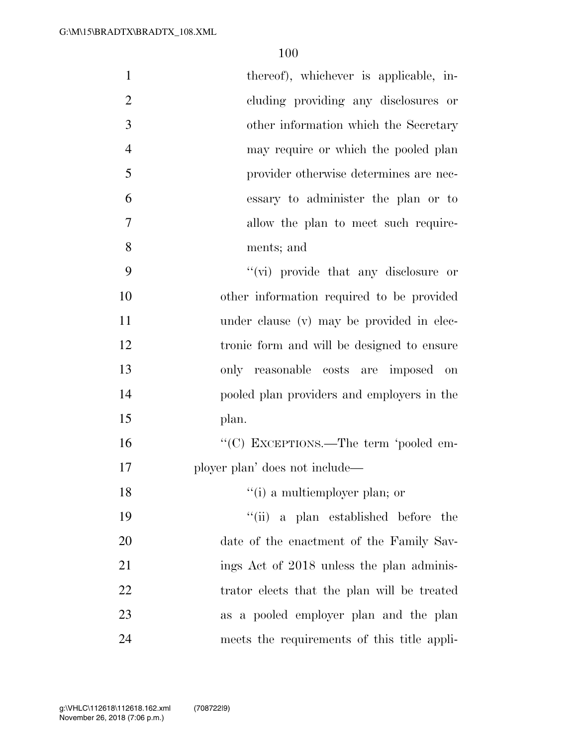| $\mathbf{1}$   | thereof), whichever is applicable, in-      |
|----------------|---------------------------------------------|
| $\overline{2}$ | cluding providing any disclosures or        |
| 3              | other information which the Secretary       |
| $\overline{4}$ | may require or which the pooled plan        |
| 5              | provider otherwise determines are nec-      |
| 6              | essary to administer the plan or to         |
| $\overline{7}$ | allow the plan to meet such require-        |
| 8              | ments; and                                  |
| 9              | "(vi) provide that any disclosure or        |
| 10             | other information required to be provided   |
| 11             | under clause (v) may be provided in elec-   |
| 12             | tronic form and will be designed to ensure  |
| 13             | only reasonable costs are imposed on        |
| 14             | pooled plan providers and employers in the  |
| 15             | plan.                                       |
| 16             | "(C) EXCEPTIONS.—The term 'pooled em-       |
| 17             | ployer plan' does not include—              |
| 18             | "(i) a multiemployer plan; or               |
| 19             | "(ii) a plan established before the         |
| 20             | date of the enactment of the Family Sav-    |
| 21             | ings Act of 2018 unless the plan adminis-   |
| 22             | trator elects that the plan will be treated |
| 23             | as a pooled employer plan and the plan      |
| 24             | meets the requirements of this title appli- |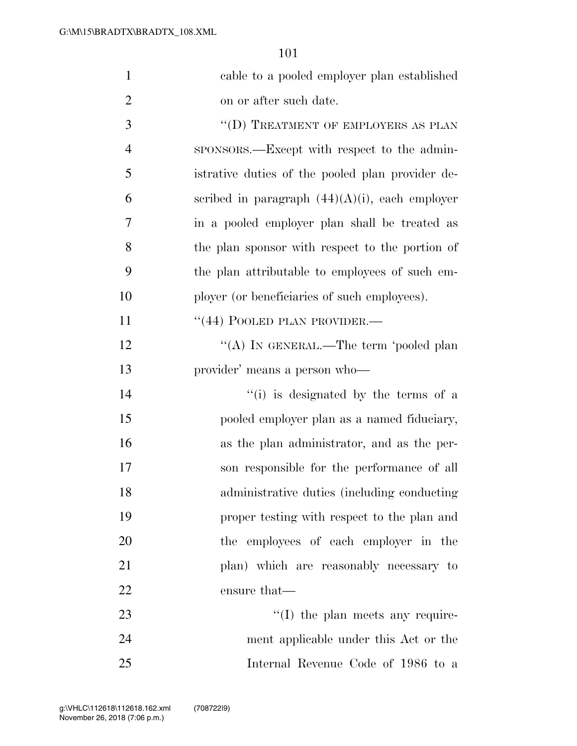| $\mathbf{1}$   | cable to a pooled employer plan established       |
|----------------|---------------------------------------------------|
| $\overline{2}$ | on or after such date.                            |
| 3              | "(D) TREATMENT OF EMPLOYERS AS PLAN               |
| 4              | sponsors.—Except with respect to the admin-       |
| 5              | istrative duties of the pooled plan provider de-  |
| 6              | scribed in paragraph $(44)(A)(i)$ , each employer |
| 7              | in a pooled employer plan shall be treated as     |
| 8              | the plan sponsor with respect to the portion of   |
| 9              | the plan attributable to employees of such em-    |
| 10             | ployer (or beneficiaries of such employees).      |
| 11             | "(44) POOLED PLAN PROVIDER.—                      |
| 12             | "(A) IN GENERAL.—The term 'pooled plan            |
| 13             | provider' means a person who-                     |
| 14             | "(i) is designated by the terms of a              |
| 15             | pooled employer plan as a named fiduciary,        |
| 16             | as the plan administrator, and as the per-        |
| 17             | son responsible for the performance of all        |
| 18             | administrative duties (including conducting       |
| 19             | proper testing with respect to the plan and       |
| 20             | the employees of each employer in the             |
| 21             | plan) which are reasonably necessary to           |
| 22             | ensure that—                                      |
| 23             | $\lq\lq$ (I) the plan meets any require-          |
| 24             | ment applicable under this Act or the             |
| 25             | Internal Revenue Code of 1986 to a                |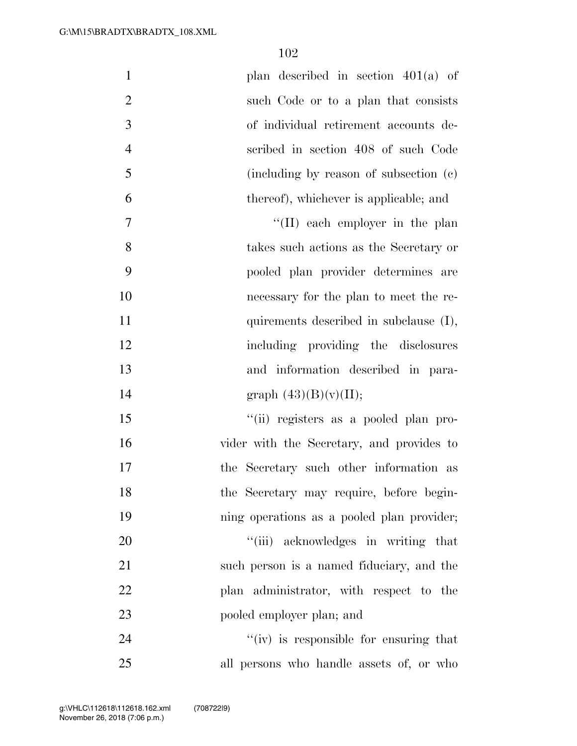| $\mathbf{1}$   | plan described in section $401(a)$ of      |
|----------------|--------------------------------------------|
| $\overline{2}$ | such Code or to a plan that consists       |
| 3              | of individual retirement accounts de-      |
| $\overline{4}$ | scribed in section 408 of such Code        |
| 5              | (including by reason of subsection (c)     |
| 6              | thereof), whichever is applicable; and     |
| 7              | $\lq\lq$ (II) each employer in the plan    |
| 8              | takes such actions as the Secretary or     |
| 9              | pooled plan provider determines are        |
| 10             | necessary for the plan to meet the re-     |
| 11             | quirements described in subclause (I),     |
| 12             | including providing the disclosures        |
| 13             | and information described in para-         |
| 14             | graph $(43)(B)(v)(II);$                    |
| 15             | "(ii) registers as a pooled plan pro-      |
| 16             | vider with the Secretary, and provides to  |
| 17             | the Secretary such other information as    |
| 18             | the Secretary may require, before begin-   |
| 19             | ning operations as a pooled plan provider; |
| 20             | "(iii) acknowledges in writing that        |
| 21             | such person is a named fiduciary, and the  |
| 22             | plan administrator, with respect to the    |
| 23             | pooled employer plan; and                  |
| 24             | "(iv) is responsible for ensuring that     |
| 25             | all persons who handle assets of, or who   |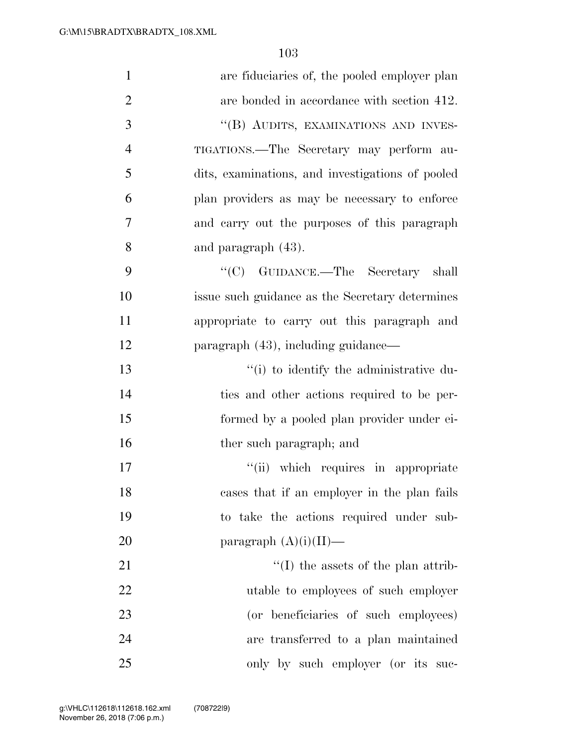| $\mathbf{1}$   | are fiduciaries of, the pooled employer plan     |
|----------------|--------------------------------------------------|
|                |                                                  |
| $\overline{2}$ | are bonded in accordance with section 412.       |
| 3              | "(B) AUDITS, EXAMINATIONS AND INVES-             |
| $\overline{4}$ | TIGATIONS.—The Secretary may perform au-         |
| 5              | dits, examinations, and investigations of pooled |
| 6              | plan providers as may be necessary to enforce    |
| 7              | and carry out the purposes of this paragraph     |
| 8              | and paragraph $(43)$ .                           |
| 9              | "(C) GUIDANCE.—The Secretary shall               |
| 10             | issue such guidance as the Secretary determines  |
| 11             | appropriate to carry out this paragraph and      |
| 12             | paragraph (43), including guidance—              |
| 13             | "(i) to identify the administrative du-          |
| 14             | ties and other actions required to be per-       |
| 15             | formed by a pooled plan provider under ei-       |
| 16             | ther such paragraph; and                         |
| 17             | "(ii) which requires in appropriate              |
| 18             | cases that if an employer in the plan fails      |
| 19             | to take the actions required under sub-          |
| 20             | paragraph $(A)(i)(II)$ —                         |
| 21             | $\lq (I)$ the assets of the plan attrib-         |
| 22             | utable to employees of such employer             |
| 23             | (or beneficiaries of such employees)             |
| 24             | are transferred to a plan maintained             |
| 25             | only by such employer (or its suc-               |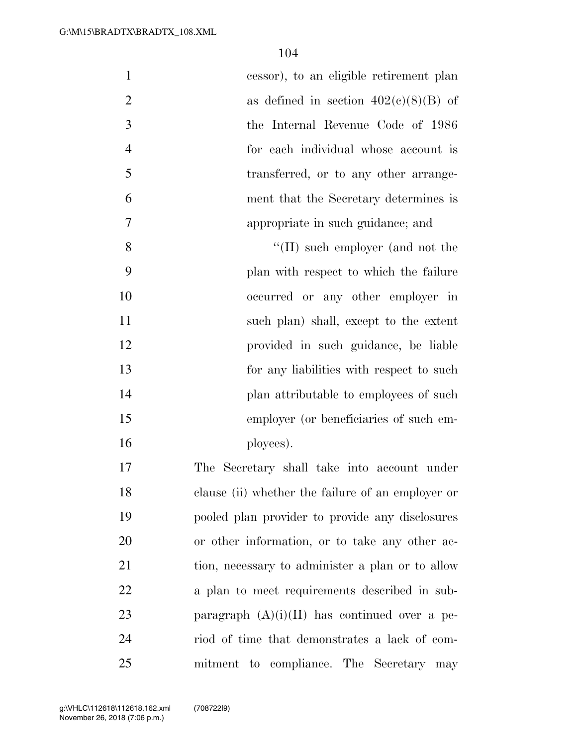| $\mathbf{1}$   | cessor), to an eligible retirement plan           |
|----------------|---------------------------------------------------|
| $\overline{2}$ | as defined in section $402(c)(8)(B)$ of           |
| 3              | the Internal Revenue Code of 1986                 |
| $\overline{4}$ | for each individual whose account is              |
| 5              | transferred, or to any other arrange-             |
| 6              | ment that the Secretary determines is             |
| $\overline{7}$ | appropriate in such guidance; and                 |
| 8              | $\lq\lq$ (II) such employer (and not the          |
| 9              | plan with respect to which the failure            |
| 10             | occurred or any other employer in                 |
| 11             | such plan) shall, except to the extent            |
| 12             | provided in such guidance, be liable              |
| 13             | for any liabilities with respect to such          |
| 14             | plan attributable to employees of such            |
| 15             | employer (or beneficiaries of such em-            |
| 16             | ployees).                                         |
| 17             | The Secretary shall take into account under       |
| 18             | clause (ii) whether the failure of an employer or |
| 19             | pooled plan provider to provide any disclosures   |
| 20             | or other information, or to take any other ac-    |
| 21             | tion, necessary to administer a plan or to allow  |
| 22             | a plan to meet requirements described in sub-     |
| 23             | paragraph $(A)(i)(II)$ has continued over a pe-   |
| 24             | riod of time that demonstrates a lack of com-     |
| 25             | mitment to compliance. The Secretary may          |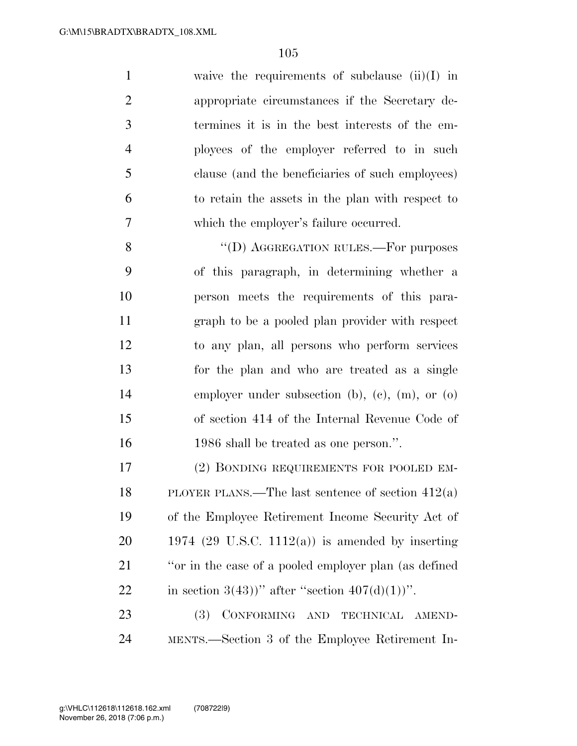waive the requirements of subclause (ii)(I) in appropriate circumstances if the Secretary de- termines it is in the best interests of the em- ployees of the employer referred to in such clause (and the beneficiaries of such employees) to retain the assets in the plan with respect to which the employer's failure occurred.

8 "(D) AGGREGATION RULES.—For purposes of this paragraph, in determining whether a person meets the requirements of this para- graph to be a pooled plan provider with respect to any plan, all persons who perform services for the plan and who are treated as a single employer under subsection (b), (c), (m), or (o) of section 414 of the Internal Revenue Code of 1986 shall be treated as one person.''.

 (2) BONDING REQUIREMENTS FOR POOLED EM- PLOYER PLANS.—The last sentence of section 412(a) of the Employee Retirement Income Security Act of  $20 \qquad 1974 \text{ (29 U.S.C. } 1112(a))$  is amended by inserting ''or in the case of a pooled employer plan (as defined 22 in section  $3(43)$ )" after "section  $407(d)(1)$ )".

23 (3) CONFORMING AND TECHNICAL AMEND-MENTS.—Section 3 of the Employee Retirement In-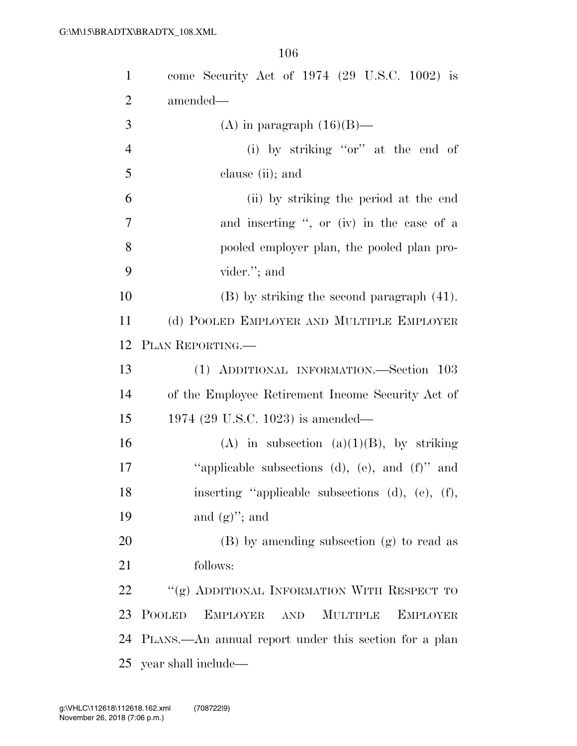| $\mathbf{1}$   | come Security Act of $1974$ (29 U.S.C. 1002) is                                                |
|----------------|------------------------------------------------------------------------------------------------|
| $\overline{2}$ | amended—                                                                                       |
| 3              | (A) in paragraph $(16)(B)$ —                                                                   |
| $\overline{4}$ | (i) by striking "or" at the end of                                                             |
| 5              | clause (ii); and                                                                               |
| 6              | (ii) by striking the period at the end                                                         |
| $\overline{7}$ | and inserting ", or (iv) in the case of a                                                      |
| 8              | pooled employer plan, the pooled plan pro-                                                     |
| 9              | vider."; and                                                                                   |
| 10             | $(B)$ by striking the second paragraph $(41)$ .                                                |
| 11             | (d) POOLED EMPLOYER AND MULTIPLE EMPLOYER                                                      |
| 12             | PLAN REPORTING.                                                                                |
| 13             | (1) ADDITIONAL INFORMATION.—Section 103                                                        |
| 14             | of the Employee Retirement Income Security Act of                                              |
| 15             | 1974 (29 U.S.C. 1023) is amended—                                                              |
| 16             | (A) in subsection (a)(1)(B), by striking                                                       |
| 17             | "applicable subsections (d), (e), and $(f)$ " and                                              |
| 18             | inserting "applicable subsections (d), (e), (f),                                               |
| 19             | and $(g)$ "; and                                                                               |
| 20             | (B) by amending subsection (g) to read as                                                      |
| 21             | follows:                                                                                       |
| 22             | "(g) ADDITIONAL INFORMATION WITH RESPECT TO                                                    |
| 23             | <b>POOLED</b><br><b>EMPLOYER</b><br><b>MULTIPLE</b><br><b>EMPLOYER</b><br>$\operatorname{AND}$ |
| 24             | PLANS.—An annual report under this section for a plan                                          |
| 25             | year shall include—                                                                            |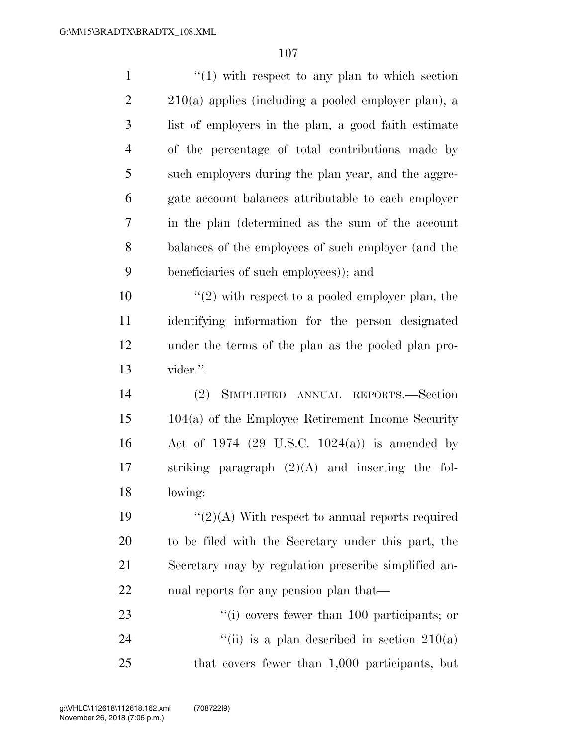| $\mathbf{1}$   | $\lq(1)$ with respect to any plan to which section       |
|----------------|----------------------------------------------------------|
| $\overline{2}$ | $210(a)$ applies (including a pooled employer plan), a   |
| 3              | list of employers in the plan, a good faith estimate     |
| $\overline{4}$ | of the percentage of total contributions made by         |
| 5              | such employers during the plan year, and the aggre-      |
| 6              | gate account balances attributable to each employer      |
| 7              | in the plan (determined as the sum of the account        |
| 8              | balances of the employees of such employer (and the      |
| 9              | beneficiaries of such employees)); and                   |
| 10             | $\lq(2)$ with respect to a pooled employer plan, the     |
| 11             | identifying information for the person designated        |
| 12             | under the terms of the plan as the pooled plan pro-      |
| 13             | vider.".                                                 |
| 14             | (2)<br>SIMPLIFIED ANNUAL REPORTS.—Section                |
| 15             | $104(a)$ of the Employee Retirement Income Security      |
| 16             | Act of 1974 $(29 \text{ U.S.C. } 1024(a))$ is amended by |
| 17             | striking paragraph $(2)(A)$ and inserting the fol-       |
| 18             | lowing:                                                  |
| 19             | " $(2)(A)$ With respect to annual reports required       |
| 20             | to be filed with the Secretary under this part, the      |
| 21             | Secretary may by regulation prescribe simplified an-     |
| 22             | nual reports for any pension plan that—                  |
| 23             | $\lq\lq$ (i) covers fewer than 100 participants; or      |
| 24             | "(ii) is a plan described in section $210(a)$            |
| 25             | that covers fewer than 1,000 participants, but           |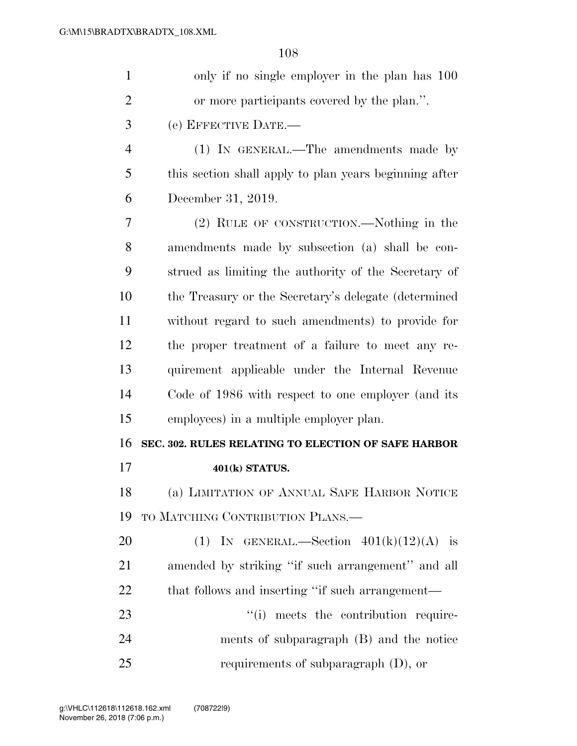| $\mathbf{1}$   | only if no single employer in the plan has 100         |
|----------------|--------------------------------------------------------|
| $\overline{2}$ | or more participants covered by the plan.".            |
| 3              | (e) EFFECTIVE DATE.-                                   |
| $\overline{4}$ | (1) IN GENERAL.—The amendments made by                 |
| 5              | this section shall apply to plan years beginning after |
| 6              | December 31, 2019.                                     |
| 7              | (2) RULE OF CONSTRUCTION.—Nothing in the               |
| 8              | amendments made by subsection (a) shall be con-        |
| 9              | strued as limiting the authority of the Secretary of   |
| 10             | the Treasury or the Secretary's delegate (determined   |
| 11             | without regard to such amendments) to provide for      |
| 12             | the proper treatment of a failure to meet any re-      |
| 13             | quirement applicable under the Internal Revenue        |
| 14             | Code of 1986 with respect to one employer (and its     |
| 15             | employees) in a multiple employer plan.                |
| 16             | SEC. 302. RULES RELATING TO ELECTION OF SAFE HARBOR    |
| 17             | 401(k) STATUS.                                         |
| 18             | (a) LIMITATION OF ANNUAL SAFE HARBOR NOTICE            |
| 19             | TO MATCHING CONTRIBUTION PLANS.—                       |
| 20             | (1) IN GENERAL.—Section $401(k)(12)(A)$ is             |
| 21             | amended by striking "if such arrangement" and all      |
| 22             | that follows and inserting "if such arrangement—       |
| 23             | "(i) meets the contribution require-                   |
| 24             | ments of subparagraph (B) and the notice               |
| 25             | requirements of subparagraph $(D)$ , or                |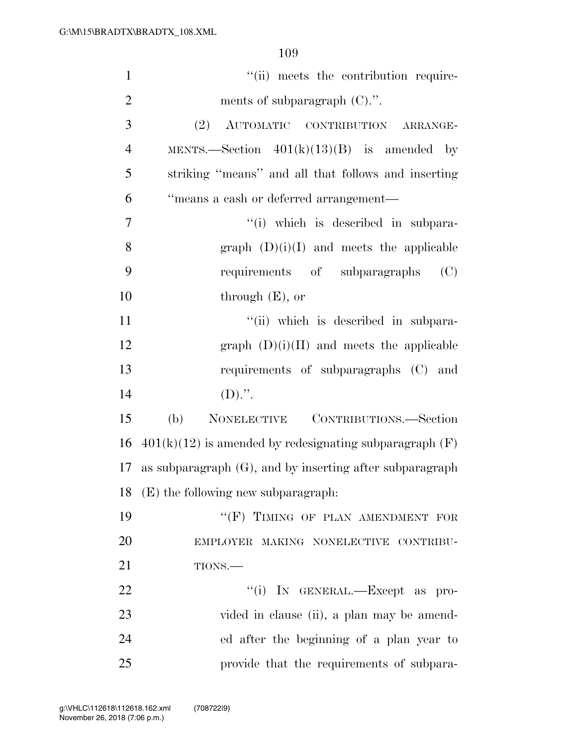| $\mathbf{1}$   | "(ii) meets the contribution require-                       |
|----------------|-------------------------------------------------------------|
| $\overline{2}$ | ments of subparagraph (C).".                                |
| 3              | (2) AUTOMATIC CONTRIBUTION ARRANGE-                         |
| $\overline{4}$ | MENTS.—Section $401(k)(13)(B)$ is amended by                |
| 5              | striking "means" and all that follows and inserting         |
| 6              | "means a cash or deferred arrangement-                      |
| 7              | "(i) which is described in subpara-                         |
| 8              | graph $(D)(i)(I)$ and meets the applicable                  |
| 9              | requirements of subparagraphs<br>(C)                        |
| 10             | through $(E)$ , or                                          |
| 11             | "(ii) which is described in subpara-                        |
| 12             | graph $(D)(i)(II)$ and meets the applicable                 |
| 13             | requirements of subparagraphs (C) and                       |
| 14             | $(D)$ .".                                                   |
| 15             | (b)<br>NONELECTIVE CONTRIBUTIONS.—Section                   |
| 16             | $401(k)(12)$ is amended by redesignating subparagraph (F)   |
| 17             | as subparagraph $(G)$ , and by inserting after subparagraph |
|                | 18 (E) the following new subparagraph:                      |
| 19             | "(F) TIMING OF PLAN AMENDMENT FOR                           |
| 20             | EMPLOYER MAKING NONELECTIVE CONTRIBU-                       |
| 21             | TIONS.                                                      |
| 22             | "(i) IN GENERAL.—Except as pro-                             |
| 23             | vided in clause (ii), a plan may be amend-                  |
| 24             | ed after the beginning of a plan year to                    |
| 25             | provide that the requirements of subpara-                   |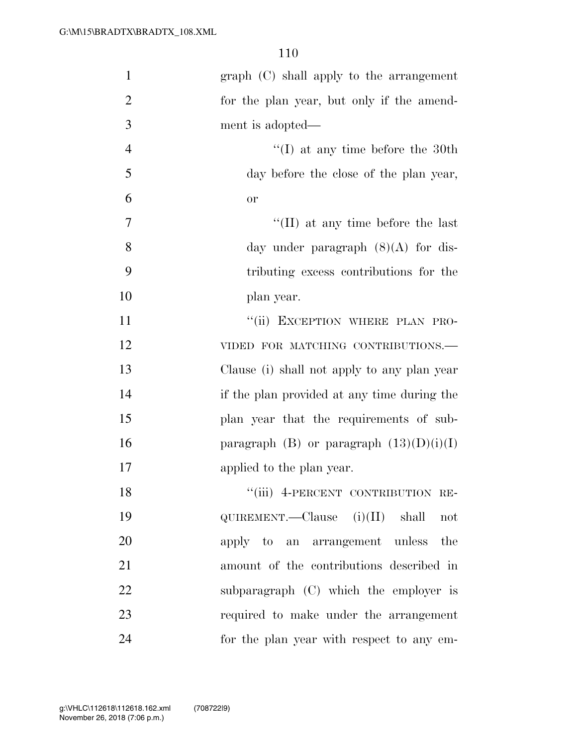| $\mathbf{1}$   | graph (C) shall apply to the arrangement         |
|----------------|--------------------------------------------------|
|                |                                                  |
| $\overline{2}$ | for the plan year, but only if the amend-        |
| 3              | ment is adopted—                                 |
| $\overline{4}$ | $\lq\lq$ (I) at any time before the 30th         |
| 5              | day before the close of the plan year,           |
| 6              | or                                               |
| 7              | $\lq\lq$ (II) at any time before the last        |
| 8              | day under paragraph $(8)(A)$ for dis-            |
| 9              | tributing excess contributions for the           |
| 10             | plan year.                                       |
| 11             | "(ii) EXCEPTION WHERE PLAN PRO-                  |
| 12             | VIDED FOR MATCHING CONTRIBUTIONS.-               |
| 13             | Clause (i) shall not apply to any plan year      |
| 14             | if the plan provided at any time during the      |
| 15             | plan year that the requirements of sub-          |
| 16             | paragraph (B) or paragraph $(13)(D)(i)(I)$       |
| 17             | applied to the plan year.                        |
| 18             | "(iii) 4-PERCENT CONTRIBUTION RE-                |
| 19             | $\text{QUIREMENT.}$ -Clause (i)(II) shall<br>not |
| 20             | apply to an arrangement unless the               |
| 21             | amount of the contributions described in         |
| 22             | subparagraph (C) which the employer is           |
| 23             | required to make under the arrangement           |
| 24             | for the plan year with respect to any em-        |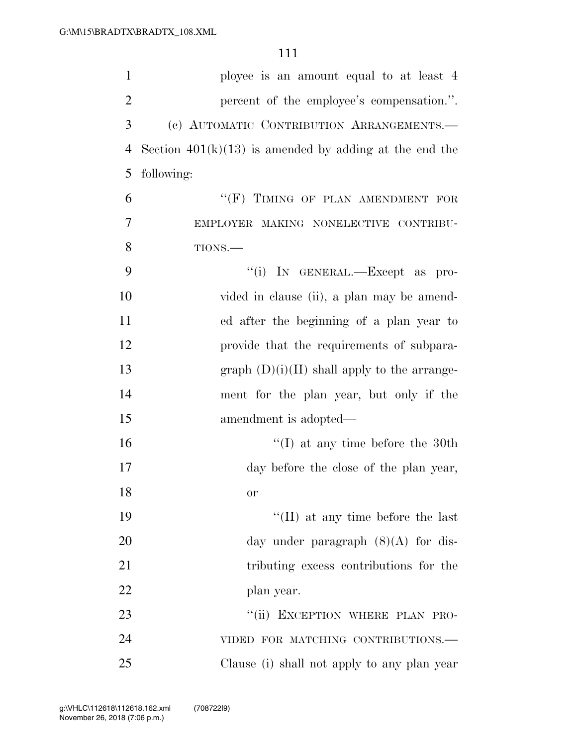| $\mathbf{1}$   | ployee is an amount equal to at least 4                  |
|----------------|----------------------------------------------------------|
| $\overline{2}$ | percent of the employee's compensation.".                |
| 3              | (c) AUTOMATIC CONTRIBUTION ARRANGEMENTS.                 |
| $\overline{4}$ | Section $401(k)(13)$ is amended by adding at the end the |
| 5              | following:                                               |
| 6              | "(F) TIMING OF PLAN AMENDMENT FOR                        |
| 7              | EMPLOYER MAKING NONELECTIVE CONTRIBU-                    |
| 8              | TIONS.                                                   |
| 9              | "(i) IN GENERAL.—Except as pro-                          |
| 10             | vided in clause (ii), a plan may be amend-               |
| 11             | ed after the beginning of a plan year to                 |
| 12             | provide that the requirements of subpara-                |
| 13             | graph $(D)(i)(II)$ shall apply to the arrange-           |
| 14             | ment for the plan year, but only if the                  |
| 15             | amendment is adopted—                                    |
| 16             | $\lq(1)$ at any time before the 30th                     |
| 17             | day before the close of the plan year,                   |
| 18             | or                                                       |
| 19             | $\lq\lq$ (II) at any time before the last                |
| 20             | day under paragraph $(8)(A)$ for dis-                    |
| 21             | tributing excess contributions for the                   |
| 22             | plan year.                                               |
| 23             | "(ii) EXCEPTION WHERE PLAN PRO-                          |
| 24             | VIDED FOR MATCHING CONTRIBUTIONS.-                       |
| 25             | Clause (i) shall not apply to any plan year              |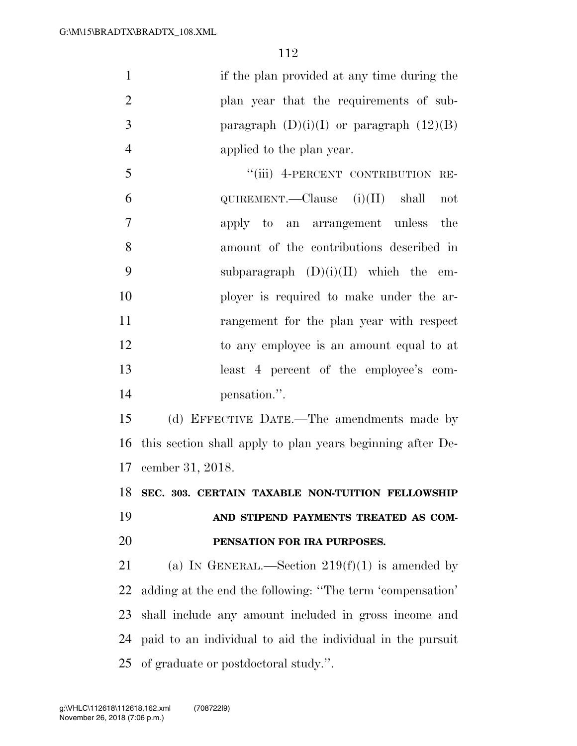| $\mathbf{1}$   | if the plan provided at any time during the                |
|----------------|------------------------------------------------------------|
| $\overline{2}$ | plan year that the requirements of sub-                    |
| 3              | paragraph $(D)(i)(I)$ or paragraph $(12)(B)$               |
| $\overline{4}$ | applied to the plan year.                                  |
| 5              | "(iii) 4-PERCENT CONTRIBUTION RE-                          |
| 6              | QUIREMENT.—Clause $(i)(II)$ shall<br>not                   |
| $\tau$         | apply to an arrangement unless<br>the                      |
| 8              | amount of the contributions described in                   |
| 9              | subparagraph $(D)(i)(II)$ which the<br>em-                 |
| 10             | ployer is required to make under the ar-                   |
| 11             | rangement for the plan year with respect                   |
| 12             | to any employee is an amount equal to at                   |
| 13             | least 4 percent of the employee's com-                     |
|                |                                                            |
| 14             | pensation.".                                               |
| 15             | (d) EFFECTIVE DATE.—The amendments made by                 |
| 16             | this section shall apply to plan years beginning after De- |
|                | 17 cember 31, 2018.                                        |
|                | 18 SEC. 303. CERTAIN TAXABLE NON-TUITION FELLOWSHIP        |
| 19             | AND STIPEND PAYMENTS TREATED AS COM-                       |
| 20             | PENSATION FOR IRA PURPOSES.                                |
| 21             | (a) IN GENERAL.—Section $219(f)(1)$ is amended by          |
| 22             | adding at the end the following: "The term 'compensation'  |
| 23             | shall include any amount included in gross income and      |

of graduate or postdoctoral study.''.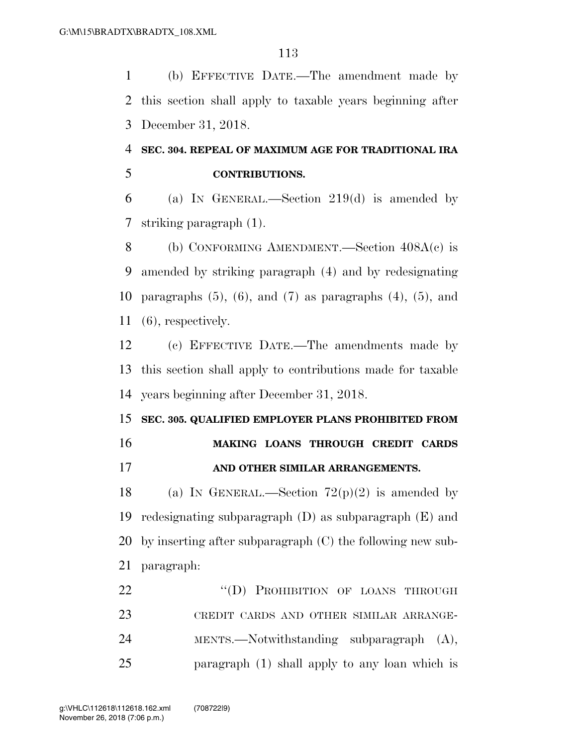(b) EFFECTIVE DATE.—The amendment made by this section shall apply to taxable years beginning after December 31, 2018.

## **SEC. 304. REPEAL OF MAXIMUM AGE FOR TRADITIONAL IRA CONTRIBUTIONS.**

 (a) IN GENERAL.—Section 219(d) is amended by striking paragraph (1).

8 (b) CONFORMING AMENDMENT.—Section  $408A(c)$  is amended by striking paragraph (4) and by redesignating 10 paragraphs  $(5)$ ,  $(6)$ , and  $(7)$  as paragraphs  $(4)$ ,  $(5)$ , and (6), respectively.

 (c) EFFECTIVE DATE.—The amendments made by this section shall apply to contributions made for taxable years beginning after December 31, 2018.

## **SEC. 305. QUALIFIED EMPLOYER PLANS PROHIBITED FROM**

- **MAKING LOANS THROUGH CREDIT CARDS**
- **AND OTHER SIMILAR ARRANGEMENTS.**

18 (a) IN GENERAL.—Section  $72(p)(2)$  is amended by redesignating subparagraph (D) as subparagraph (E) and by inserting after subparagraph (C) the following new sub-paragraph:

22 "(D) PROHIBITION OF LOANS THROUGH CREDIT CARDS AND OTHER SIMILAR ARRANGE- MENTS.—Notwithstanding subparagraph (A), paragraph (1) shall apply to any loan which is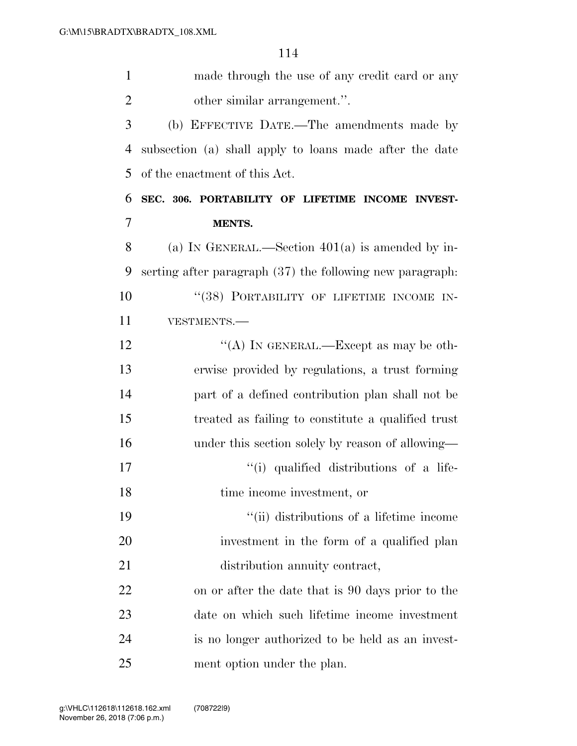| $\mathbf{1}$   | made through the use of any credit card or any              |
|----------------|-------------------------------------------------------------|
| $\overline{2}$ | other similar arrangement.".                                |
| 3              | (b) EFFECTIVE DATE.—The amendments made by                  |
| $\overline{4}$ | subsection (a) shall apply to loans made after the date     |
| 5              | of the enactment of this Act.                               |
| 6              | SEC. 306. PORTABILITY OF LIFETIME INCOME INVEST-            |
| 7              | <b>MENTS.</b>                                               |
| 8              | (a) IN GENERAL.—Section $401(a)$ is amended by in-          |
| 9              | serting after paragraph $(37)$ the following new paragraph. |
| 10             | "(38) PORTABILITY OF LIFETIME INCOME IN-                    |
| 11             | VESTMENTS.-                                                 |
| 12             | "(A) IN GENERAL.—Except as may be oth-                      |
| 13             | erwise provided by regulations, a trust forming             |
| 14             | part of a defined contribution plan shall not be            |
| 15             | treated as failing to constitute a qualified trust          |
| 16             | under this section solely by reason of allowing—            |
| 17             | "(i) qualified distributions of a life-                     |
| 18             | time income investment, or                                  |
| 19             | "(ii) distributions of a lifetime income                    |
| 20             | investment in the form of a qualified plan                  |
| 21             | distribution annuity contract,                              |
| 22             | on or after the date that is 90 days prior to the           |
| 23             | date on which such lifetime income investment               |
| 24             | is no longer authorized to be held as an invest-            |
| 25             | ment option under the plan.                                 |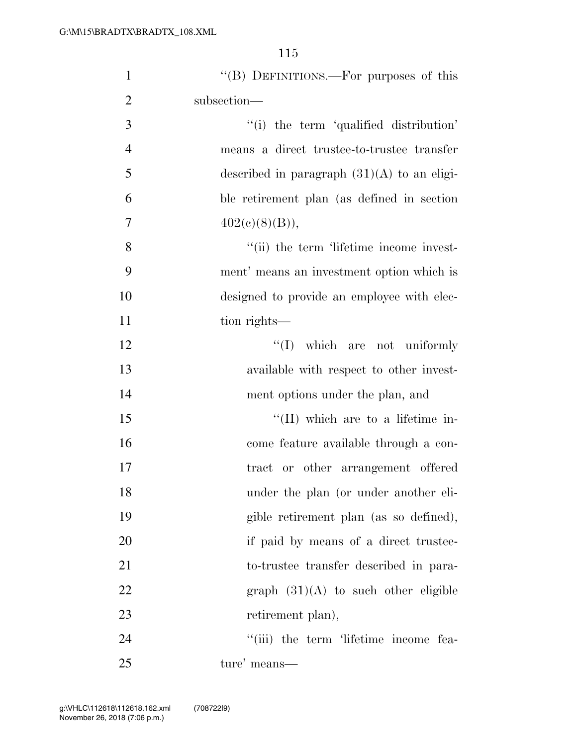| $\mathbf{1}$   | "(B) DEFINITIONS.—For purposes of this        |
|----------------|-----------------------------------------------|
| $\overline{2}$ | subsection—                                   |
| 3              | "(i) the term 'qualified distribution'        |
| $\overline{4}$ | means a direct trustee-to-trustee transfer    |
| 5              | described in paragraph $(31)(A)$ to an eligi- |
| 6              | ble retirement plan (as defined in section    |
| $\overline{7}$ | 402(c)(8)(B)),                                |
| $8\,$          | "(ii) the term 'lifetime income invest-       |
| 9              | ment' means an investment option which is     |
| 10             | designed to provide an employee with elec-    |
| 11             | tion rights—                                  |
| 12             | $\lq\lq$ (I) which are not uniformly          |
| 13             | available with respect to other invest-       |
| 14             | ment options under the plan, and              |
| 15             | $\lq\lq$ (II) which are to a lifetime in-     |
| 16             | come feature available through a con-         |
| 17             | tract or other arrangement offered            |
| 18             | under the plan (or under another eli-         |
| 19             | gible retirement plan (as so defined),        |
| 20             | if paid by means of a direct trustee-         |
| 21             | to-trustee transfer described in para-        |
| 22             | graph $(31)(A)$ to such other eligible        |
| 23             | retirement plan),                             |
| 24             | "(iii) the term 'lifetime income fea-         |
| 25             | ture' means—                                  |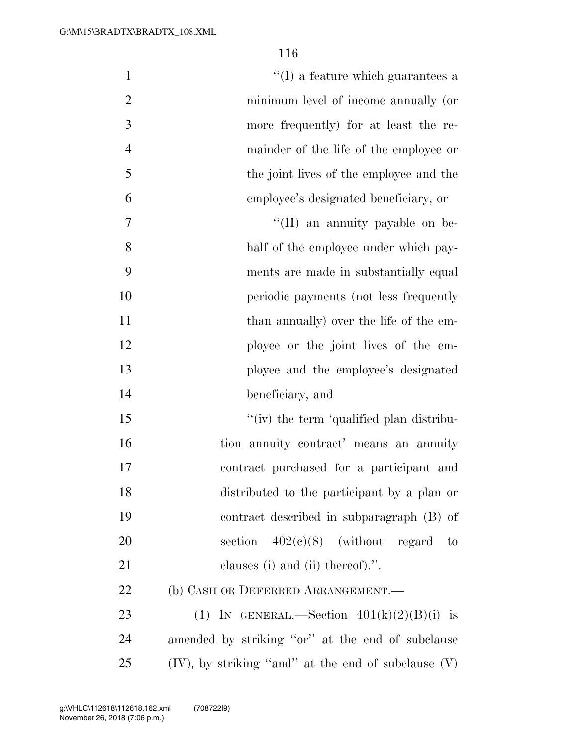| $\mathbf{1}$   | $\lq\lq$ (I) a feature which guarantees a                |
|----------------|----------------------------------------------------------|
| $\overline{2}$ | minimum level of income annually (or                     |
| 3              | more frequently) for at least the re-                    |
| $\overline{4}$ | mainder of the life of the employee or                   |
| 5              | the joint lives of the employee and the                  |
| 6              | employee's designated beneficiary, or                    |
| $\tau$         | "(II) an annuity payable on be-                          |
| 8              | half of the employee under which pay-                    |
| 9              | ments are made in substantially equal                    |
| 10             | periodic payments (not less frequently                   |
| 11             | than annually) over the life of the em-                  |
| 12             | ployee or the joint lives of the em-                     |
| 13             | ployee and the employee's designated                     |
| 14             | beneficiary, and                                         |
| 15             | "(iv) the term 'qualified plan distribu-                 |
| 16             | tion annuity contract' means an annuity                  |
| 17             | contract purchased for a participant and                 |
| 18             | distributed to the participant by a plan or              |
| 19             | contract described in subparagraph (B) of                |
| 20             | section $402(e)(8)$ (without regard<br>$\sim$ to         |
| 21             | clauses (i) and (ii) thereof).".                         |
| 22             | (b) CASH OR DEFERRED ARRANGEMENT.                        |
| 23             | (1) IN GENERAL.—Section $401(k)(2)(B)(i)$ is             |
| 24             | amended by striking "or" at the end of subclause         |
| 25             | $(IV)$ , by striking "and" at the end of subclause $(V)$ |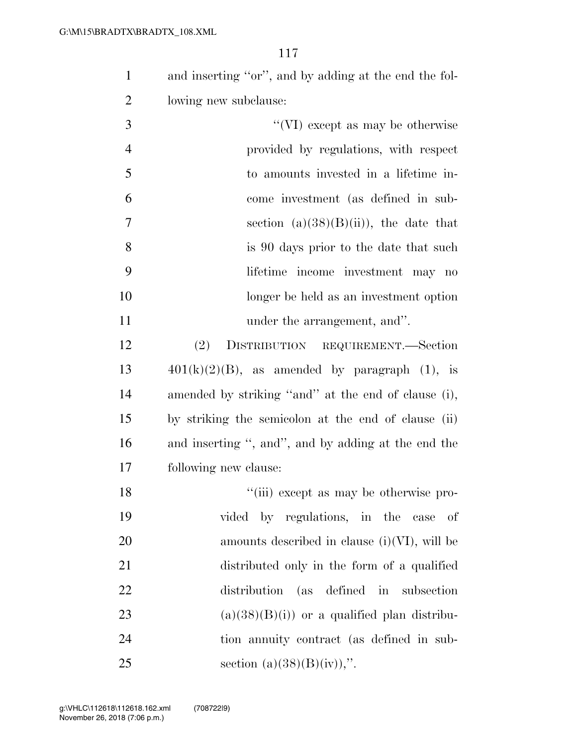and inserting ''or'', and by adding at the end the fol-lowing new subclause:

| 3              | "(VI) except as may be otherwise         |
|----------------|------------------------------------------|
| $\overline{4}$ | provided by regulations, with respect    |
| 5              | to amounts invested in a lifetime in-    |
| 6              | come investment (as defined in sub-      |
| $\overline{7}$ | section $(a)(38)(B)(ii)$ , the date that |
| 8              | is 90 days prior to the date that such   |
| 9              | lifetime income investment may no        |
| 10             | longer be held as an investment option   |
| 11             | under the arrangement, and".             |

 (2) DISTRIBUTION REQUIREMENT.—Section  $401(k)(2)(B)$ , as amended by paragraph (1), is amended by striking ''and'' at the end of clause (i), by striking the semicolon at the end of clause (ii) and inserting '', and'', and by adding at the end the following new clause:

18 ''(iii) except as may be otherwise pro- vided by regulations, in the case of amounts described in clause (i)(VI), will be distributed only in the form of a qualified distribution (as defined in subsection 23 (a) $(38)(B)(i)$  or a qualified plan distribu- tion annuity contract (as defined in sub-25 section (a)(38)(B)(iv)),".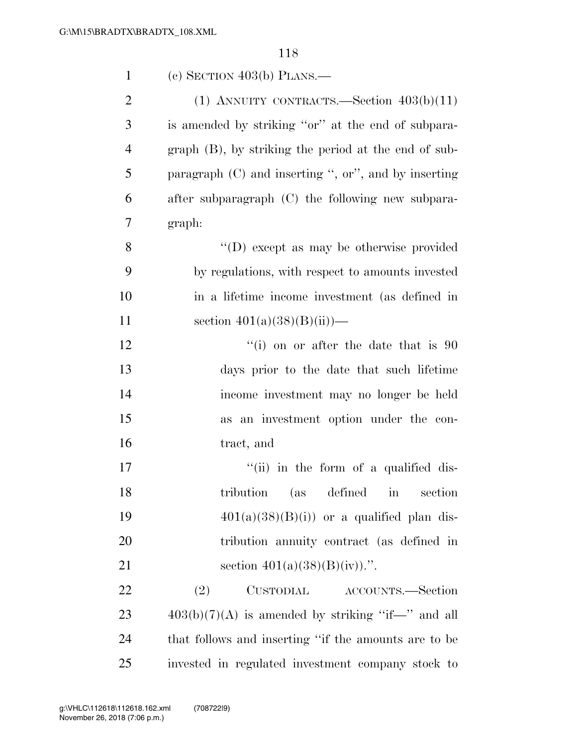| $\mathbf{1}$   | (c) SECTION $403(b)$ PLANS.—                            |
|----------------|---------------------------------------------------------|
| $\overline{2}$ | (1) ANNUITY CONTRACTS.—Section $403(b)(11)$             |
| 3              | is amended by striking "or" at the end of subpara-      |
| $\overline{4}$ | $graph$ (B), by striking the period at the end of sub-  |
| 5              | paragraph $(C)$ and inserting ", or", and by inserting  |
| 6              | after subparagraph (C) the following new subpara-       |
| 7              | graph:                                                  |
| 8              | "(D) except as may be otherwise provided                |
| 9              | by regulations, with respect to amounts invested        |
| 10             | in a lifetime income investment (as defined in          |
| 11             | section $401(a)(38)(B(ii))$ —                           |
| 12             | $f'(i)$ on or after the date that is 90                 |
| 13             | days prior to the date that such lifetime               |
| 14             | income investment may no longer be held                 |
| 15             | as an investment option under the con-                  |
| 16             | tract, and                                              |
| 17             | "(ii) in the form of a qualified dis-                   |
| 18             | tribution (as defined<br>section<br>$\operatorname{in}$ |
| 19             | $401(a)(38)(B(i))$ or a qualified plan dis-             |
| 20             | tribution annuity contract (as defined in               |
| 21             | section $401(a)(38)(B)(iv)$ .".                         |
| 22             | (2)<br>CUSTODIAL ACCOUNTS.—Section                      |
| 23             | $403(b)(7)(A)$ is amended by striking "if—" and all     |
| 24             | that follows and inserting "if the amounts are to be    |
| 25             | invested in regulated investment company stock to       |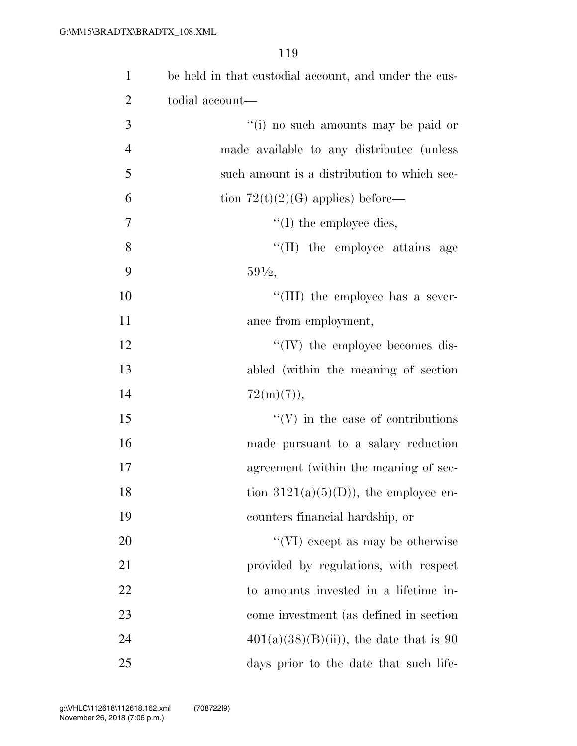| $\mathbf{1}$   | be held in that custodial account, and under the cus- |
|----------------|-------------------------------------------------------|
| $\overline{2}$ | todial account—                                       |
| 3              | "(i) no such amounts may be paid or                   |
| $\overline{4}$ | made available to any distribute (unless              |
| 5              | such amount is a distribution to which sec-           |
| 6              | tion $72(t)(2)(G)$ applies) before—                   |
| 7              | $\lq\lq$ (I) the employee dies,                       |
| 8              | "(II) the employee attains age                        |
| 9              | $59\frac{1}{2}$                                       |
| 10             | "(III) the employee has a sever-                      |
| 11             | ance from employment,                                 |
| 12             | $\lq\lq (IV)$ the employee becomes dis-               |
| 13             | abled (within the meaning of section)                 |
| 14             | $72(m)(7)$ ,                                          |
| 15             | $\lq\lq(V)$ in the case of contributions              |
| 16             | made pursuant to a salary reduction                   |
| 17             | agreement (within the meaning of sec-                 |
| 18             | tion $3121(a)(5)(D)$ , the employee en-               |
| 19             | counters financial hardship, or                       |
| 20             | "(VI) except as may be otherwise                      |
| 21             | provided by regulations, with respect                 |
| 22             | to amounts invested in a lifetime in-                 |
| 23             | come investment (as defined in section                |
| 24             | $401(a)(38)(B(ii))$ , the date that is 90             |
| 25             | days prior to the date that such life-                |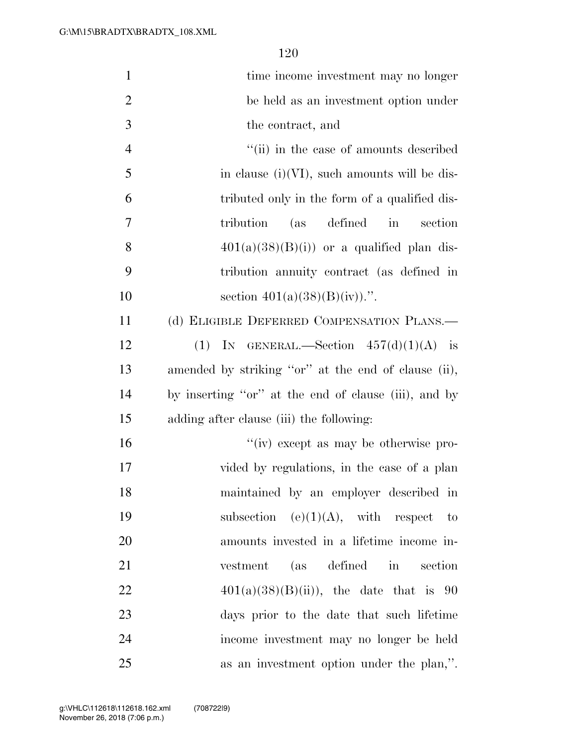| $\mathbf{1}$   | time income investment may no longer                       |
|----------------|------------------------------------------------------------|
| $\overline{2}$ | be held as an investment option under                      |
| 3              | the contract, and                                          |
| $\overline{4}$ | "(ii) in the case of amounts described                     |
| 5              | in clause $(i)(VI)$ , such amounts will be dis-            |
| 6              | tributed only in the form of a qualified dis-              |
| 7              | (as defined<br>tribution<br>$\operatorname{in}$<br>section |
| 8              | $401(a)(38)(B(i))$ or a qualified plan dis-                |
| 9              | tribution annuity contract (as defined in                  |
| 10             | section $401(a)(38)(B)(iv)$ .".                            |
| 11             | (d) ELIGIBLE DEFERRED COMPENSATION PLANS.—                 |
| 12             | (1) IN GENERAL.—Section $457(d)(1)(A)$ is                  |
| 13             | amended by striking "or" at the end of clause (ii),        |
| 14             | by inserting "or" at the end of clause (iii), and by       |
| 15             | adding after clause (iii) the following:                   |
| 16             | "(iv) except as may be otherwise pro-                      |
| 17             | vided by regulations, in the case of a plan                |
| 18             | maintained by an employer described in                     |
| 19             | subsection (e) $(1)(A)$ , with respect to                  |
| 20             | amounts invested in a lifetime income in-                  |
| 21             | (as defined<br>in section<br>vestment                      |
| <u>22</u>      | $401(a)(38)(B(ii))$ , the date that is 90                  |
| 23             | days prior to the date that such lifetime                  |
| 24             | income investment may no longer be held                    |
| 25             | as an investment option under the plan,".                  |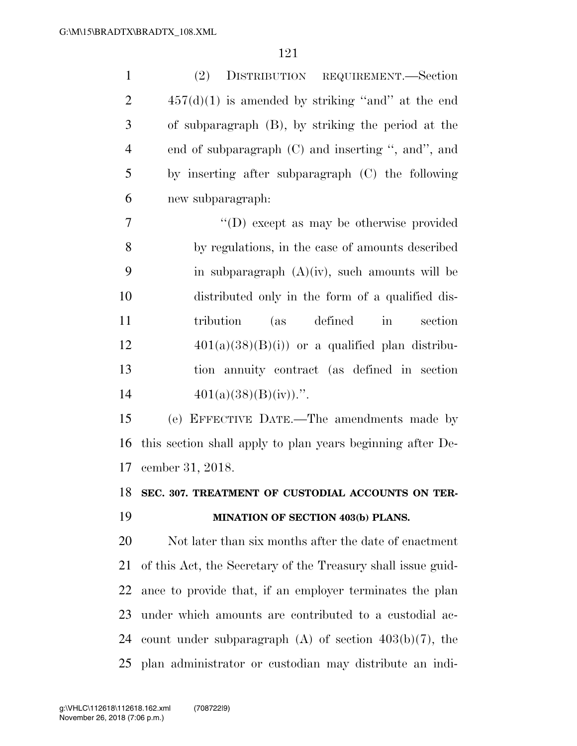| $\mathbf{1}$   | DISTRIBUTION REQUIREMENT.-Section<br>(2)                     |
|----------------|--------------------------------------------------------------|
| $\overline{2}$ | $457(d)(1)$ is amended by striking "and" at the end          |
| 3              | of subparagraph (B), by striking the period at the           |
| $\overline{4}$ | end of subparagraph (C) and inserting ", and", and           |
| 5              | by inserting after subparagraph (C) the following            |
| 6              | new subparagraph:                                            |
| 7              | "(D) except as may be otherwise provided                     |
| 8              | by regulations, in the case of amounts described             |
| 9              | in subparagraph $(A)(iv)$ , such amounts will be             |
| 10             | distributed only in the form of a qualified dis-             |
| 11             | (as)<br>defined<br>tribution<br>in<br>section                |
| 12             | $401(a)(38)(B)(i)$ or a qualified plan distribu-             |
| 13             | tion annuity contract (as defined in section                 |
| 14             | $401(a)(38)(B)(iv)$ .".                                      |
| 15             | (e) EFFECTIVE DATE.—The amendments made by                   |
| 16             | this section shall apply to plan years beginning after De-   |
| 17             | cember 31, 2018.                                             |
| 18             | SEC. 307. TREATMENT OF CUSTODIAL ACCOUNTS ON TER-            |
| 19             | MINATION OF SECTION 403(b) PLANS.                            |
| 20             | Not later than six months after the date of enactment        |
| 21             | of this Act, the Secretary of the Treasury shall issue guid- |
| 22             | ance to provide that, if an employer terminates the plan     |
| 23             | under which amounts are contributed to a custodial ac-       |
| 24             | count under subparagraph $(A)$ of section $403(b)(7)$ , the  |
| 25             | plan administrator or custodian may distribute an indi-      |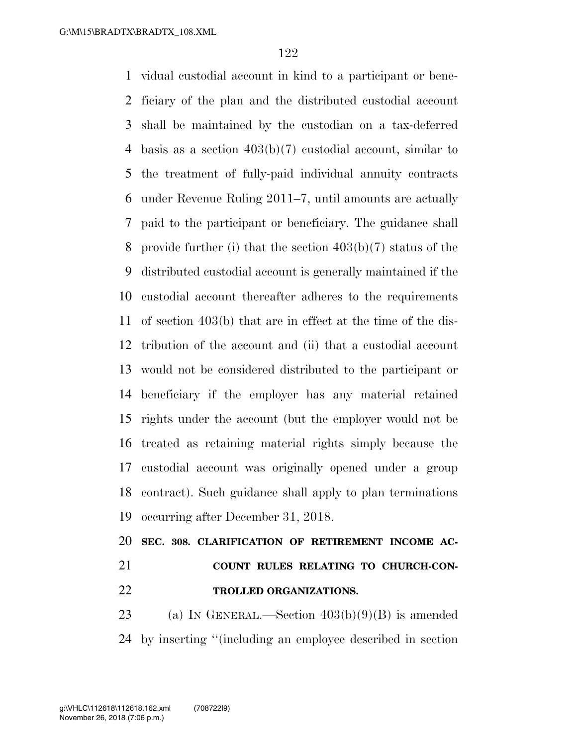vidual custodial account in kind to a participant or bene- ficiary of the plan and the distributed custodial account shall be maintained by the custodian on a tax-deferred basis as a section 403(b)(7) custodial account, similar to the treatment of fully-paid individual annuity contracts under Revenue Ruling 2011–7, until amounts are actually paid to the participant or beneficiary. The guidance shall provide further (i) that the section 403(b)(7) status of the distributed custodial account is generally maintained if the custodial account thereafter adheres to the requirements of section 403(b) that are in effect at the time of the dis- tribution of the account and (ii) that a custodial account would not be considered distributed to the participant or beneficiary if the employer has any material retained rights under the account (but the employer would not be treated as retaining material rights simply because the custodial account was originally opened under a group contract). Such guidance shall apply to plan terminations occurring after December 31, 2018.

 **SEC. 308. CLARIFICATION OF RETIREMENT INCOME AC- COUNT RULES RELATING TO CHURCH-CON-TROLLED ORGANIZATIONS.** 

23 (a) IN GENERAL.—Section  $403(b)(9)(B)$  is amended by inserting ''(including an employee described in section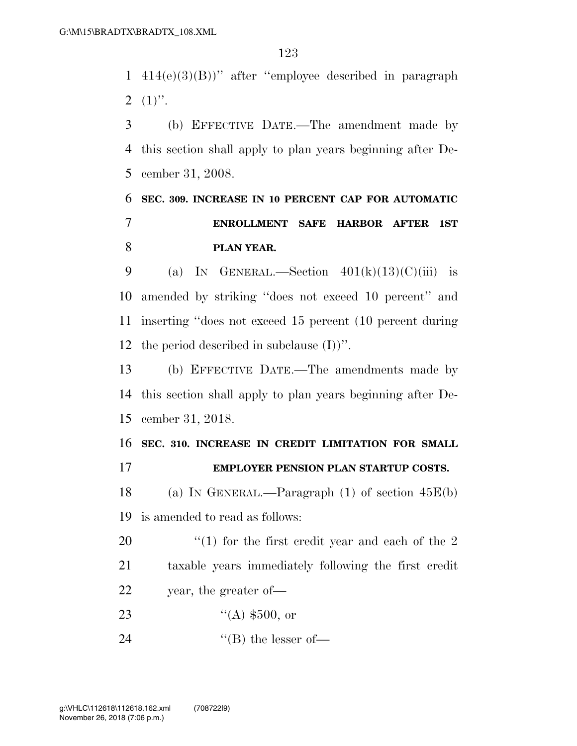414(e)(3)(B))'' after ''employee described in paragraph  $2(1)$ ".

 (b) EFFECTIVE DATE.—The amendment made by this section shall apply to plan years beginning after De-cember 31, 2008.

## **SEC. 309. INCREASE IN 10 PERCENT CAP FOR AUTOMATIC ENROLLMENT SAFE HARBOR AFTER 1ST PLAN YEAR.**

9 (a) IN GENERAL.—Section  $401(k)(13)(C)(iii)$  is amended by striking ''does not exceed 10 percent'' and inserting ''does not exceed 15 percent (10 percent during 12 the period described in subclause  $(I)$ )".

 (b) EFFECTIVE DATE.—The amendments made by this section shall apply to plan years beginning after De-cember 31, 2018.

 **SEC. 310. INCREASE IN CREDIT LIMITATION FOR SMALL EMPLOYER PENSION PLAN STARTUP COSTS.** 

 (a) IN GENERAL.—Paragraph (1) of section 45E(b) is amended to read as follows:

20  $\frac{1}{2}$  (1) for the first credit year and each of the 2 taxable years immediately following the first credit year, the greater of—

- 23  $((A) \$500, or)$
- 24  $\text{``(B) the lesser of}$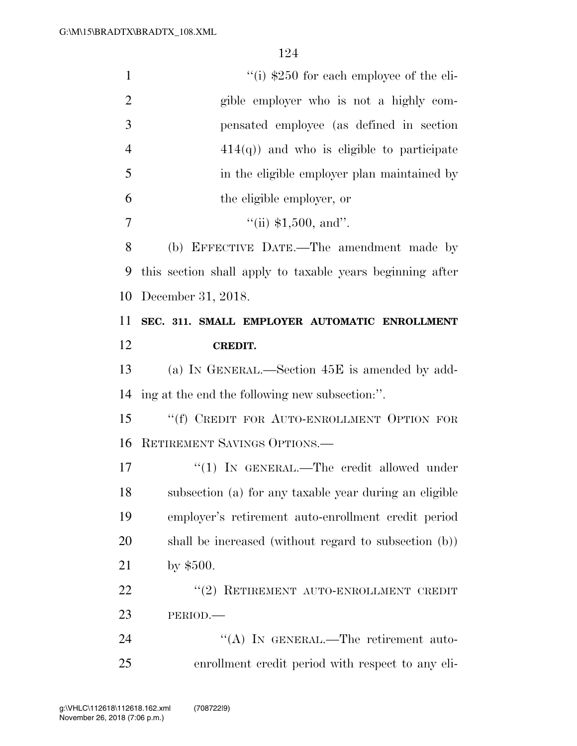| $\mathbf{1}$   | "(i) $$250$ for each employee of the eli-                 |
|----------------|-----------------------------------------------------------|
| $\overline{2}$ | gible employer who is not a highly com-                   |
| 3              | pensated employee (as defined in section                  |
| $\overline{4}$ | $414(q)$ ) and who is eligible to participate             |
| 5              | in the eligible employer plan maintained by               |
| 6              | the eligible employer, or                                 |
| 7              | "(ii) $$1,500$ , and".                                    |
| 8              | (b) EFFECTIVE DATE.—The amendment made by                 |
| 9              | this section shall apply to taxable years beginning after |
| 10             | December 31, 2018.                                        |
| 11             | SEC. 311. SMALL EMPLOYER AUTOMATIC ENROLLMENT             |
| 12             | <b>CREDIT.</b>                                            |
| 13             | (a) IN GENERAL.—Section 45E is amended by add-            |
| 14             | ing at the end the following new subsection:".            |
| 15             | "(f) CREDIT FOR AUTO-ENROLLMENT OPTION FOR                |
| 16             | RETIREMENT SAVINGS OPTIONS.                               |
| 17             | "(1) IN GENERAL.—The credit allowed under                 |
| 18             | subsection (a) for any taxable year during an eligible    |
| 19             | employer's retirement auto-enrollment credit period       |
| 20             | shall be increased (without regard to subsection (b))     |
| 21             | by $$500.$                                                |
| 22             | "(2) RETIREMENT AUTO-ENROLLMENT CREDIT                    |
| 23             | PERIOD.                                                   |
| 24             | "(A) IN GENERAL.—The retirement auto-                     |
| 25             | enrollment credit period with respect to any eli-         |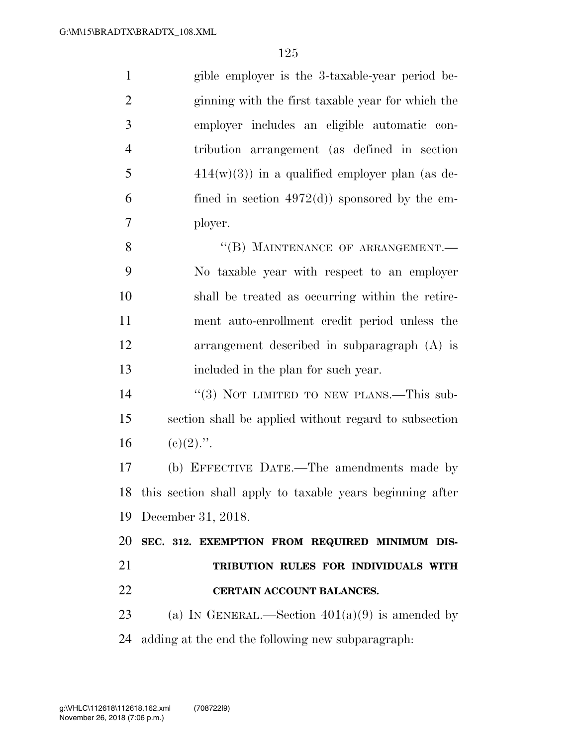| $\mathbf{1}$   | gible employer is the 3-taxable-year period be-              |
|----------------|--------------------------------------------------------------|
| $\overline{2}$ | ginning with the first taxable year for which the            |
| 3              | employer includes an eligible automatic con-                 |
| $\overline{4}$ | tribution arrangement (as defined in section                 |
| 5              | $414(w)(3)$ in a qualified employer plan (as de-             |
| 6              | fined in section $4972(d)$ sponsored by the em-              |
| 7              | ployer.                                                      |
| 8              | "(B) MAINTENANCE OF ARRANGEMENT.-                            |
| 9              | No taxable year with respect to an employer                  |
| 10             | shall be treated as occurring within the retire-             |
| 11             | ment auto-enrollment credit period unless the                |
| 12             | arrangement described in subparagraph (A) is                 |
| 13             | included in the plan for such year.                          |
| 14             | "(3) NOT LIMITED TO NEW PLANS.—This sub-                     |
| 15             | section shall be applied without regard to subsection        |
| 16             | $(e)(2)$ .".                                                 |
| 17             | (b) EFFECTIVE DATE.—The amendments made by                   |
|                | 18 this section shall apply to taxable years beginning after |
| 19             | December 31, 2018.                                           |
| 20             | SEC. 312. EXEMPTION FROM REQUIRED MINIMUM DIS-               |
| 21             | TRIBUTION RULES FOR INDIVIDUALS WITH                         |
| 22             | CERTAIN ACCOUNT BALANCES.                                    |
| 23             | (a) IN GENERAL.—Section $401(a)(9)$ is amended by            |

adding at the end the following new subparagraph: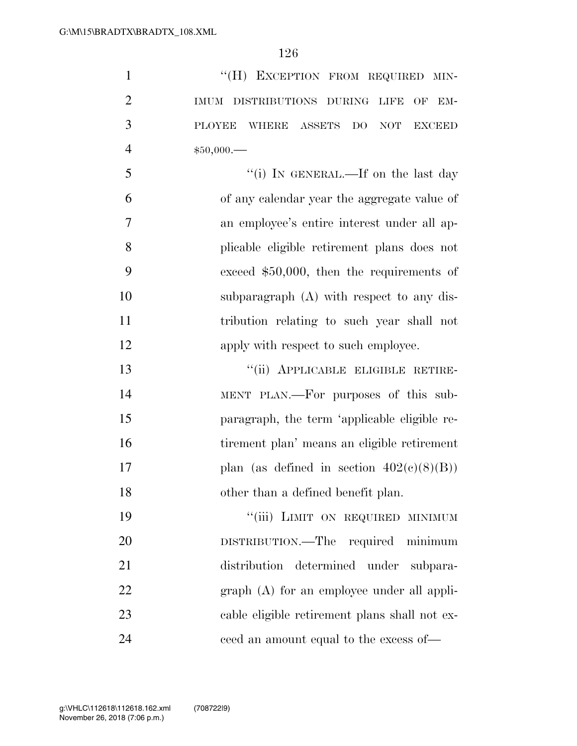1 ""(H) EXCEPTION FROM REQUIRED MIN- IMUM DISTRIBUTIONS DURING LIFE OF EM- PLOYEE WHERE ASSETS DO NOT EXCEED \$50,000.— 5 "(i) IN GENERAL.—If on the last day of any calendar year the aggregate value of an employee's entire interest under all ap- plicable eligible retirement plans does not exceed \$50,000, then the requirements of subparagraph (A) with respect to any dis- tribution relating to such year shall not 12 apply with respect to such employee. ''(ii) APPLICABLE ELIGIBLE RETIRE- MENT PLAN.—For purposes of this sub- paragraph, the term 'applicable eligible re- tirement plan' means an eligible retirement 17 plan (as defined in section  $402(c)(8)(B)$ ) other than a defined benefit plan. 19 "'(iii) LIMIT ON REQUIRED MINIMUM DISTRIBUTION.—The required minimum distribution determined under subpara-

22 graph (A) for an employee under all appli-

 cable eligible retirement plans shall not ex-ceed an amount equal to the excess of—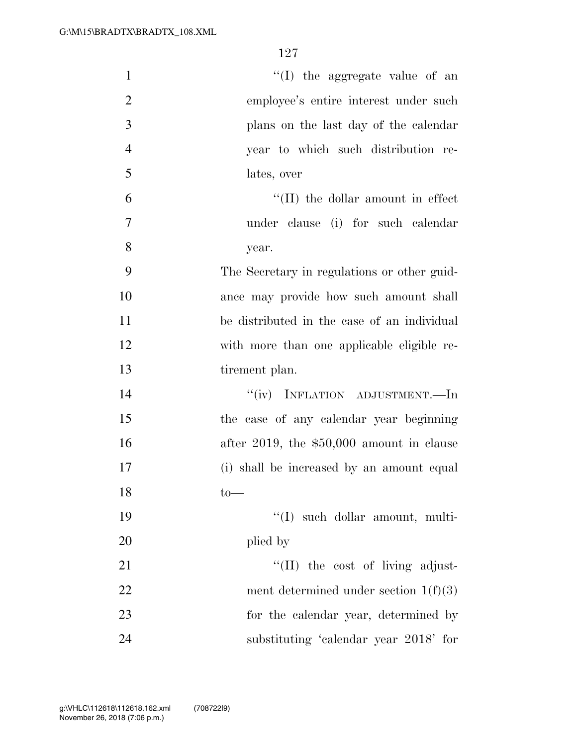| $\mathbf{1}$   | "(I) the aggregate value of an              |
|----------------|---------------------------------------------|
| $\overline{2}$ | employee's entire interest under such       |
| 3              | plans on the last day of the calendar       |
| $\overline{4}$ | year to which such distribution re-         |
| 5              | lates, over                                 |
| 6              | $\lq\lq$ (II) the dollar amount in effect   |
| 7              | under clause (i) for such calendar          |
| 8              | year.                                       |
| 9              | The Secretary in regulations or other guid- |
| 10             | ance may provide how such amount shall      |
| 11             | be distributed in the case of an individual |
| 12             | with more than one applicable eligible re-  |
| 13             | tirement plan.                              |
| 14             | "(iv) INFLATION ADJUSTMENT.—In              |
| 15             | the case of any calendar year beginning     |
| 16             | after 2019, the $$50,000$ amount in clause  |
| 17             | (i) shall be increased by an amount equal   |
| 18             | $to-$                                       |
| 19             | "(I) such dollar amount, multi-             |
| 20             | plied by                                    |
| 21             | "(II) the cost of living adjust-            |
| 22             | ment determined under section $1(f)(3)$     |
| 23             | for the calendar year, determined by        |
| 24             | substituting 'calendar year 2018' for       |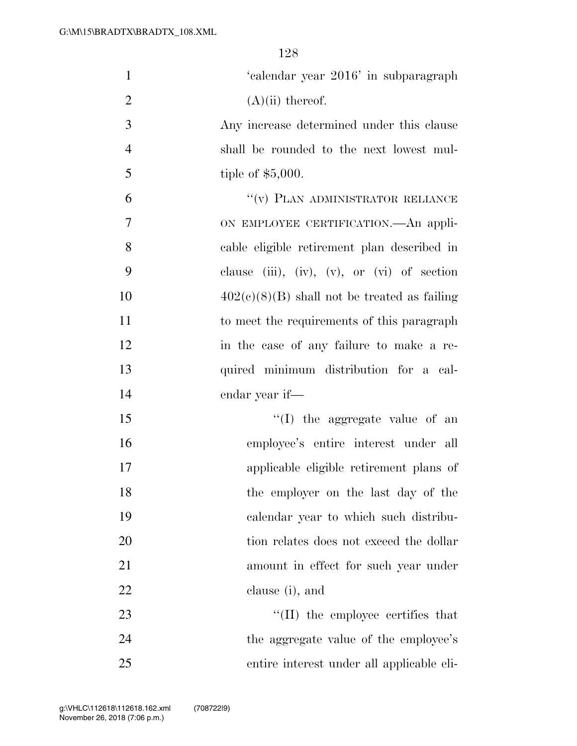| $\mathbf{1}$   | 'calendar year 2016' in subparagraph           |
|----------------|------------------------------------------------|
| $\overline{2}$ | $(A)(ii)$ thereof.                             |
| $\mathfrak{Z}$ | Any increase determined under this clause      |
| $\overline{4}$ | shall be rounded to the next lowest mul-       |
| 5              | tiple of $$5,000$ .                            |
| 6              | "(v) PLAN ADMINISTRATOR RELIANCE               |
| 7              | ON EMPLOYEE CERTIFICATION.—An appli-           |
| 8              | cable eligible retirement plan described in    |
| 9              | clause (iii), (iv), (v), or (vi) of section    |
| 10             | $402(c)(8)(B)$ shall not be treated as failing |
| 11             | to meet the requirements of this paragraph     |
| 12             | in the case of any failure to make a re-       |
| 13             | quired minimum distribution for a cal-         |
| 14             | endar year if—                                 |
| 15             | "(I) the aggregate value of an                 |
| 16             | employee's entire interest under all           |
| 17             | applicable eligible retirement plans of        |
| 18             | the employer on the last day of the            |
| 19             | calendar year to which such distribu-          |
| 20             | tion relates does not exceed the dollar        |
| 21             | amount in effect for such year under           |
| 22             | clause (i), and                                |
| 23             | "(II) the employee certifies that              |
| 24             | the aggregate value of the employee's          |
| 25             | entire interest under all applicable eli-      |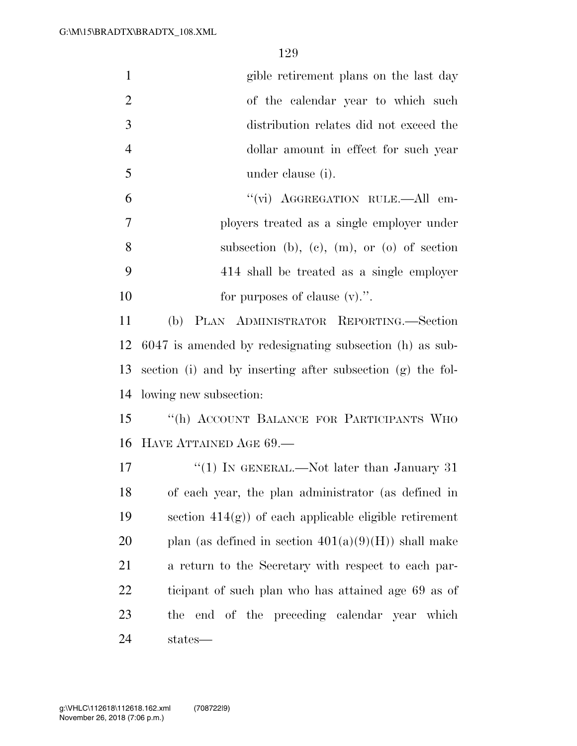| $\mathbf{1}$   | gible retirement plans on the last day                     |
|----------------|------------------------------------------------------------|
| $\overline{2}$ | of the calendar year to which such                         |
| 3              | distribution relates did not exceed the                    |
| $\overline{4}$ | dollar amount in effect for such year                      |
| 5              | under clause (i).                                          |
| 6              | "(vi) AGGREGATION RULE.—All em-                            |
| $\overline{7}$ | ployers treated as a single employer under                 |
| 8              | subsection (b), (c), (m), or (o) of section                |
| 9              | 414 shall be treated as a single employer                  |
| 10             | for purposes of clause $(v)$ .".                           |
| 11             | PLAN ADMINISTRATOR REPORTING.—Section<br>(b)               |
| 12             | 6047 is amended by redesignating subsection (h) as sub-    |
| 13             | section (i) and by inserting after subsection (g) the fol- |
| 14             | lowing new subsection:                                     |
| 15             | "(h) ACCOUNT BALANCE FOR PARTICIPANTS WHO                  |
| 16             | HAVE ATTAINED AGE 69.                                      |
| 17             | "(1) IN GENERAL.—Not later than January 31                 |
| 18             | of each year, the plan administrator (as defined in        |
| 19             | section $414(g)$ ) of each applicable eligible retirement  |
| 20             | plan (as defined in section $401(a)(9)(H)$ ) shall make    |
| 21             | a return to the Secretary with respect to each par-        |
| 22             | ticipant of such plan who has attained age 69 as of        |
| 23             | end of the preceding calendar year which<br>the            |
| 24             | states—                                                    |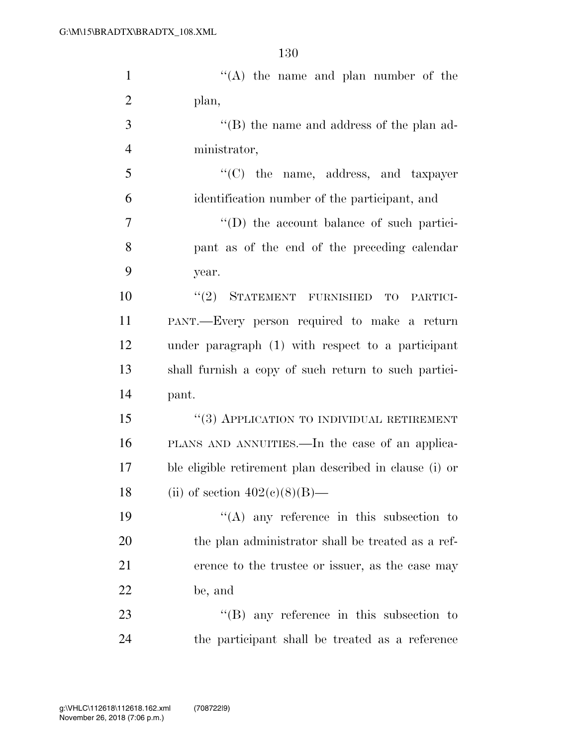| $\mathbf{1}$   | "(A) the name and plan number of the                    |
|----------------|---------------------------------------------------------|
| $\overline{2}$ | plan,                                                   |
| 3              | $\lq\lq$ the name and address of the plan ad-           |
| $\overline{4}$ | ministrator,                                            |
| 5              | "(C) the name, address, and taxpayer                    |
| 6              | identification number of the participant, and           |
| $\tau$         | $\lq\lq$ the account balance of such partici-           |
| 8              | pant as of the end of the preceding calendar            |
| 9              | year.                                                   |
| 10             | STATEMENT FURNISHED<br>(2)<br><b>TO</b><br>PARTICI-     |
| 11             | PANT.—Every person required to make a return            |
| 12             | under paragraph (1) with respect to a participant       |
| 13             | shall furnish a copy of such return to such partici-    |
| 14             | pant.                                                   |
| 15             | $``(3)$ APPLICATION TO INDIVIDUAL RETIREMENT            |
| 16             | PLANS AND ANNUITIES.—In the case of an applica-         |
| 17             | ble eligible retirement plan described in clause (i) or |
| 18             | (ii) of section $402(e)(8)(B)$ —                        |
| 19             | $\lq\lq$ any reference in this subsection to            |
| 20             | the plan administrator shall be treated as a ref-       |
| 21             | erence to the trustee or issuer, as the case may        |
| 22             | be, and                                                 |
| 23             | $\lq\lq$ (B) any reference in this subsection to        |
| 24             | the participant shall be treated as a reference         |
|                |                                                         |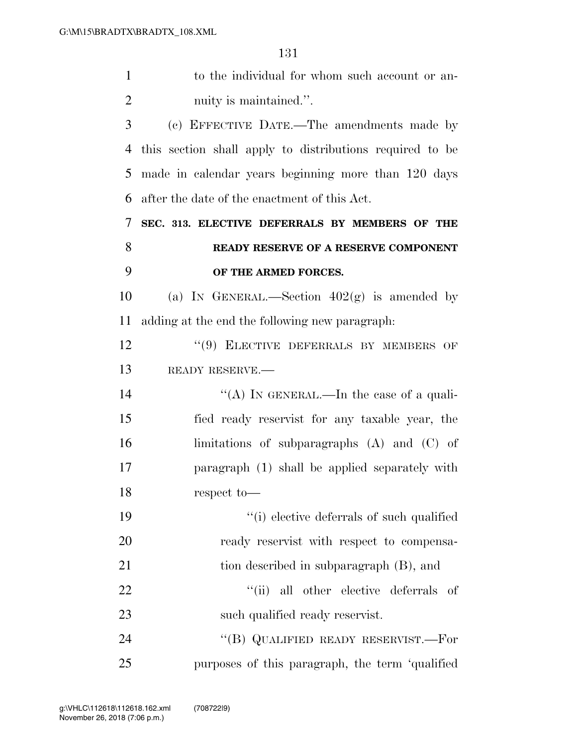| $\mathbf{1}$   | to the individual for whom such account or an-           |
|----------------|----------------------------------------------------------|
| $\overline{2}$ | nuity is maintained.".                                   |
| 3              | (c) EFFECTIVE DATE.—The amendments made by               |
| 4              | this section shall apply to distributions required to be |
| 5              | made in calendar years beginning more than 120 days      |
| 6              | after the date of the enactment of this Act.             |
| 7              | SEC. 313. ELECTIVE DEFERRALS BY MEMBERS OF THE           |
| 8              | READY RESERVE OF A RESERVE COMPONENT                     |
| 9              | OF THE ARMED FORCES.                                     |
| 10             | (a) IN GENERAL.—Section $402(g)$ is amended by           |
| 11             | adding at the end the following new paragraph:           |
| 12             | "(9) ELECTIVE DEFERRALS BY MEMBERS OF                    |
| 13             | READY RESERVE.                                           |
| 14             | "(A) IN GENERAL.—In the case of a quali-                 |
| 15             | fied ready reservist for any taxable year, the           |
| 16             | limitations of subparagraphs $(A)$ and $(C)$ of          |
| 17             | paragraph (1) shall be applied separately with           |
| 18             | respect to-                                              |
| 19             | "(i) elective deferrals of such qualified                |
| 20             | ready reservist with respect to compensa-                |
| 21             | tion described in subparagraph (B), and                  |
| 22             | "(ii) all other elective deferrals of                    |
| 23             | such qualified ready reservist.                          |
| 24             | "(B) QUALIFIED READY RESERVIST.—For                      |
| 25             | purposes of this paragraph, the term 'qualified          |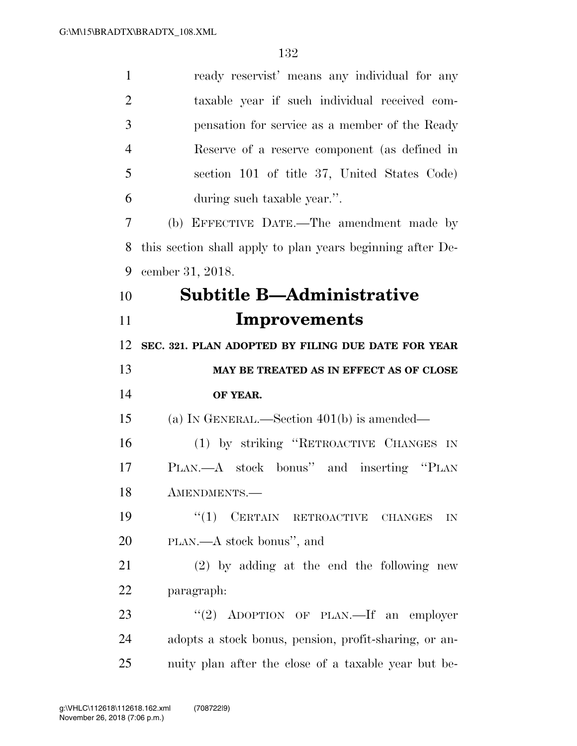| $\mathbf{1}$   | ready reservist' means any individual for any                  |
|----------------|----------------------------------------------------------------|
| $\overline{2}$ | taxable year if such individual received com-                  |
| 3              | pensation for service as a member of the Ready                 |
| $\overline{4}$ | Reserve of a reserve component (as defined in                  |
| 5              | section 101 of title 37, United States Code)                   |
| 6              | during such taxable year.".                                    |
| 7              | (b) EFFECTIVE DATE.—The amendment made by                      |
| 8              | this section shall apply to plan years beginning after De-     |
| 9              | cember 31, 2018.                                               |
| 10             | <b>Subtitle B—Administrative</b>                               |
| 11             | Improvements                                                   |
| 12             | SEC. 321. PLAN ADOPTED BY FILING DUE DATE FOR YEAR             |
|                |                                                                |
| 13             | MAY BE TREATED AS IN EFFECT AS OF CLOSE                        |
| 14             | OF YEAR.                                                       |
| 15             | (a) IN GENERAL.—Section $401(b)$ is amended—                   |
| 16             | (1) by striking "RETROACTIVE CHANGES IN                        |
| 17             | PLAN.—A stock bonus" and inserting "PLAN                       |
| 18             | AMENDMENTS.-                                                   |
| 19             | $``(1)$ CERTAIN RETROACTIVE CHANGES<br>$\mathbf{I} \mathbf{N}$ |
| 20             | PLAN.—A stock bonus", and                                      |
| 21             | $(2)$ by adding at the end the following new                   |
| 22             | paragraph:                                                     |
| 23             | "(2) ADOPTION OF PLAN.—If an employer                          |
| 24             | adopts a stock bonus, pension, profit-sharing, or an-          |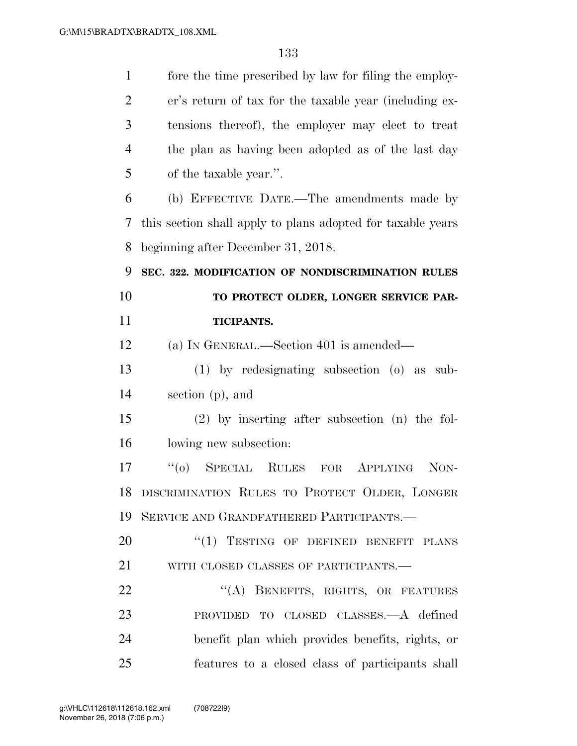| $\mathbf{1}$   | fore the time prescribed by law for filing the employ-      |
|----------------|-------------------------------------------------------------|
| $\overline{2}$ | er's return of tax for the taxable year (including ex-      |
| 3              | tensions thereof), the employer may elect to treat          |
| $\overline{4}$ | the plan as having been adopted as of the last day          |
| 5              | of the taxable year.".                                      |
| 6              | (b) EFFECTIVE DATE.—The amendments made by                  |
| 7              | this section shall apply to plans adopted for taxable years |
| 8              | beginning after December 31, 2018.                          |
| 9              | SEC. 322. MODIFICATION OF NONDISCRIMINATION RULES           |
| 10             | TO PROTECT OLDER, LONGER SERVICE PAR-                       |
| 11             | TICIPANTS.                                                  |
| 12             | (a) IN GENERAL.—Section 401 is amended—                     |
| 13             | $(1)$ by redesignating subsection $(0)$ as<br>sub-          |
| 14             | section (p), and                                            |
| 15             | $(2)$ by inserting after subsection $(n)$ the fol-          |
| 16             | lowing new subsection:                                      |
| 17             | $(6)$ SPECIAL RULES FOR<br>APPLYING<br>NON-                 |
| 18             | DISCRIMINATION RULES TO PROTECT OLDER, LONGER               |
| 19             | SERVICE AND GRANDFATHERED PARTICIPANTS.                     |
| 20             | "(1) TESTING OF DEFINED BENEFIT PLANS                       |
| 21             | WITH CLOSED CLASSES OF PARTICIPANTS.-                       |
| 22             | "(A) BENEFITS, RIGHTS, OR FEATURES                          |
| 23             | PROVIDED TO CLOSED CLASSES.—A defined                       |
| 24             | benefit plan which provides benefits, rights, or            |
| 25             | features to a closed class of participants shall            |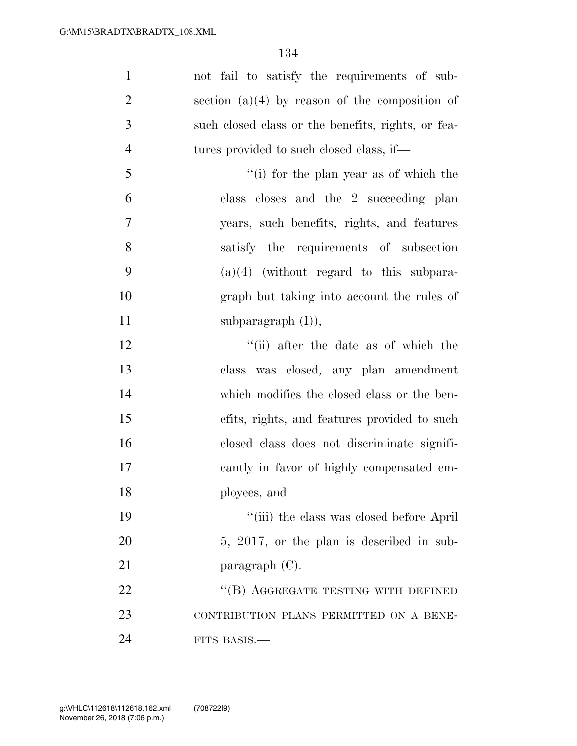| $\mathbf{1}$   | not fail to satisfy the requirements of sub-       |
|----------------|----------------------------------------------------|
| $\overline{2}$ | section $(a)(4)$ by reason of the composition of   |
| 3              | such closed class or the benefits, rights, or fea- |
| $\overline{4}$ | tures provided to such closed class, if—           |
| 5              | "(i) for the plan year as of which the             |
| 6              | class closes and the 2 succeeding plan             |
| 7              | years, such benefits, rights, and features         |
| 8              | satisfy the requirements of subsection             |
| 9              | $(a)(4)$ (without regard to this subpara-          |
| 10             | graph but taking into account the rules of         |
| 11             | subparagraph $(I)$ ),                              |
| 12             | "(ii) after the date as of which the               |
| 13             | class was closed, any plan amendment               |
| 14             | which modifies the closed class or the ben-        |
| 15             | efits, rights, and features provided to such       |
| 16             | closed class does not discriminate signifi-        |
| 17             | cantly in favor of highly compensated em-          |
| 18             | ployees, and                                       |
| 19             | "(iii) the class was closed before April           |
| 20             | 5, 2017, or the plan is described in sub-          |
| 21             | paragraph $(C)$ .                                  |
| 22             | "(B) AGGREGATE TESTING WITH DEFINED                |
| 23             | CONTRIBUTION PLANS PERMITTED ON A BENE-            |
| 24             | FITS BASIS.-                                       |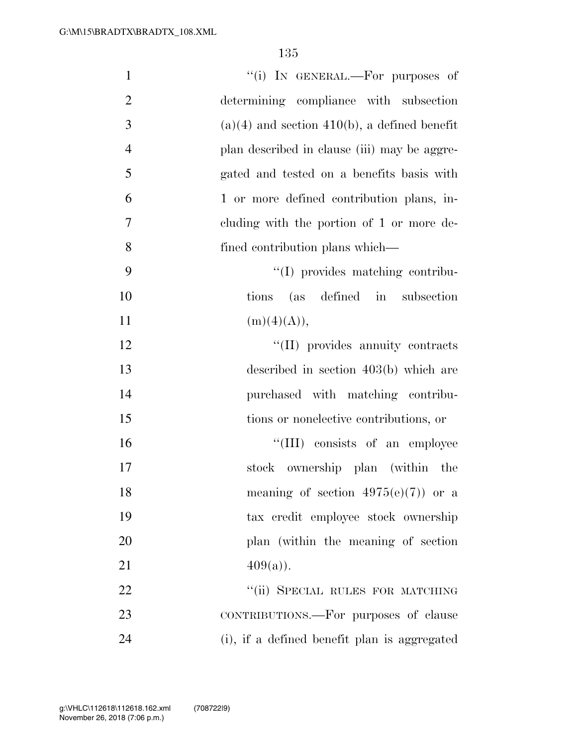| $\mathbf{1}$   | "(i) IN GENERAL.—For purposes of               |
|----------------|------------------------------------------------|
| $\overline{2}$ | determining compliance with subsection         |
| 3              | $(a)(4)$ and section 410(b), a defined benefit |
| $\overline{4}$ | plan described in clause (iii) may be aggre-   |
| 5              | gated and tested on a benefits basis with      |
| 6              | 1 or more defined contribution plans, in-      |
| 7              | cluding with the portion of 1 or more de-      |
| 8              | fined contribution plans which—                |
| 9              | "(I) provides matching contribu-               |
| 10             | (as defined in subsection<br>tions             |
| 11             | (m)(4)(A)),                                    |
| 12             | "(II) provides annuity contracts               |
| 13             | described in section $403(b)$ which are        |
| 14             | purchased with matching contribu-              |
| 15             | tions or nonelective contributions, or         |
| 16             | "(III) consists of an employee                 |
| 17             | stock ownership plan (within the               |
| 18             | meaning of section $4975(e)(7)$ or a           |
| 19             | tax credit employee stock ownership            |
| 20             | plan (within the meaning of section)           |
| 21             | $409(a)$ .                                     |
| 22             | "(ii) SPECIAL RULES FOR MATCHING               |
| 23             | CONTRIBUTIONS.—For purposes of clause          |
| 24             | (i), if a defined benefit plan is aggregated   |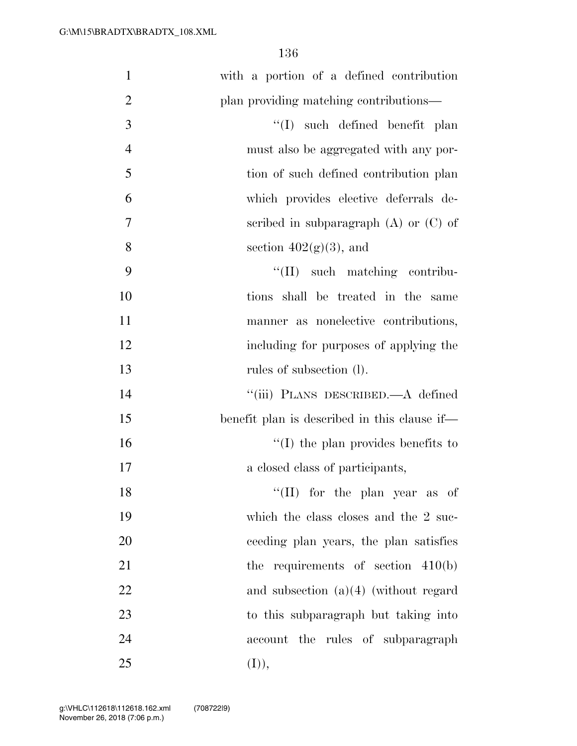| $\mathbf{1}$   | with a portion of a defined contribution     |
|----------------|----------------------------------------------|
| $\overline{2}$ | plan providing matching contributions—       |
| $\mathfrak{Z}$ | $\lq\lq$ such defined benefit plan           |
| $\overline{4}$ | must also be aggregated with any por-        |
| 5              | tion of such defined contribution plan       |
| 6              | which provides elective deferrals de-        |
| 7              | scribed in subparagraph $(A)$ or $(C)$ of    |
| 8              | section $402(g)(3)$ , and                    |
| 9              | $\lq\lq$ (II) such matching contribu-        |
| 10             | tions shall be treated in the same           |
| 11             | manner as nonelective contributions,         |
| 12             | including for purposes of applying the       |
| 13             | rules of subsection (l).                     |
| 14             | "(iii) PLANS DESCRIBED.—A defined            |
| 15             | benefit plan is described in this clause if— |
| 16             | $\lq\lq$ (I) the plan provides benefits to   |
| 17             | a closed class of participants,              |
| 18             | "(II) for the plan year as of                |
| 19             | which the class closes and the 2 suc-        |
| 20             | ceeding plan years, the plan satisfies       |
| 21             | the requirements of section $410(b)$         |
| 22             | and subsection $(a)(4)$ (without regard      |
| 23             | to this subparagraph but taking into         |
| 24             | account the rules of subparagraph            |
| 25             | (I)),                                        |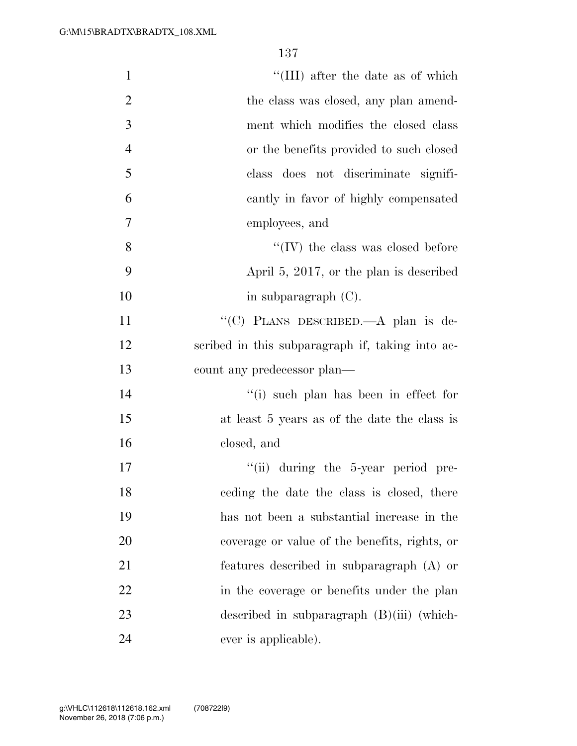| $\mathbf{1}$   | "(III) after the date as of which                |
|----------------|--------------------------------------------------|
| $\overline{2}$ | the class was closed, any plan amend-            |
| 3              | ment which modifies the closed class             |
| $\overline{4}$ | or the benefits provided to such closed          |
| 5              | class does not discriminate signifi-             |
| 6              | cantly in favor of highly compensated            |
| $\tau$         | employees, and                                   |
| 8              | $\lq\lq$ (IV) the class was closed before        |
| 9              | April 5, 2017, or the plan is described          |
| 10             | in subparagraph $(C)$ .                          |
| 11             | "(C) PLANS DESCRIBED.—A plan is de-              |
| 12             | scribed in this subparagraph if, taking into ac- |
| 13             | count any predecessor plan—                      |
| 14             | "(i) such plan has been in effect for            |
| 15             | at least 5 years as of the date the class is     |
| 16             | closed, and                                      |
| 17             | "(ii) during the 5-year period pre-              |
| 18             | eeding the date the class is closed, there       |
| 19             | has not been a substantial increase in the       |
| 20             | coverage or value of the benefits, rights, or    |
| 21             | features described in subparagraph (A) or        |
| 22             | in the coverage or benefits under the plan       |
| 23             | described in subparagraph $(B)(iii)$ (which-     |
| 24             | ever is applicable).                             |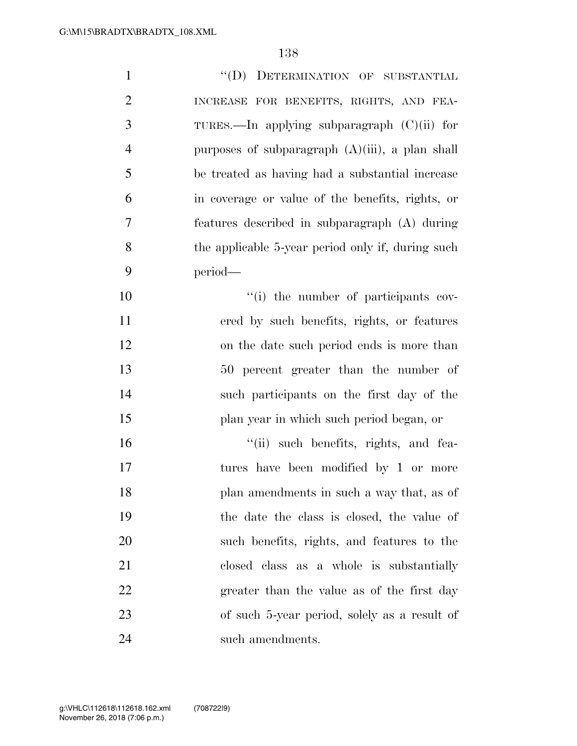| $\mathbf{1}$   | "(D) DETERMINATION OF SUBSTANTIAL                 |
|----------------|---------------------------------------------------|
| $\overline{2}$ | INCREASE FOR BENEFITS, RIGHTS, AND FEA-           |
| 3              | TURES.—In applying subparagraph $(C)(ii)$ for     |
| $\overline{4}$ | purposes of subparagraph (A)(iii), a plan shall   |
| 5              | be treated as having had a substantial increase   |
| 6              | in coverage or value of the benefits, rights, or  |
| $\overline{7}$ | features described in subparagraph (A) during     |
| 8              | the applicable 5-year period only if, during such |
| 9              | period-                                           |
| 10             | "(i) the number of participants cov-              |
| 11             | ered by such benefits, rights, or features        |
| 12             | on the date such period ends is more than         |
| 13             | 50 percent greater than the number of             |
| 14             | such participants on the first day of the         |
| 15             | plan year in which such period began, or          |
| 16             | "(ii) such benefits, rights, and fea-             |
| 17             | tures have been modified by 1 or more             |
| 18             | plan amendments in such a way that, as of         |
| 19             | the date the class is closed, the value of        |
| 20             | such benefits, rights, and features to the        |
| 21             | closed class as a whole is substantially          |
| 22             | greater than the value as of the first day        |
| 23             | of such 5-year period, solely as a result of      |
| 24             | such amendments.                                  |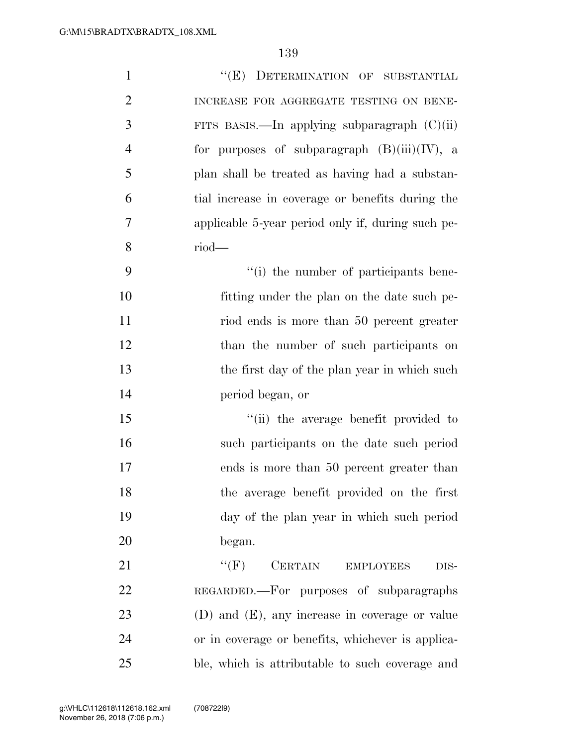| $\mathbf{1}$   | "(E) DETERMINATION OF SUBSTANTIAL                   |
|----------------|-----------------------------------------------------|
| $\overline{2}$ | INCREASE FOR AGGREGATE TESTING ON BENE-             |
| 3              | FITS BASIS.—In applying subparagraph $(C)(ii)$      |
| $\overline{4}$ | for purposes of subparagraph $(B)(iii)(IV)$ , a     |
| 5              | plan shall be treated as having had a substan-      |
| 6              | tial increase in coverage or benefits during the    |
| 7              | applicable 5-year period only if, during such pe-   |
| 8              | $riod$ —                                            |
| 9              | "(i) the number of participants bene-               |
| 10             | fitting under the plan on the date such pe-         |
| 11             | riod ends is more than 50 percent greater           |
| 12             | than the number of such participants on             |
| 13             | the first day of the plan year in which such        |
| 14             | period began, or                                    |
| 15             | "(ii) the average benefit provided to               |
| 16             | such participants on the date such period           |
| 17             | ends is more than 50 percent greater than           |
| 18             | the average benefit provided on the first           |
| 19             | day of the plan year in which such period           |
| 20             | began.                                              |
| 21             | ``(F)<br><b>CERTAIN</b><br><b>EMPLOYEES</b><br>DIS- |
| 22             | REGARDED.—For purposes of subparagraphs             |
| 23             | $(D)$ and $(E)$ , any increase in coverage or value |
| 24             | or in coverage or benefits, whichever is applica-   |
| 25             | ble, which is attributable to such coverage and     |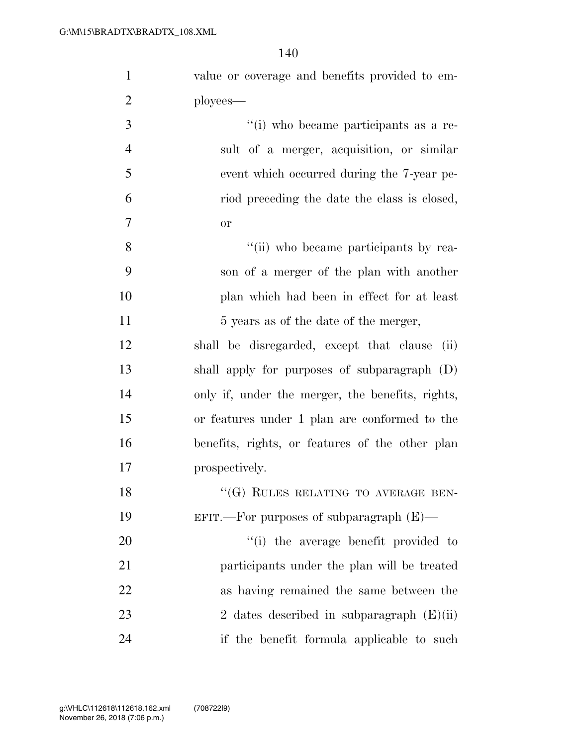| $\mathbf{1}$   | value or coverage and benefits provided to em-   |
|----------------|--------------------------------------------------|
| $\overline{2}$ | ployees—                                         |
| $\overline{3}$ | "(i) who became participants as a re-            |
| $\overline{4}$ | sult of a merger, acquisition, or similar        |
| 5              | event which occurred during the 7-year pe-       |
| 6              | riod preceding the date the class is closed,     |
| 7              | <b>or</b>                                        |
| 8              | "(ii) who became participants by rea-            |
| 9              | son of a merger of the plan with another         |
| 10             | plan which had been in effect for at least       |
| 11             | 5 years as of the date of the merger,            |
| 12             | shall be disregarded, except that clause<br>(ii) |
| 13             | shall apply for purposes of subparagraph (D)     |
| 14             | only if, under the merger, the benefits, rights, |
| 15             | or features under 1 plan are conformed to the    |
| 16             | benefits, rights, or features of the other plan  |
| 17             | prospectively.                                   |
| 18             | "(G) RULES RELATING TO AVERAGE BEN-              |
| 19             | EFIT.—For purposes of subparagraph $(E)$ —       |
| 20             | "(i) the average benefit provided to             |
| 21             | participants under the plan will be treated      |
| 22             | as having remained the same between the          |
| 23             | 2 dates described in subparagraph $(E)(ii)$      |
| 24             | if the benefit formula applicable to such        |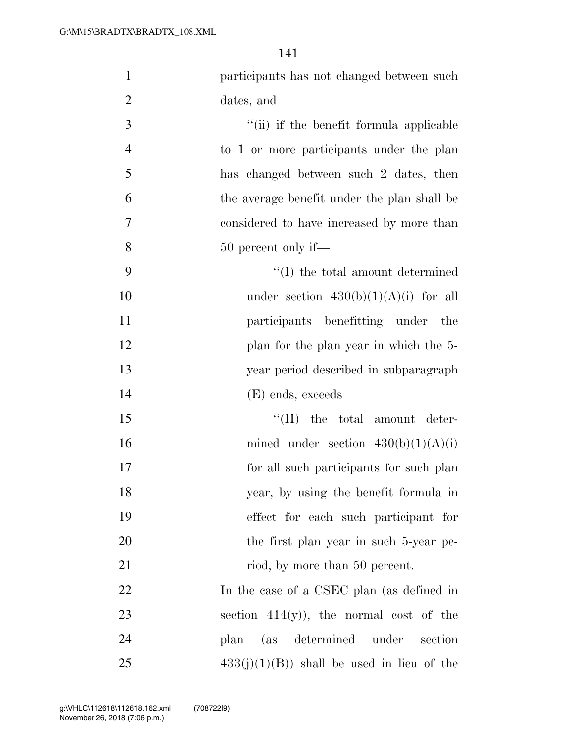| $\mathbf{1}$   | participants has not changed between such   |
|----------------|---------------------------------------------|
| $\overline{2}$ | dates, and                                  |
| 3              | "(ii) if the benefit formula applicable     |
| $\overline{4}$ | to 1 or more participants under the plan    |
| 5              | has changed between such 2 dates, then      |
| 6              | the average benefit under the plan shall be |
| 7              | considered to have increased by more than   |
| 8              | 50 percent only if—                         |
| 9              | $\lq\lq$ the total amount determined        |
| 10             | under section $430(b)(1)(A)(i)$ for all     |
| 11             | participants benefitting under the          |
| 12             | plan for the plan year in which the 5-      |
| 13             | year period described in subparagraph       |
| 14             | (E) ends, exceeds                           |
| 15             | $\lq\lq$ (II) the total amount deter-       |
| 16             | mined under section $430(b)(1)(A)(i)$       |
| 17             | for all such participants for such plan     |
| 18             | year, by using the benefit formula in       |
| 19             | effect for each such participant for        |
| 20             | the first plan year in such 5-year pe-      |
| 21             | riod, by more than 50 percent.              |
| 22             | In the case of a CSEC plan (as defined in   |
| 23             | section $414(y)$ , the normal cost of the   |
| 24             | (as determined under<br>section<br>plan     |
| 25             | $433(j)(1)(B)$ shall be used in lieu of the |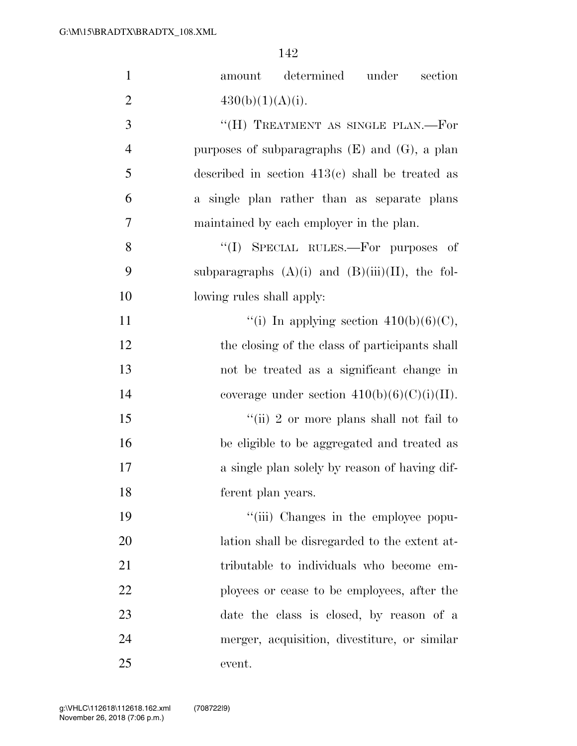| $\mathbf{1}$   | amount determined under<br>section                   |
|----------------|------------------------------------------------------|
| $\overline{2}$ | 430(b)(1)(A)(i).                                     |
| 3              | "(H) TREATMENT AS SINGLE PLAN.—For                   |
| $\overline{4}$ | purposes of subparagraphs $(E)$ and $(G)$ , a plan   |
| 5              | described in section $413(c)$ shall be treated as    |
| 6              | a single plan rather than as separate plans          |
| 7              | maintained by each employer in the plan.             |
| 8              | "(I) SPECIAL RULES.—For purposes of                  |
| 9              | subparagraphs $(A)(i)$ and $(B)(iii)(II)$ , the fol- |
| 10             | lowing rules shall apply:                            |
| 11             | "(i) In applying section $410(b)(6)(C)$ ,            |
| 12             | the closing of the class of participants shall       |
| 13             | not be treated as a significant change in            |
| 14             | coverage under section $410(b)(6)(C)(i)(II)$ .       |
| 15             | "(ii) 2 or more plans shall not fail to              |
| 16             | be eligible to be aggregated and treated as          |
| 17             | a single plan solely by reason of having dif-        |
| 18             | ferent plan years.                                   |
| 19             | "(iii) Changes in the employee popu-                 |
| 20             | lation shall be disregarded to the extent at-        |
| 21             | tributable to individuals who become em-             |
| 22             | ployees or cease to be employees, after the          |
| 23             | date the class is closed, by reason of a             |
| 24             | merger, acquisition, divestiture, or similar         |
| 25             | event.                                               |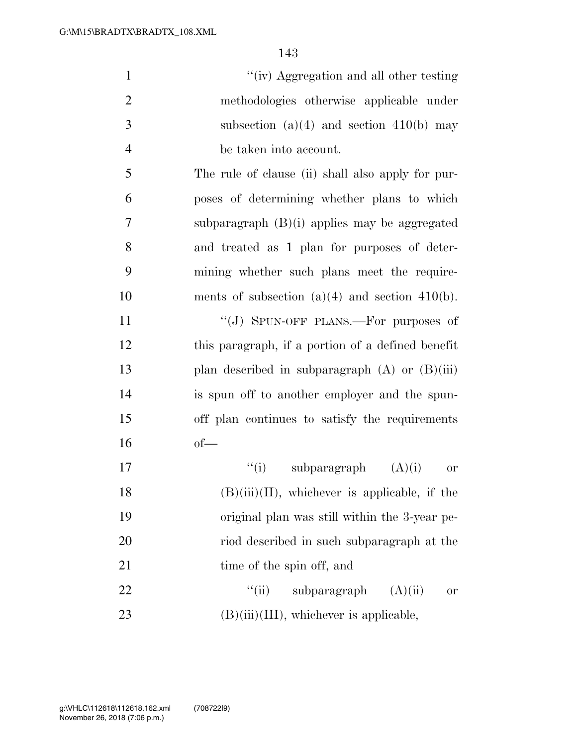| $\mathbf{1}$   | "(iv) Aggregation and all other testing             |
|----------------|-----------------------------------------------------|
| $\overline{2}$ | methodologies otherwise applicable under            |
| 3              | subsection $(a)(4)$ and section $410(b)$ may        |
| $\overline{4}$ | be taken into account.                              |
| 5              | The rule of clause (ii) shall also apply for pur-   |
| 6              | poses of determining whether plans to which         |
| 7              | subparagraph $(B)(i)$ applies may be aggregated     |
| 8              | and treated as 1 plan for purposes of deter-        |
| 9              | mining whether such plans meet the require-         |
| 10             | ments of subsection $(a)(4)$ and section $410(b)$ . |
| 11             | "(J) SPUN-OFF PLANS.—For purposes of                |
| 12             | this paragraph, if a portion of a defined benefit   |
| 13             | plan described in subparagraph $(A)$ or $(B)(iii)$  |
| 14             | is spun off to another employer and the spun-       |
| 15             | off plan continues to satisfy the requirements      |
| 16             | $of$ —                                              |
| 17             | "(i) subparagraph $(A)(i)$<br><sub>or</sub>         |
| 18             | $(B)(iii)(II)$ , whichever is applicable, if the    |
| 19             | original plan was still within the 3-year pe-       |
| 20             | riod described in such subparagraph at the          |
| 21             | time of the spin off, and                           |
| 22             | ``(ii)<br>subparagraph<br>(A)(ii)<br><b>or</b>      |

23 (B)(iii)(III), whichever is applicable,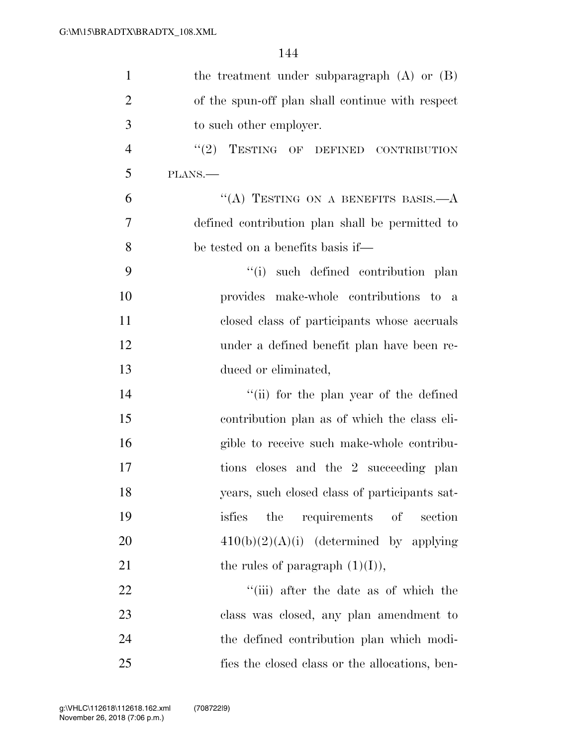| $\mathbf{1}$   | the treatment under subparagraph (A) or (B)      |
|----------------|--------------------------------------------------|
| $\overline{2}$ | of the spun-off plan shall continue with respect |
| 3              | to such other employer.                          |
| $\overline{4}$ | "(2) TESTING OF DEFINED CONTRIBUTION             |
| 5              | PLANS.                                           |
| 6              | "(A) TESTING ON A BENEFITS BASIS. $-A$           |
| 7              | defined contribution plan shall be permitted to  |
| 8              | be tested on a benefits basis if—                |
| 9              | "(i) such defined contribution plan              |
| 10             | provides make-whole contributions to a           |
| 11             | closed class of participants whose accruals      |
| 12             | under a defined benefit plan have been re-       |
| 13             | duced or eliminated,                             |
| 14             | "(ii) for the plan year of the defined           |
| 15             | contribution plan as of which the class eli-     |
| 16             | gible to receive such make-whole contribu-       |
| 17             | tions closes and the 2 succeeding plan           |
| 18             | years, such closed class of participants sat-    |
| 19             | the<br>requirements<br>of<br>isfies<br>section   |
| 20             | $410(b)(2)(A)(i)$ (determined by applying        |
| 21             | the rules of paragraph $(1)(I)$ ,                |
| 22             | "(iii) after the date as of which the            |
| 23             | class was closed, any plan amendment to          |
| 24             | the defined contribution plan which modi-        |
| 25             | fies the closed class or the allocations, ben-   |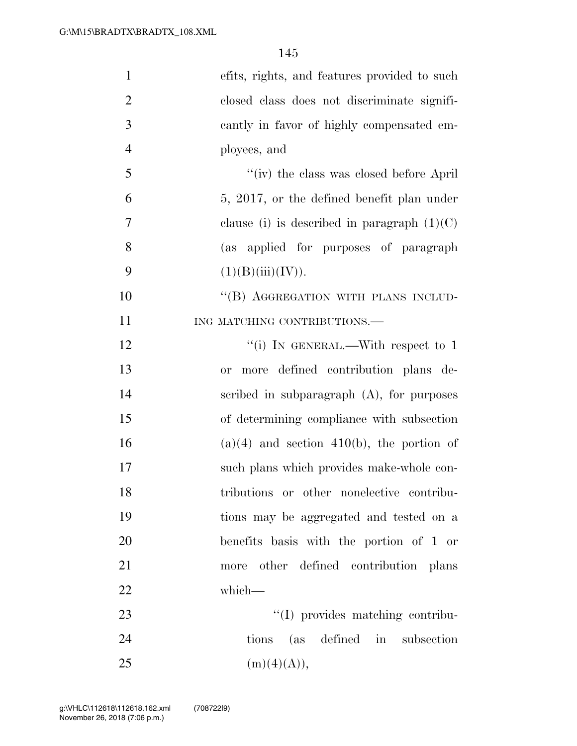| $\mathbf{1}$   | efits, rights, and features provided to such     |
|----------------|--------------------------------------------------|
| $\overline{2}$ | closed class does not discriminate signifi-      |
| 3              | cantly in favor of highly compensated em-        |
| $\overline{4}$ | ployees, and                                     |
| 5              | "(iv) the class was closed before April          |
| 6              | 5, 2017, or the defined benefit plan under       |
| 7              | clause (i) is described in paragraph $(1)(C)$    |
| 8              | (as applied for purposes of paragraph            |
| 9              | (1)(B)(iii)(IV)).                                |
| 10             | "(B) AGGREGATION WITH PLANS INCLUD-              |
| 11             | ING MATCHING CONTRIBUTIONS.                      |
| 12             | "(i) IN GENERAL.—With respect to 1               |
| 13             | more defined contribution plans de-<br><b>or</b> |
| 14             | scribed in subparagraph $(A)$ , for purposes     |
| 15             | of determining compliance with subsection        |
| 16             | $(a)(4)$ and section 410(b), the portion of      |
| 17             | such plans which provides make-whole con-        |
| 18             | tributions or other nonelective contribu-        |
| 19             | tions may be aggregated and tested on a          |
| 20             | benefits basis with the portion of 1 or          |
| 21             | more other defined contribution plans            |
| 22             | which-                                           |
| 23             | "(I) provides matching contribu-                 |
| 24             | tions (as defined in subsection                  |
| 25             | (m)(4)(A)),                                      |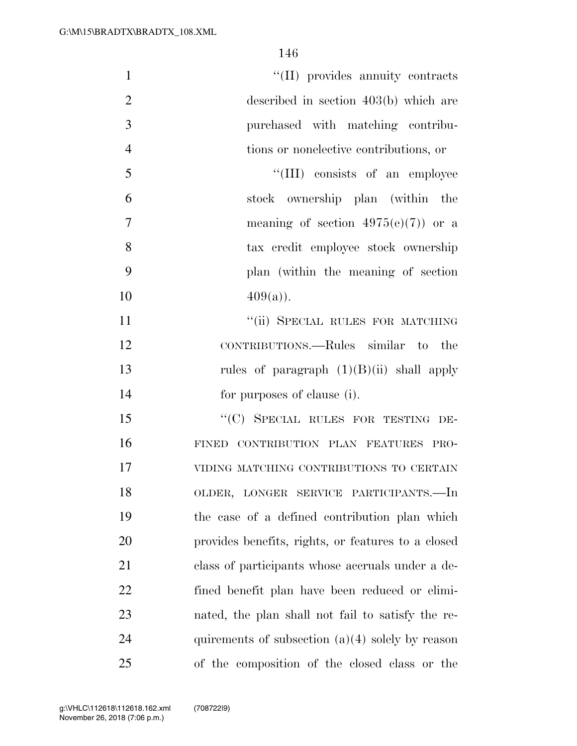| $\mathbf{1}$   | "(II) provides annuity contracts                   |
|----------------|----------------------------------------------------|
| $\overline{2}$ | described in section 403(b) which are              |
| 3              | purchased with matching contribu-                  |
| $\overline{4}$ | tions or nonelective contributions, or             |
| 5              | "(III) consists of an employee                     |
| 6              | stock ownership plan (within the                   |
| 7              | meaning of section $4975(e)(7)$ or a               |
| 8              | tax credit employee stock ownership                |
| 9              | plan (within the meaning of section                |
| 10             | $409(a)$ ).                                        |
| 11             | "(ii) SPECIAL RULES FOR MATCHING                   |
| 12             | CONTRIBUTIONS.—Rules similar to the                |
| 13             | rules of paragraph $(1)(B)(ii)$ shall apply        |
| 14             | for purposes of clause (i).                        |
| 15             | "(C) SPECIAL RULES FOR TESTING DE-                 |
| 16             | FINED CONTRIBUTION PLAN FEATURES PRO-              |
| 17             | VIDING MATCHING CONTRIBUTIONS TO CERTAIN           |
| 18             | OLDER, LONGER SERVICE PARTICIPANTS.-In             |
| 19             | the case of a defined contribution plan which      |
| 20             | provides benefits, rights, or features to a closed |
| 21             | class of participants whose accruals under a de-   |
| 22             | fined benefit plan have been reduced or elimi-     |
| 23             | nated, the plan shall not fail to satisfy the re-  |
| 24             | quirements of subsection $(a)(4)$ solely by reason |
| 25             | of the composition of the closed class or the      |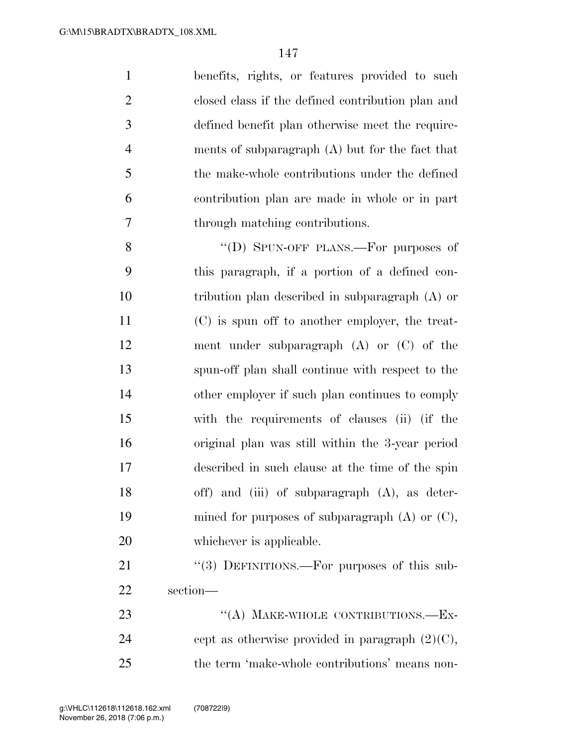| $\mathbf{1}$ | benefits, rights, or features provided to such    |
|--------------|---------------------------------------------------|
| 2            | closed class if the defined contribution plan and |
| 3            | defined benefit plan otherwise meet the require-  |
| 4            | ments of subparagraph $(A)$ but for the fact that |
| 5            | the make-whole contributions under the defined    |
| 6            | contribution plan are made in whole or in part    |
| 7            | through matching contributions.                   |

8 "(D) SPUN-OFF PLANS.—For purposes of this paragraph, if a portion of a defined con- tribution plan described in subparagraph (A) or (C) is spun off to another employer, the treat- ment under subparagraph (A) or (C) of the spun-off plan shall continue with respect to the other employer if such plan continues to comply with the requirements of clauses (ii) (if the original plan was still within the 3-year period described in such clause at the time of the spin off) and (iii) of subparagraph (A), as deter-19 mined for purposes of subparagraph (A) or (C), 20 whichever is applicable.

21 "(3) DEFINITIONS.—For purposes of this sub-section—

23 "(A) MAKE-WHOLE CONTRIBUTIONS.—EX-24 cept as otherwise provided in paragraph  $(2)(C)$ , the term 'make-whole contributions' means non-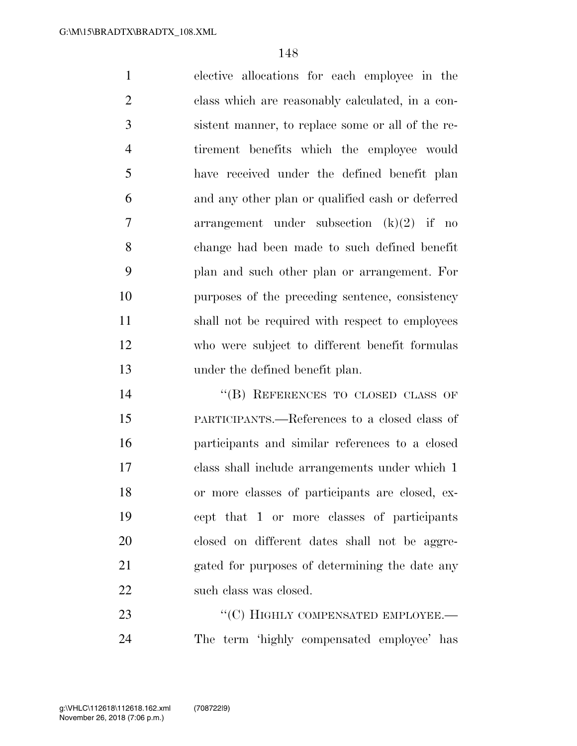elective allocations for each employee in the class which are reasonably calculated, in a con- sistent manner, to replace some or all of the re- tirement benefits which the employee would have received under the defined benefit plan and any other plan or qualified cash or deferred arrangement under subsection (k)(2) if no change had been made to such defined benefit plan and such other plan or arrangement. For purposes of the preceding sentence, consistency shall not be required with respect to employees who were subject to different benefit formulas under the defined benefit plan.

14 "(B) REFERENCES TO CLOSED CLASS OF PARTICIPANTS.—References to a closed class of participants and similar references to a closed class shall include arrangements under which 1 or more classes of participants are closed, ex- cept that 1 or more classes of participants closed on different dates shall not be aggre- gated for purposes of determining the date any 22 such class was closed.

23 "'(C) HIGHLY COMPENSATED EMPLOYEE. The term 'highly compensated employee' has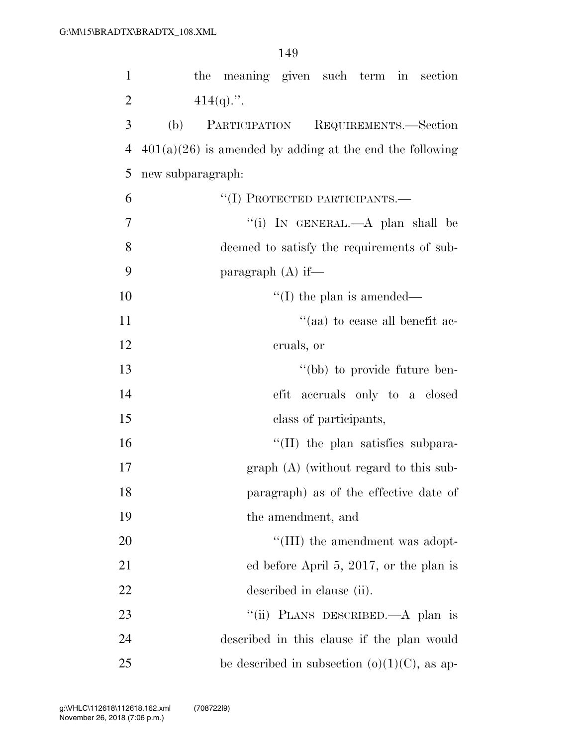| $\mathbf{1}$   | the meaning given such term in<br>section                  |
|----------------|------------------------------------------------------------|
| $\overline{2}$ | $414(q)$ .".                                               |
| 3              | (b)<br>PARTICIPATION<br>REQUIREMENTS.-Section              |
| $\overline{4}$ | $401(a)(26)$ is amended by adding at the end the following |
| 5              | new subparagraph:                                          |
| 6              | "(I) PROTECTED PARTICIPANTS.—                              |
| $\overline{7}$ | "(i) IN GENERAL.—A plan shall be                           |
| 8              | deemed to satisfy the requirements of sub-                 |
| 9              | paragraph $(A)$ if—                                        |
| 10             | $\lq\lq$ (I) the plan is amended—                          |
| 11             | "(aa) to cease all benefit ac-                             |
| 12             | cruals, or                                                 |
| 13             | "(bb) to provide future ben-                               |
| 14             | efit accruals only to a closed                             |
| 15             | class of participants,                                     |
| 16             | $\lq\lq$ (II) the plan satisfies subpara-                  |
| 17             | $graph(A)$ (without regard to this sub-                    |
| 18             | paragraph) as of the effective date of                     |
| 19             | the amendment, and                                         |
| 20             | "(III) the amendment was adopt-                            |
| 21             | ed before April 5, 2017, or the plan is                    |
| 22             | described in clause (ii).                                  |
| 23             | "(ii) PLANS DESCRIBED.—A plan is                           |
| 24             | described in this clause if the plan would                 |
| 25             | be described in subsection $(o)(1)(C)$ , as ap-            |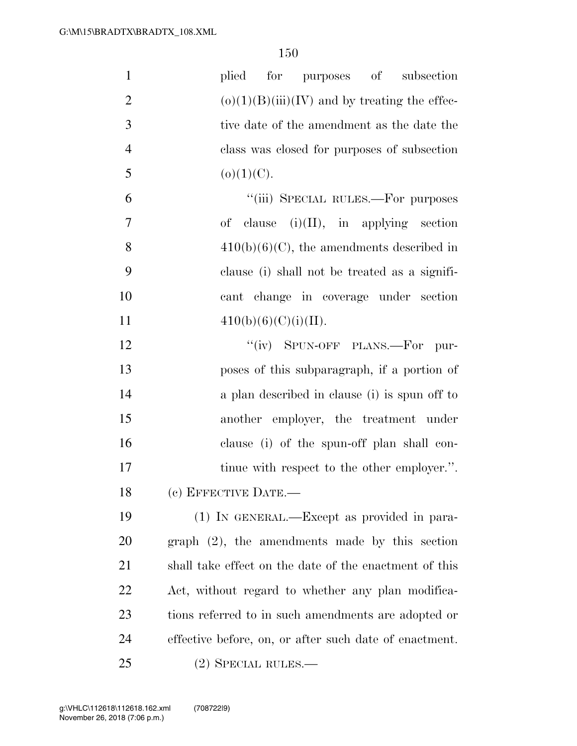| $\mathbf{1}$   | plied<br>for purposes of<br>subsection                 |
|----------------|--------------------------------------------------------|
| $\overline{2}$ | $(o)(1)(B)(iii)(IV)$ and by treating the effec-        |
| 3              | tive date of the amendment as the date the             |
| $\overline{4}$ | class was closed for purposes of subsection            |
| 5              | $(o)(1)(C)$ .                                          |
| 6              | "(iii) SPECIAL RULES.—For purposes                     |
| $\tau$         | of clause $(i)(II)$ , in applying section              |
| 8              | $410(b)(6)(C)$ , the amendments described in           |
| 9              | clause (i) shall not be treated as a signifi-          |
| 10             | cant change in coverage under section                  |
| 11             | 410(b)(6)(C)(i)(II).                                   |
| 12             | "(iv) SPUN-OFF PLANS.—For pur-                         |
| 13             | poses of this subparagraph, if a portion of            |
| 14             | a plan described in clause (i) is spun off to          |
| 15             | another employer, the treatment under                  |
| 16             | clause (i) of the spun-off plan shall con-             |
| $17\,$         | tinue with respect to the other employer.".            |
| 18             | (c) EFFECTIVE DATE.-                                   |
| 19             | (1) IN GENERAL.—Except as provided in para-            |
| 20             | $graph (2)$ , the amendments made by this section      |
| 21             | shall take effect on the date of the enactment of this |
| 22             | Act, without regard to whether any plan modifica-      |
| 23             | tions referred to in such amendments are adopted or    |
| 24             | effective before, on, or after such date of enactment. |
| 25             | $(2)$ SPECIAL RULES.—                                  |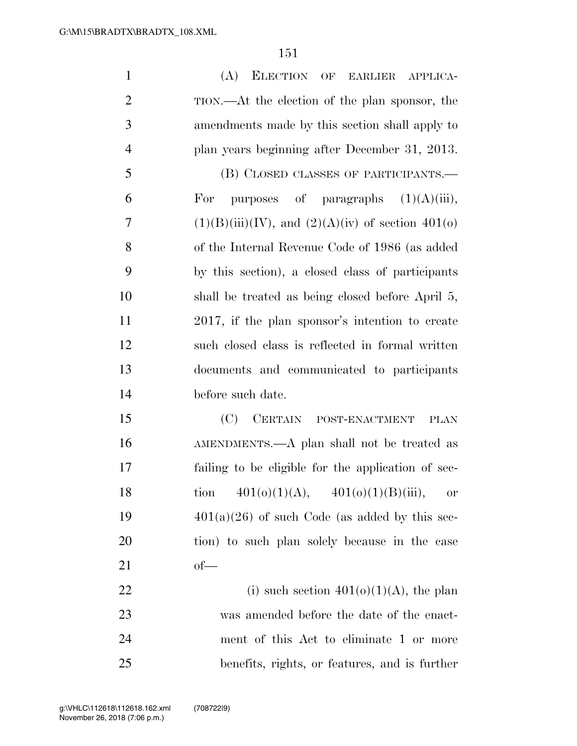| $\mathbf{1}$   | (A)<br>ELECTION OF EARLIER APPLICA-                    |
|----------------|--------------------------------------------------------|
| $\overline{2}$ | TION.—At the election of the plan sponsor, the         |
| 3              | amendments made by this section shall apply to         |
| $\overline{4}$ | plan years beginning after December 31, 2013.          |
| 5              | (B) CLOSED CLASSES OF PARTICIPANTS.—                   |
| 6              | purposes of paragraphs $(1)(A)(iii)$ ,<br>For          |
| $\overline{7}$ | $(1)(B)(iii)(IV)$ , and $(2)(A)(iv)$ of section 401(o) |
| 8              | of the Internal Revenue Code of 1986 (as added         |
| 9              | by this section), a closed class of participants       |
| 10             | shall be treated as being closed before April 5,       |
| 11             | 2017, if the plan sponsor's intention to create        |
| 12             | such closed class is reflected in formal written       |
| 13             | documents and communicated to participants             |
| 14             | before such date.                                      |
| 15             | (C)<br>CERTAIN POST-ENACTMENT<br><b>PLAN</b>           |
| 16             | AMENDMENTS.—A plan shall not be treated as             |
| 17             | failing to be eligible for the application of sec-     |
| 18             | tion $401(0)(1)(A)$ , $401(0)(1)(B)(iii)$ ,<br>or      |
| 19             | $401(a)(26)$ of such Code (as added by this sec-       |
| 20             | tion) to such plan solely because in the case          |
| 21             | $of$ —                                                 |
| 22             | (i) such section $401(0)(1)(A)$ , the plan             |
| 23             | was amended before the date of the enact-              |
| 24             | ment of this Act to eliminate 1 or more                |
| 25             | benefits, rights, or features, and is further          |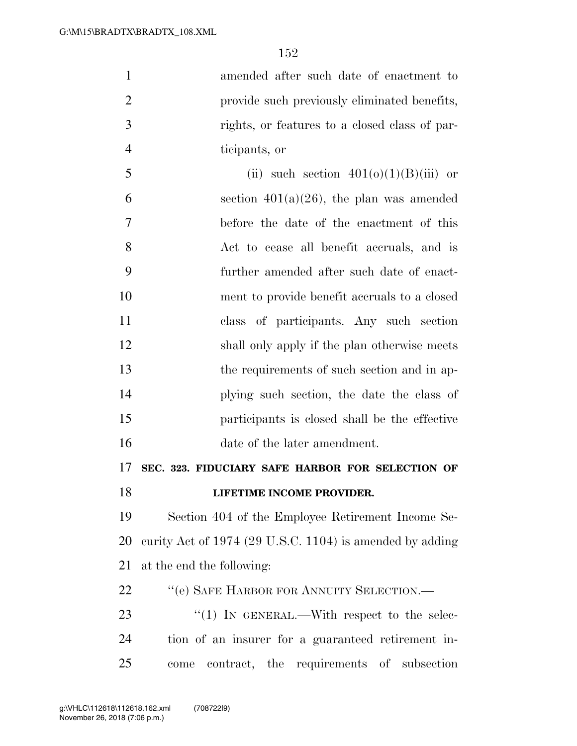amended after such date of enactment to 2 provide such previously eliminated benefits, rights, or features to a closed class of par- ticipants, or 5 (ii) such section  $401(0)(1)(B)(iii)$  or 6 section  $401(a)(26)$ , the plan was amended before the date of the enactment of this Act to cease all benefit accruals, and is

 further amended after such date of enact- ment to provide benefit accruals to a closed class of participants. Any such section shall only apply if the plan otherwise meets the requirements of such section and in ap- plying such section, the date the class of participants is closed shall be the effective date of the later amendment.

**SEC. 323. FIDUCIARY SAFE HARBOR FOR SELECTION OF** 

**LIFETIME INCOME PROVIDER.** 

 Section 404 of the Employee Retirement Income Se- curity Act of 1974 (29 U.S.C. 1104) is amended by adding at the end the following:

22 "(e) SAFE HARBOR FOR ANNUITY SELECTION.—

23  $\frac{4}{1}$  In GENERAL.—With respect to the selec- tion of an insurer for a guaranteed retirement in-come contract, the requirements of subsection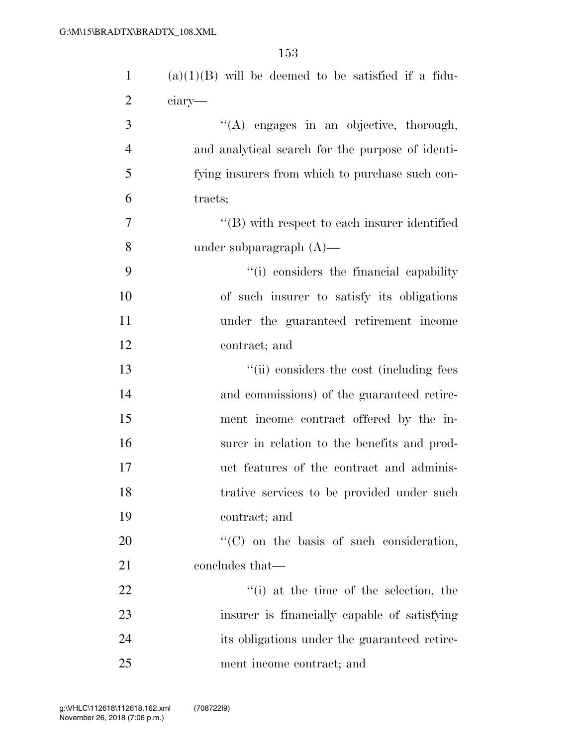| $\mathbf{1}$   | $(a)(1)(B)$ will be deemed to be satisfied if a fidu- |
|----------------|-------------------------------------------------------|
| $\overline{2}$ | ciary—                                                |
| 3              | "(A) engages in an objective, thorough,               |
| $\overline{4}$ | and analytical search for the purpose of identi-      |
| 5              | fying insurers from which to purchase such con-       |
| 6              | tracts;                                               |
| $\overline{7}$ | $\lq\lq$ with respect to each insurer identified      |
| 8              | under subparagraph $(A)$ —                            |
| 9              | "(i) considers the financial capability               |
| 10             | of such insurer to satisfy its obligations            |
| 11             | under the guaranteed retirement income                |
| 12             | contract; and                                         |
| 13             | "(ii) considers the cost (including fees              |
| 14             | and commissions) of the guaranteed retire-            |
| 15             | ment income contract offered by the in-               |
| 16             | surer in relation to the benefits and prod-           |
| 17             | uct features of the contract and adminis-             |
| 18             | trative services to be provided under such            |
| 19             | contract; and                                         |
| 20             | "(C) on the basis of such consideration,              |
| 21             | concludes that—                                       |
| 22             | "(i) at the time of the selection, the                |
| 23             | insurer is financially capable of satisfying          |
| 24             | its obligations under the guaranteed retire-          |
| $25\,$         | ment income contract; and                             |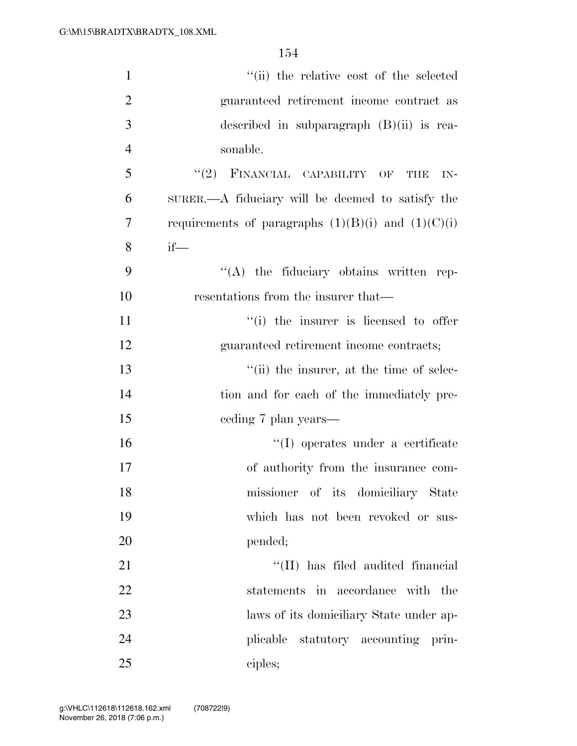| $\mathbf{1}$   | "(ii) the relative cost of the selected                |
|----------------|--------------------------------------------------------|
| $\overline{2}$ | guaranteed retirement income contract as               |
| 3              | described in subparagraph $(B)(ii)$ is rea-            |
| $\overline{4}$ | sonable.                                               |
| 5              | $``(2)$ FINANCIAL CAPABILITY OF<br><b>THE</b><br>IN-   |
| 6              | SURER.—A fiduciary will be deemed to satisfy the       |
| 7              | requirements of paragraphs $(1)(B)(i)$ and $(1)(C)(i)$ |
| 8              | $if$ —                                                 |
| 9              | $\lq\lq$ the fiduciary obtains written rep-            |
| 10             | resentations from the insurer that—                    |
| 11             | "(i) the insurer is licensed to offer                  |
| 12             | guaranteed retirement income contracts;                |
| 13             | "(ii) the insurer, at the time of selec-               |
| 14             | tion and for each of the immediately pre-              |
| 15             | eeding 7 plan years—                                   |
| 16             | "(I) operates under a certificate                      |
| 17             | of authority from the insurance com-                   |
| 18             | missioner of its domiciliary State                     |
| 19             | which has not been revoked or sus-                     |
| 20             | pended;                                                |
| 21             | "(II) has filed audited financial                      |
| 22             | statements in accordance with the                      |
| 23             | laws of its domiciliary State under ap-                |
| 24             | plicable statutory accounting prin-                    |
| 25             | ciples;                                                |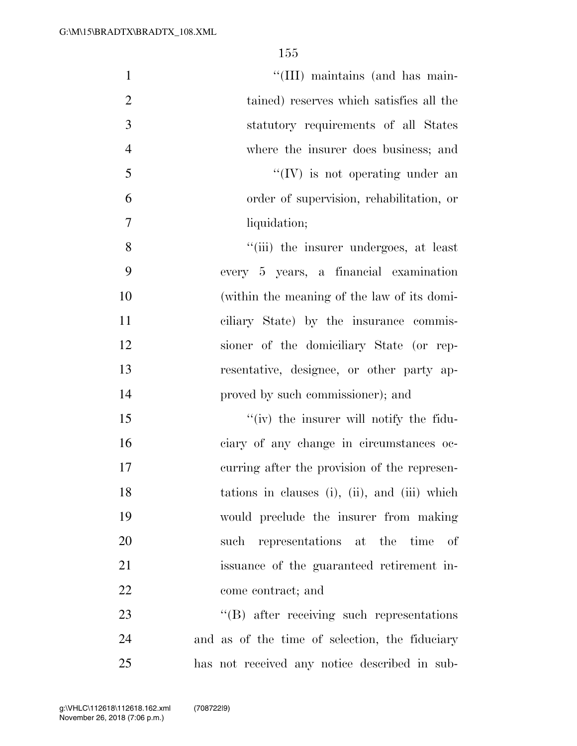| $\mathbf{1}$   | "(III) maintains (and has main-                |
|----------------|------------------------------------------------|
| $\overline{2}$ | tained) reserves which satisfies all the       |
| 3              | statutory requirements of all States           |
| $\overline{4}$ | where the insurer does business; and           |
| 5              | $\lq\lq (IV)$ is not operating under an        |
| 6              | order of supervision, rehabilitation, or       |
| $\overline{7}$ | liquidation;                                   |
| 8              | "(iii) the insurer undergoes, at least         |
| 9              | every 5 years, a financial examination         |
| 10             | (within the meaning of the law of its domi-    |
| 11             | ciliary State) by the insurance commis-        |
| 12             | sioner of the domiciliary State (or rep-       |
| 13             | resentative, designee, or other party ap-      |
| 14             | proved by such commissioner); and              |
| 15             | "(iv) the insurer will notify the fidu-        |
| 16             | ciary of any change in circumstances oc-       |
| 17             | curring after the provision of the represen-   |
| 18             | tations in clauses (i), (ii), and (iii) which  |
| 19             | would preclude the insurer from making         |
| 20             | such representations at the time of            |
| 21             | issuance of the guaranteed retirement in-      |
| 22             | come contract; and                             |
| 23             | "(B) after receiving such representations      |
| 24             | and as of the time of selection, the fiduciary |
| 25             | has not received any notice described in sub-  |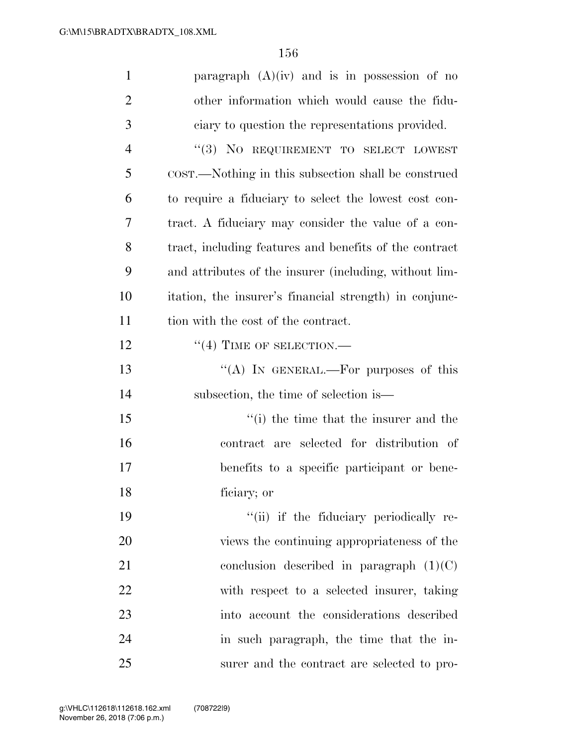| $\mathbf{1}$   | paragraph $(A)(iv)$ and is in possession of no         |
|----------------|--------------------------------------------------------|
| $\overline{2}$ | other information which would cause the fidu-          |
| 3              | ciary to question the representations provided.        |
| $\overline{4}$ | "(3) NO REQUIREMENT TO SELECT LOWEST                   |
| 5              | COST.—Nothing in this subsection shall be construed    |
| 6              | to require a fiduciary to select the lowest cost con-  |
| 7              | tract. A fiduciary may consider the value of a con-    |
| 8              | tract, including features and benefits of the contract |
| 9              | and attributes of the insurer (including, without lim- |
| 10             | itation, the insurer's financial strength) in conjunc- |
| 11             | tion with the cost of the contract.                    |
| 12             | $``(4)$ TIME OF SELECTION.—                            |
| 13             | "(A) IN GENERAL.—For purposes of this                  |
| 14             | subsection, the time of selection is—                  |
| 15             | "(i) the time that the insurer and the                 |
| 16             | contract are selected for distribution of              |
| 17             | benefits to a specific participant or bene-            |
| 18             | ficiary; or                                            |
| 19             | "(ii) if the fiduciary periodically re-                |
| 20             | views the continuing appropriateness of the            |
| 21             | conclusion described in paragraph $(1)(C)$             |
| 22             | with respect to a selected insurer, taking             |
| 23             | into account the considerations described              |
| 24             | in such paragraph, the time that the in-               |
| 25             | surer and the contract are selected to pro-            |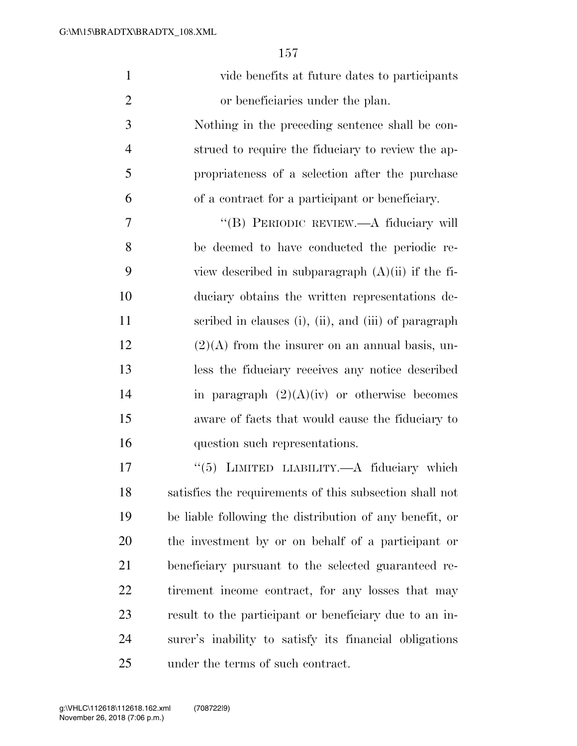| $\mathbf{1}$   | vide benefits at future dates to participants           |
|----------------|---------------------------------------------------------|
| $\overline{2}$ | or beneficiaries under the plan.                        |
| 3              | Nothing in the preceding sentence shall be con-         |
| $\overline{4}$ | strued to require the fiduciary to review the ap-       |
| 5              | propriateness of a selection after the purchase         |
| 6              | of a contract for a participant or beneficiary.         |
| 7              | "(B) PERIODIC REVIEW.—A fiduciary will                  |
| 8              | be deemed to have conducted the periodic re-            |
| 9              | view described in subparagraph $(A)(ii)$ if the fi-     |
| 10             | duciary obtains the written representations de-         |
| 11             | scribed in clauses (i), (ii), and (iii) of paragraph    |
| 12             | $(2)(A)$ from the insurer on an annual basis, un-       |
| 13             | less the fiduciary receives any notice described        |
| 14             | in paragraph $(2)(A)(iv)$ or otherwise becomes          |
| 15             | aware of facts that would cause the fiduciary to        |
| 16             | question such representations.                          |
| 17             | "(5) LIMITED LIABILITY.—A fiduciary which               |
| 18             | satisfies the requirements of this subsection shall not |
| 19             | be liable following the distribution of any benefit, or |
| 20             | the investment by or on behalf of a participant or      |
| 21             | beneficiary pursuant to the selected guaranteed re-     |
| <u>22</u>      | tirement income contract, for any losses that may       |
| 23             | result to the participant or beneficiary due to an in-  |
| 24             | surer's inability to satisfy its financial obligations  |
| 25             | under the terms of such contract.                       |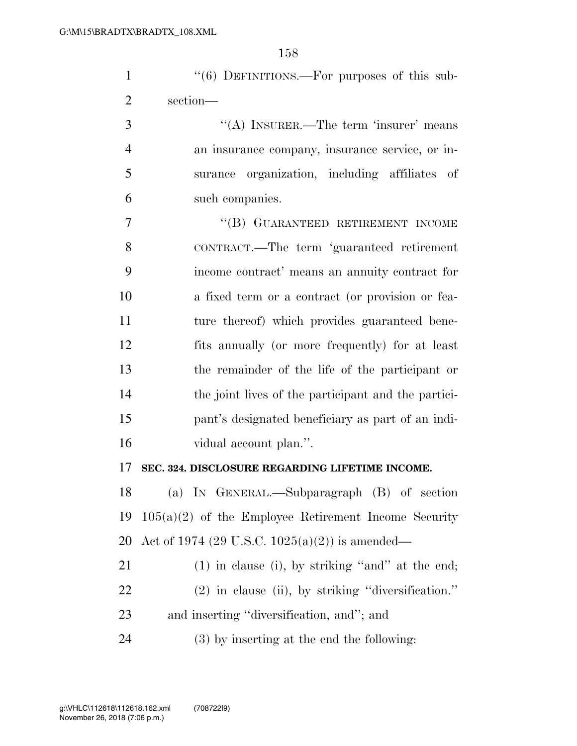| $\mathbf{1}$   | "(6) DEFINITIONS.—For purposes of this sub-            |
|----------------|--------------------------------------------------------|
| $\overline{2}$ | section-                                               |
| 3              | "(A) INSURER.—The term 'insurer' means                 |
| $\overline{4}$ | an insurance company, insurance service, or in-        |
| 5              | surance organization, including affiliates of          |
| 6              | such companies.                                        |
| 7              | "(B) GUARANTEED RETIREMENT INCOME                      |
| 8              | CONTRACT.—The term 'guaranteed retirement              |
| 9              | income contract' means an annuity contract for         |
| 10             | a fixed term or a contract (or provision or fea-       |
| 11             | ture thereof) which provides guaranteed bene-          |
| 12             | fits annually (or more frequently) for at least        |
| 13             | the remainder of the life of the participant or        |
| 14             | the joint lives of the participant and the partici-    |
| 15             | pant's designated beneficiary as part of an indi-      |
| 16             | vidual account plan.".                                 |
| 17             | SEC. 324. DISCLOSURE REGARDING LIFETIME INCOME.        |
| 18             | (a) IN GENERAL.—Subparagraph (B) of section            |
| 19             | $105(a)(2)$ of the Employee Retirement Income Security |
| 20             | Act of 1974 (29 U.S.C. 1025(a)(2)) is amended—         |
| 21             | $(1)$ in clause (i), by striking "and" at the end;     |
| 22             | $(2)$ in clause (ii), by striking "diversification."   |
| 23             | and inserting "diversification, and"; and              |
| 24             | $(3)$ by inserting at the end the following:           |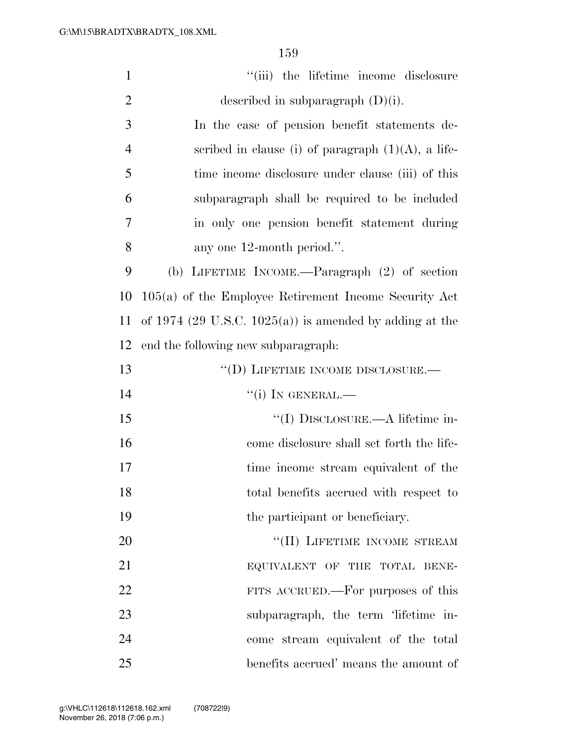| $\mathbf{1}$   | "(iii) the lifetime income disclosure                   |
|----------------|---------------------------------------------------------|
| $\mathbf{2}$   | described in subparagraph $(D)(i)$ .                    |
| 3              | In the case of pension benefit statements de-           |
| $\overline{4}$ | scribed in clause (i) of paragraph $(1)(A)$ , a life-   |
| 5              | time income disclosure under clause (iii) of this       |
| 6              | subparagraph shall be required to be included           |
| 7              | in only one pension benefit statement during            |
| 8              | any one 12-month period.".                              |
| 9              | (b) LIFETIME INCOME.—Paragraph (2) of section           |
| 10             | $105(a)$ of the Employee Retirement Income Security Act |
| 11             | of 1974 (29 U.S.C. 1025(a)) is amended by adding at the |
| 12             | end the following new subparagraph:                     |
| 13             | "(D) LIFETIME INCOME DISCLOSURE.-                       |
| 14             | $``(i)$ IN GENERAL.—                                    |
| 15             | "(I) DISCLOSURE.—A lifetime in-                         |
| 16             | come disclosure shall set forth the life-               |
| 17             | time income stream equivalent of the                    |
| 18             | total benefits accrued with respect to                  |
| 19             | the participant or beneficiary.                         |
| 20             | "(II) LIFETIME INCOME STREAM                            |
| 21             | EQUIVALENT OF THE TOTAL BENE-                           |
| 22             | FITS ACCRUED.—For purposes of this                      |
| 23             | subparagraph, the term 'lifetime in-                    |
| 24             | come stream equivalent of the total                     |
| 25             | benefits accrued' means the amount of                   |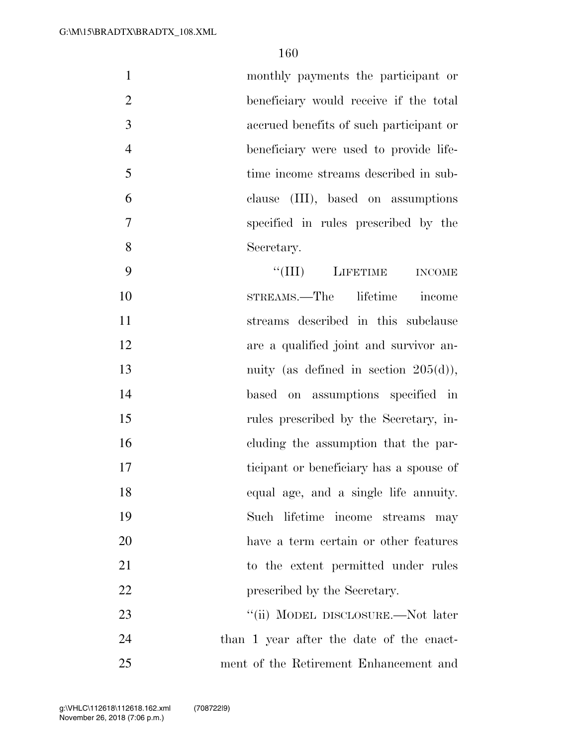|   | monthly payments the participant or     |
|---|-----------------------------------------|
| 2 | beneficiary would receive if the total  |
| 3 | accrued benefits of such participant or |
| 4 | beneficiary were used to provide life-  |
| 5 | time income streams described in sub-   |
| 6 | clause (III), based on assumptions      |
| 7 | specified in rules prescribed by the    |
| 8 | Secretary.                              |
|   |                                         |

9 ''(III) LIFETIME INCOME STREAMS.—The lifetime income streams described in this subclause are a qualified joint and survivor an-13 nuity (as defined in section 205(d)), based on assumptions specified in rules prescribed by the Secretary, in- cluding the assumption that the par- ticipant or beneficiary has a spouse of equal age, and a single life annuity. Such lifetime income streams may have a term certain or other features 21 to the extent permitted under rules 22 prescribed by the Secretary. 23 "(ii) MODEL DISCLOSURE.—Not later

 than 1 year after the date of the enact-ment of the Retirement Enhancement and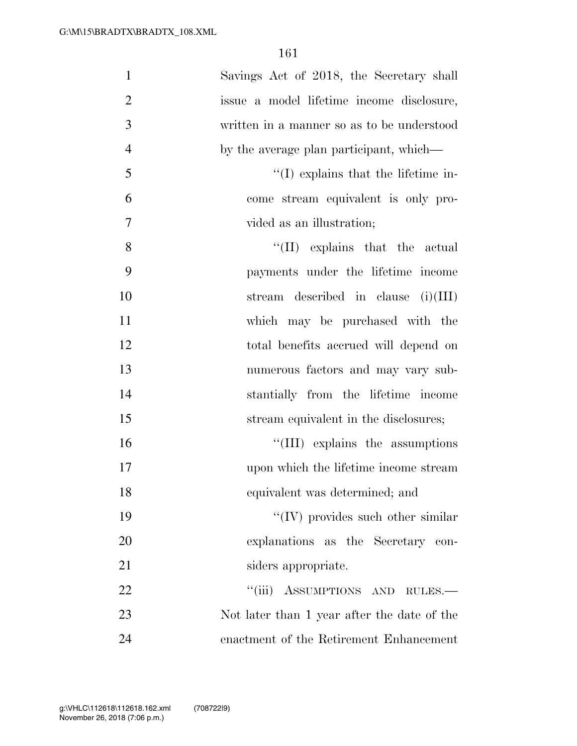| $\mathbf{1}$   | Savings Act of 2018, the Secretary shall    |
|----------------|---------------------------------------------|
| $\overline{2}$ | issue a model lifetime income disclosure,   |
| 3              | written in a manner so as to be understood  |
| $\overline{4}$ | by the average plan participant, which—     |
| 5              | $\lq\lq$ explains that the lifetime in-     |
| 6              | come stream equivalent is only pro-         |
| $\tau$         | vided as an illustration;                   |
| 8              | $\lq\lq$ (II) explains that the actual      |
| 9              | payments under the lifetime income          |
| 10             | stream described in clause $(i)(III)$       |
| 11             | which may be purchased with the             |
| 12             | total benefits accrued will depend on       |
| 13             | numerous factors and may vary sub-          |
| 14             | stantially from the lifetime income         |
| 15             | stream equivalent in the disclosures;       |
| 16             | "(III) explains the assumptions             |
| 17             | upon which the lifetime income stream       |
| 18             | equivalent was determined; and              |
| 19             | $\lq\lq$ (IV) provides such other similar   |
| 20             | explanations as the Secretary con-          |
| 21             | siders appropriate.                         |
| 22             | "(iii) ASSUMPTIONS AND RULES.-              |
| 23             | Not later than 1 year after the date of the |
| 24             | enactment of the Retirement Enhancement     |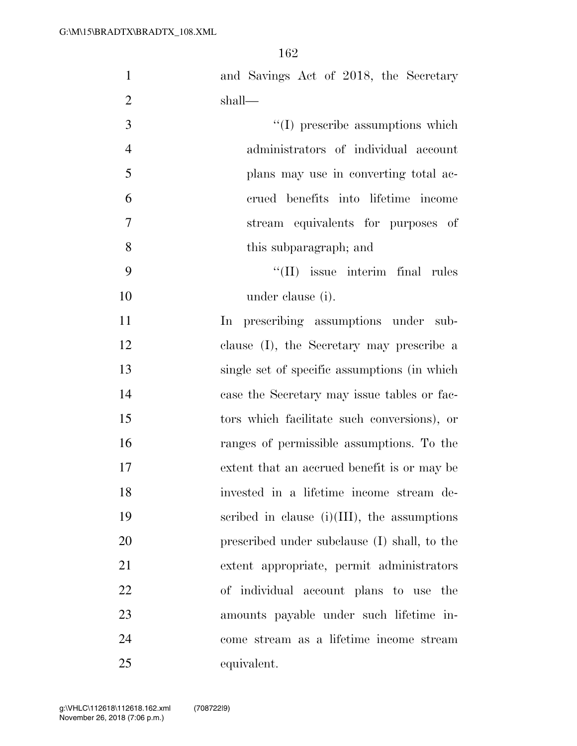| $\mathbf{1}$   | and Savings Act of 2018, the Secretary         |
|----------------|------------------------------------------------|
| $\overline{2}$ | shall—                                         |
| 3              | $\lq\lq$ (I) prescribe assumptions which       |
| $\overline{4}$ | administrators of individual account           |
| 5              | plans may use in converting total ac-          |
| 6              | crued benefits into lifetime income            |
| 7              | stream equivalents for purposes of             |
| 8              | this subparagraph; and                         |
| 9              | $\lq\lq$ (II) issue interim final rules        |
| 10             | under clause (i).                              |
| 11             | In prescribing assumptions under sub-          |
| 12             | clause (I), the Secretary may prescribe a      |
| 13             | single set of specific assumptions (in which   |
| 14             | case the Secretary may issue tables or fac-    |
| 15             | tors which facilitate such conversions), or    |
| 16             | ranges of permissible assumptions. To the      |
| 17             | extent that an accrued benefit is or may be    |
| 18             | invested in a lifetime income stream de-       |
| 19             | scribed in clause $(i)(III)$ , the assumptions |
| 20             | prescribed under subclause (I) shall, to the   |
| 21             | extent appropriate, permit administrators      |
| 22             | of individual account plans to use the         |
| 23             | amounts payable under such lifetime in-        |
| 24             | come stream as a lifetime income stream        |
| 25             | equivalent.                                    |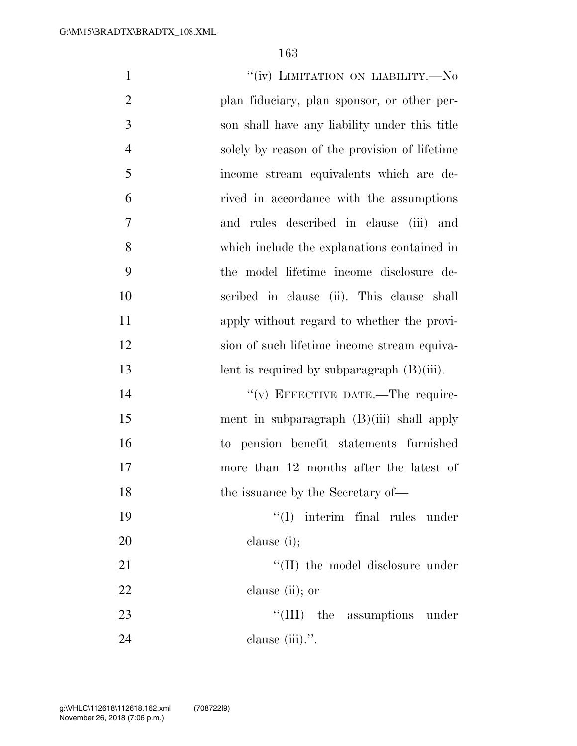| $\mathbf{1}$   | "(iv) LIMITATION ON LIABILITY.—No             |
|----------------|-----------------------------------------------|
| $\overline{2}$ | plan fiduciary, plan sponsor, or other per-   |
| 3              | son shall have any liability under this title |
| $\overline{4}$ | solely by reason of the provision of lifetime |
| 5              | income stream equivalents which are de-       |
| 6              | rived in accordance with the assumptions      |
| $\overline{7}$ | and rules described in clause (iii) and       |
| 8              | which include the explanations contained in   |
| 9              | the model lifetime income disclosure de-      |
| 10             | scribed in clause (ii). This clause shall     |
| 11             | apply without regard to whether the provi-    |
| 12             | sion of such lifetime income stream equiva-   |
| 13             | lent is required by subparagraph $(B)(iii)$ . |
| 14             | "(v) EFFECTIVE DATE.—The require-             |
| 15             | ment in subparagraph $(B)(iii)$ shall apply   |
| 16             | to pension benefit statements furnished       |
| 17             | more than 12 months after the latest of       |
| 18             | the issuance by the Secretary of-             |
| 19             | $\lq\lq$ interim final rules under            |
| 20             | clause $(i)$ ;                                |
| 21             | "(II) the model disclosure under              |
| 22             | clause (ii); or                               |
| 23             | "(III) the assumptions under                  |
| 24             | clause (iii).".                               |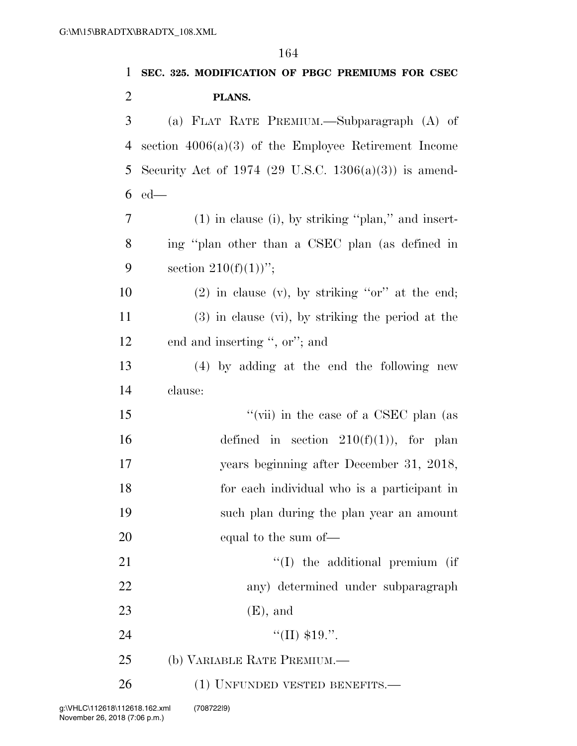**SEC. 325. MODIFICATION OF PBGC PREMIUMS FOR CSEC PLANS.**  (a) FLAT RATE PREMIUM.—Subparagraph (A) of section 4006(a)(3) of the Employee Retirement Income Security Act of 1974 (29 U.S.C. 1306(a)(3)) is amend- ed— (1) in clause (i), by striking ''plan,'' and insert- ing ''plan other than a CSEC plan (as defined in 9 section  $210(f)(1)$ "; 10 (2) in clause (v), by striking " $or$ " at the end;

 (3) in clause (vi), by striking the period at the end and inserting '', or''; and

 (4) by adding at the end the following new clause:

 ''(vii) in the case of a CSEC plan (as 16 defined in section  $210(f)(1)$ , for plan years beginning after December 31, 2018, for each individual who is a participant in such plan during the plan year an amount equal to the sum of—

21 ''(I) the additional premium (if any) determined under subparagraph 23 (E), and 24  $\frac{1}{2}$   $\frac{1}{2}$   $\frac{1}{2}$   $\frac{1}{2}$   $\frac{1}{2}$   $\frac{1}{2}$   $\frac{1}{2}$   $\frac{1}{2}$   $\frac{1}{2}$   $\frac{1}{2}$   $\frac{1}{2}$   $\frac{1}{2}$   $\frac{1}{2}$   $\frac{1}{2}$   $\frac{1}{2}$   $\frac{1}{2}$   $\frac{1}{2}$   $\frac{1}{2}$   $\frac{1}{2}$   $\frac{1}{2}$   $\frac{1}{2}$   $\frac{1}{2}$ 

(b) VARIABLE RATE PREMIUM.—

26 (1) UNFUNDED VESTED BENEFITS.—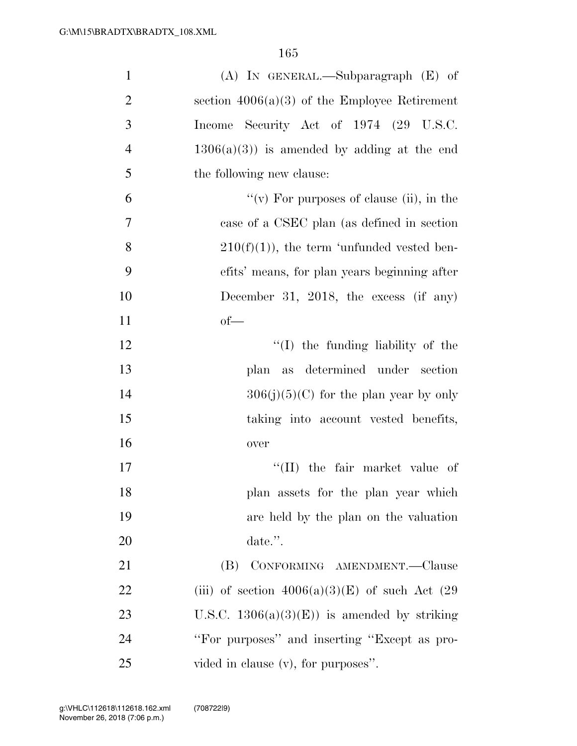| $\mathbf{1}$   | $(A)$ In GENERAL.—Subparagraph $(E)$ of             |
|----------------|-----------------------------------------------------|
| $\overline{2}$ | section $4006(a)(3)$ of the Employee Retirement     |
| 3              | Income Security Act of 1974 (29 U.S.C.              |
| $\overline{4}$ | $1306(a)(3)$ is amended by adding at the end        |
| 5              | the following new clause:                           |
| 6              | "(v) For purposes of clause (ii), in the            |
| $\tau$         | case of a CSEC plan (as defined in section          |
| 8              | $210(f)(1)$ , the term 'unfunded vested ben-        |
| 9              | efits' means, for plan years beginning after        |
| 10             | December 31, 2018, the excess (if any)              |
| 11             | $of-$                                               |
| 12             | $\lq\lq$ (I) the funding liability of the           |
| 13             | plan as determined under section                    |
| 14             | $306(j)(5)(C)$ for the plan year by only            |
| 15             | taking into account vested benefits,                |
| 16             | over                                                |
| 17             | $\lq\lq$ (II) the fair market value of              |
| 18             | plan assets for the plan year which                 |
| 19             | are held by the plan on the valuation               |
| 20             | date.".                                             |
| 21             | CONFORMING AMENDMENT.—Clause<br>(B)                 |
| 22             | (iii) of section $4006(a)(3)(E)$ of such Act $(29)$ |
| 23             | U.S.C. $1306(a)(3)(E)$ is amended by striking       |
| 24             | "For purposes" and inserting "Except as pro-        |
| 25             | vided in clause (v), for purposes".                 |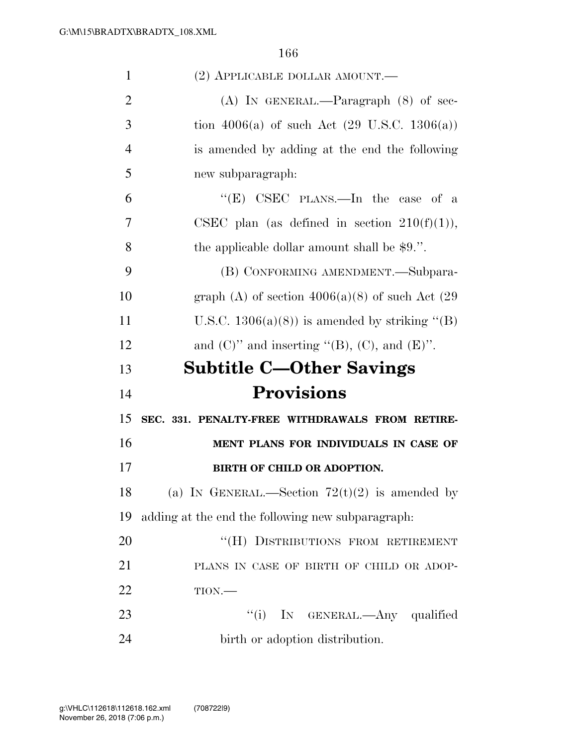| 1              | $(2)$ APPLICABLE DOLLAR AMOUNT.—                        |
|----------------|---------------------------------------------------------|
| $\overline{2}$ | (A) IN GENERAL.—Paragraph $(8)$ of sec-                 |
| 3              | tion 4006(a) of such Act $(29 \text{ U.S.C. } 1306(a))$ |
| $\overline{4}$ | is amended by adding at the end the following           |
| 5              | new subparagraph:                                       |
| 6              | " $(E)$ CSEC PLANS.—In the case of a                    |
| 7              | CSEC plan (as defined in section $210(f)(1)$ ),         |
| 8              | the applicable dollar amount shall be $$9$ .".          |
| 9              | (B) CONFORMING AMENDMENT.—Subpara-                      |
| 10             | graph (A) of section $4006(a)(8)$ of such Act (29)      |
| 11             | U.S.C. $1306(a)(8)$ is amended by striking "(B)         |
| 12             | and $(C)$ " and inserting "(B), $(C)$ , and $(E)$ ".    |
|                |                                                         |
| 13             | <b>Subtitle C-Other Savings</b>                         |
| 14             | <b>Provisions</b>                                       |
| 15             | SEC. 331. PENALTY-FREE WITHDRAWALS FROM RETIRE-         |
| 16             | MENT PLANS FOR INDIVIDUALS IN CASE OF                   |
| 17             | <b>BIRTH OF CHILD OR ADOPTION.</b>                      |
| 18             | (a) IN GENERAL.—Section $72(t)(2)$ is amended by        |
| 19             | adding at the end the following new subparagraph.       |
| 20             | "(H) DISTRIBUTIONS FROM RETIREMENT                      |
| 21             | PLANS IN CASE OF BIRTH OF CHILD OR ADOP-                |
| 22             | TION.                                                   |
| 23             | ``(i)<br>IN GENERAL.—Any qualified                      |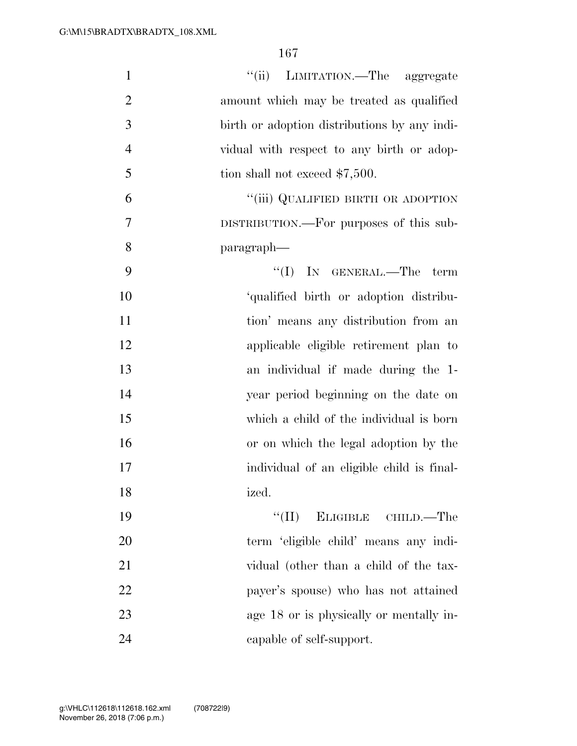| $\mathbf{1}$   | "(ii) LIMITATION.—The aggregate              |
|----------------|----------------------------------------------|
| $\overline{2}$ | amount which may be treated as qualified     |
| 3              | birth or adoption distributions by any indi- |
| $\overline{4}$ | vidual with respect to any birth or adop-    |
| 5              | tion shall not exceed \$7,500.               |
| 6              | "(iii) QUALIFIED BIRTH OR ADOPTION           |
| 7              | DISTRIBUTION.—For purposes of this sub-      |
| 8              | paragraph—                                   |
| 9              | $``(I)$ IN GENERAL.—The term                 |
| 10             | 'qualified birth or adoption distribu-       |
| 11             | tion' means any distribution from an         |
| 12             | applicable eligible retirement plan to       |
| 13             | an individual if made during the 1-          |
| 14             | year period beginning on the date on         |
| 15             | which a child of the individual is born      |
| 16             | or on which the legal adoption by the        |
| 17             | individual of an eligible child is final-    |
| 18             | ized.                                        |
| 19             | "(II) ELIGIBLE CHILD.—The                    |
| 20             | term 'eligible child' means any indi-        |
| 21             | vidual (other than a child of the tax-       |
| 22             | payer's spouse) who has not attained         |
| 23             | age 18 or is physically or mentally in-      |
| 24             | capable of self-support.                     |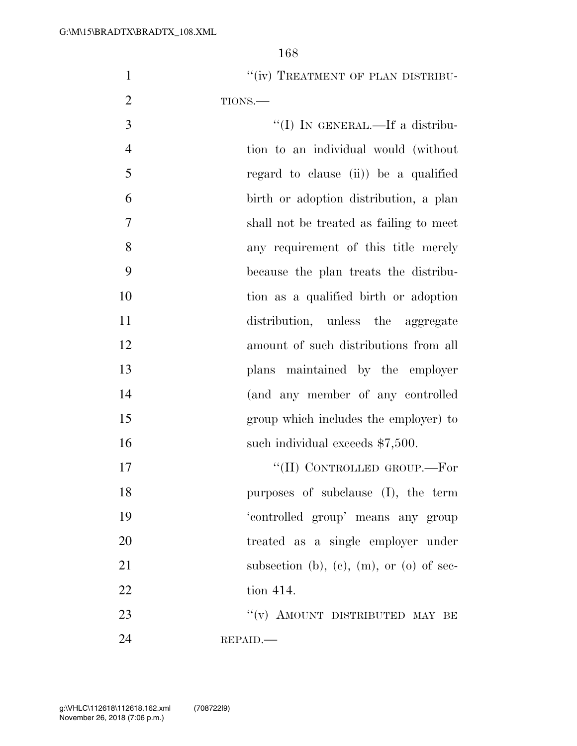1 "(iv) TREATMENT OF PLAN DISTRIBU-2 TIONS.—

 ''(I) IN GENERAL.—If a distribu- tion to an individual would (without regard to clause (ii)) be a qualified birth or adoption distribution, a plan shall not be treated as failing to meet any requirement of this title merely because the plan treats the distribu- tion as a qualified birth or adoption distribution, unless the aggregate amount of such distributions from all plans maintained by the employer (and any member of any controlled group which includes the employer) to 16 such individual exceeds \$7,500.  $\text{``(II)}$  CONTROLLED GROUP.—For purposes of subclause (I), the term 'controlled group' means any group treated as a single employer under 21 subsection (b), (c), (m), or (o) of sec-22 tion 414.

23 "(v) AMOUNT DISTRIBUTED MAY BE REPAID.—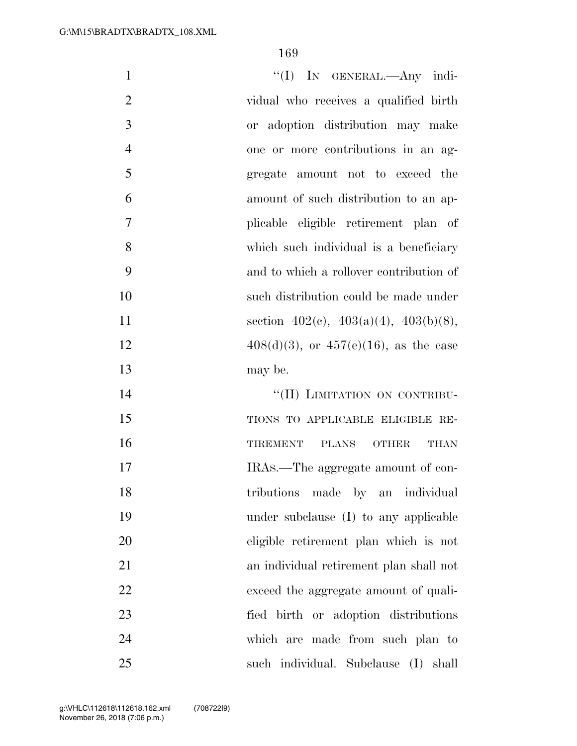| $\mathbf{1}$   | "(I) IN GENERAL.—Any indi-                     |
|----------------|------------------------------------------------|
| $\overline{2}$ | vidual who receives a qualified birth          |
| 3              | or adoption distribution may make              |
| $\overline{4}$ | one or more contributions in an ag-            |
| 5              | gregate amount not to exceed the               |
| 6              | amount of such distribution to an ap-          |
| $\tau$         | plicable eligible retirement plan of           |
| 8              | which such individual is a beneficiary         |
| 9              | and to which a rollover contribution of        |
| 10             | such distribution could be made under          |
| 11             | section $402(c)$ , $403(a)(4)$ , $403(b)(8)$ , |
| 12             | $408(d)(3)$ , or $457(e)(16)$ , as the case    |
| 13             | may be.                                        |
| 14             | "(II) LIMITATION ON CONTRIBU-                  |
| 15             | TIONS TO APPLICABLE ELIGIBLE RE-               |
| 16             | TIREMENT PLANS OTHER<br>THAN                   |
| 17             | IRAS.—The aggregate amount of con-             |
| 18             | tributions made by an individual               |
| 19             | under subclause (I) to any applicable          |
| 20             | eligible retirement plan which is not          |
| 21             | an individual retirement plan shall not        |
| 22             | exceed the aggregate amount of quali-          |
| 23             | fied birth or adoption distributions           |
| 24             | which are made from such plan to               |
| 25             | such individual. Subclause (I) shall           |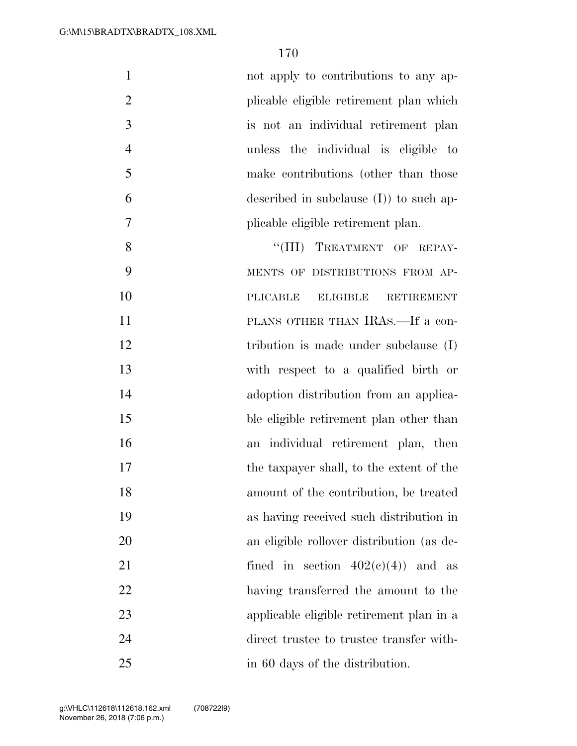| $\mathbf{1}$   | not apply to contributions to any ap-                   |
|----------------|---------------------------------------------------------|
| $\overline{2}$ | plicable eligible retirement plan which                 |
| 3              | is not an individual retirement plan                    |
| $\overline{4}$ | unless the individual is eligible to                    |
| 5              | make contributions (other than those                    |
| 6              | described in subclause $(I)$ to such ap-                |
| 7              | plicable eligible retirement plan.                      |
| 8              | "(III) TREATMENT OF REPAY-                              |
| 9              | MENTS OF DISTRIBUTIONS FROM AP-                         |
| 10             | <b>PLICABLE</b><br><b>ELIGIBLE</b><br><b>RETIREMENT</b> |
| 11             | PLANS OTHER THAN IRAS.—If a con-                        |
| 12             | tribution is made under subclause $(I)$                 |
| 13             | with respect to a qualified birth or                    |
| 14             | adoption distribution from an applica-                  |
| 15             | ble eligible retirement plan other than                 |
| 16             | an individual retirement plan, then                     |
| 17             | the taxpayer shall, to the extent of the                |
| 18             | amount of the contribution, be treated                  |
| 19             | as having received such distribution in                 |
| 20             | an eligible rollover distribution (as de-               |
| 21             | fined in section $402(e)(4)$ and as                     |
| 22             | having transferred the amount to the                    |
| 23             | applicable eligible retirement plan in a                |
| 24             | direct trustee to trustee transfer with-                |
| 25             | in 60 days of the distribution.                         |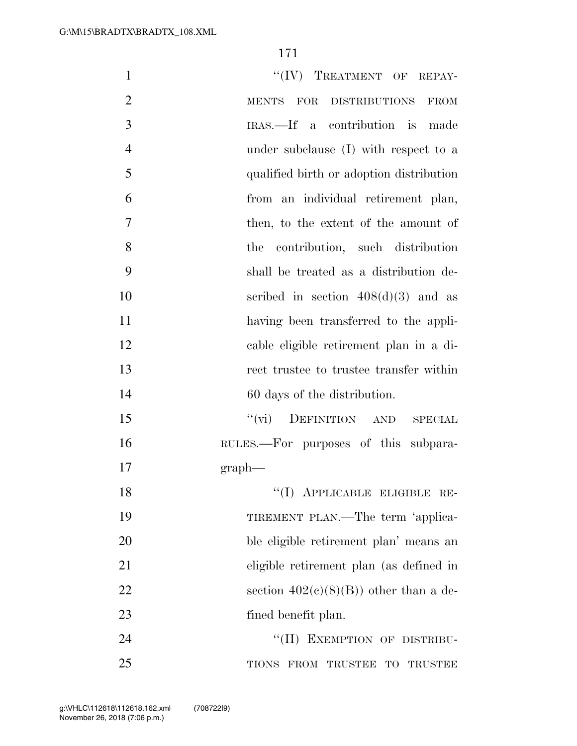| $\mathbf{1}$   | "(IV) TREATMENT OF REPAY-                 |
|----------------|-------------------------------------------|
| $\overline{2}$ | MENTS FOR DISTRIBUTIONS FROM              |
| 3              | IRAS.—If a contribution is made           |
| $\overline{4}$ | under subclause (I) with respect to a     |
| 5              | qualified birth or adoption distribution  |
| 6              | from an individual retirement plan,       |
| $\overline{7}$ | then, to the extent of the amount of      |
| 8              | contribution, such distribution<br>the    |
| 9              | shall be treated as a distribution de-    |
| 10             | scribed in section $408(d)(3)$ and as     |
| 11             | having been transferred to the appli-     |
| 12             | cable eligible retirement plan in a di-   |
| 13             | rect trustee to trustee transfer within   |
| 14             | 60 days of the distribution.              |
| 15             | DEFINITION AND SPECIAL<br>$``(\text{vi})$ |
| 16             | RULES.—For purposes of this subpara-      |
| 17             | graph                                     |
| 18             | "(I) APPLICABLE ELIGIBLE RE-              |
| 19             | TIREMENT PLAN.—The term 'applica-         |
| 20             | ble eligible retirement plan' means an    |
| 21             | eligible retirement plan (as defined in   |
| 22             | section $402(c)(8)(B)$ other than a de-   |
| 23             | fined benefit plan.                       |
| 24             | "(II) EXEMPTION OF DISTRIBU-              |
| 25             | TIONS FROM TRUSTEE TO TRUSTEE             |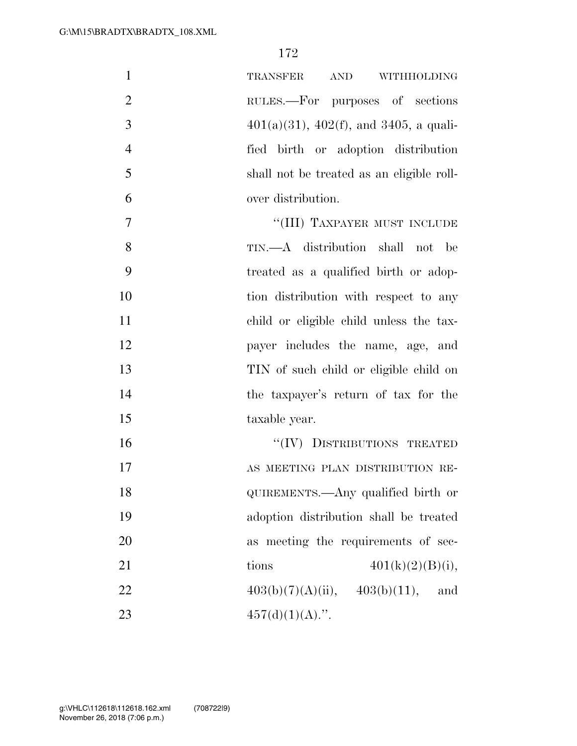| $\mathbf{1}$   | $\begin{minipage}{0.9\linewidth} \textbf{AND} & \textbf{WITHHOLDING} \end{minipage}$<br>TRANSFER |
|----------------|--------------------------------------------------------------------------------------------------|
| $\overline{2}$ | RULES.—For purposes of sections                                                                  |
| 3              | $401(a)(31)$ , $402(f)$ , and $3405$ , a quali-                                                  |
| $\overline{4}$ | fied birth or adoption distribution                                                              |
| 5              | shall not be treated as an eligible roll-                                                        |
| 6              | over distribution.                                                                               |
| $\overline{7}$ | "(III) TAXPAYER MUST INCLUDE                                                                     |
| 8              | TIN.—A distribution shall not be                                                                 |
| 9              | treated as a qualified birth or adop-                                                            |
| 10             | tion distribution with respect to any                                                            |
| 11             | child or eligible child unless the tax-                                                          |
| 12             | payer includes the name, age, and                                                                |
| 13             | TIN of such child or eligible child on                                                           |
| 14             | the taxpayer's return of tax for the                                                             |
| 15             | taxable year.                                                                                    |
| 16             | "(IV) DISTRIBUTIONS TREATED                                                                      |
| 17             | AS MEETING PLAN DISTRIBUTION RE-                                                                 |
| 18             | QUIREMENTS.—Any qualified birth or                                                               |
| 19             | adoption distribution shall be treated                                                           |
| 20             | as meeting the requirements of sec-                                                              |
| 21             | $401(k)(2)(B)(i)$ ,<br>tions                                                                     |
| 22             | $403(b)(7)(A)(ii), \quad 403(b)(11),$<br>and                                                     |
| 23             | $457(d)(1)(A)$ .".                                                                               |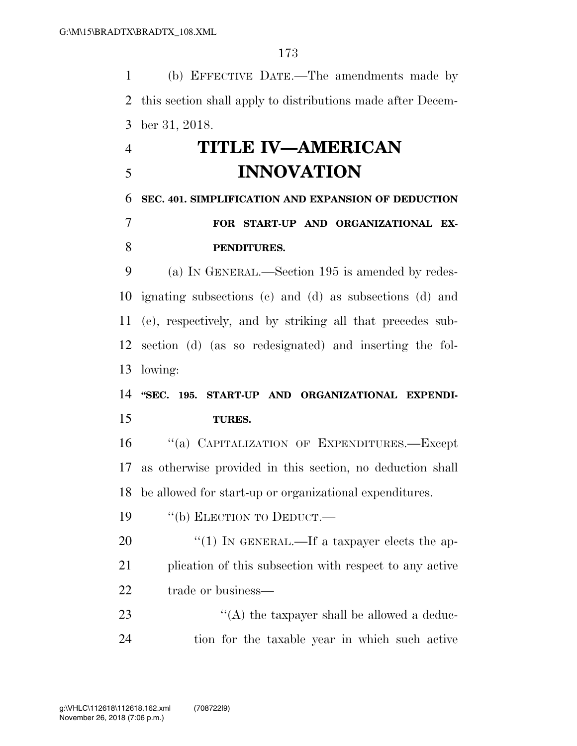(b) EFFECTIVE DATE.—The amendments made by this section shall apply to distributions made after Decem-ber 31, 2018.

## **TITLE IV—AMERICAN INNOVATION**

## **SEC. 401. SIMPLIFICATION AND EXPANSION OF DEDUCTION FOR START-UP AND ORGANIZATIONAL EX-**

## **PENDITURES.**

 (a) IN GENERAL.—Section 195 is amended by redes- ignating subsections (c) and (d) as subsections (d) and (e), respectively, and by striking all that precedes sub- section (d) (as so redesignated) and inserting the fol-lowing:

## **''SEC. 195. START-UP AND ORGANIZATIONAL EXPENDI-TURES.**

16 "(a) CAPITALIZATION OF EXPENDITURES.—Except as otherwise provided in this section, no deduction shall be allowed for start-up or organizational expenditures.

19 "(b) ELECTION TO DEDUCT.—

20  $\frac{u(1)}{N}$  IN GENERAL.—If a taxpayer elects the ap- plication of this subsection with respect to any active 22 trade or business—

23  $\langle (A)$  the taxpayer shall be allowed a deduc-tion for the taxable year in which such active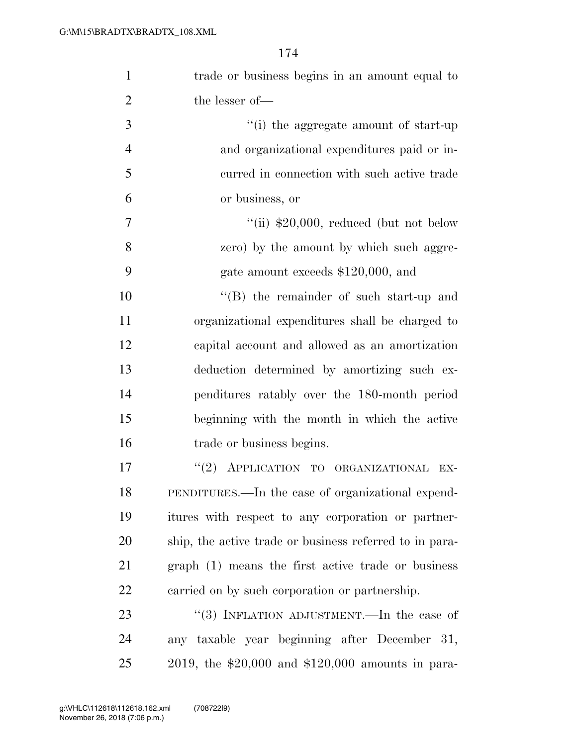| $\mathbf{1}$   | trade or business begins in an amount equal to          |
|----------------|---------------------------------------------------------|
| $\overline{2}$ | the lesser of-                                          |
| 3              | "(i) the aggregate amount of start-up                   |
| $\overline{4}$ | and organizational expenditures paid or in-             |
| 5              | curred in connection with such active trade             |
| 6              | or business, or                                         |
| $\overline{7}$ | "(ii) $$20,000$ , reduced (but not below                |
| 8              | zero) by the amount by which such aggre-                |
| 9              | gate amount exceeds \$120,000, and                      |
| 10             | "(B) the remainder of such start-up and                 |
| 11             | organizational expenditures shall be charged to         |
| 12             | capital account and allowed as an amortization          |
| 13             | deduction determined by amortizing such ex-             |
| 14             | penditures ratably over the 180-month period            |
| 15             | beginning with the month in which the active            |
| 16             | trade or business begins.                               |
| 17             | "(2) APPLICATION TO ORGANIZATIONAL<br>EX-               |
| 18             | PENDITURES.—In the case of organizational expend-       |
| 19             | itures with respect to any corporation or partner-      |
| 20             | ship, the active trade or business referred to in para- |
| 21             | graph (1) means the first active trade or business      |
| 22             | carried on by such corporation or partnership.          |
| 23             | "(3) INFLATION ADJUSTMENT.—In the case of               |
| 24             | any taxable year beginning after December 31,           |
| 25             | 2019, the $$20,000$ and $$120,000$ amounts in para-     |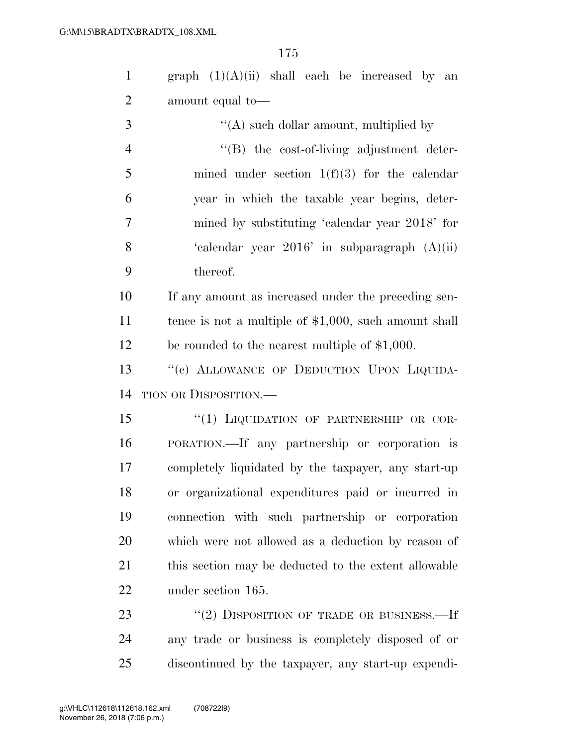| $\mathbf{1}$   | graph $(1)(A)(ii)$ shall each be increased by an        |
|----------------|---------------------------------------------------------|
| $\overline{2}$ | amount equal to-                                        |
| 3              | $\lq\lq$ such dollar amount, multiplied by              |
| $\overline{4}$ | $\lq\lq(B)$ the cost-of-living adjustment deter-        |
| 5              | mined under section $1(f)(3)$ for the calendar          |
| 6              | year in which the taxable year begins, deter-           |
| 7              | mined by substituting 'calendar year 2018' for          |
| 8              | 'calendar year $2016'$ in subparagraph $(A)(ii)$        |
| 9              | thereof.                                                |
| 10             | If any amount as increased under the preceding sen-     |
| 11             | tence is not a multiple of $$1,000$ , such amount shall |
| 12             | be rounded to the nearest multiple of \$1,000.          |
| 13             | "(c) ALLOWANCE OF DEDUCTION UPON LIQUIDA-               |
| 14             | TION OR DISPOSITION.—                                   |
| 15             | "(1) LIQUIDATION OF PARTNERSHIP OR COR-                 |
| 16             | PORATION.—If any partnership or corporation is          |
| 17             | completely liquidated by the taxpayer, any start-up     |
| 18             | or organizational expenditures paid or incurred in      |
| 19             | connection with such partnership or corporation         |
| 20             | which were not allowed as a deduction by reason of      |
| 21             | this section may be deducted to the extent allowable    |
| 22             | under section 165.                                      |
| 23             | "(2) DISPOSITION OF TRADE OR BUSINESS.—If               |

 any trade or business is completely disposed of or discontinued by the taxpayer, any start-up expendi-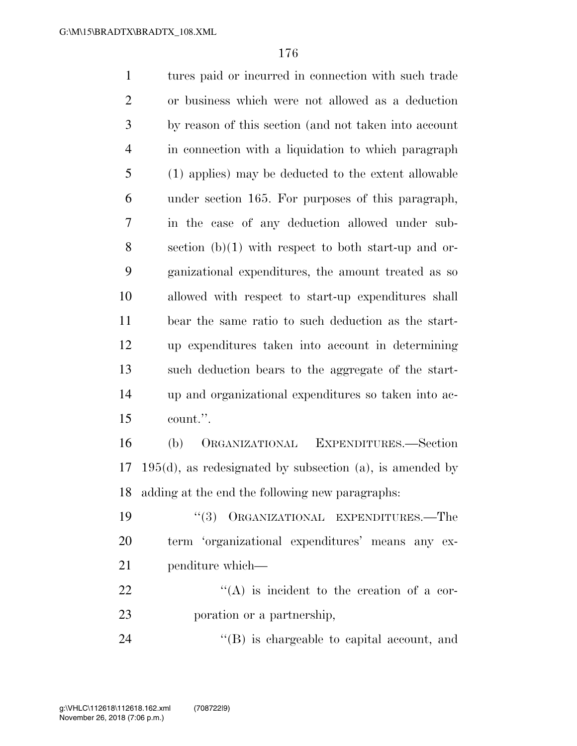tures paid or incurred in connection with such trade or business which were not allowed as a deduction by reason of this section (and not taken into account in connection with a liquidation to which paragraph (1) applies) may be deducted to the extent allowable under section 165. For purposes of this paragraph, in the case of any deduction allowed under sub- section (b)(1) with respect to both start-up and or- ganizational expenditures, the amount treated as so allowed with respect to start-up expenditures shall bear the same ratio to such deduction as the start- up expenditures taken into account in determining such deduction bears to the aggregate of the start- up and organizational expenditures so taken into ac- count.''. (b) ORGANIZATIONAL EXPENDITURES.—Section 195(d), as redesignated by subsection (a), is amended by adding at the end the following new paragraphs: ''(3) ORGANIZATIONAL EXPENDITURES.—The term 'organizational expenditures' means any ex-penditure which—

22  $\langle (A)$  is incident to the creation of a cor-poration or a partnership,

24  $\langle (B)$  is chargeable to capital account, and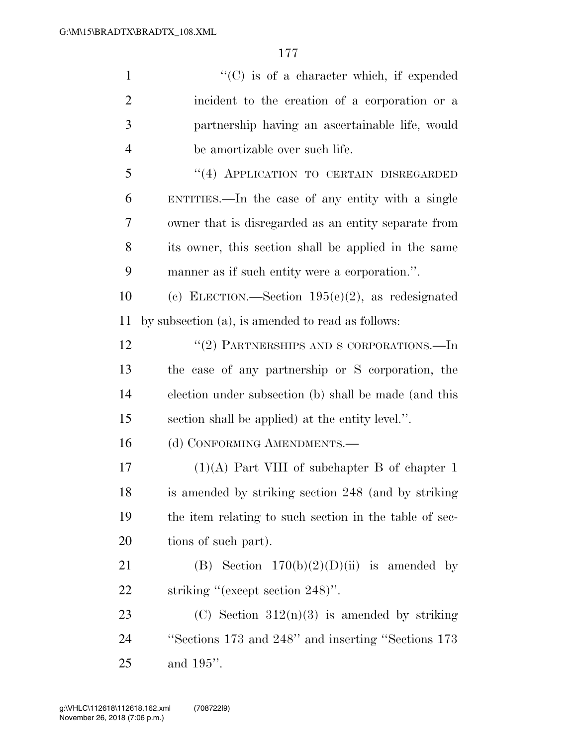| $\mathbf{1}$   | $\lq\lq$ (C) is of a character which, if expended      |
|----------------|--------------------------------------------------------|
| $\overline{2}$ | incident to the creation of a corporation or a         |
| 3              | partnership having an ascertainable life, would        |
| $\overline{4}$ | be amortizable over such life.                         |
| 5              | "(4) APPLICATION TO CERTAIN DISREGARDED                |
| 6              | ENTITIES.—In the case of any entity with a single      |
| 7              | owner that is disregarded as an entity separate from   |
| 8              | its owner, this section shall be applied in the same   |
| 9              | manner as if such entity were a corporation.".         |
| 10             | (c) ELECTION.—Section $195(e)(2)$ , as redesignated    |
| 11             | by subsection (a), is amended to read as follows:      |
| 12             | "(2) PARTNERSHIPS AND S CORPORATIONS.—In               |
| 13             | the case of any partnership or S corporation, the      |
| 14             | election under subsection (b) shall be made (and this  |
| 15             | section shall be applied) at the entity level.".       |
| 16             | (d) CONFORMING AMENDMENTS.-                            |
| 17             | $(1)(A)$ Part VIII of subchapter B of chapter 1        |
| 18             | is amended by striking section 248 (and by striking    |
| 19             | the item relating to such section in the table of sec- |
| <b>20</b>      | tions of such part).                                   |
| 21             | (B) Section $170(b)(2)(D)(ii)$ is amended by           |
| <u>22</u>      | striking "(except section 248)".                       |
| 23             | (C) Section $312(n)(3)$ is amended by striking         |
| 24             | "Sections 173 and 248" and inserting "Sections 173     |
| 25             | and $195$ ".                                           |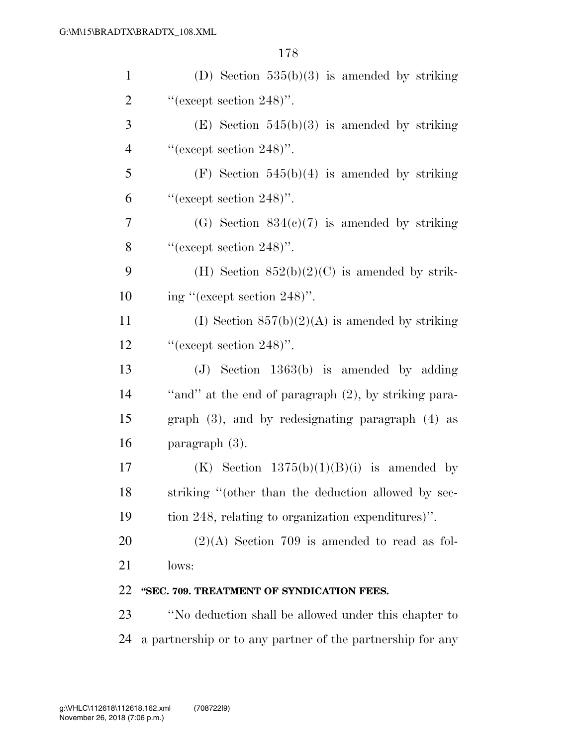| $\mathbf{1}$   | (D) Section $535(b)(3)$ is amended by striking        |
|----------------|-------------------------------------------------------|
| $\overline{2}$ | "(except section $248$ )".                            |
| 3              | (E) Section $545(b)(3)$ is amended by striking        |
| $\overline{4}$ | "(except section $248$ )".                            |
| 5              | $(F)$ Section 545(b)(4) is amended by striking        |
| 6              | "(except section $248$ )".                            |
| 7              | (G) Section $834(c)(7)$ is amended by striking        |
| 8              | "(except section $248$ )".                            |
| 9              | (H) Section $852(b)(2)(C)$ is amended by strik-       |
| 10             | ing "(except section $248$ )".                        |
| 11             | (I) Section $857(b)(2)(A)$ is amended by striking     |
| 12             | "(except section $248$ )".                            |
| 13             | $(J)$ Section 1363(b) is amended by adding            |
| 14             | "and" at the end of paragraph (2), by striking para-  |
| 15             | graph $(3)$ , and by redesignating paragraph $(4)$ as |
| 16             | paragraph $(3)$ .                                     |
| 17             | (K) Section $1375(b)(1)(B)(i)$ is amended by          |
| 18             | striking "(other than the deduction allowed by sec-   |
| 19             | tion 248, relating to organization expenditures)".    |
| 20             | $(2)(A)$ Section 709 is amended to read as fol-       |
| 21             | lows:                                                 |
| 22             | "SEC. 709. TREATMENT OF SYNDICATION FEES.             |
| 23             | "No deduction shall be allowed under this chapter to  |
|                |                                                       |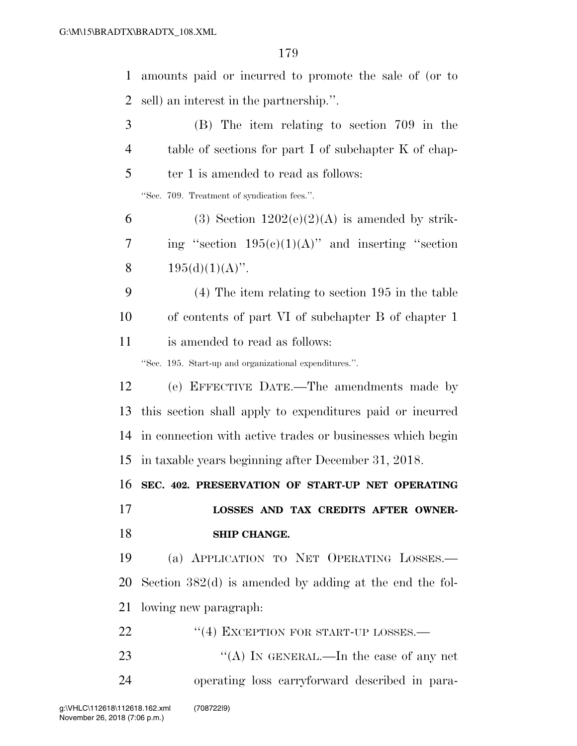amounts paid or incurred to promote the sale of (or to sell) an interest in the partnership.''. (B) The item relating to section 709 in the table of sections for part I of subchapter K of chap-5 ter 1 is amended to read as follows: ''Sec. 709. Treatment of syndication fees.''. 6 (3) Section  $1202(e)(2)(A)$  is amended by strik-7 ing "section  $195(c)(1)(A)$ " and inserting "section  $195(d)(1)(A)$ ". (4) The item relating to section 195 in the table of contents of part VI of subchapter B of chapter 1 is amended to read as follows: ''Sec. 195. Start-up and organizational expenditures.''. (e) EFFECTIVE DATE.—The amendments made by this section shall apply to expenditures paid or incurred in connection with active trades or businesses which begin in taxable years beginning after December 31, 2018. **SEC. 402. PRESERVATION OF START-UP NET OPERATING LOSSES AND TAX CREDITS AFTER OWNER- SHIP CHANGE.**  (a) APPLICATION TO NET OPERATING LOSSES.— Section 382(d) is amended by adding at the end the fol- lowing new paragraph: 22 "(4) EXCEPTION FOR START-UP LOSSES.— ''(A) IN GENERAL.—In the case of any net operating loss carryforward described in para-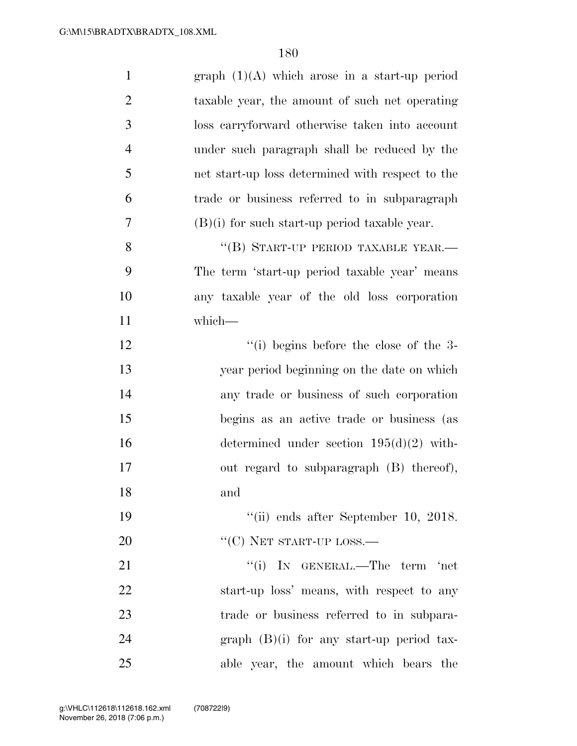| $\mathbf{1}$   | graph $(1)(A)$ which arose in a start-up period  |
|----------------|--------------------------------------------------|
| $\overline{2}$ | taxable year, the amount of such net operating   |
| 3              | loss carryforward otherwise taken into account   |
| $\overline{4}$ | under such paragraph shall be reduced by the     |
| 5              | net start-up loss determined with respect to the |
| 6              | trade or business referred to in subparagraph    |
| $\overline{7}$ | $(B)(i)$ for such start-up period taxable year.  |
| 8              | "(B) START-UP PERIOD TAXABLE YEAR.-              |
| 9              | The term 'start-up period taxable year' means    |
| 10             | any taxable year of the old loss corporation     |
| 11             | which-                                           |
| 12             | $\lq\lq$ (i) begins before the close of the 3-   |
| 13             | year period beginning on the date on which       |
| 14             | any trade or business of such corporation        |
| 15             | begins as an active trade or business (as        |
| 16             | determined under section $195(d)(2)$ with-       |
| 17             | out regard to subparagraph (B) thereof),         |
| 18             | and                                              |
| 19             | $\lq\lq$ (ii) ends after September 10, 2018.     |
| 20             | $\lq\lq(C)$ NET START-UP LOSS.—                  |
| 21             | "(i) IN GENERAL.—The term 'net                   |
| 22             | start-up loss' means, with respect to any        |
| 23             | trade or business referred to in subpara-        |
| 24             | graph $(B)(i)$ for any start-up period tax-      |
| 25             | able year, the amount which bears the            |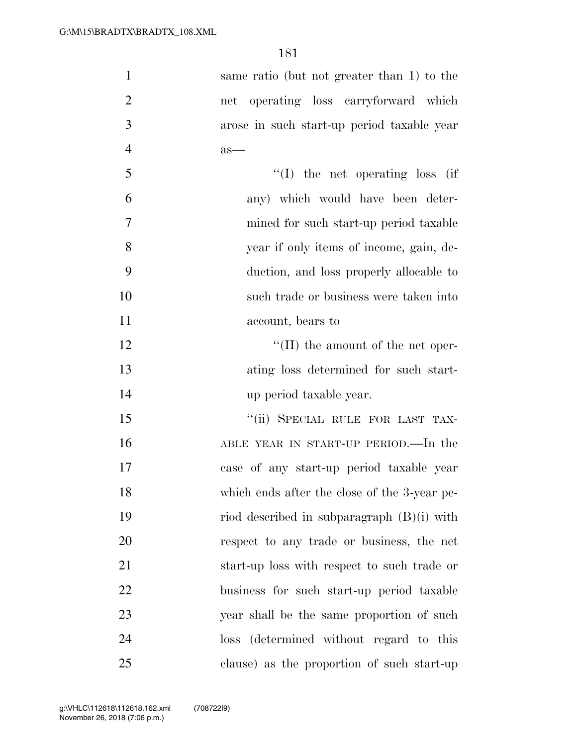| $\mathbf{1}$   | same ratio (but not greater than 1) to the   |
|----------------|----------------------------------------------|
| $\overline{2}$ | net operating loss carryforward which        |
| 3              | arose in such start-up period taxable year   |
| $\overline{4}$ | $as-$                                        |
| 5              | "(I) the net operating loss (if              |
| 6              | any) which would have been deter-            |
| $\overline{7}$ | mined for such start-up period taxable       |
| 8              | year if only items of income, gain, de-      |
| 9              | duction, and loss properly allocable to      |
| 10             | such trade or business were taken into       |
| 11             | account, bears to                            |
| 12             | $\lq\lq$ (II) the amount of the net oper-    |
| 13             | ating loss determined for such start-        |
| 14             | up period taxable year.                      |
| 15             | "(ii) SPECIAL RULE FOR LAST TAX-             |
| 16             | ABLE YEAR IN START-UP PERIOD.—In the         |
| 17             | case of any start-up period taxable year     |
| 18             | which ends after the close of the 3-year pe- |
| 19             | riod described in subparagraph $(B)(i)$ with |
| 20             | respect to any trade or business, the net    |
| 21             | start-up loss with respect to such trade or  |
| 22             | business for such start-up period taxable    |
| 23             | year shall be the same proportion of such    |
| 24             | (determined without regard to this<br>loss   |
| 25             | clause) as the proportion of such start-up   |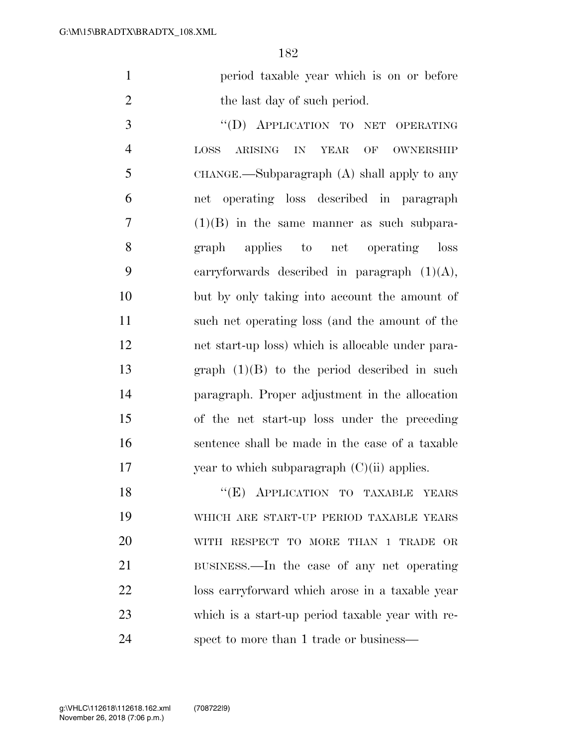period taxable year which is on or before 2 the last day of such period.

3 "(D) APPLICATION TO NET OPERATING LOSS ARISING IN YEAR OF OWNERSHIP CHANGE.—Subparagraph (A) shall apply to any net operating loss described in paragraph (1)(B) in the same manner as such subpara- graph applies to net operating loss carryforwards described in paragraph (1)(A), but by only taking into account the amount of such net operating loss (and the amount of the net start-up loss) which is allocable under para- graph (1)(B) to the period described in such paragraph. Proper adjustment in the allocation of the net start-up loss under the preceding sentence shall be made in the case of a taxable 17 vear to which subparagraph  $(C)(ii)$  applies.

18 "(E) APPLICATION TO TAXABLE YEARS WHICH ARE START-UP PERIOD TAXABLE YEARS WITH RESPECT TO MORE THAN 1 TRADE OR BUSINESS.—In the case of any net operating loss carryforward which arose in a taxable year which is a start-up period taxable year with re-spect to more than 1 trade or business—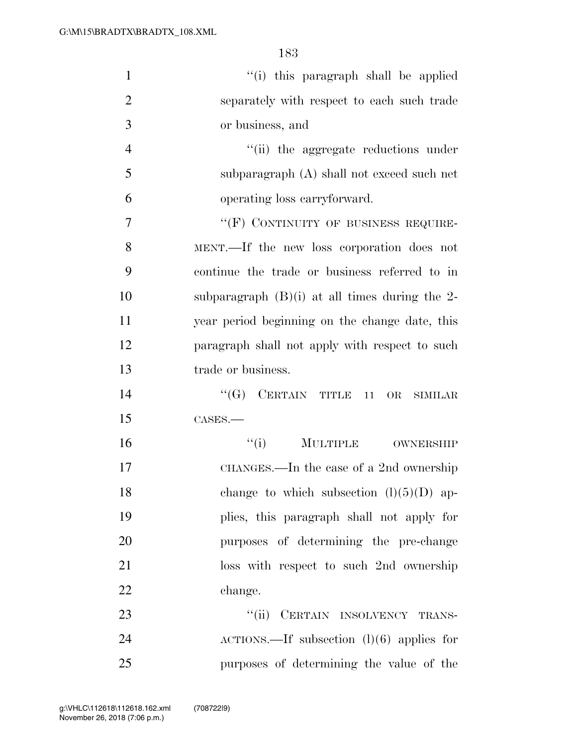| $\mathbf{1}$   | "(i) this paragraph shall be applied               |
|----------------|----------------------------------------------------|
| $\overline{2}$ | separately with respect to each such trade         |
| 3              | or business, and                                   |
| $\overline{4}$ | "(ii) the aggregate reductions under               |
| 5              | subparagraph (A) shall not exceed such net         |
| 6              | operating loss carryforward.                       |
| $\overline{7}$ | "(F) CONTINUITY OF BUSINESS REQUIRE-               |
| 8              | MENT.—If the new loss corporation does not         |
| 9              | continue the trade or business referred to in      |
| 10             | subparagraph $(B)(i)$ at all times during the 2-   |
| 11             | year period beginning on the change date, this     |
| 12             | paragraph shall not apply with respect to such     |
| 13             | trade or business.                                 |
| 14             | $\lq\lq (G)$ CERTAIN TITLE 11<br>OR<br>SIMILAR     |
| 15             | CASES.                                             |
| 16             | ``(i)<br>MULTIPLE OWNERSHIP                        |
| 17             | CHANGES.—In the case of a 2nd ownership            |
| 18             | change to which subsection $(l)(5)(D)$ ap-         |
| 19             | plies, this paragraph shall not apply for          |
| 20             | purposes of determining the pre-change             |
| 21             | loss with respect to such 2nd ownership            |
| 22             | change.                                            |
| 23             | CERTAIN INSOLVENCY TRANS-<br>``(ii)                |
| 24             | $\text{ACTIONS.}$ If subsection (1)(6) applies for |
| 25             | purposes of determining the value of the           |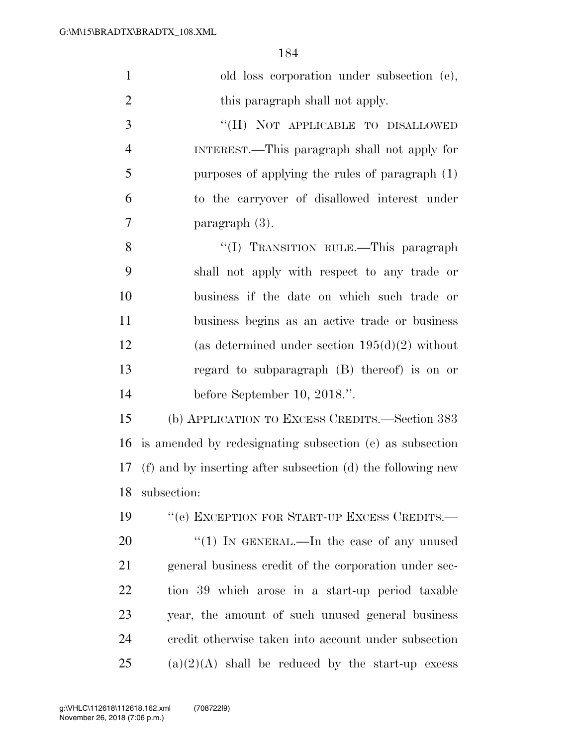| $\mathbf{1}$   | old loss corporation under subsection (e),                  |
|----------------|-------------------------------------------------------------|
| $\overline{2}$ | this paragraph shall not apply.                             |
| 3              | "(H) NOT APPLICABLE TO DISALLOWED                           |
| $\overline{4}$ | INTEREST.—This paragraph shall not apply for                |
| 5              | purposes of applying the rules of paragraph (1)             |
| 6              | to the carryover of disallowed interest under               |
| 7              | paragraph $(3)$ .                                           |
| 8              | "(I) TRANSITION RULE.—This paragraph                        |
| 9              | shall not apply with respect to any trade or                |
| 10             | business if the date on which such trade or                 |
| 11             | business begins as an active trade or business              |
| 12             | (as determined under section $195(d)(2)$ without            |
| 13             | regard to subparagraph $(B)$ thereof) is on or              |
| 14             | before September 10, 2018.".                                |
| 15             | (b) APPLICATION TO EXCESS CREDITS.—Section 383              |
| 16             | is amended by redesignating subsection (e) as subsection    |
| 17             | (f) and by inserting after subsection (d) the following new |
| 18             | subsection:                                                 |
| 19             | "(e) EXCEPTION FOR START-UP EXCESS CREDITS.-                |
| 20             | "(1) IN GENERAL.—In the case of any unused                  |
| 21             | general business credit of the corporation under sec-       |
| 22             | tion 39 which arose in a start-up period taxable            |
| 23             | year, the amount of such unused general business            |
| 24             | credit otherwise taken into account under subsection        |
| 25             | $(a)(2)(A)$ shall be reduced by the start-up excess         |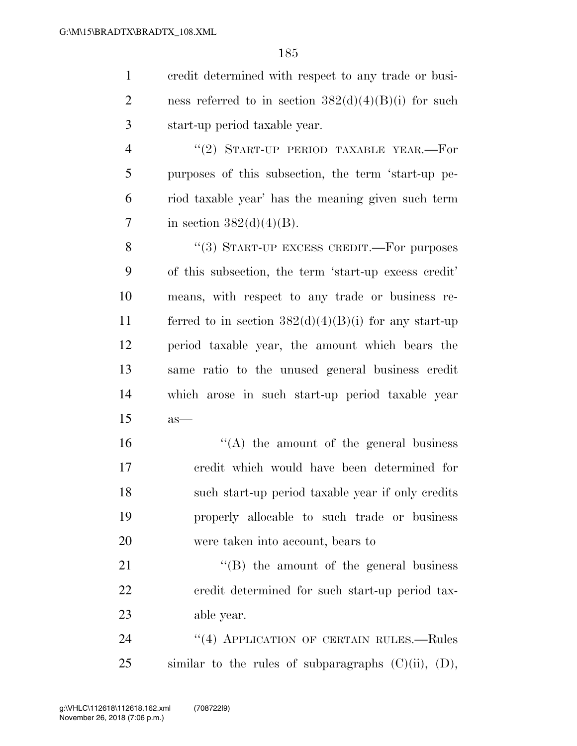credit determined with respect to any trade or busi-2 ness referred to in section  $382(d)(4)(B)(i)$  for such start-up period taxable year.

4 "(2) START-UP PERIOD TAXABLE YEAR.—For purposes of this subsection, the term 'start-up pe- riod taxable year' has the meaning given such term 7 in section  $382(d)(4)(B)$ .

8 "(3) START-UP EXCESS CREDIT.—For purposes of this subsection, the term 'start-up excess credit' means, with respect to any trade or business re-11 ferred to in section  $382(d)(4)(B)(i)$  for any start-up period taxable year, the amount which bears the same ratio to the unused general business credit which arose in such start-up period taxable year as—

16 ''(A) the amount of the general business credit which would have been determined for such start-up period taxable year if only credits properly allocable to such trade or business were taken into account, bears to

21 "'(B) the amount of the general business credit determined for such start-up period tax-able year.

24 "(4) APPLICATION OF CERTAIN RULES.—Rules similar to the rules of subparagraphs  $(C)(ii)$ ,  $(D)$ ,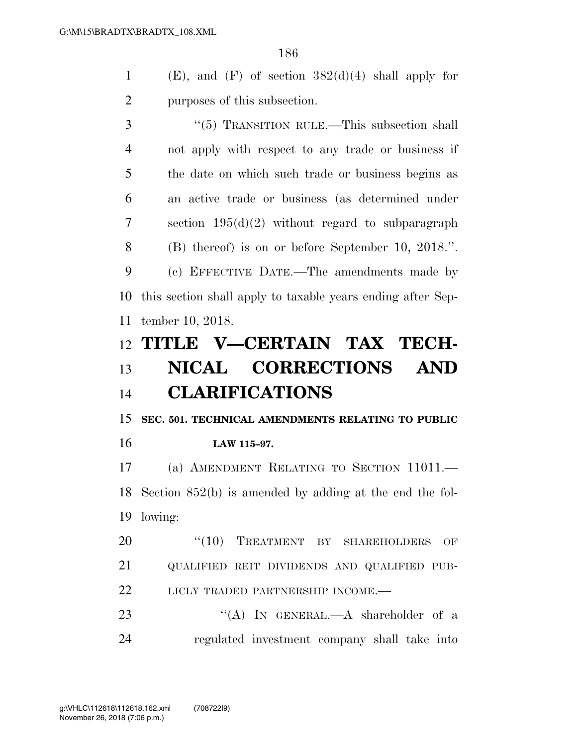1 (E), and  $(F)$  of section  $382(d)(4)$  shall apply for purposes of this subsection.

 ''(5) TRANSITION RULE.—This subsection shall not apply with respect to any trade or business if the date on which such trade or business begins as an active trade or business (as determined under section 195(d)(2) without regard to subparagraph (B) thereof) is on or before September 10, 2018.''. (c) EFFECTIVE DATE.—The amendments made by this section shall apply to taxable years ending after Sep-tember 10, 2018.

# **TITLE V—CERTAIN TAX TECH- NICAL CORRECTIONS AND CLARIFICATIONS**

 **SEC. 501. TECHNICAL AMENDMENTS RELATING TO PUBLIC LAW 115–97.** 

 (a) AMENDMENT RELATING TO SECTION 11011.— Section 852(b) is amended by adding at the end the fol-lowing:

20 "(10) TREATMENT BY SHAREHOLDERS OF QUALIFIED REIT DIVIDENDS AND QUALIFIED PUB-22 LICLY TRADED PARTNERSHIP INCOME.—

23 "(A) In GENERAL.—A shareholder of a regulated investment company shall take into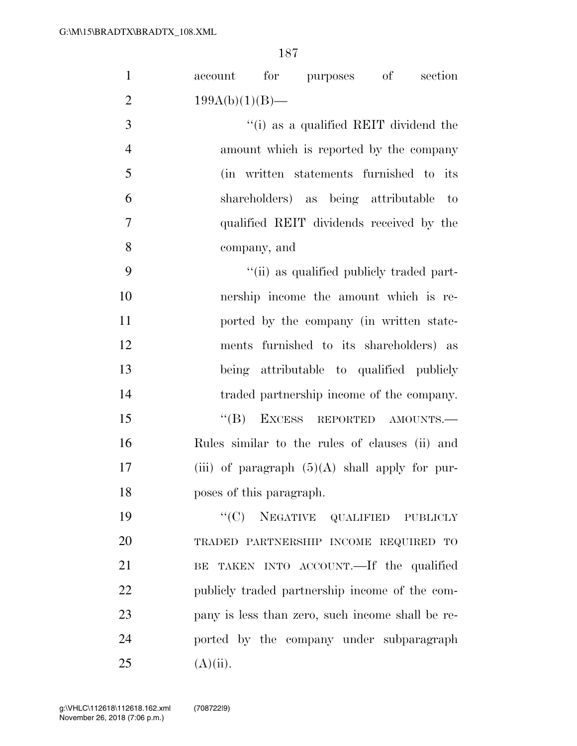| $\mathbf{1}$   | for purposes of<br>section<br>account            |
|----------------|--------------------------------------------------|
| $\overline{2}$ | $199A(b)(1)(B)$ —                                |
| 3              | "(i) as a qualified REIT dividend the            |
| $\overline{4}$ | amount which is reported by the company          |
| 5              | (in written statements furnished to its          |
| 6              | shareholders) as being attributable to           |
| $\overline{7}$ | qualified REIT dividends received by the         |
| 8              | company, and                                     |
| 9              | "(ii) as qualified publicly traded part-         |
| 10             | nership income the amount which is re-           |
| 11             | ported by the company (in written state-         |
| 12             | ments furnished to its shareholders) as          |
| 13             | being attributable to qualified publicly         |
| 14             | traded partnership income of the company.        |
| 15             | $\lq\lq (B)$<br>EXCESS REPORTED AMOUNTS.         |
| 16             | Rules similar to the rules of clauses (ii) and   |
| 17             | (iii) of paragraph $(5)(A)$ shall apply for pur- |
| 18             | poses of this paragraph.                         |
| 19             | $``(C)$ NEGATIVE QUALIFIED PUBLICLY              |
| 20             | TRADED PARTNERSHIP INCOME REQUIRED TO            |
| 21             | TAKEN INTO ACCOUNT. If the qualified<br>BE       |
| 22             | publicly traded partnership income of the com-   |
| 23             | pany is less than zero, such income shall be re- |
| 24             | ported by the company under subparagraph         |
| 25             | $(A)(ii)$ .                                      |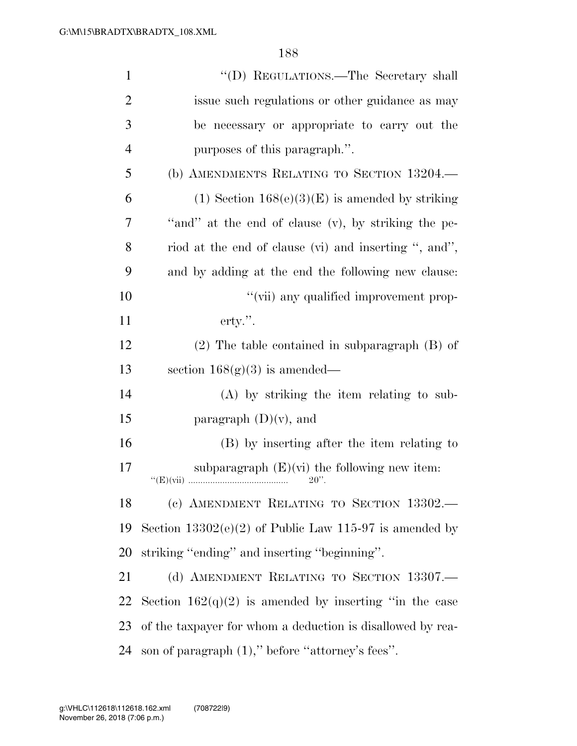| $\mathbf{1}$   | "(D) REGULATIONS.—The Secretary shall                      |
|----------------|------------------------------------------------------------|
| $\overline{2}$ | issue such regulations or other guidance as may            |
| 3              | be necessary or appropriate to carry out the               |
| $\overline{4}$ | purposes of this paragraph.".                              |
| 5              | (b) AMENDMENTS RELATING TO SECTION 13204.                  |
| 6              | (1) Section $168(e)(3)(E)$ is amended by striking          |
| 7              | "and" at the end of clause (v), by striking the pe-        |
| 8              | riod at the end of clause (vi) and inserting ", and",      |
| 9              | and by adding at the end the following new clause:         |
| 10             | "(vii) any qualified improvement prop-                     |
| 11             | $\text{erty."}.$                                           |
| 12             | $(2)$ The table contained in subparagraph $(B)$ of         |
| 13             | section $168(g)(3)$ is amended—                            |
| 14             | $(A)$ by striking the item relating to sub-                |
| 15             | paragraph $(D)(v)$ , and                                   |
| 16             | (B) by inserting after the item relating to                |
| 17             | subparagraph $(E)(vi)$ the following new item:<br>$20$ ".  |
| 18             | (c) AMENDMENT RELATING TO SECTION 13302.                   |
| 19             | Section $13302(e)(2)$ of Public Law 115-97 is amended by   |
| 20             | striking "ending" and inserting "beginning".               |
| 21             | (d) AMENDMENT RELATING TO SECTION 13307.                   |
| 22             | Section $162(q)(2)$ is amended by inserting "in the case   |
| 23             | of the taxpayer for whom a deduction is disallowed by rea- |
| 24             | son of paragraph $(1)$ ," before "attorney's fees".        |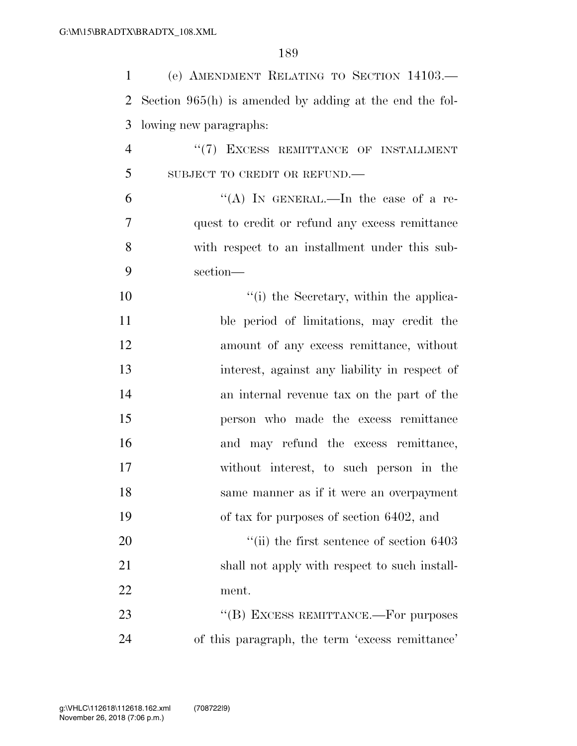| $\mathbf{1}$   | (e) AMENDMENT RELATING TO SECTION 14103.                  |
|----------------|-----------------------------------------------------------|
| $\overline{2}$ | Section $965(h)$ is amended by adding at the end the fol- |
| 3              | lowing new paragraphs:                                    |
| $\overline{4}$ | "(7) EXCESS REMITTANCE OF INSTALLMENT                     |
| 5              | SUBJECT TO CREDIT OR REFUND.                              |
| 6              | "(A) IN GENERAL.—In the case of a re-                     |
| 7              | quest to credit or refund any excess remittance           |
| 8              | with respect to an installment under this sub-            |
| 9              | section-                                                  |
| 10             | "(i) the Secretary, within the applica-                   |
| 11             | ble period of limitations, may credit the                 |
| 12             | amount of any excess remittance, without                  |
| 13             | interest, against any liability in respect of             |
| 14             | an internal revenue tax on the part of the                |
| 15             | person who made the excess remittance                     |
| 16             | and may refund the excess remittance,                     |
| 17             | without interest, to such person in the                   |
| 18             | same manner as if it were an overpayment                  |
| 19             | of tax for purposes of section 6402, and                  |
| 20             | $``$ (ii) the first sentence of section $6403$            |
| 21             | shall not apply with respect to such install-             |
| 22             | ment.                                                     |
| 23             | "(B) EXCESS REMITTANCE.-For purposes                      |
| 24             | of this paragraph, the term 'excess remittance'           |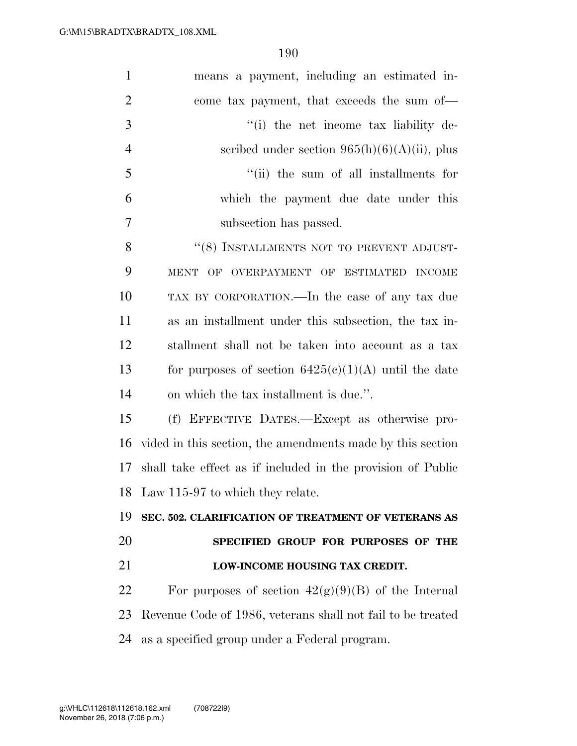| $\mathbf{1}$   | means a payment, including an estimated in-                 |
|----------------|-------------------------------------------------------------|
| $\overline{2}$ | come tax payment, that exceeds the sum of—                  |
| 3              | "(i) the net income tax liability de-                       |
| $\overline{4}$ | scribed under section $965(h)(6)(A)(ii)$ , plus             |
| 5              | "(ii) the sum of all installments for                       |
| 6              | which the payment due date under this                       |
| 7              | subsection has passed.                                      |
| 8              | "(8) INSTALLMENTS NOT TO PREVENT ADJUST-                    |
| 9              | MENT OF OVERPAYMENT OF ESTIMATED INCOME                     |
| 10             | TAX BY CORPORATION.—In the case of any tax due              |
| 11             | as an installment under this subsection, the tax in-        |
| 12             | stallment shall not be taken into account as a tax          |
| 13             | for purposes of section $6425(c)(1)(A)$ until the date      |
| 14             | on which the tax installment is due.".                      |
| 15             | (f) EFFECTIVE DATES.—Except as otherwise pro-               |
| 16             | vided in this section, the amendments made by this section  |
| 17             | shall take effect as if included in the provision of Public |
|                | 18 Law 115-97 to which they relate.                         |
| 19             | SEC. 502. CLARIFICATION OF TREATMENT OF VETERANS AS         |
| 20             | SPECIFIED GROUP FOR PURPOSES OF THE                         |
| 21             | LOW-INCOME HOUSING TAX CREDIT.                              |
| 22             | For purposes of section $42(g)(9)(B)$ of the Internal       |
| 23             | Revenue Code of 1986, veterans shall not fail to be treated |
| 24             | as a specified group under a Federal program.               |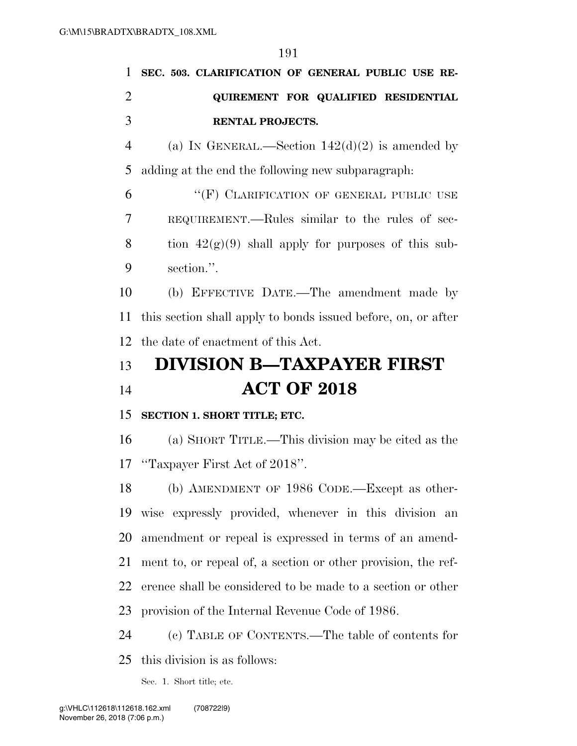|                | 191                                                           |
|----------------|---------------------------------------------------------------|
| 1              | SEC. 503. CLARIFICATION OF GENERAL PUBLIC USE RE-             |
| $\overline{2}$ | QUIREMENT FOR QUALIFIED RESIDENTIAL                           |
| 3              | <b>RENTAL PROJECTS.</b>                                       |
| $\overline{4}$ | (a) IN GENERAL.—Section $142(d)(2)$ is amended by             |
| 5              | adding at the end the following new subparagraph:             |
| 6              | "(F) CLARIFICATION OF GENERAL PUBLIC USE                      |
| 7              | REQUIREMENT.—Rules similar to the rules of sec-               |
| 8              | tion $42(g)(9)$ shall apply for purposes of this sub-         |
| 9              | section.".                                                    |
| 10             | (b) EFFECTIVE DATE.—The amendment made by                     |
| 11             | this section shall apply to bonds issued before, on, or after |
| 12             | the date of enactment of this Act.                            |
| 13             | <b>DIVISION B-TAXPAYER FIRST</b>                              |
| 14             | <b>ACT OF 2018</b>                                            |
| 15             | SECTION 1. SHORT TITLE; ETC.                                  |
| 16             | (a) SHORT TITLE.—This division may be cited as the            |
| 17             | "Taxpayer First Act of 2018".                                 |

 (b) AMENDMENT OF 1986 CODE.—Except as other- wise expressly provided, whenever in this division an amendment or repeal is expressed in terms of an amend- ment to, or repeal of, a section or other provision, the ref- erence shall be considered to be made to a section or other provision of the Internal Revenue Code of 1986.

(c) TABLE OF CONTENTS.—The table of contents for

this division is as follows:

Sec. 1. Short title; etc.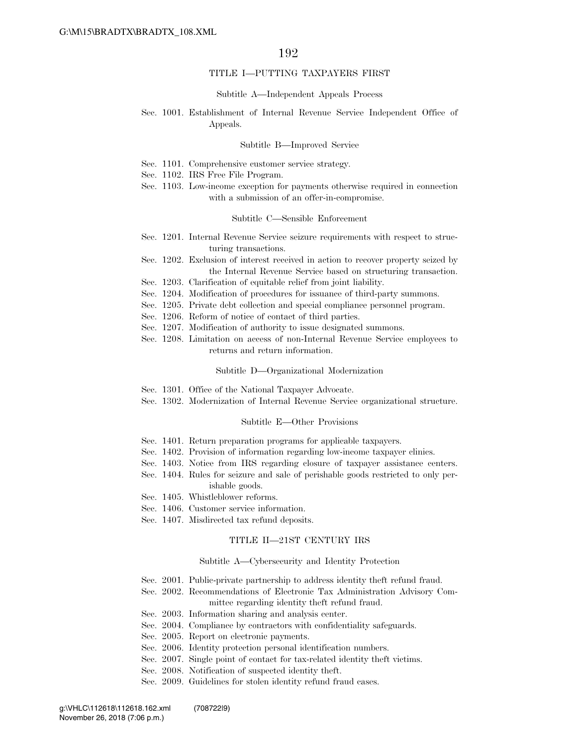#### TITLE I—PUTTING TAXPAYERS FIRST

#### Subtitle A—Independent Appeals Process

#### Sec. 1001. Establishment of Internal Revenue Service Independent Office of Appeals.

#### Subtitle B—Improved Service

- Sec. 1101. Comprehensive customer service strategy.
- Sec. 1102. IRS Free File Program.
- Sec. 1103. Low-income exception for payments otherwise required in connection with a submission of an offer-in-compromise.

#### Subtitle C—Sensible Enforcement

- Sec. 1201. Internal Revenue Service seizure requirements with respect to structuring transactions.
- Sec. 1202. Exclusion of interest received in action to recover property seized by the Internal Revenue Service based on structuring transaction.
- Sec. 1203. Clarification of equitable relief from joint liability.
- Sec. 1204. Modification of procedures for issuance of third-party summons.
- Sec. 1205. Private debt collection and special compliance personnel program.
- Sec. 1206. Reform of notice of contact of third parties.
- Sec. 1207. Modification of authority to issue designated summons.
- Sec. 1208. Limitation on access of non-Internal Revenue Service employees to returns and return information.

#### Subtitle D—Organizational Modernization

- Sec. 1301. Office of the National Taxpayer Advocate.
- Sec. 1302. Modernization of Internal Revenue Service organizational structure.

#### Subtitle E—Other Provisions

- Sec. 1401. Return preparation programs for applicable taxpayers.
- Sec. 1402. Provision of information regarding low-income taxpayer clinics.
- Sec. 1403. Notice from IRS regarding closure of taxpayer assistance centers.
- Sec. 1404. Rules for seizure and sale of perishable goods restricted to only perishable goods.
- Sec. 1405. Whistleblower reforms.
- Sec. 1406. Customer service information.
- Sec. 1407. Misdirected tax refund deposits.

#### TITLE II—21ST CENTURY IRS

#### Subtitle A—Cybersecurity and Identity Protection

- Sec. 2001. Public-private partnership to address identity theft refund fraud.
- Sec. 2002. Recommendations of Electronic Tax Administration Advisory Committee regarding identity theft refund fraud.
- Sec. 2003. Information sharing and analysis center.
- Sec. 2004. Compliance by contractors with confidentiality safeguards.
- Sec. 2005. Report on electronic payments.
- Sec. 2006. Identity protection personal identification numbers.
- Sec. 2007. Single point of contact for tax-related identity theft victims.
- Sec. 2008. Notification of suspected identity theft.
- Sec. 2009. Guidelines for stolen identity refund fraud cases.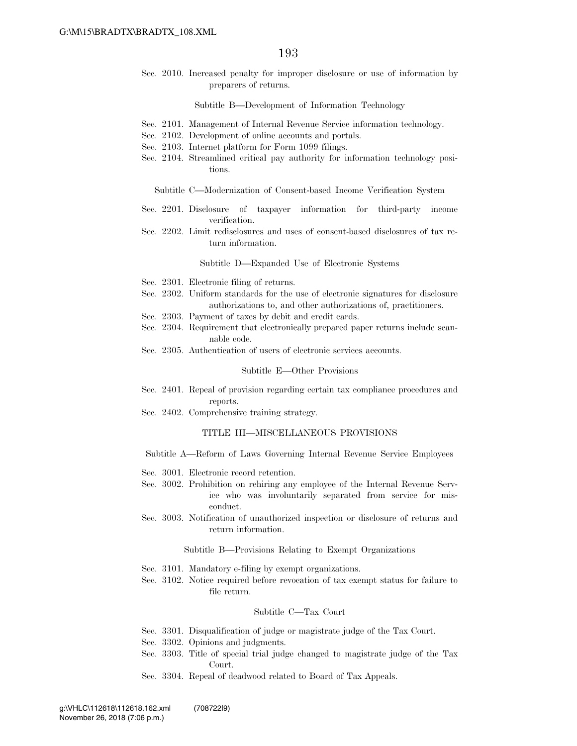Sec. 2010. Increased penalty for improper disclosure or use of information by preparers of returns.

Subtitle B—Development of Information Technology

- Sec. 2101. Management of Internal Revenue Service information technology.
- Sec. 2102. Development of online accounts and portals.
- Sec. 2103. Internet platform for Form 1099 filings.
- Sec. 2104. Streamlined critical pay authority for information technology positions.

Subtitle C—Modernization of Consent-based Income Verification System

- Sec. 2201. Disclosure of taxpayer information for third-party income verification.
- Sec. 2202. Limit redisclosures and uses of consent-based disclosures of tax return information.

Subtitle D—Expanded Use of Electronic Systems

- Sec. 2301. Electronic filing of returns.
- Sec. 2302. Uniform standards for the use of electronic signatures for disclosure authorizations to, and other authorizations of, practitioners.
- Sec. 2303. Payment of taxes by debit and credit cards.
- Sec. 2304. Requirement that electronically prepared paper returns include scannable code.
- Sec. 2305. Authentication of users of electronic services accounts.

#### Subtitle E—Other Provisions

- Sec. 2401. Repeal of provision regarding certain tax compliance procedures and reports.
- Sec. 2402. Comprehensive training strategy.

#### TITLE III—MISCELLANEOUS PROVISIONS

- Subtitle A—Reform of Laws Governing Internal Revenue Service Employees
- Sec. 3001. Electronic record retention.
- Sec. 3002. Prohibition on rehiring any employee of the Internal Revenue Service who was involuntarily separated from service for misconduct.
- Sec. 3003. Notification of unauthorized inspection or disclosure of returns and return information.

Subtitle B—Provisions Relating to Exempt Organizations

- Sec. 3101. Mandatory e-filing by exempt organizations.
- Sec. 3102. Notice required before revocation of tax exempt status for failure to file return.

#### Subtitle C—Tax Court

- Sec. 3301. Disqualification of judge or magistrate judge of the Tax Court.
- Sec. 3302. Opinions and judgments.
- Sec. 3303. Title of special trial judge changed to magistrate judge of the Tax Court.
- Sec. 3304. Repeal of deadwood related to Board of Tax Appeals.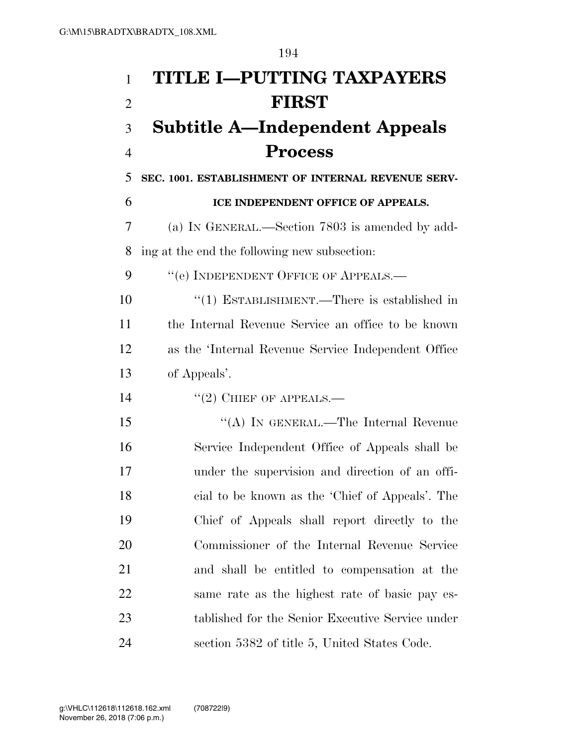**TITLE I—PUTTING TAXPAYERS FIRST Subtitle A—Independent Appeals Process SEC. 1001. ESTABLISHMENT OF INTERNAL REVENUE SERV- ICE INDEPENDENT OFFICE OF APPEALS.**  (a) IN GENERAL.—Section 7803 is amended by add- ing at the end the following new subsection: 9 "(e) INDEPENDENT OFFICE OF APPEALS.— ''(1) ESTABLISHMENT.—There is established in the Internal Revenue Service an office to be known as the 'Internal Revenue Service Independent Office of Appeals'.  $\frac{1}{2}$  CHIEF OF APPEALS. 15 "(A) IN GENERAL.—The Internal Revenue Service Independent Office of Appeals shall be under the supervision and direction of an offi- cial to be known as the 'Chief of Appeals'. The Chief of Appeals shall report directly to the Commissioner of the Internal Revenue Service and shall be entitled to compensation at the same rate as the highest rate of basic pay es-tablished for the Senior Executive Service under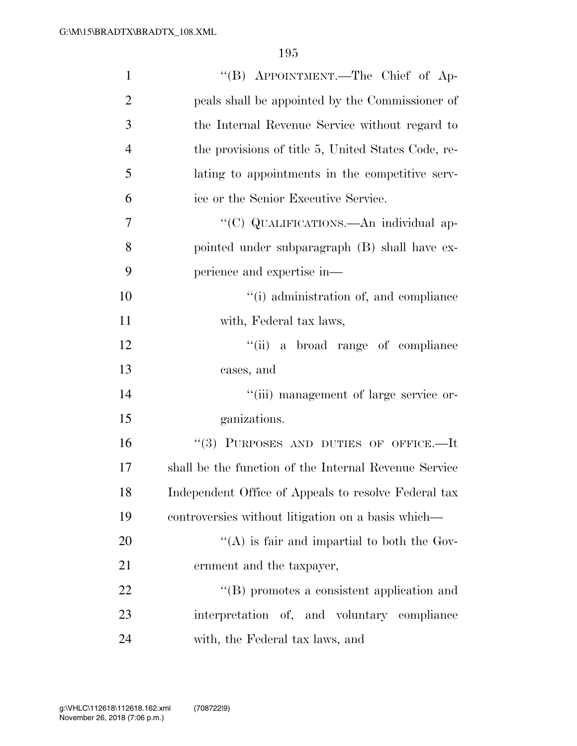| $\mathbf{1}$   | "(B) APPOINTMENT.—The Chief of Ap-                    |
|----------------|-------------------------------------------------------|
| $\overline{2}$ | peals shall be appointed by the Commissioner of       |
| 3              | the Internal Revenue Service without regard to        |
| $\overline{4}$ | the provisions of title 5, United States Code, re-    |
| 5              | lating to appointments in the competitive serv-       |
| 6              | ice or the Senior Executive Service.                  |
| 7              | "(C) QUALIFICATIONS.—An individual ap-                |
| 8              | pointed under subparagraph (B) shall have ex-         |
| 9              | perience and expertise in—                            |
| 10             | "(i) administration of, and compliance                |
| 11             | with, Federal tax laws,                               |
| 12             | "(ii) a broad range of compliance                     |
| 13             | cases, and                                            |
| 14             | "(iii) management of large service or-                |
| 15             | ganizations.                                          |
| 16             | "(3) PURPOSES AND DUTIES OF OFFICE.-It                |
| 17             | shall be the function of the Internal Revenue Service |
| 18             | Independent Office of Appeals to resolve Federal tax  |
| 19             | controversies without litigation on a basis which—    |
| 20             | "(A) is fair and impartial to both the Gov-           |
| 21             | ernment and the taxpayer,                             |
| 22             | $\lq\lq (B)$ promotes a consistent application and    |
| 23             | interpretation of, and voluntary compliance           |
| 24             | with, the Federal tax laws, and                       |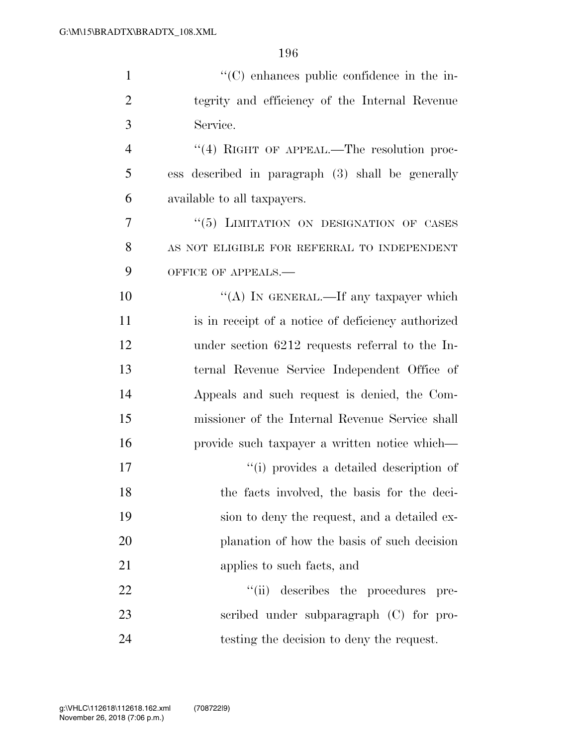| $\mathbf{1}$   | $\lq\lq$ enhances public confidence in the in-     |
|----------------|----------------------------------------------------|
| $\overline{2}$ | tegrity and efficiency of the Internal Revenue     |
| 3              | Service.                                           |
| 4              | $\lq(4)$ RIGHT OF APPEAL.—The resolution proc-     |
| 5              | ess described in paragraph (3) shall be generally  |
| 6              | available to all taxpayers.                        |
| 7              | "(5) LIMITATION ON DESIGNATION OF CASES            |
| 8              | AS NOT ELIGIBLE FOR REFERRAL TO INDEPENDENT        |
| 9              | OFFICE OF APPEALS.-                                |
| 10             | "(A) IN GENERAL.—If any taxpayer which             |
| 11             | is in receipt of a notice of deficiency authorized |
| 12             | under section 6212 requests referral to the In-    |
| 13             | ternal Revenue Service Independent Office of       |
| 14             | Appeals and such request is denied, the Com-       |
| 15             | missioner of the Internal Revenue Service shall    |
| 16             | provide such taxpayer a written notice which—      |
| 17             | "(i) provides a detailed description of            |
| 18             | the facts involved, the basis for the deci-        |
| 19             | sion to deny the request, and a detailed ex-       |
| 20             | planation of how the basis of such decision        |
| 21             | applies to such facts, and                         |
| 22             | ``(ii)<br>describes the procedures<br>pre-         |
| 23             | scribed under subparagraph (C) for pro-            |
| 24             | testing the decision to deny the request.          |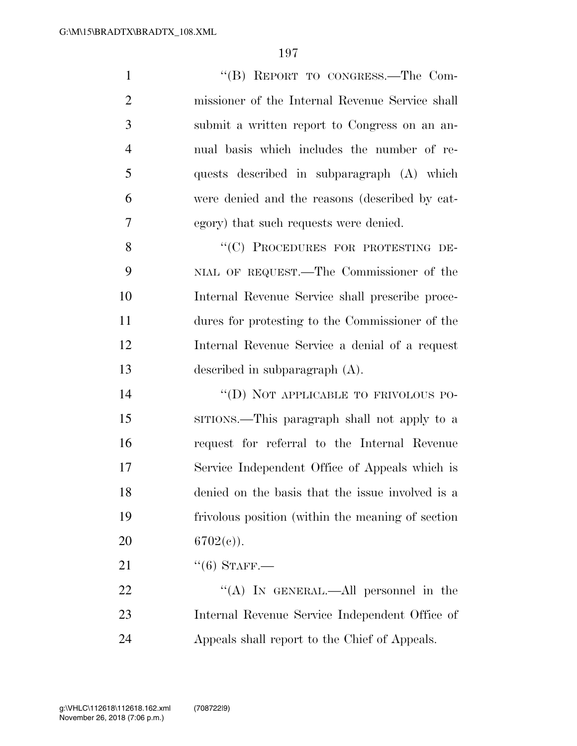1 "'(B) REPORT TO CONGRESS.—The Com- missioner of the Internal Revenue Service shall submit a written report to Congress on an an- nual basis which includes the number of re- quests described in subparagraph (A) which were denied and the reasons (described by cat- egory) that such requests were denied. 8 "(C) PROCEDURES FOR PROTESTING DE-

 NIAL OF REQUEST.—The Commissioner of the Internal Revenue Service shall prescribe proce- dures for protesting to the Commissioner of the Internal Revenue Service a denial of a request described in subparagraph (A).

14 "(D) NOT APPLICABLE TO FRIVOLOUS PO- SITIONS.—This paragraph shall not apply to a request for referral to the Internal Revenue Service Independent Office of Appeals which is denied on the basis that the issue involved is a frivolous position (within the meaning of section 20  $6702(e)$ .

21  $(6)$  STAFF.

22 "(A) In GENERAL.—All personnel in the Internal Revenue Service Independent Office of Appeals shall report to the Chief of Appeals.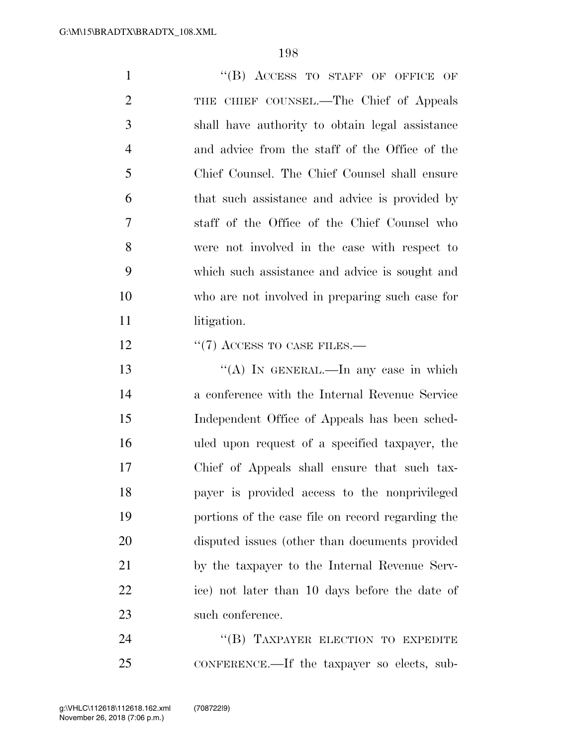1 "(B) ACCESS TO STAFF OF OFFICE OF 2 THE CHIEF COUNSEL.—The Chief of Appeals shall have authority to obtain legal assistance and advice from the staff of the Office of the Chief Counsel. The Chief Counsel shall ensure that such assistance and advice is provided by staff of the Office of the Chief Counsel who were not involved in the case with respect to which such assistance and advice is sought and who are not involved in preparing such case for 11 litigation. 12 "(7) ACCESS TO CASE FILES.— 13 "(A) IN GENERAL.—In any case in which

 a conference with the Internal Revenue Service Independent Office of Appeals has been sched- uled upon request of a specified taxpayer, the Chief of Appeals shall ensure that such tax- payer is provided access to the nonprivileged portions of the case file on record regarding the disputed issues (other than documents provided by the taxpayer to the Internal Revenue Serv- ice) not later than 10 days before the date of 23 such conference.

24 "(B) TAXPAYER ELECTION TO EXPEDITE CONFERENCE.—If the taxpayer so elects, sub-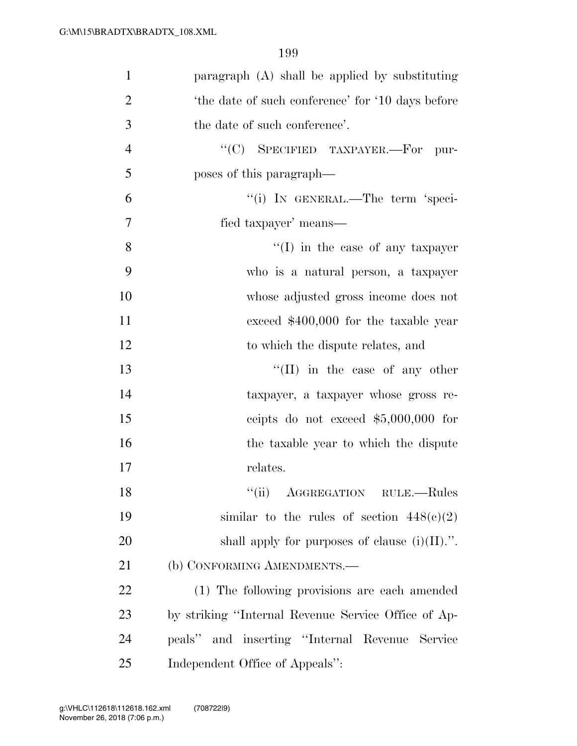| $\mathbf{1}$   | paragraph (A) shall be applied by substituting      |
|----------------|-----------------------------------------------------|
| $\overline{2}$ | 'the date of such conference' for '10 days before   |
| 3              | the date of such conference'.                       |
| $\overline{4}$ | "(C) SPECIFIED TAXPAYER.—For<br>pur-                |
| 5              | poses of this paragraph—                            |
| 6              | "(i) IN GENERAL.—The term 'speci-                   |
| $\overline{7}$ | fied taxpayer' means—                               |
| 8              | $\lq\lq$ (I) in the case of any taxpayer            |
| 9              | who is a natural person, a taxpayer                 |
| 10             | whose adjusted gross income does not                |
| 11             | exceed $$400,000$ for the taxable year              |
| 12             | to which the dispute relates, and                   |
| 13             | "(II) in the case of any other                      |
| 14             | taxpayer, a taxpayer whose gross re-                |
| 15             | ceipts do not exceed $$5,000,000$ for               |
| 16             | the taxable year to which the dispute               |
| 17             | relates.                                            |
| 18             | ``(ii)<br>AGGREGATION RULE.-Rules                   |
| 19             | similar to the rules of section $448(c)(2)$         |
| 20             | shall apply for purposes of clause $(i)(II)$ .".    |
| 21             | (b) CONFORMING AMENDMENTS.-                         |
| 22             | (1) The following provisions are each amended       |
| 23             | by striking "Internal Revenue Service Office of Ap- |
| 24             | peals" and inserting "Internal Revenue Service      |
| 25             | Independent Office of Appeals":                     |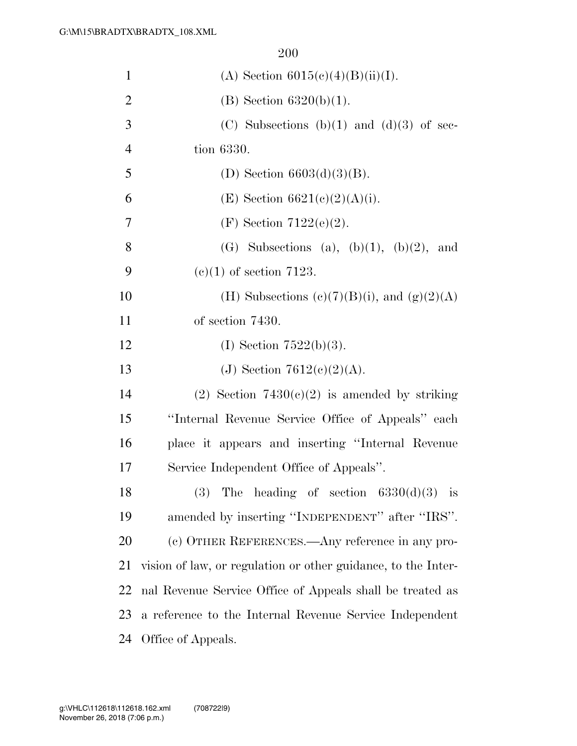| $\mathbf{1}$   | (A) Section $6015(c)(4)(B)(ii)(I)$ .                          |
|----------------|---------------------------------------------------------------|
| $\overline{2}$ | (B) Section $6320(b)(1)$ .                                    |
| 3              | (C) Subsections (b)(1) and (d)(3) of sec-                     |
| $\overline{4}$ | tion 6330.                                                    |
| 5              | (D) Section $6603(d)(3)(B)$ .                                 |
| 6              | (E) Section $6621(c)(2)(A)(i)$ .                              |
| 7              | (F) Section 7122(e)(2).                                       |
| 8              | (G) Subsections (a), $(b)(1)$ , $(b)(2)$ , and                |
| 9              | $(e)(1)$ of section 7123.                                     |
| 10             | (H) Subsections (c)(7)(B)(i), and (g)(2)(A)                   |
| 11             | of section 7430.                                              |
| 12             | (I) Section $7522(b)(3)$ .                                    |
| 13             | (J) Section 7612(c)(2)(A).                                    |
| 14             | (2) Section $7430(c)(2)$ is amended by striking               |
| 15             | "Internal Revenue Service Office of Appeals" each             |
| 16             | place it appears and inserting "Internal Revenue              |
| 17             | Service Independent Office of Appeals".                       |
| 18             | The heading of section $6330(d)(3)$ is<br>(3)                 |
| 19             | amended by inserting "INDEPENDENT" after "IRS".               |
| 20             | (c) OTHER REFERENCES.—Any reference in any pro-               |
| 21             | vision of law, or regulation or other guidance, to the Inter- |
| 22             | nal Revenue Service Office of Appeals shall be treated as     |
| 23             | a reference to the Internal Revenue Service Independent       |
| 24             | Office of Appeals.                                            |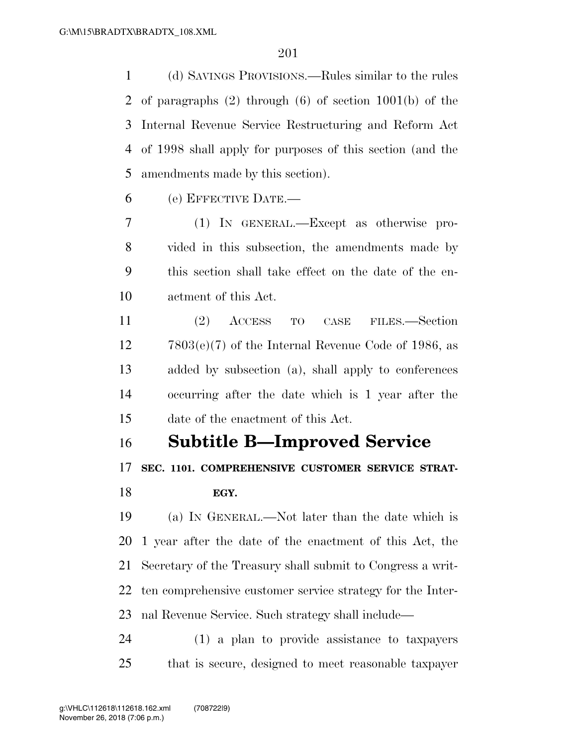(d) SAVINGS PROVISIONS.—Rules similar to the rules of paragraphs (2) through (6) of section 1001(b) of the Internal Revenue Service Restructuring and Reform Act of 1998 shall apply for purposes of this section (and the amendments made by this section).

(e) EFFECTIVE DATE.—

 (1) IN GENERAL.—Except as otherwise pro- vided in this subsection, the amendments made by this section shall take effect on the date of the en-actment of this Act.

 (2) ACCESS TO CASE FILES.—Section 7803(e)(7) of the Internal Revenue Code of 1986, as added by subsection (a), shall apply to conferences occurring after the date which is 1 year after the date of the enactment of this Act.

## **Subtitle B—Improved Service**

**SEC. 1101. COMPREHENSIVE CUSTOMER SERVICE STRAT-**

## **EGY.**

 (a) IN GENERAL.—Not later than the date which is 1 year after the date of the enactment of this Act, the Secretary of the Treasury shall submit to Congress a writ- ten comprehensive customer service strategy for the Inter-nal Revenue Service. Such strategy shall include—

 (1) a plan to provide assistance to taxpayers that is secure, designed to meet reasonable taxpayer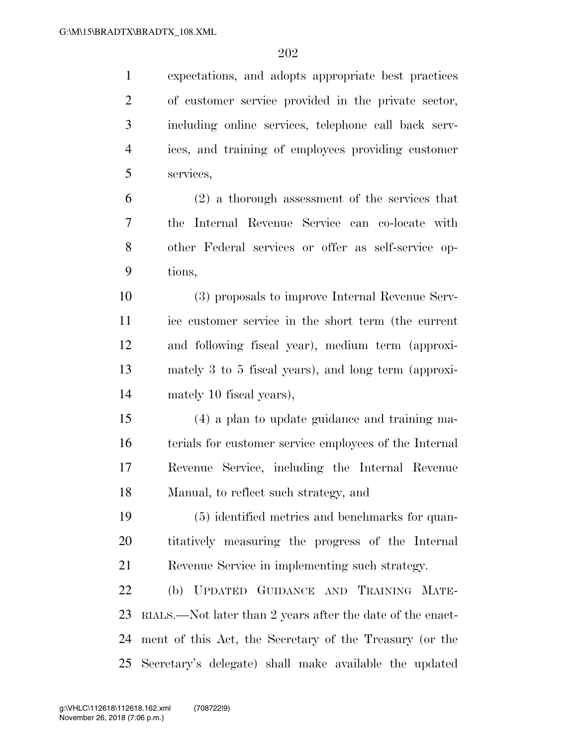| $\mathbf{1}$   | expectations, and adopts appropriate best practices        |
|----------------|------------------------------------------------------------|
| $\overline{2}$ | of customer service provided in the private sector,        |
| 3              | including online services, telephone call back serv-       |
| $\overline{4}$ | ices, and training of employees providing customer         |
| 5              | services,                                                  |
| 6              | $(2)$ a thorough assessment of the services that           |
| 7              | Internal Revenue Service can co-locate with<br>the         |
| 8              | other Federal services or offer as self-service op-        |
| 9              | tions,                                                     |
| 10             | (3) proposals to improve Internal Revenue Serv-            |
| 11             | ice customer service in the short term (the current        |
| 12             | and following fiscal year), medium term (approxi-          |
| 13             | mately 3 to 5 fiscal years), and long term (approxi-       |
| 14             | mately 10 fiscal years),                                   |
| 15             | (4) a plan to update guidance and training ma-             |
| 16             | terials for customer service employees of the Internal     |
| 17             | Revenue Service, including the Internal Revenue            |
| 18             | Manual, to reflect such strategy, and                      |
| 19             | (5) identified metrics and benchmarks for quan-            |
| 20             | titatively measuring the progress of the Internal          |
| 21             | Revenue Service in implementing such strategy.             |
| 22             | (b) UPDATED GUIDANCE AND TRAINING MATE-                    |
| 23             | RIALS.—Not later than 2 years after the date of the enact- |
| 24             | ment of this Act, the Secretary of the Treasury (or the    |
| 25             | Secretary's delegate) shall make available the updated     |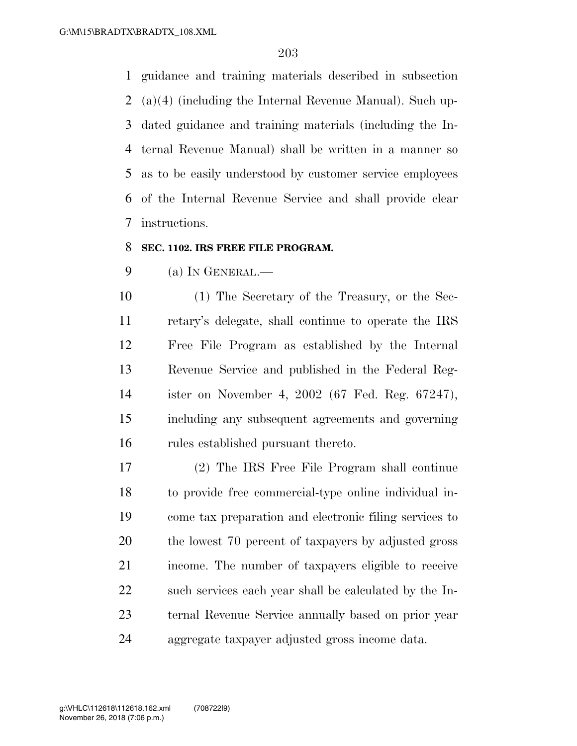guidance and training materials described in subsection (a)(4) (including the Internal Revenue Manual). Such up- dated guidance and training materials (including the In- ternal Revenue Manual) shall be written in a manner so as to be easily understood by customer service employees of the Internal Revenue Service and shall provide clear instructions.

### **SEC. 1102. IRS FREE FILE PROGRAM.**

(a) IN GENERAL.—

 (1) The Secretary of the Treasury, or the Sec- retary's delegate, shall continue to operate the IRS Free File Program as established by the Internal Revenue Service and published in the Federal Reg- ister on November 4, 2002 (67 Fed. Reg. 67247), including any subsequent agreements and governing rules established pursuant thereto.

 (2) The IRS Free File Program shall continue to provide free commercial-type online individual in- come tax preparation and electronic filing services to the lowest 70 percent of taxpayers by adjusted gross income. The number of taxpayers eligible to receive 22 such services each year shall be calculated by the In- ternal Revenue Service annually based on prior year aggregate taxpayer adjusted gross income data.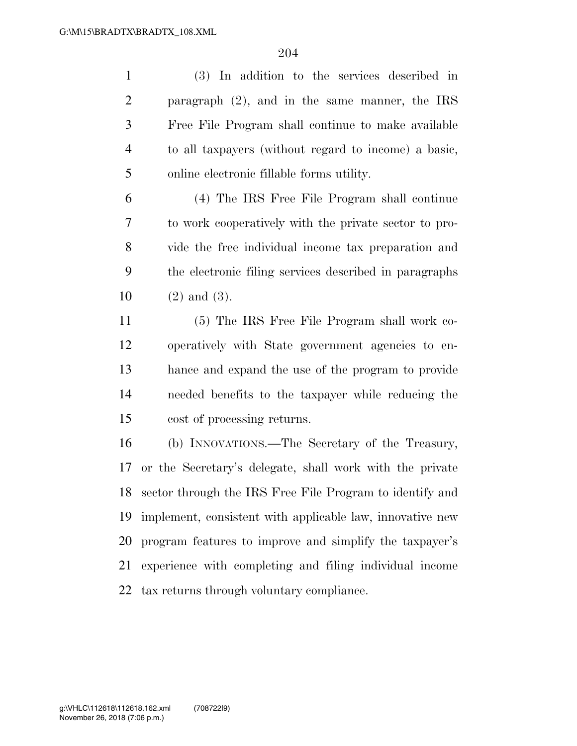(3) In addition to the services described in paragraph (2), and in the same manner, the IRS Free File Program shall continue to make available to all taxpayers (without regard to income) a basic, online electronic fillable forms utility.

 (4) The IRS Free File Program shall continue to work cooperatively with the private sector to pro- vide the free individual income tax preparation and the electronic filing services described in paragraphs (2) and (3).

 (5) The IRS Free File Program shall work co- operatively with State government agencies to en- hance and expand the use of the program to provide needed benefits to the taxpayer while reducing the cost of processing returns.

 (b) INNOVATIONS.—The Secretary of the Treasury, or the Secretary's delegate, shall work with the private sector through the IRS Free File Program to identify and implement, consistent with applicable law, innovative new program features to improve and simplify the taxpayer's experience with completing and filing individual income tax returns through voluntary compliance.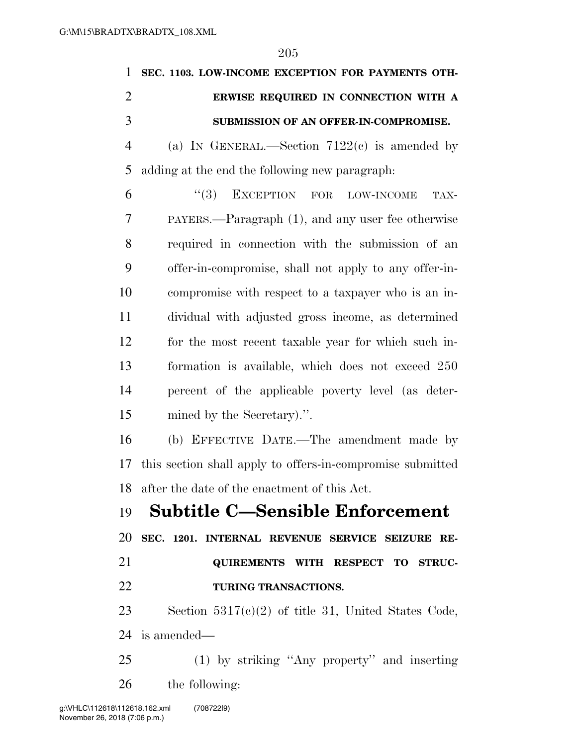| $\mathbf{1}$   | SEC. 1103. LOW-INCOME EXCEPTION FOR PAYMENTS OTH-          |
|----------------|------------------------------------------------------------|
| $\overline{2}$ | ERWISE REQUIRED IN CONNECTION WITH A                       |
| 3              | SUBMISSION OF AN OFFER-IN-COMPROMISE.                      |
| $\overline{4}$ | (a) IN GENERAL.—Section $7122(e)$ is amended by            |
| 5              | adding at the end the following new paragraph.             |
| 6              | (3)<br>EXCEPTION FOR LOW-INCOME<br>TAX-                    |
| 7              | PAYERS.—Paragraph (1), and any user fee otherwise          |
| 8              | required in connection with the submission of an           |
| 9              | offer-in-compromise, shall not apply to any offer-in-      |
| 10             | compromise with respect to a taxpayer who is an in-        |
| 11             | dividual with adjusted gross income, as determined         |
| 12             | for the most recent taxable year for which such in-        |
| 13             | formation is available, which does not exceed 250          |
| 14             | percent of the applicable poverty level (as deter-         |
| 15             | mined by the Secretary).".                                 |
| 16             | (b) EFFECTIVE DATE.—The amendment made by                  |
| 17             | this section shall apply to offers-in-compromise submitted |
|                | 18 after the date of the enactment of this Act.            |
|                | 19 Subtitle C—Sensible Enforcement                         |
| 20             | SEC. 1201. INTERNAL REVENUE SERVICE SEIZURE RE-            |
| 21             | QUIREMENTS WITH RESPECT TO STRUC-                          |
| 22             | TURING TRANSACTIONS.                                       |
| 23             | Section $5317(c)(2)$ of title 31, United States Code,      |
| 24             | is amended—                                                |
| 25             | $(1)$ by striking "Any property" and inserting             |
| 26             | the following:                                             |
|                |                                                            |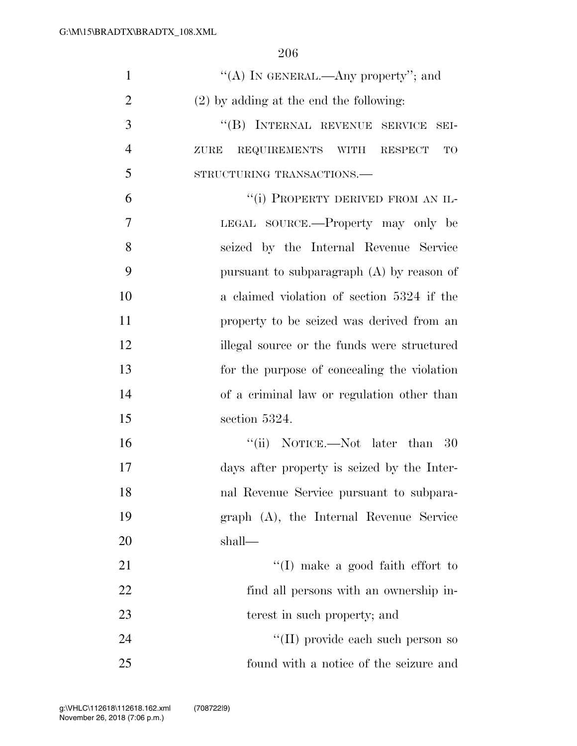| $\mathbf{1}$   | "(A) IN GENERAL.—Any property"; and            |
|----------------|------------------------------------------------|
| $\overline{2}$ | $(2)$ by adding at the end the following:      |
| 3              | "(B) INTERNAL REVENUE SERVICE SEI-             |
| $\overline{4}$ | REQUIREMENTS WITH RESPECT<br><b>TO</b><br>ZURE |
| 5              | STRUCTURING TRANSACTIONS.                      |
| 6              | "(i) PROPERTY DERIVED FROM AN IL-              |
| 7              | LEGAL SOURCE.—Property may only be             |
| 8              | seized by the Internal Revenue Service         |
| 9              | pursuant to subparagraph (A) by reason of      |
| 10             | a claimed violation of section 5324 if the     |
| 11             | property to be seized was derived from an      |
| 12             | illegal source or the funds were structured    |
| 13             | for the purpose of concealing the violation    |
| 14             | of a criminal law or regulation other than     |
| 15             | section 5324.                                  |
| 16             | "(ii) NOTICE.—Not later than 30                |
| 17             | days after property is seized by the Inter-    |
| 18             | nal Revenue Service pursuant to subpara-       |
| 19             | graph (A), the Internal Revenue Service        |
| 20             | shall—                                         |
| 21             | $\lq\lq$ (I) make a good faith effort to       |
| 22             | find all persons with an ownership in-         |
| 23             | terest in such property; and                   |
| 24             | "(II) provide each such person so              |
| 25             | found with a notice of the seizure and         |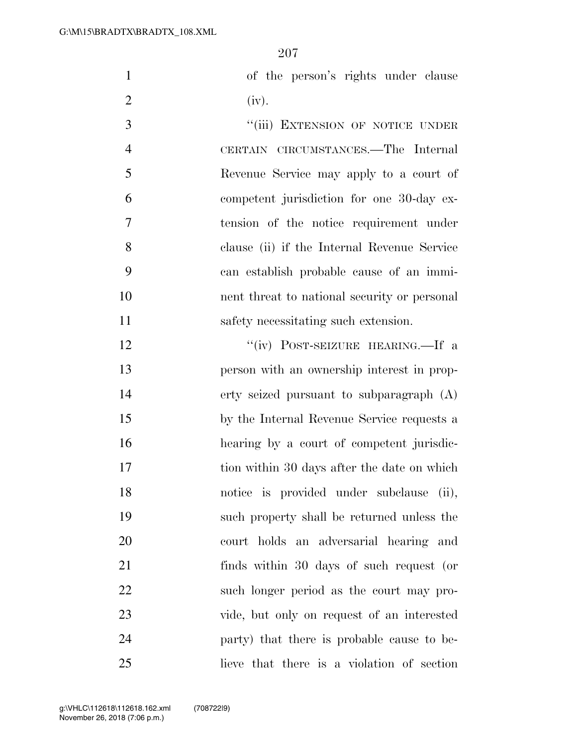|                | of the person's rights under clause |
|----------------|-------------------------------------|
| $\overline{2}$ | (iv).                               |

3 "(iii) EXTENSION OF NOTICE UNDER CERTAIN CIRCUMSTANCES.—The Internal Revenue Service may apply to a court of competent jurisdiction for one 30-day ex- tension of the notice requirement under clause (ii) if the Internal Revenue Service can establish probable cause of an immi- nent threat to national security or personal 11 safety necessitating such extension.

12 "(iv) POST-SEIZURE HEARING.—If a person with an ownership interest in prop- erty seized pursuant to subparagraph (A) by the Internal Revenue Service requests a hearing by a court of competent jurisdic-17 tion within 30 days after the date on which notice is provided under subclause (ii), such property shall be returned unless the court holds an adversarial hearing and finds within 30 days of such request (or such longer period as the court may pro- vide, but only on request of an interested party) that there is probable cause to be-lieve that there is a violation of section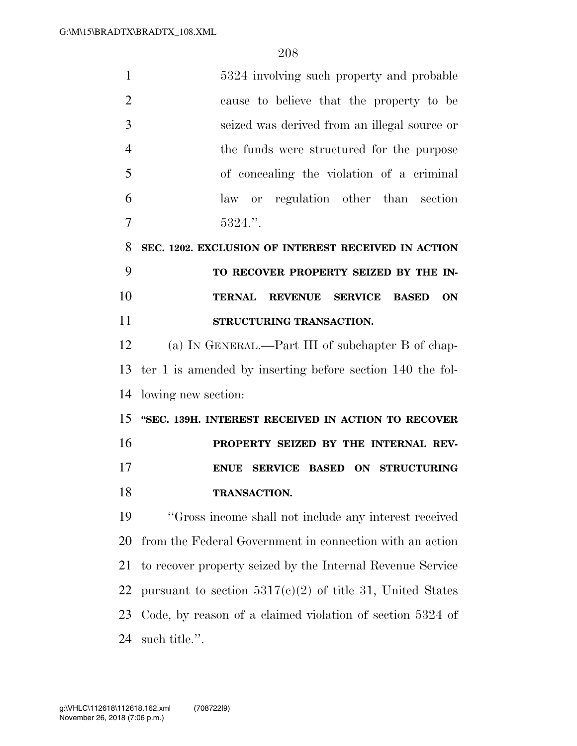| $\mathbf{1}$   | 5324 involving such property and probable                   |
|----------------|-------------------------------------------------------------|
| $\overline{2}$ | cause to believe that the property to be                    |
| 3              | seized was derived from an illegal source or                |
| $\overline{4}$ | the funds were structured for the purpose                   |
| 5              | of concealing the violation of a criminal                   |
| 6              | law or regulation other than section                        |
| 7              | 5324."                                                      |
| 8              | SEC. 1202. EXCLUSION OF INTEREST RECEIVED IN ACTION         |
| 9              | TO RECOVER PROPERTY SEIZED BY THE IN-                       |
| 10             | TERNAL REVENUE SERVICE<br><b>ON</b><br><b>BASED</b>         |
| 11             | STRUCTURING TRANSACTION.                                    |
| 12             | (a) IN GENERAL.—Part III of subchapter B of chap-           |
| 13             | ter 1 is amended by inserting before section 140 the fol-   |
| 14             | lowing new section:                                         |
| 15             | "SEC. 139H. INTEREST RECEIVED IN ACTION TO RECOVER          |
| 16             | PROPERTY SEIZED BY THE INTERNAL REV-                        |
| 17             | SERVICE BASED ON STRUCTURING<br><b>ENUE</b>                 |
| 18             | TRANSACTION.                                                |
| 19             | "Gross income shall not include any interest received       |
| 20             | from the Federal Government in connection with an action    |
| 21             | to recover property seized by the Internal Revenue Service  |
| 22             | pursuant to section $5317(c)(2)$ of title 31, United States |
| 23             | Code, by reason of a claimed violation of section 5324 of   |
| 24             | such title.".                                               |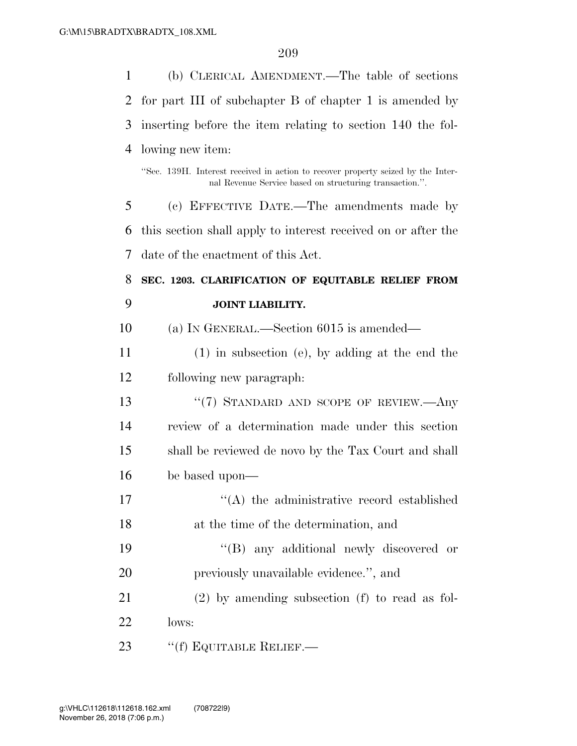| 1              | (b) CLERICAL AMENDMENT.—The table of sections                                                                                               |
|----------------|---------------------------------------------------------------------------------------------------------------------------------------------|
| $\overline{2}$ | for part III of subchapter B of chapter 1 is amended by                                                                                     |
| 3              | inserting before the item relating to section 140 the fol-                                                                                  |
| $\overline{4}$ | lowing new item:                                                                                                                            |
|                | "Sec. 139H. Interest received in action to recover property seized by the Inter-<br>nal Revenue Service based on structuring transaction.". |
| 5              | (c) EFFECTIVE DATE.—The amendments made by                                                                                                  |
| 6              | this section shall apply to interest received on or after the                                                                               |
| 7              | date of the enactment of this Act.                                                                                                          |
| 8              | SEC. 1203. CLARIFICATION OF EQUITABLE RELIEF FROM                                                                                           |
| 9              | <b>JOINT LIABILITY.</b>                                                                                                                     |
| 10             | (a) IN GENERAL.—Section $6015$ is amended—                                                                                                  |
| 11             | $(1)$ in subsection (e), by adding at the end the                                                                                           |
| 12             | following new paragraph.                                                                                                                    |
|                |                                                                                                                                             |
| 13             | " $(7)$ STANDARD AND SCOPE OF REVIEW.—Any                                                                                                   |
| 14             | review of a determination made under this section                                                                                           |
| 15             | shall be reviewed de novo by the Tax Court and shall                                                                                        |
| 16             | be based upon—                                                                                                                              |
| 17             | "(A) the administrative record established                                                                                                  |
| 18             | at the time of the determination, and                                                                                                       |
| 19             | "(B) any additional newly discovered or                                                                                                     |
| 20             | previously unavailable evidence.", and                                                                                                      |
| 21             | $(2)$ by amending subsection (f) to read as fol-                                                                                            |
| 22             | lows:                                                                                                                                       |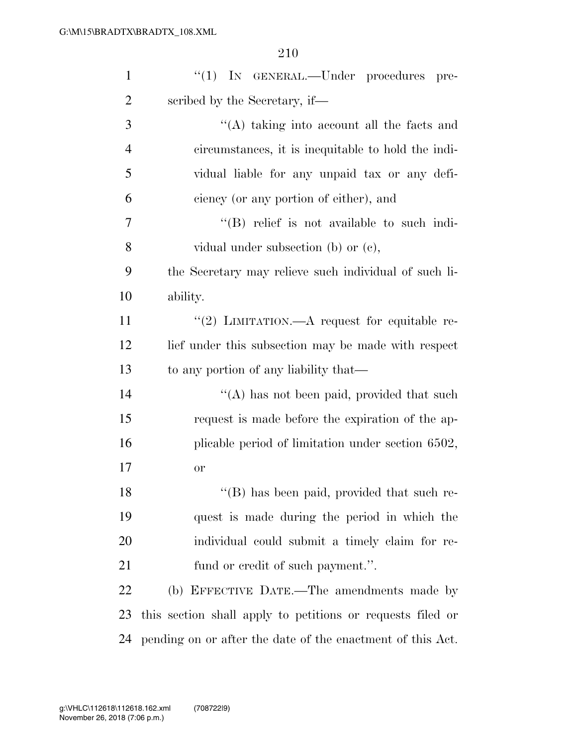| $\mathbf{1}$   | "(1) IN GENERAL.—Under procedures pre-                     |
|----------------|------------------------------------------------------------|
| $\overline{2}$ | scribed by the Secretary, if—                              |
| 3              | "(A) taking into account all the facts and                 |
| $\overline{4}$ | circumstances, it is inequitable to hold the indi-         |
| 5              | vidual liable for any unpaid tax or any defi-              |
| 6              | ciency (or any portion of either), and                     |
| 7              | $\lq\lq$ relief is not available to such indi-             |
| 8              | vidual under subsection (b) or $(e)$ ,                     |
| 9              | the Secretary may relieve such individual of such li-      |
| 10             | ability.                                                   |
| 11             | "(2) LIMITATION.— $A$ request for equitable re-            |
| 12             | lief under this subsection may be made with respect        |
| 13             | to any portion of any liability that—                      |
| 14             | "(A) has not been paid, provided that such                 |
| 15             | request is made before the expiration of the ap-           |
| 16             | plicable period of limitation under section 6502,          |
| 17             | <b>or</b>                                                  |
| 18             | "(B) has been paid, provided that such re-                 |
| 19             | quest is made during the period in which the               |
| 20             | individual could submit a timely claim for re-             |
| 21             | fund or credit of such payment.".                          |
| 22             | (b) EFFECTIVE DATE.—The amendments made by                 |
| 23             | this section shall apply to petitions or requests filed or |
| 24             | pending on or after the date of the enactment of this Act. |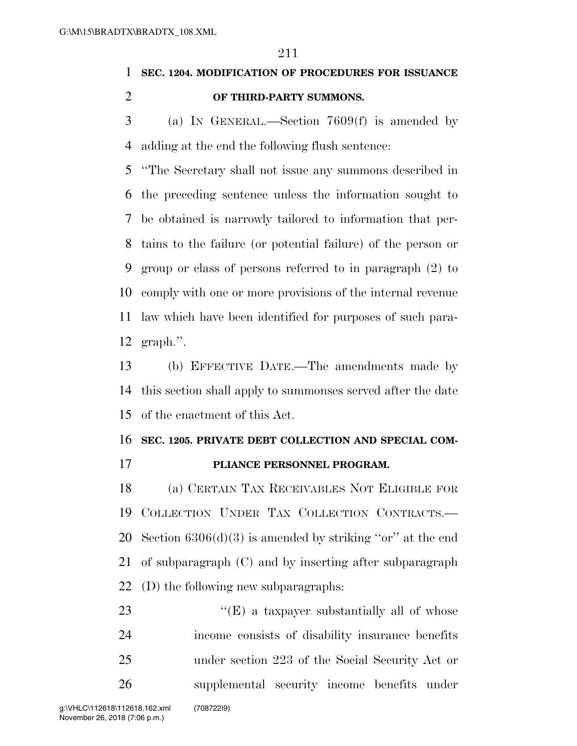# **SEC. 1204. MODIFICATION OF PROCEDURES FOR ISSUANCE OF THIRD-PARTY SUMMONS.**

 (a) IN GENERAL.—Section 7609(f) is amended by adding at the end the following flush sentence:

 ''The Secretary shall not issue any summons described in the preceding sentence unless the information sought to be obtained is narrowly tailored to information that per- tains to the failure (or potential failure) of the person or group or class of persons referred to in paragraph (2) to comply with one or more provisions of the internal revenue law which have been identified for purposes of such para-graph.''.

 (b) EFFECTIVE DATE.—The amendments made by this section shall apply to summonses served after the date of the enactment of this Act.

## **SEC. 1205. PRIVATE DEBT COLLECTION AND SPECIAL COM-**

### **PLIANCE PERSONNEL PROGRAM.**

 (a) CERTAIN TAX RECEIVABLES NOT ELIGIBLE FOR COLLECTION UNDER TAX COLLECTION CONTRACTS.— 20 Section  $6306(d)(3)$  is amended by striking "or" at the end of subparagraph (C) and by inserting after subparagraph (D) the following new subparagraphs:

23 "'(E) a taxpayer substantially all of whose income consists of disability insurance benefits under section 223 of the Social Security Act or supplemental security income benefits under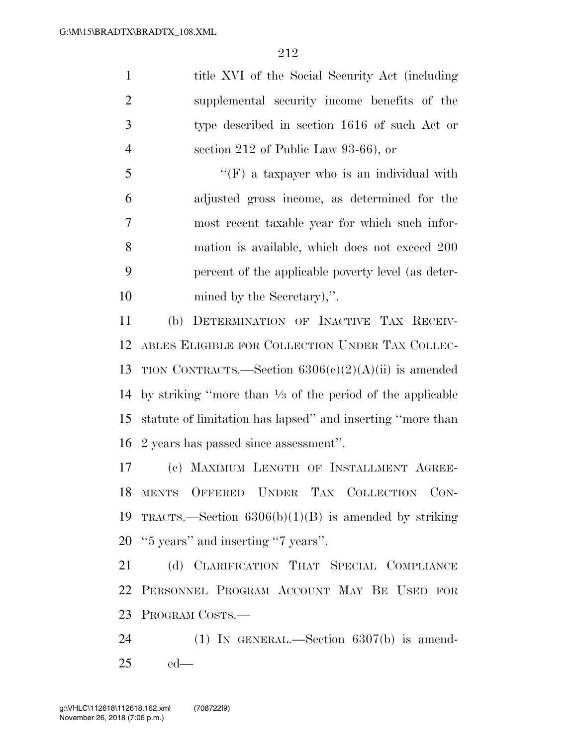1 title XVI of the Social Security Act (including supplemental security income benefits of the type described in section 1616 of such Act or section 212 of Public Law 93-66), or

 ''(F) a taxpayer who is an individual with adjusted gross income, as determined for the most recent taxable year for which such infor- mation is available, which does not exceed 200 percent of the applicable poverty level (as deter-mined by the Secretary),''.

 (b) DETERMINATION OF INACTIVE TAX RECEIV- ABLES ELIGIBLE FOR COLLECTION UNDER TAX COLLEC-13 TION CONTRACTS.—Section  $6306(c)(2)(A)(ii)$  is amended 14 by striking "more than  $\frac{1}{3}$  of the period of the applicable statute of limitation has lapsed'' and inserting ''more than 2 years has passed since assessment''.

 (c) MAXIMUM LENGTH OF INSTALLMENT AGREE- MENTS OFFERED UNDER TAX COLLECTION CON-19 TRACTS.—Section  $6306(b)(1)(B)$  is amended by striking ''5 years'' and inserting ''7 years''.

21 (d) CLARIFICATION THAT SPECIAL COMPLIANCE PERSONNEL PROGRAM ACCOUNT MAY BE USED FOR PROGRAM COSTS.—

 (1) IN GENERAL.—Section 6307(b) is amend-ed—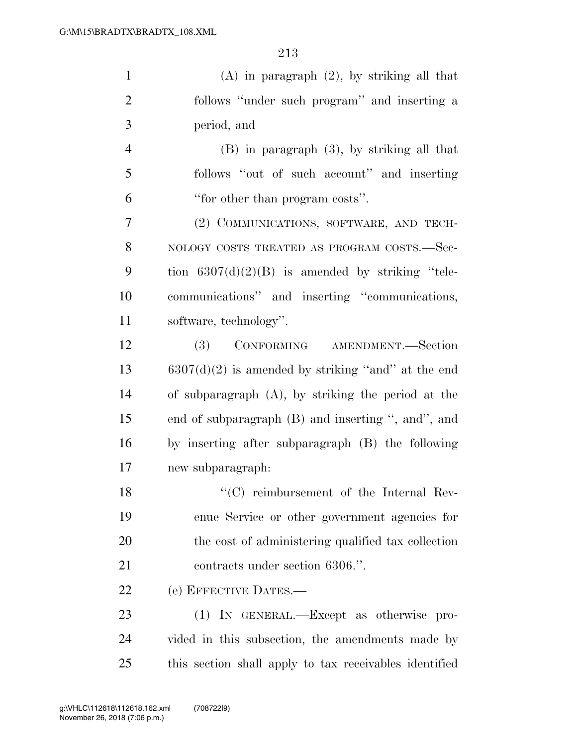| $\mathbf{1}$   | $(A)$ in paragraph $(2)$ , by striking all that       |
|----------------|-------------------------------------------------------|
| $\overline{2}$ | follows "under such program" and inserting a          |
| 3              | period, and                                           |
| $\overline{4}$ | $(B)$ in paragraph $(3)$ , by striking all that       |
| 5              | follows "out of such account" and inserting           |
| 6              | "for other than program costs".                       |
| 7              | (2) COMMUNICATIONS, SOFTWARE, AND TECH-               |
| 8              | NOLOGY COSTS TREATED AS PROGRAM COSTS.-Sec-           |
| 9              | tion $6307(d)(2)(B)$ is amended by striking "tele-    |
| 10             | communications" and inserting "communications,        |
| 11             | software, technology".                                |
| 12             | CONFORMING AMENDMENT.-Section<br>(3)                  |
| 13             | $6307(d)(2)$ is amended by striking "and" at the end  |
| 14             | of subparagraph $(A)$ , by striking the period at the |
| 15             | end of subparagraph (B) and inserting ", and", and    |
| 16             | by inserting after subparagraph (B) the following     |
| 17             | new subparagraph:                                     |
| 18             | "(C) reimbursement of the Internal Rev-               |
| 19             | enue Service or other government agencies for         |
| 20             | the cost of administering qualified tax collection    |
| 21             | contracts under section 6306.".                       |
| 22             | (e) EFFECTIVE DATES.—                                 |
| 23             | (1) IN GENERAL.—Except as otherwise pro-              |

 vided in this subsection, the amendments made by this section shall apply to tax receivables identified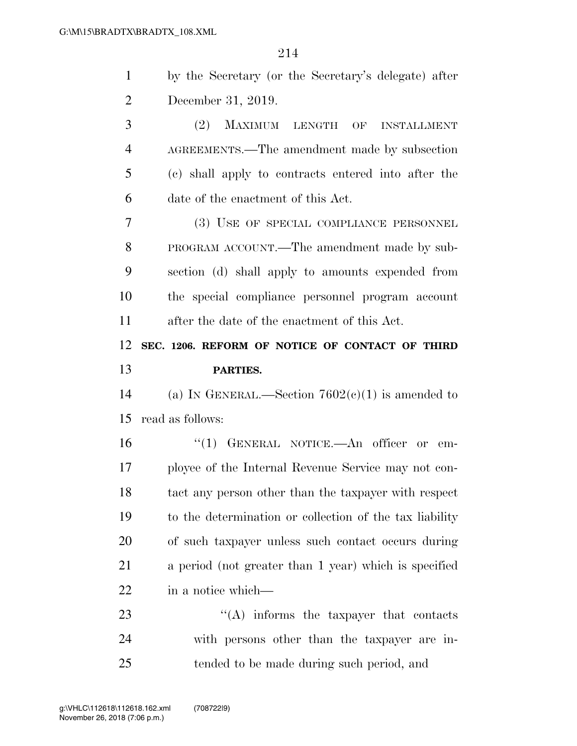| $\mathbf{1}$   | by the Secretary (or the Secretary's delegate) after    |
|----------------|---------------------------------------------------------|
| $\overline{2}$ | December 31, 2019.                                      |
| 3              | (2) MAXIMUM LENGTH OF INSTALLMENT                       |
| $\overline{4}$ | AGREEMENTS.—The amendment made by subsection            |
| 5              | (c) shall apply to contracts entered into after the     |
| 6              | date of the enactment of this Act.                      |
| $\overline{7}$ | (3) USE OF SPECIAL COMPLIANCE PERSONNEL                 |
| 8              | PROGRAM ACCOUNT.—The amendment made by sub-             |
| 9              | section (d) shall apply to amounts expended from        |
| 10             | the special compliance personnel program account        |
| 11             | after the date of the enactment of this Act.            |
| 12             | SEC. 1206. REFORM OF NOTICE OF CONTACT OF THIRD         |
|                | PARTIES.                                                |
| 13             |                                                         |
| 14             | (a) IN GENERAL.—Section $7602(c)(1)$ is amended to      |
| 15             | read as follows:                                        |
| 16             | "(1) GENERAL NOTICE.—An officer or<br>$\rm em$ -        |
| 17             | ployee of the Internal Revenue Service may not con-     |
| 18             | tact any person other than the taxpayer with respect    |
| 19             | to the determination or collection of the tax liability |
| 20             | of such taxpayer unless such contact occurs during      |
| 21             | a period (not greater than 1 year) which is specified   |
| 22             | in a notice which—                                      |
| 23             | $\lq\lq$ informs the taxpayer that contacts             |
| 24             | with persons other than the taxpayer are in-            |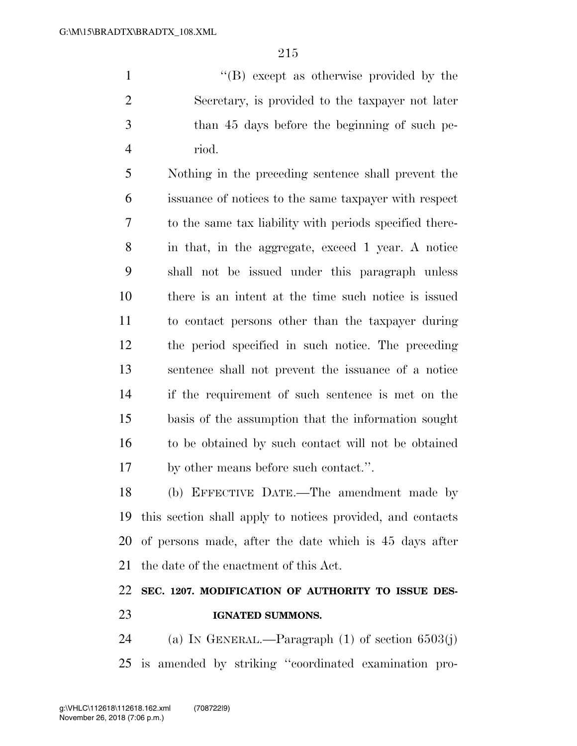1 ''(B) except as otherwise provided by the Secretary, is provided to the taxpayer not later than 45 days before the beginning of such pe-riod.

 Nothing in the preceding sentence shall prevent the issuance of notices to the same taxpayer with respect to the same tax liability with periods specified there- in that, in the aggregate, exceed 1 year. A notice shall not be issued under this paragraph unless there is an intent at the time such notice is issued to contact persons other than the taxpayer during the period specified in such notice. The preceding sentence shall not prevent the issuance of a notice if the requirement of such sentence is met on the basis of the assumption that the information sought to be obtained by such contact will not be obtained by other means before such contact.''.

 (b) EFFECTIVE DATE.—The amendment made by this section shall apply to notices provided, and contacts of persons made, after the date which is 45 days after the date of the enactment of this Act.

# **SEC. 1207. MODIFICATION OF AUTHORITY TO ISSUE DES-IGNATED SUMMONS.**

24 (a) IN GENERAL.—Paragraph  $(1)$  of section 6503(j) is amended by striking ''coordinated examination pro-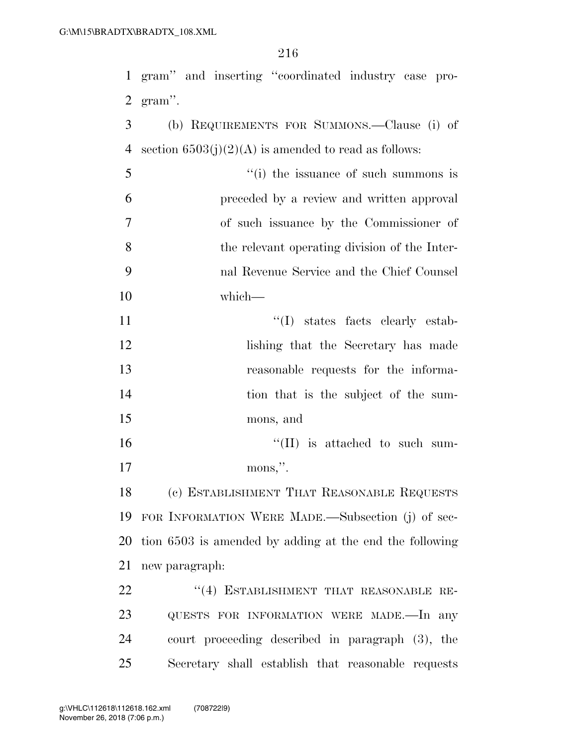|                | 1 gram" and inserting "coordinated industry case pro-   |
|----------------|---------------------------------------------------------|
| 2              | gram".                                                  |
| 3              | (b) REQUIREMENTS FOR SUMMONS.—Clause (i) of             |
| 4              | section $6503(j)(2)(A)$ is amended to read as follows:  |
| 5              | "(i) the issuance of such summons is                    |
| 6              | preceded by a review and written approval               |
| $\overline{7}$ | of such issuance by the Commissioner of                 |
| 8              | the relevant operating division of the Inter-           |
| 9              | nal Revenue Service and the Chief Counsel               |
| 10             | which-                                                  |
| 11             | "(I) states facts clearly estab-                        |
| 12             | lishing that the Secretary has made                     |
| 13             | reasonable requests for the informa-                    |
| 14             | tion that is the subject of the sum-                    |
| 15             | mons, and                                               |
| 16             | $\lq\lq$ (II) is attached to such sum-                  |
| 17             | mons,".                                                 |
| 18             | (c) ESTABLISHMENT THAT REASONABLE REQUESTS              |
| 19             | FOR INFORMATION WERE MADE.—Subsection (j) of sec-       |
| 20             | tion 6503 is amended by adding at the end the following |
| 21             | new paragraph:                                          |
| 22             | "(4) ESTABLISHMENT THAT REASONABLE RE-                  |
| 23             | QUESTS FOR INFORMATION WERE MADE.—In any                |
| 24             | court proceeding described in paragraph (3), the        |
| 25             | Secretary shall establish that reasonable requests      |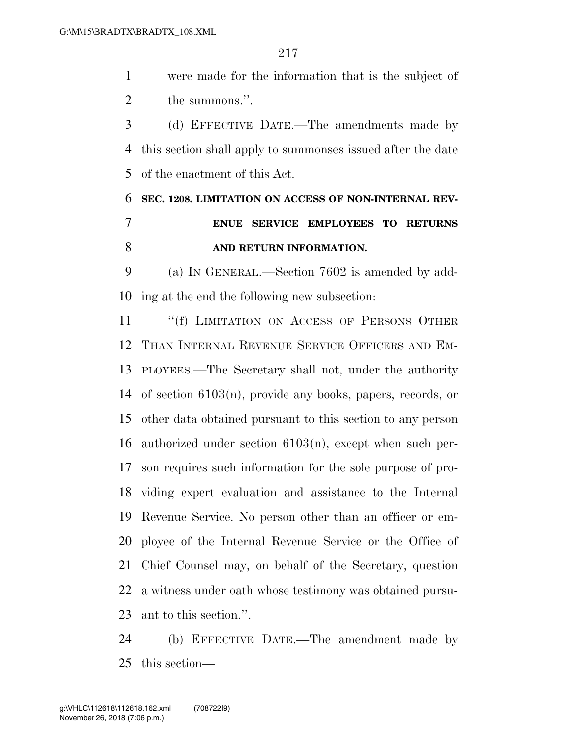were made for the information that is the subject of 2 the summons.".

 (d) EFFECTIVE DATE.—The amendments made by this section shall apply to summonses issued after the date of the enactment of this Act.

### **SEC. 1208. LIMITATION ON ACCESS OF NON-INTERNAL REV- ENUE SERVICE EMPLOYEES TO RETURNS AND RETURN INFORMATION.**

 (a) IN GENERAL.—Section 7602 is amended by add-ing at the end the following new subsection:

11 ""(f) LIMITATION ON ACCESS OF PERSONS OTHER THAN INTERNAL REVENUE SERVICE OFFICERS AND EM- PLOYEES.—The Secretary shall not, under the authority of section 6103(n), provide any books, papers, records, or other data obtained pursuant to this section to any person authorized under section 6103(n), except when such per- son requires such information for the sole purpose of pro- viding expert evaluation and assistance to the Internal Revenue Service. No person other than an officer or em- ployee of the Internal Revenue Service or the Office of Chief Counsel may, on behalf of the Secretary, question a witness under oath whose testimony was obtained pursu-ant to this section.''.

 (b) EFFECTIVE DATE.—The amendment made by this section—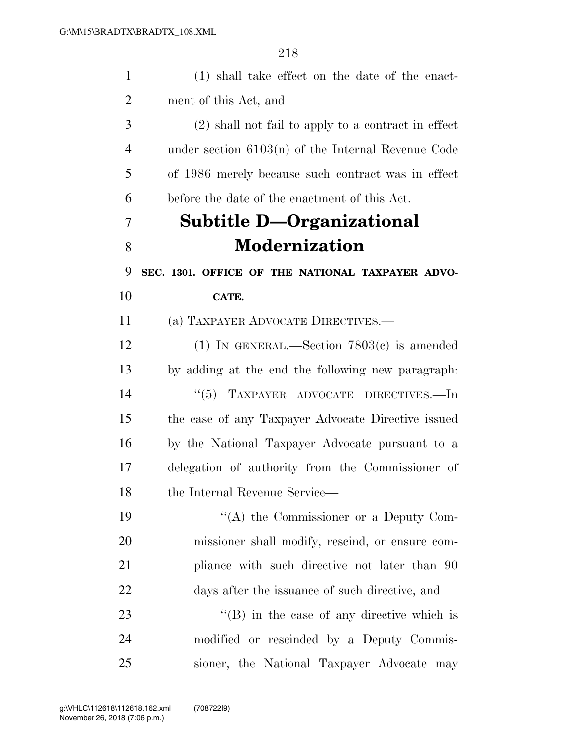| $\mathbf{1}$   | (1) shall take effect on the date of the enact-      |
|----------------|------------------------------------------------------|
| $\overline{2}$ | ment of this Act, and                                |
| 3              | (2) shall not fail to apply to a contract in effect  |
| $\overline{4}$ | under section $6103(n)$ of the Internal Revenue Code |
| 5              | of 1986 merely because such contract was in effect   |
| 6              | before the date of the enactment of this Act.        |
| 7              | Subtitle D—Organizational                            |
| 8              | <b>Modernization</b>                                 |
| 9              | SEC. 1301. OFFICE OF THE NATIONAL TAXPAYER ADVO-     |
| 10             | CATE.                                                |
| 11             | (a) TAXPAYER ADVOCATE DIRECTIVES.—                   |
| 12             | (1) IN GENERAL.—Section $7803(c)$ is amended         |
| 13             | by adding at the end the following new paragraph.    |
| 14             | TAXPAYER ADVOCATE DIRECTIVES.-In<br>(5)              |
| 15             | the case of any Taxpayer Advocate Directive issued   |
| 16             | by the National Taxpayer Advocate pursuant to a      |
| 17             | delegation of authority from the Commissioner of     |
| 18             | the Internal Revenue Service-                        |
| 19             | "(A) the Commissioner or a Deputy Com-               |
| 20             | missioner shall modify, rescind, or ensure com-      |
| 21             | pliance with such directive not later than 90        |
| 22             | days after the issuance of such directive, and       |
| 23             | $\lq\lq$ (B) in the case of any directive which is   |
| 24             | modified or rescinded by a Deputy Commis-            |
| 25             | sioner, the National Taxpayer Advocate may           |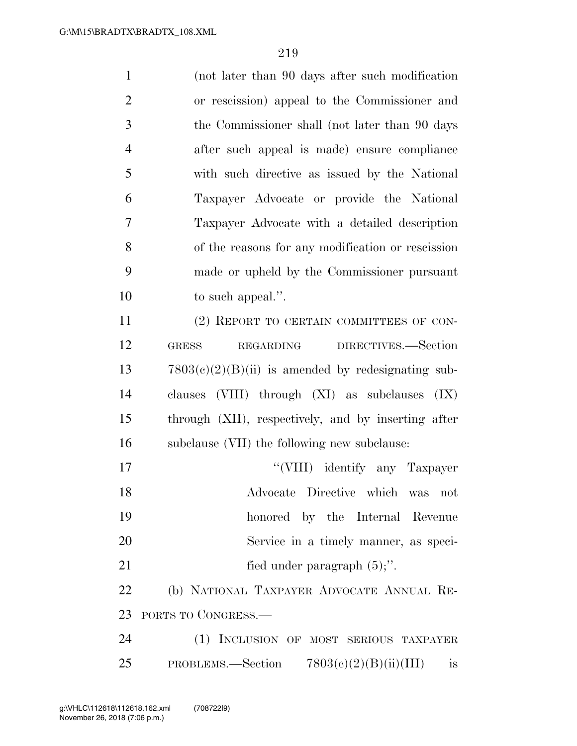| $\mathbf{1}$   | (not later than 90 days after such modification)        |
|----------------|---------------------------------------------------------|
| $\overline{2}$ | or rescission) appeal to the Commissioner and           |
| 3              | the Commissioner shall (not later than 90 days          |
| $\overline{4}$ | after such appeal is made) ensure compliance            |
| 5              | with such directive as issued by the National           |
| 6              | Taxpayer Advocate or provide the National               |
| $\overline{7}$ | Taxpayer Advocate with a detailed description           |
| 8              | of the reasons for any modification or rescission       |
| 9              | made or upheld by the Commissioner pursuant             |
| 10             | to such appeal.".                                       |
| 11             | (2) REPORT TO CERTAIN COMMITTEES OF CON-                |
| 12             | DIRECTIVES.-Section<br>REGARDING<br><b>GRESS</b>        |
| 13             | $7803(c)(2)(B)(ii)$ is amended by redesignating sub-    |
| 14             | clauses (VIII) through (XI) as subclauses<br>(IX)       |
| 15             | through (XII), respectively, and by inserting after     |
| 16             | subclause (VII) the following new subclause:            |
| 17             | "(VIII) identify any Taxpayer                           |
| 18             | Advocate Directive which was not                        |
| 19             | honored by the Internal Revenue                         |
| 20             | Service in a timely manner, as speci-                   |
| 21             | fied under paragraph $(5)$ ;".                          |
| 22             | (b) NATIONAL TAXPAYER ADVOCATE ANNUAL RE-               |
| 23             | PORTS TO CONGRESS.—                                     |
| 24             | (1) INCLUSION OF MOST SERIOUS TAXPAYER                  |
| 25             | PROBLEMS.—Section $7803(e)(2)(B)(ii)(III)$<br><i>is</i> |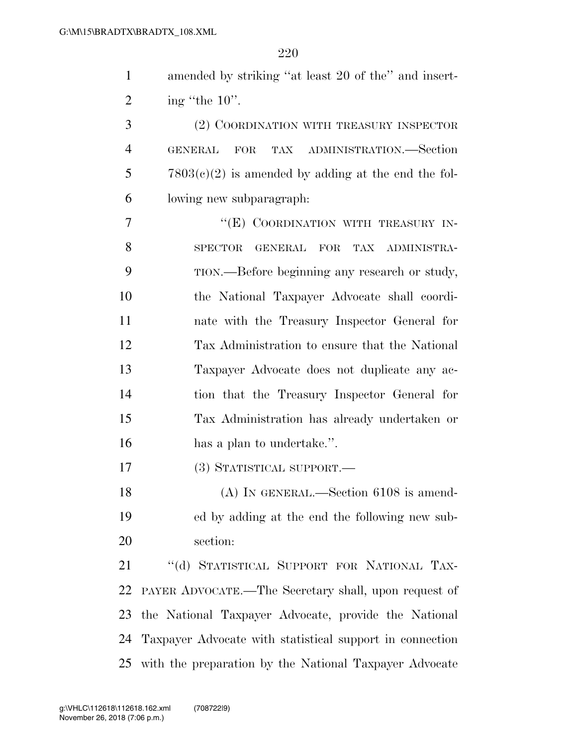| $\mathbf{1}$   | amended by striking "at least 20 of the" and insert-     |
|----------------|----------------------------------------------------------|
| $\overline{2}$ | ing "the $10$ ".                                         |
| 3              | (2) COORDINATION WITH TREASURY INSPECTOR                 |
| $\overline{4}$ | TAX ADMINISTRATION.—Section<br>GENERAL<br>FOR            |
| 5              | $7803(c)(2)$ is amended by adding at the end the fol-    |
| 6              | lowing new subparagraph.                                 |
| 7              | "(E) COORDINATION WITH TREASURY IN-                      |
| 8              | SPECTOR GENERAL FOR<br>TAX ADMINISTRA-                   |
| 9              | TION.—Before beginning any research or study,            |
| 10             | the National Taxpayer Advocate shall coordi-             |
| 11             | nate with the Treasury Inspector General for             |
| 12             | Tax Administration to ensure that the National           |
| 13             | Taxpayer Advocate does not duplicate any ac-             |
| 14             | tion that the Treasury Inspector General for             |
| 15             | Tax Administration has already undertaken or             |
| 16             | has a plan to undertake.".                               |
| 17             | (3) STATISTICAL SUPPORT.—                                |
| 18             | $(A)$ IN GENERAL.—Section 6108 is amend-                 |
| 19             | ed by adding at the end the following new sub-           |
| 20             | section:                                                 |
| 21             | "(d) STATISTICAL SUPPORT FOR NATIONAL TAX-               |
| 22             | PAYER ADVOCATE.—The Secretary shall, upon request of     |
| 23             | the National Taxpayer Advocate, provide the National     |
| 24             | Taxpayer Advocate with statistical support in connection |
| 25             | with the preparation by the National Taxpayer Advocate   |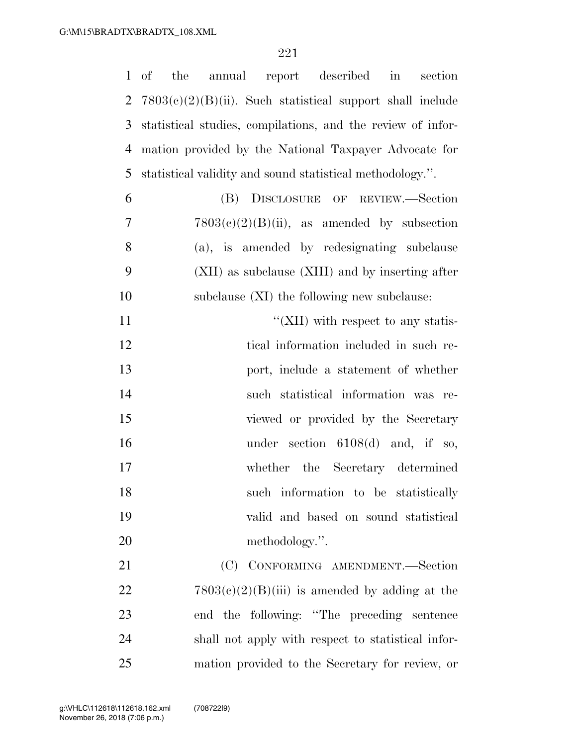|                | $1$ of<br>the<br>annual report described<br>$\sin$<br>section |
|----------------|---------------------------------------------------------------|
| $\overline{2}$ | $7803(e)(2)(B)(ii)$ . Such statistical support shall include  |
| 3              | statistical studies, compilations, and the review of infor-   |
| $\overline{4}$ | mation provided by the National Taxpayer Advocate for         |
| 5              | statistical validity and sound statistical methodology.".     |
| 6              | (B) DISCLOSURE OF REVIEW.-Section                             |
| 7              | $7803(e)(2)(B)(ii)$ , as amended by subsection                |
| 8              | (a), is amended by redesignating subclause                    |
| 9              | (XII) as subclause (XIII) and by inserting after              |
| 10             | subclause $(XI)$ the following new subclause:                 |
| 11             | "(XII) with respect to any statis-                            |
| 12             | tical information included in such re-                        |
| 13             | port, include a statement of whether                          |
| 14             | such statistical information was re-                          |
| 15             | viewed or provided by the Secretary                           |
| 16             | under section $6108(d)$ and, if so,                           |
| 17             | whether the Secretary determined                              |
| 18             | such information to be statistically                          |
| 19             | valid and based on sound statistical                          |
| 20             | methodology.".                                                |
| 21             | (C) CONFORMING AMENDMENT.-Section                             |
| 22             | $7803(e)(2)(B)(iii)$ is amended by adding at the              |
| 23             | end the following: "The preceding sentence                    |
| 24             | shall not apply with respect to statistical infor-            |
| 25             | mation provided to the Secretary for review, or               |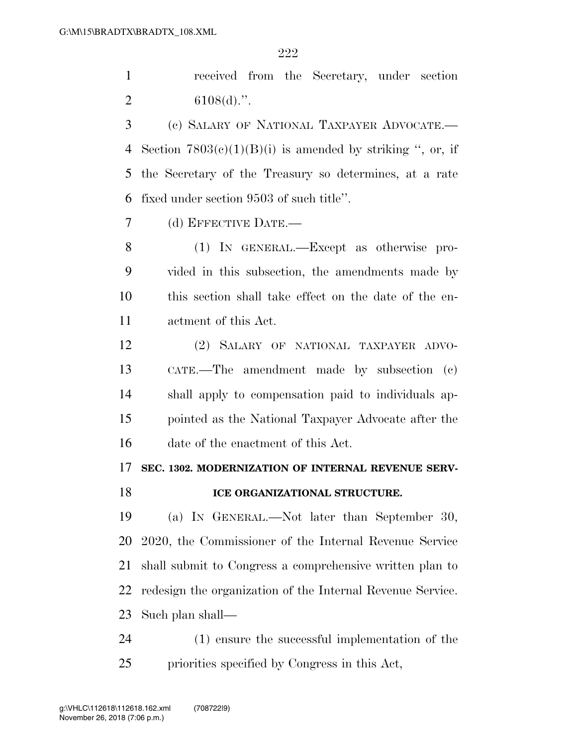received from the Secretary, under section 2  $6108(d)$ .".

 (c) SALARY OF NATIONAL TAXPAYER ADVOCATE.— 4 Section  $7803(c)(1)(B)(i)$  is amended by striking ", or, if the Secretary of the Treasury so determines, at a rate fixed under section 9503 of such title''.

(d) EFFECTIVE DATE.—

 (1) IN GENERAL.—Except as otherwise pro- vided in this subsection, the amendments made by this section shall take effect on the date of the en-actment of this Act.

 (2) SALARY OF NATIONAL TAXPAYER ADVO- CATE.—The amendment made by subsection (c) shall apply to compensation paid to individuals ap- pointed as the National Taxpayer Advocate after the date of the enactment of this Act.

### **SEC. 1302. MODERNIZATION OF INTERNAL REVENUE SERV-**

### **ICE ORGANIZATIONAL STRUCTURE.**

 (a) IN GENERAL.—Not later than September 30, 2020, the Commissioner of the Internal Revenue Service shall submit to Congress a comprehensive written plan to redesign the organization of the Internal Revenue Service. Such plan shall—

 (1) ensure the successful implementation of the priorities specified by Congress in this Act,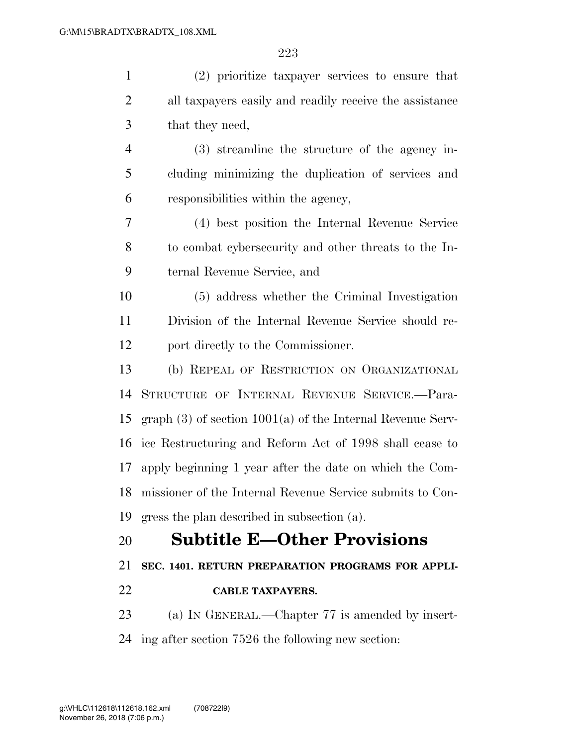| (2) prioritize taxpayer services to ensure that                |
|----------------------------------------------------------------|
| all taxpayers easily and readily receive the assistance        |
| that they need,                                                |
| $(3)$ streamline the structure of the agency in-               |
| cluding minimizing the duplication of services and             |
| responsibilities within the agency,                            |
| (4) best position the Internal Revenue Service                 |
| to combat cybersecurity and other threats to the In-           |
| ternal Revenue Service, and                                    |
| (5) address whether the Criminal Investigation                 |
| Division of the Internal Revenue Service should re-            |
| port directly to the Commissioner.                             |
| (b) REPEAL OF RESTRICTION ON ORGANIZATIONAL                    |
| STRUCTURE OF INTERNAL REVENUE SERVICE.-Para-                   |
| graph $(3)$ of section $1001(a)$ of the Internal Revenue Serv- |
| ice Restructuring and Reform Act of 1998 shall cease to        |
| apply beginning 1 year after the date on which the Com-        |
| 18 missioner of the Internal Revenue Service submits to Con-   |
| gress the plan described in subsection (a).                    |
| <b>Subtitle E-Other Provisions</b>                             |
| SEC. 1401. RETURN PREPARATION PROGRAMS FOR APPLI-              |
| <b>CABLE TAXPAYERS.</b>                                        |
| (a) IN GENERAL.—Chapter 77 is amended by insert-               |
| ing after section 7526 the following new section:              |
|                                                                |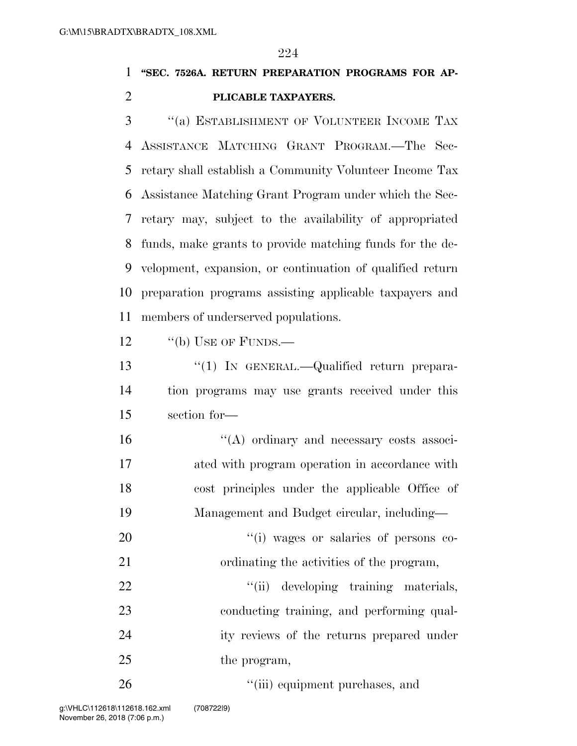### **''SEC. 7526A. RETURN PREPARATION PROGRAMS FOR AP-PLICABLE TAXPAYERS.**

 ''(a) ESTABLISHMENT OF VOLUNTEER INCOME TAX ASSISTANCE MATCHING GRANT PROGRAM.—The Sec- retary shall establish a Community Volunteer Income Tax Assistance Matching Grant Program under which the Sec- retary may, subject to the availability of appropriated funds, make grants to provide matching funds for the de- velopment, expansion, or continuation of qualified return preparation programs assisting applicable taxpayers and members of underserved populations.

12 "(b) USE OF FUNDS.—

13 "(1) In GENERAL.—Qualified return prepara- tion programs may use grants received under this section for—

 ''(A) ordinary and necessary costs associ- ated with program operation in accordance with cost principles under the applicable Office of Management and Budget circular, including—

20  $\frac{1}{20}$  and  $\frac{1}{20}$  wages or salaries of persons co-ordinating the activities of the program,

22  $\frac{1}{1}$  (ii) developing training materials, 23 conducting training, and performing qual- ity reviews of the returns prepared under 25 the program,

26  $\frac{1}{2}$   $\frac{1}{2}$   $\frac{1}{2}$  equipment purchases, and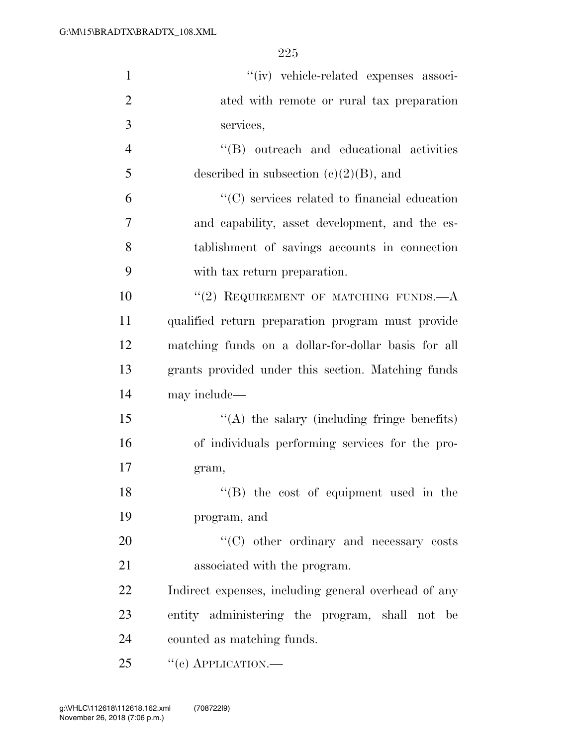| $\mathbf{1}$   | "(iv) vehicle-related expenses associ-               |
|----------------|------------------------------------------------------|
| $\overline{2}$ | ated with remote or rural tax preparation            |
| 3              | services,                                            |
| $\overline{4}$ | "(B) outreach and educational activities             |
| 5              | described in subsection $(c)(2)(B)$ , and            |
| 6              | $\lq\lq$ services related to financial education     |
| 7              | and capability, asset development, and the es-       |
| 8              | tablishment of savings accounts in connection        |
| 9              | with tax return preparation.                         |
| 10             | "(2) REQUIREMENT OF MATCHING FUNDS. $-A$             |
| 11             | qualified return preparation program must provide    |
| 12             | matching funds on a dollar-for-dollar basis for all  |
| 13             | grants provided under this section. Matching funds   |
| 14             | may include—                                         |
| 15             | $\lq\lq$ the salary (including fringe benefits)      |
| 16             | of individuals performing services for the pro-      |
| 17             | gram,                                                |
| 18             | $H(B)$ the cost of equipment used in the             |
| 19             | program, and                                         |
| 20             | $\cdot$ (C) other ordinary and necessary costs       |
| 21             | associated with the program.                         |
| 22             | Indirect expenses, including general overhead of any |
| 23             | entity administering the program, shall not be       |
| 24             | counted as matching funds.                           |
| 25             | $``(e)$ APPLICATION.—                                |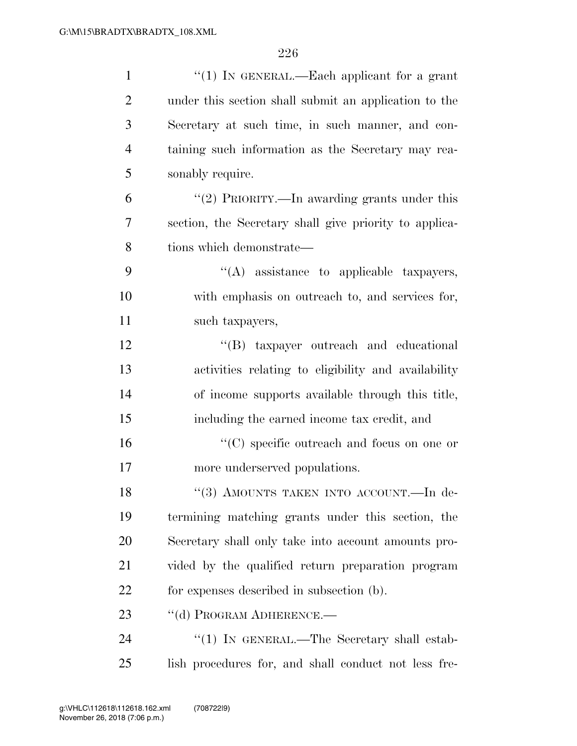| $\mathbf{1}$   | " $(1)$ In GENERAL.—Each applicant for a grant         |
|----------------|--------------------------------------------------------|
| $\overline{2}$ | under this section shall submit an application to the  |
| 3              | Secretary at such time, in such manner, and con-       |
| 4              | taining such information as the Secretary may rea-     |
| 5              | sonably require.                                       |
| 6              | "(2) PRIORITY.—In awarding grants under this           |
| 7              | section, the Secretary shall give priority to applica- |
| 8              | tions which demonstrate—                               |
| 9              | "(A) assistance to applicable taxpayers,               |
| 10             | with emphasis on outreach to, and services for,        |
| 11             | such taxpayers,                                        |
| 12             | "(B) taxpayer outreach and educational                 |
| 13             | activities relating to eligibility and availability    |
| 14             | of income supports available through this title,       |
| 15             | including the earned income tax credit, and            |
| 16             | $\lq\lq$ (C) specific outreach and focus on one or     |
| 17             | more underserved populations.                          |
| 18             | "(3) AMOUNTS TAKEN INTO ACCOUNT. - In de-              |
| 19             | termining matching grants under this section, the      |
| 20             | Secretary shall only take into account amounts pro-    |
| 21             | vided by the qualified return preparation program      |
| 22             | for expenses described in subsection (b).              |
| 23             | "(d) PROGRAM ADHERENCE.-                               |
| 24             | "(1) IN GENERAL.—The Secretary shall estab-            |
| 25             | lish procedures for, and shall conduct not less fre-   |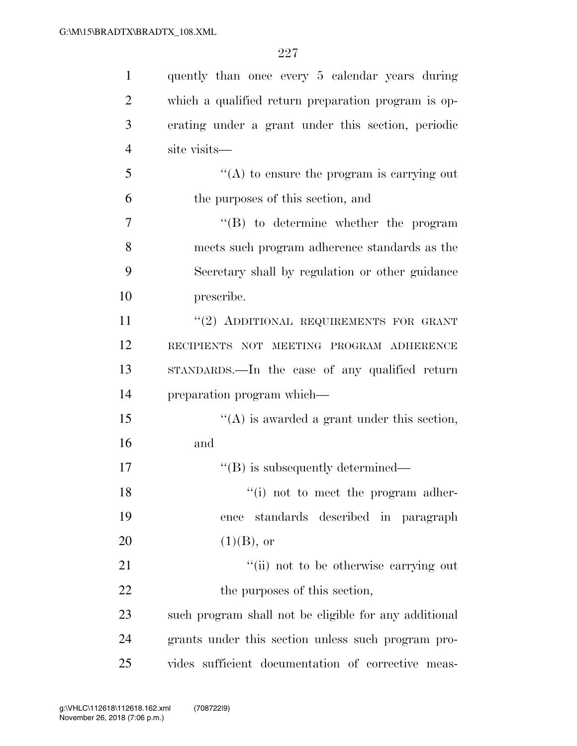| $\mathbf{1}$   | quently than once every 5 calendar years during       |
|----------------|-------------------------------------------------------|
| $\overline{2}$ | which a qualified return preparation program is op-   |
| 3              | erating under a grant under this section, periodic    |
| $\overline{4}$ | site visits-                                          |
| 5              | $\lq\lq$ to ensure the program is carrying out        |
| 6              | the purposes of this section, and                     |
| $\overline{7}$ | "(B) to determine whether the program                 |
| 8              | meets such program adherence standards as the         |
| 9              | Secretary shall by regulation or other guidance       |
| 10             | prescribe.                                            |
| 11             | "(2) ADDITIONAL REQUIREMENTS FOR GRANT                |
| 12             | RECIPIENTS NOT MEETING PROGRAM ADHERENCE              |
| 13             | STANDARDS.—In the case of any qualified return        |
| 14             | preparation program which—                            |
| 15             | $\lq\lq$ is awarded a grant under this section,       |
| 16             | and                                                   |
| 17             | $\lq\lq (B)$ is subsequently determined—              |
| 18             | "(i) not to meet the program adher-                   |
| 19             | standards described in paragraph<br>ence              |
| <b>20</b>      | $(1)(B)$ , or                                         |
| 21             | "(ii) not to be otherwise carrying out                |
| 22             | the purposes of this section,                         |
| 23             | such program shall not be eligible for any additional |
| 24             | grants under this section unless such program pro-    |
| 25             | vides sufficient documentation of corrective meas-    |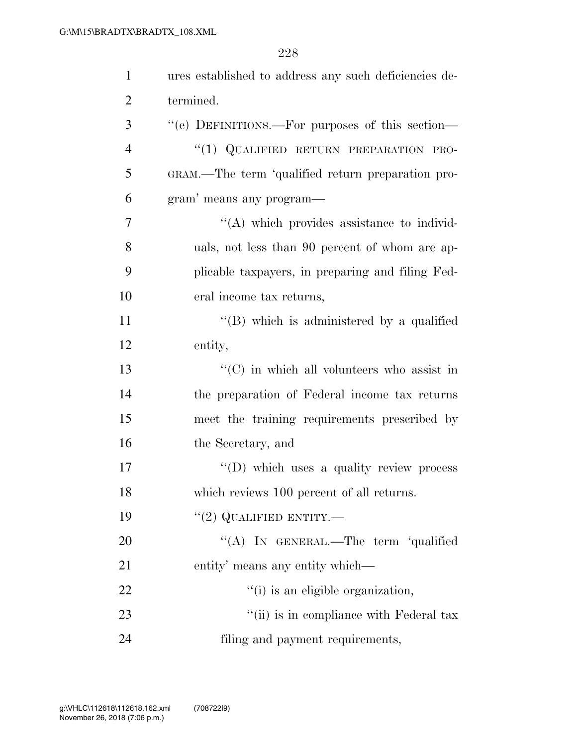| $\mathbf{1}$ | ures established to address any such deficiencies de- |
|--------------|-------------------------------------------------------|
| 2            | termined.                                             |
| 3            | "(e) DEFINITIONS.—For purposes of this section—       |
| 4            | "(1) QUALIFIED RETURN PREPARATION PRO-                |
| 5            | GRAM.—The term 'qualified return preparation pro-     |
| 6            | gram' means any program-                              |
| 7            | "(A) which provides assistance to individ-            |
| 8            | uals, not less than 90 percent of whom are ap-        |
| 9            | plicable taxpayers, in preparing and filing Fed-      |
| 10           | eral income tax returns,                              |
| 11           | $\lq\lq$ which is administered by a qualified         |
| 12           | entity,                                               |
| 13           | $\lq\lq$ (C) in which all volunteers who assist in    |
| 14           | the preparation of Federal income tax returns         |
| 15           | meet the training requirements prescribed by          |
| 16           | the Secretary, and                                    |
| 17           | $\lq\lq$ (D) which uses a quality review process      |
| 18           | which reviews 100 percent of all returns.             |
| 19           | $``(2)$ QUALIFIED ENTITY.—                            |
| 20           | "(A) IN GENERAL.—The term 'qualified                  |
| 21           | entity' means any entity which—                       |
| 22           | "(i) is an eligible organization,                     |
| 23           | "(ii) is in compliance with Federal tax               |
| 24           | filing and payment requirements,                      |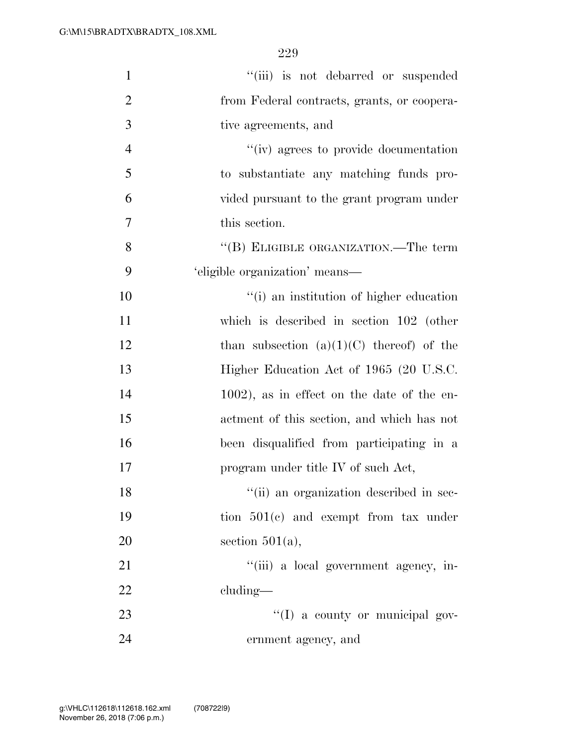| $\mathbf{1}$   | "(iii) is not debarred or suspended         |
|----------------|---------------------------------------------|
| $\overline{2}$ | from Federal contracts, grants, or coopera- |
| 3              | tive agreements, and                        |
| $\overline{4}$ | "(iv) agrees to provide documentation       |
| 5              | to substantiate any matching funds pro-     |
| 6              | vided pursuant to the grant program under   |
| $\overline{7}$ | this section.                               |
| 8              | "(B) ELIGIBLE ORGANIZATION.—The term        |
| 9              | 'eligible organization' means—              |
| 10             | "(i) an institution of higher education     |
| 11             | which is described in section $102$ (other  |
| 12             | than subsection $(a)(1)(C)$ thereof) of the |
| 13             | Higher Education Act of 1965 (20 U.S.C.     |
| 14             | 1002), as in effect on the date of the en-  |
| 15             | actment of this section, and which has not  |
| 16             | been disqualified from participating in a   |
| 17             | program under title IV of such Act,         |
| 18             | "(ii) an organization described in sec-     |
| 19             | tion $501(e)$ and exempt from tax under     |
| 20             | section $501(a)$ ,                          |
| 21             | "(iii) a local government agency, in-       |
| 22             | $cluding$ —                                 |
| 23             | "(I) a county or municipal gov-             |
| 24             | ernment agency, and                         |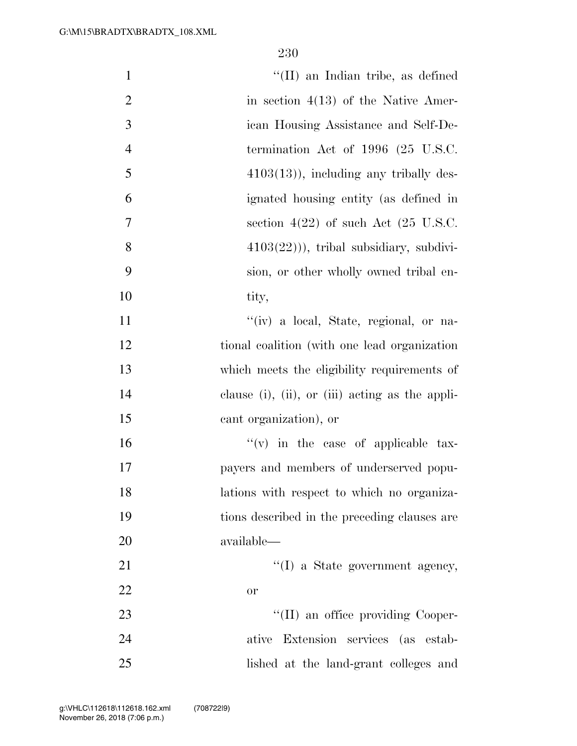| $\mathbf{1}$   | "(II) an Indian tribe, as defined                 |
|----------------|---------------------------------------------------|
| $\mathbf{2}$   | in section $4(13)$ of the Native Amer-            |
| 3              | ican Housing Assistance and Self-De-              |
| $\overline{4}$ | termination Act of $1996$ (25 U.S.C.              |
| 5              | $4103(13)$ , including any tribally des-          |
| 6              | ignated housing entity (as defined in             |
| 7              | section $4(22)$ of such Act $(25 \text{ U.S.C.})$ |
| 8              | $4103(22)$ ), tribal subsidiary, subdivi-         |
| 9              | sion, or other wholly owned tribal en-            |
| 10             | tity,                                             |
| 11             | "(iv) a local, State, regional, or na-            |
| 12             | tional coalition (with one lead organization)     |
| 13             | which meets the eligibility requirements of       |
| 14             | clause (i), (ii), or (iii) acting as the appli-   |
| 15             | cant organization), or                            |
| 16             | $f'(v)$ in the case of applicable tax-            |
| 17             | payers and members of underserved popu-           |
| 18             | lations with respect to which no organiza-        |
| 19             | tions described in the preceding clauses are      |
| 20             | available—                                        |
| 21             | $\lq\lq$ (I) a State government agency,           |
| 22             | or                                                |
| 23             | "(II) an office providing Cooper-                 |
| 24             | ative Extension services (as estab-               |
| 25             | lished at the land-grant colleges and             |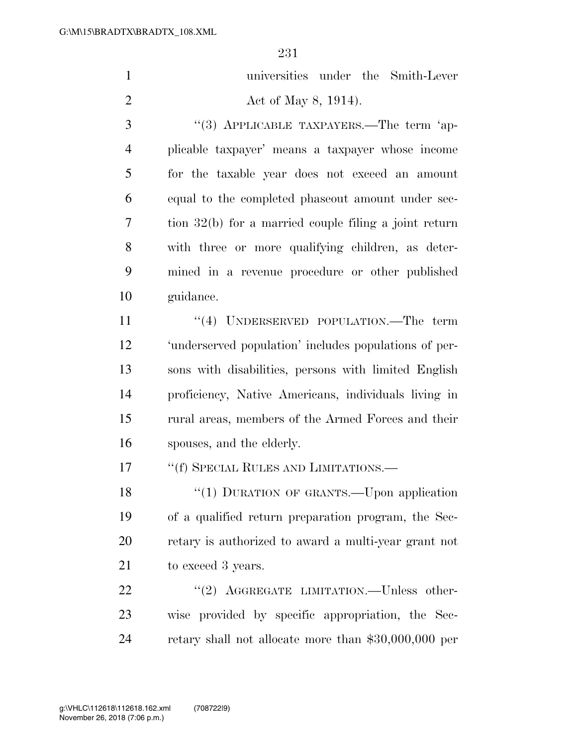| $\mathbf{1}$   | universities under the Smith-Lever                      |
|----------------|---------------------------------------------------------|
| $\overline{2}$ | Act of May 8, 1914).                                    |
| 3              | "(3) APPLICABLE TAXPAYERS.—The term 'ap-                |
| $\overline{4}$ | plicable taxpayer' means a taxpayer whose income        |
| 5              | for the taxable year does not exceed an amount          |
| 6              | equal to the completed phaseout amount under sec-       |
| $\overline{7}$ | tion $32(b)$ for a married couple filing a joint return |
| 8              | with three or more qualifying children, as deter-       |
| 9              | mined in a revenue procedure or other published         |
| 10             | guidance.                                               |
| 11             | "(4) UNDERSERVED POPULATION.—The term                   |
| 12             | 'underserved population' includes populations of per-   |
| 13             | sons with disabilities, persons with limited English    |
| 14             | proficiency, Native Americans, individuals living in    |
| 15             | rural areas, members of the Armed Forces and their      |
| 16             | spouses, and the elderly.                               |
| 17             | "(f) SPECIAL RULES AND LIMITATIONS.—                    |
| 18             | "(1) DURATION OF GRANTS.—Upon application               |
| 19             | of a qualified return preparation program, the Sec-     |
| 20             | retary is authorized to award a multi-year grant not    |
| 21             | to exceed 3 years.                                      |
| 22             | "(2) AGGREGATE LIMITATION.—Unless other-                |
| 23             | wise provided by specific appropriation, the Sec-       |
| 24             | retary shall not allocate more than $$30,000,000$ per   |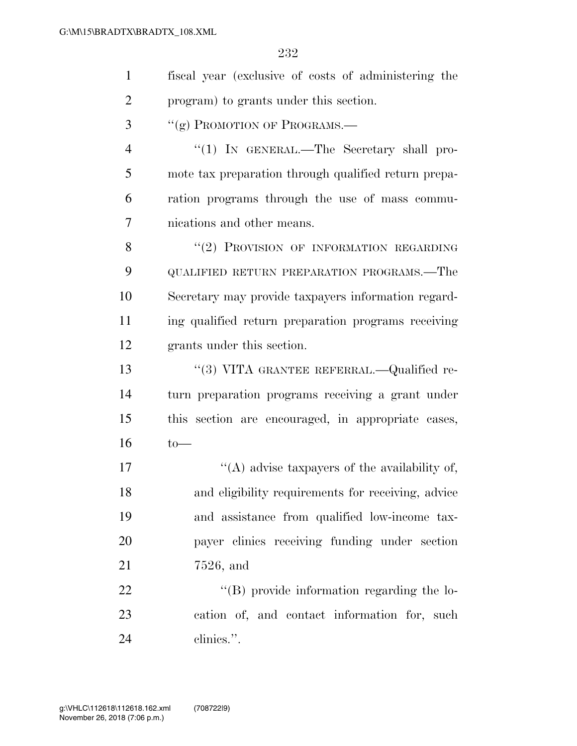| $\mathbf{1}$   | fiscal year (exclusive of costs of administering the |
|----------------|------------------------------------------------------|
| $\overline{2}$ | program) to grants under this section.               |
| 3              | "(g) PROMOTION OF PROGRAMS.-                         |
| $\overline{4}$ | "(1) IN GENERAL.—The Secretary shall pro-            |
| 5              | mote tax preparation through qualified return prepa- |
| 6              | ration programs through the use of mass commu-       |
| 7              | nications and other means.                           |
| 8              | "(2) PROVISION OF INFORMATION REGARDING              |
| 9              | QUALIFIED RETURN PREPARATION PROGRAMS.—The           |
| 10             | Secretary may provide taxpayers information regard-  |
| 11             | ing qualified return preparation programs receiving  |
| 12             | grants under this section.                           |
| 13             | "(3) VITA GRANTEE REFERRAL.—Qualified re-            |
| 14             | turn preparation programs receiving a grant under    |
| 15             | this section are encouraged, in appropriate cases,   |
| 16             | $to-$                                                |
| 17             | "(A) advise taxpayers of the availability of,        |
| 18             | and eligibility requirements for receiving, advice   |
| 19             | and assistance from qualified low-income tax-        |
| 20             | payer clinics receiving funding under section        |
| 21             | $7526$ , and                                         |
| <u>22</u>      | "(B) provide information regarding the lo-           |
| 23             | cation of, and contact information for, such         |
| 24             | clinics.".                                           |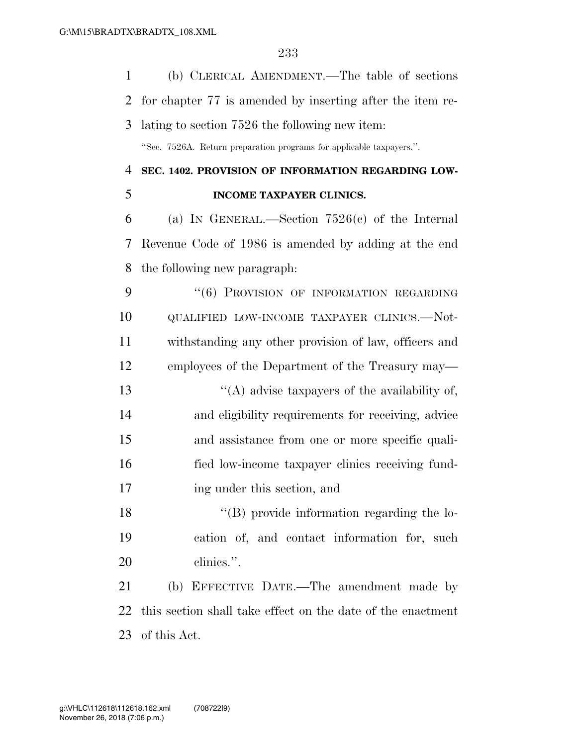| $\mathbf{1}$   | (b) CLERICAL AMENDMENT.—The table of sections                        |
|----------------|----------------------------------------------------------------------|
| $\overline{2}$ | for chapter 77 is amended by inserting after the item re-            |
| 3              | lating to section 7526 the following new item:                       |
|                | "Sec. 7526A. Return preparation programs for applicable taxpayers.". |
| 4              | SEC. 1402. PROVISION OF INFORMATION REGARDING LOW-                   |
| 5              | INCOME TAXPAYER CLINICS.                                             |
| 6              | (a) IN GENERAL.—Section $7526(c)$ of the Internal                    |
| 7              | Revenue Code of 1986 is amended by adding at the end                 |
| 8              | the following new paragraph:                                         |
| 9              | "(6) PROVISION OF INFORMATION REGARDING                              |
| 10             | QUALIFIED LOW-INCOME TAXPAYER CLINICS.—Not-                          |
| 11             | withstanding any other provision of law, officers and                |
| 12             | employees of the Department of the Treasury may—                     |
| 13             | "(A) advise taxpayers of the availability of,                        |
| 14             | and eligibility requirements for receiving, advice                   |
| 15             | and assistance from one or more specific quali-                      |
| 16             | fied low-income taxpayer clinics receiving fund-                     |
| 17             | ing under this section, and                                          |
| 18             | $\lq\lq (B)$ provide information regarding the lo-                   |
| 19             | cation of, and contact information for, such                         |
| 20             | clinics.".                                                           |
| 21             | (b) EFFECTIVE DATE.—The amendment made by                            |
| 22             | this section shall take effect on the date of the enactment          |
| 23             | of this Act.                                                         |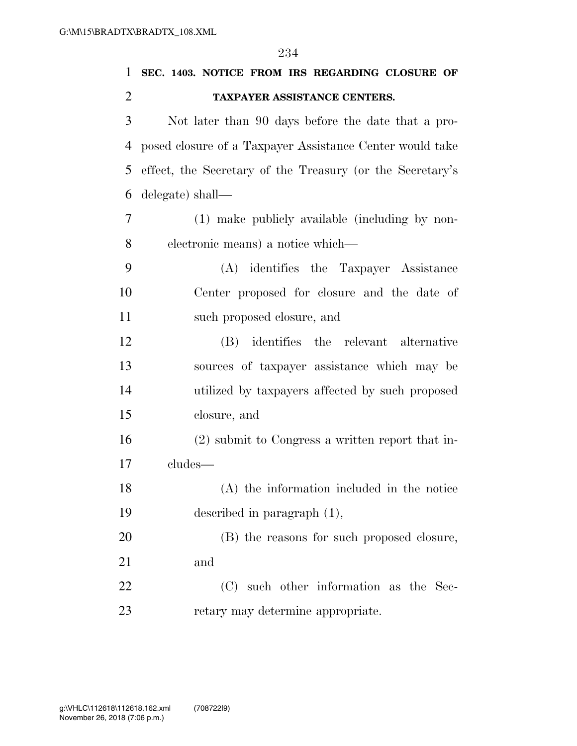| 1              | SEC. 1403. NOTICE FROM IRS REGARDING CLOSURE OF           |
|----------------|-----------------------------------------------------------|
| $\overline{2}$ | TAXPAYER ASSISTANCE CENTERS.                              |
| 3              | Not later than 90 days before the date that a pro-        |
| 4              | posed closure of a Taxpayer Assistance Center would take  |
| 5              | effect, the Secretary of the Treasury (or the Secretary's |
| 6              | delegate) shall—                                          |
| 7              | (1) make publicly available (including by non-            |
| 8              | electronic means) a notice which—                         |
| 9              | (A) identifies the Taxpayer Assistance                    |
| 10             | Center proposed for closure and the date of               |
| 11             | such proposed closure, and                                |
| 12             | (B) identifies the relevant alternative                   |
| 13             | sources of taxpayer assistance which may be               |
| 14             | utilized by taxpayers affected by such proposed           |
| 15             | closure, and                                              |
| 16             | (2) submit to Congress a written report that in-          |
| 17             | cludes-                                                   |
| 18             | (A) the information included in the notice                |
| 19             | described in paragraph $(1)$ ,                            |
| 20             | (B) the reasons for such proposed closure,                |
| 21             | and                                                       |
| 22             | (C) such other information as the Sec-                    |
| 23             | retary may determine appropriate.                         |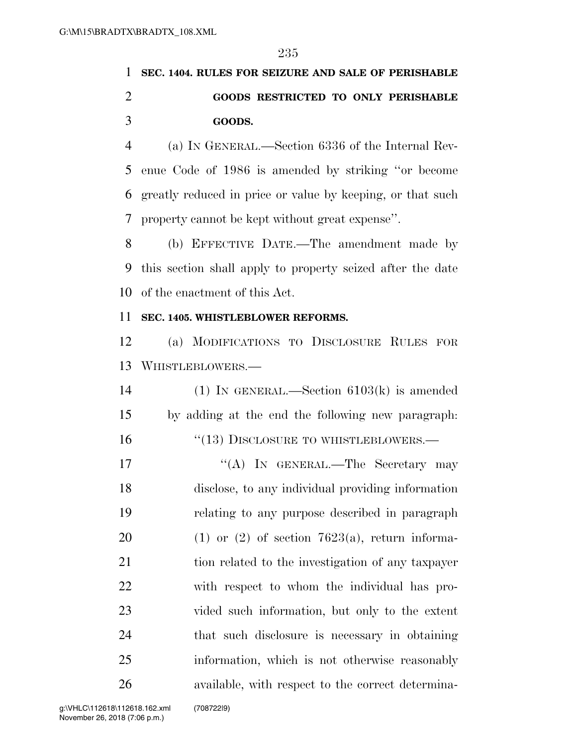## **SEC. 1404. RULES FOR SEIZURE AND SALE OF PERISHABLE GOODS RESTRICTED TO ONLY PERISHABLE GOODS.**

 (a) IN GENERAL.—Section 6336 of the Internal Rev- enue Code of 1986 is amended by striking ''or become greatly reduced in price or value by keeping, or that such property cannot be kept without great expense''.

 (b) EFFECTIVE DATE.—The amendment made by this section shall apply to property seized after the date of the enactment of this Act.

### **SEC. 1405. WHISTLEBLOWER REFORMS.**

 (a) MODIFICATIONS TO DISCLOSURE RULES FOR WHISTLEBLOWERS.—

 (1) IN GENERAL.—Section 6103(k) is amended by adding at the end the following new paragraph: 16 "(13) DISCLOSURE TO WHISTLEBLOWERS.—

17 ""(A) In GENERAL.—The Secretary may disclose, to any individual providing information relating to any purpose described in paragraph 20 (1) or (2) of section  $7623(a)$ , return informa- tion related to the investigation of any taxpayer with respect to whom the individual has pro- vided such information, but only to the extent that such disclosure is necessary in obtaining information, which is not otherwise reasonably available, with respect to the correct determina-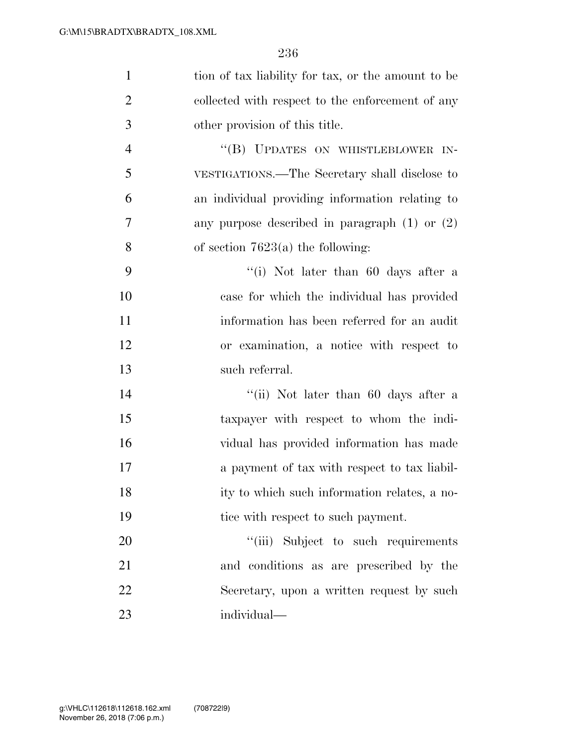| $\mathbf{1}$   | tion of tax liability for tax, or the amount to be |
|----------------|----------------------------------------------------|
| $\overline{2}$ | collected with respect to the enforcement of any   |
| 3              | other provision of this title.                     |
| $\overline{4}$ | "(B) UPDATES ON WHISTLEBLOWER IN-                  |
| 5              | VESTIGATIONS.—The Secretary shall disclose to      |
| 6              | an individual providing information relating to    |
| $\overline{7}$ | any purpose described in paragraph $(1)$ or $(2)$  |
| 8              | of section $7623(a)$ the following:                |
| 9              | "(i) Not later than 60 days after a                |
| 10             | case for which the individual has provided         |
| 11             | information has been referred for an audit         |
| 12             | or examination, a notice with respect to           |
| 13             | such referral.                                     |
| 14             | "(ii) Not later than 60 days after a               |
| 15             | taxpayer with respect to whom the indi-            |
| 16             | vidual has provided information has made           |
| 17             | a payment of tax with respect to tax liabil-       |
| 18             | ity to which such information relates, a no-       |
| 19             | tice with respect to such payment.                 |
| 20             | "(iii) Subject to such requirements                |
| 21             | and conditions as are prescribed by the            |
| 22             | Secretary, upon a written request by such          |
| 23             | individual-                                        |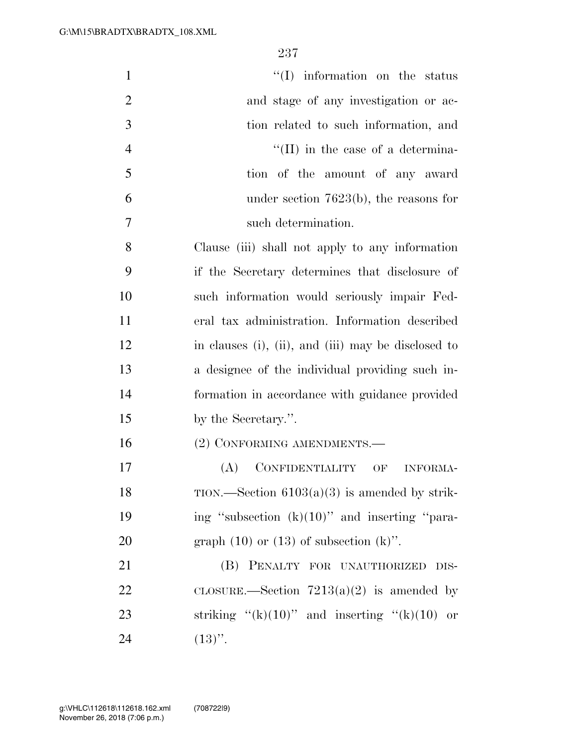| $\mathbf{1}$   | $\lq\lq$ information on the status                  |
|----------------|-----------------------------------------------------|
| $\overline{2}$ | and stage of any investigation or ac-               |
| 3              | tion related to such information, and               |
| $\overline{4}$ | $\lq\lq$ (II) in the case of a determina-           |
| 5              | tion of the amount of any award                     |
| 6              | under section $7623(b)$ , the reasons for           |
| 7              | such determination.                                 |
| 8              | Clause (iii) shall not apply to any information     |
| 9              | if the Secretary determines that disclosure of      |
| 10             | such information would seriously impair Fed-        |
| 11             | eral tax administration. Information described      |
| 12             | in clauses (i), (ii), and (iii) may be disclosed to |
| 13             | a designee of the individual providing such in-     |
| 14             | formation in accordance with guidance provided      |
| 15             | by the Secretary.".                                 |
| 16             | (2) CONFORMING AMENDMENTS.—                         |
| 17             | CONFIDENTIALITY OF<br>(A)<br><b>INFORMA-</b>        |
| 18             | TION.—Section $6103(a)(3)$ is amended by strik-     |
| 19             | ing "subsection $(k)(10)$ " and inserting "para-    |
| 20             | graph $(10)$ or $(13)$ of subsection $(k)$ ".       |
| 21             | (B) PENALTY FOR UNAUTHORIZED<br>DIS-                |
| 22             | CLOSURE.—Section $7213(a)(2)$ is amended by         |
| 23             | striking " $(k)(10)$ " and inserting " $(k)(10)$ or |
| 24             | $(13)$ ".                                           |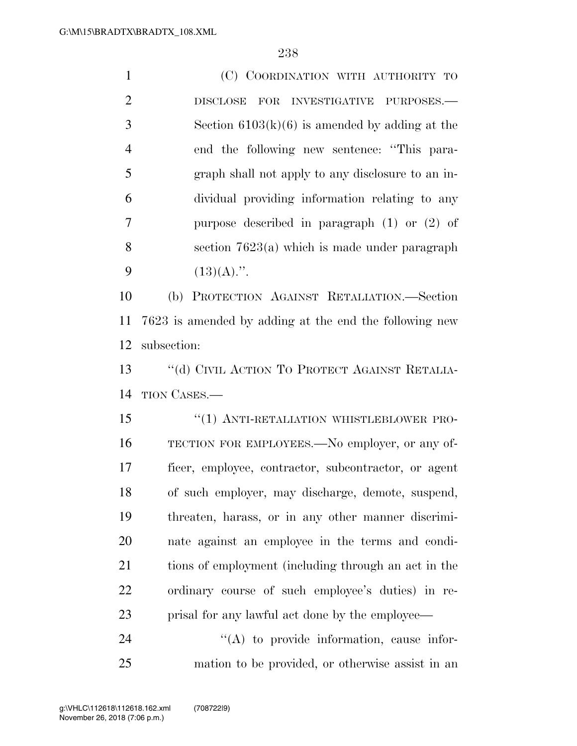(C) COORDINATION WITH AUTHORITY TO DISCLOSE FOR INVESTIGATIVE PURPOSES.— Section 6103(k)(6) is amended by adding at the end the following new sentence: ''This para- graph shall not apply to any disclosure to an in- dividual providing information relating to any purpose described in paragraph (1) or (2) of section 7623(a) which is made under paragraph  $(13)(A)$ .". (b) PROTECTION AGAINST RETALIATION.—Section 7623 is amended by adding at the end the following new subsection: 13 "(d) CIVIL ACTION TO PROTECT AGAINST RETALIA- TION CASES.— 15 "(1) ANTI-RETALIATION WHISTLEBLOWER PRO- TECTION FOR EMPLOYEES.—No employer, or any of-ficer, employee, contractor, subcontractor, or agent

 of such employer, may discharge, demote, suspend, threaten, harass, or in any other manner discrimi- nate against an employee in the terms and condi-21 tions of employment (including through an act in the ordinary course of such employee's duties) in re-prisal for any lawful act done by the employee—

24 "(A) to provide information, cause infor-mation to be provided, or otherwise assist in an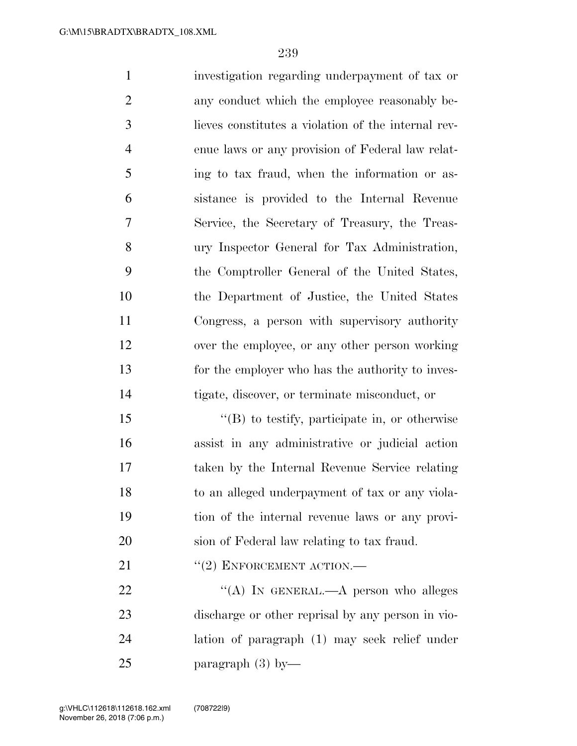investigation regarding underpayment of tax or any conduct which the employee reasonably be- lieves constitutes a violation of the internal rev- enue laws or any provision of Federal law relat- ing to tax fraud, when the information or as- sistance is provided to the Internal Revenue Service, the Secretary of Treasury, the Treas- ury Inspector General for Tax Administration, the Comptroller General of the United States, the Department of Justice, the United States Congress, a person with supervisory authority over the employee, or any other person working for the employer who has the authority to inves-tigate, discover, or terminate misconduct, or

 ''(B) to testify, participate in, or otherwise assist in any administrative or judicial action taken by the Internal Revenue Service relating to an alleged underpayment of tax or any viola- tion of the internal revenue laws or any provi-sion of Federal law relating to tax fraud.

21 "(2) ENFORCEMENT ACTION.—

22 "(A) IN GENERAL.—A person who alleges discharge or other reprisal by any person in vio- lation of paragraph (1) may seek relief under paragraph (3) by—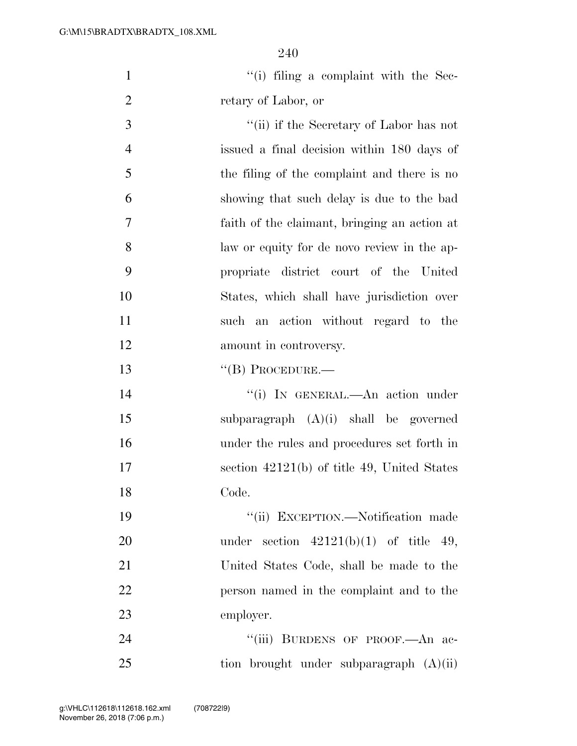1 ''(i) filing a complaint with the Sec-retary of Labor, or

 ''(ii) if the Secretary of Labor has not issued a final decision within 180 days of the filing of the complaint and there is no showing that such delay is due to the bad faith of the claimant, bringing an action at law or equity for de novo review in the ap- propriate district court of the United States, which shall have jurisdiction over such an action without regard to the 12 amount in controversy.

13 "(B) PROCEDURE.—

14 ''(i) In GENERAL.—An action under subparagraph (A)(i) shall be governed under the rules and procedures set forth in section 42121(b) of title 49, United States Code.

 ''(ii) EXCEPTION.—Notification made 20 under section  $42121(b)(1)$  of title 49, United States Code, shall be made to the person named in the complaint and to the employer.

24 "'(iii) BURDENS OF PROOF.—An ac-tion brought under subparagraph (A)(ii)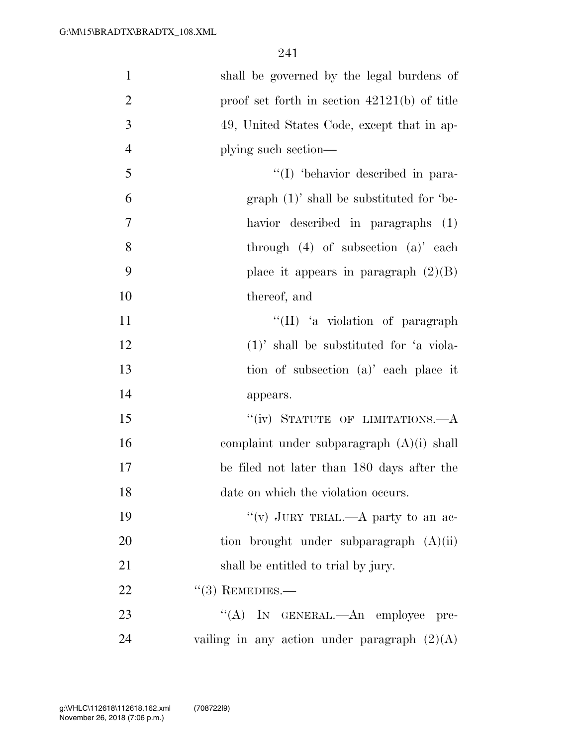| $\mathbf{1}$   | shall be governed by the legal burdens of      |
|----------------|------------------------------------------------|
| $\overline{2}$ | proof set forth in section $42121(b)$ of title |
| 3              | 49, United States Code, except that in ap-     |
| $\overline{4}$ | plying such section—                           |
| 5              | "(I) 'behavior described in para-              |
| 6              | $graph (1)'$ shall be substituted for 'be-     |
| $\overline{7}$ | havior described in paragraphs (1)             |
| 8              | through $(4)$ of subsection $(a)$ each         |
| 9              | place it appears in paragraph $(2)(B)$         |
| 10             | thereof, and                                   |
| 11             | "(II) 'a violation of paragraph                |
| 12             | $(1)'$ shall be substituted for 'a viola-      |
| 13             | tion of subsection (a)' each place it          |
| 14             | appears.                                       |
| 15             | "(iv) STATUTE OF LIMITATIONS.—A                |
| 16             | complaint under subparagraph $(A)(i)$ shall    |
| $17\,$         | be filed not later than 180 days after the     |
| 18             | date on which the violation occurs.            |
| 19             | "(v) JURY TRIAL.—A party to an ac-             |
| 20             | tion brought under subparagraph $(A)(ii)$      |
| 21             | shall be entitled to trial by jury.            |
| 22             | $(3)$ REMEDIES.—                               |
| 23             | "(A) IN GENERAL.—An employee pre-              |
| 24             | vailing in any action under paragraph $(2)(A)$ |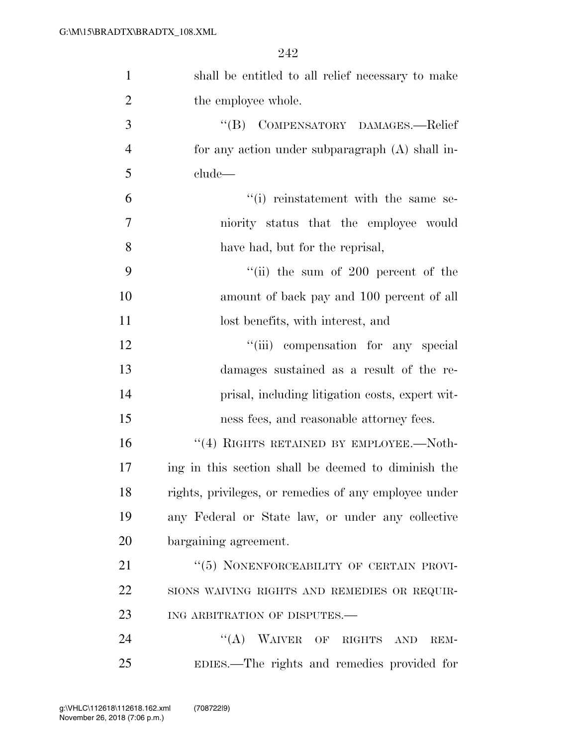| $\mathbf{1}$   | shall be entitled to all relief necessary to make      |
|----------------|--------------------------------------------------------|
| $\overline{2}$ | the employee whole.                                    |
| 3              | COMPENSATORY DAMAGES.-Relief<br>$\lq\lq (B)$           |
| $\overline{4}$ | for any action under subparagraph $(A)$ shall in-      |
| 5              | clude—                                                 |
| 6              | "(i) reinstatement with the same se-                   |
| $\tau$         | niority status that the employee would                 |
| 8              | have had, but for the reprisal,                        |
| 9              | "(ii) the sum of $200$ percent of the                  |
| 10             | amount of back pay and 100 percent of all              |
| 11             | lost benefits, with interest, and                      |
| 12             | "(iii) compensation for any special                    |
| 13             | damages sustained as a result of the re-               |
| 14             | prisal, including litigation costs, expert wit-        |
| 15             | ness fees, and reasonable attorney fees.               |
| 16             | "(4) RIGHTS RETAINED BY EMPLOYEE.—Noth-                |
| 17             | ing in this section shall be deemed to diminish the    |
| 18             | rights, privileges, or remedies of any employee under  |
| 19             | any Federal or State law, or under any collective      |
| 20             | bargaining agreement.                                  |
| 21             | "(5) NONENFORCEABILITY OF CERTAIN PROVI-               |
| 22             | SIONS WAIVING RIGHTS AND REMEDIES OR REQUIR-           |
| 23             | ING ARBITRATION OF DISPUTES.-                          |
| 24             | $\lq\lq (A)$<br><b>WAIVER</b><br>OF RIGHTS AND<br>REM- |
| 25             | EDIES.—The rights and remedies provided for            |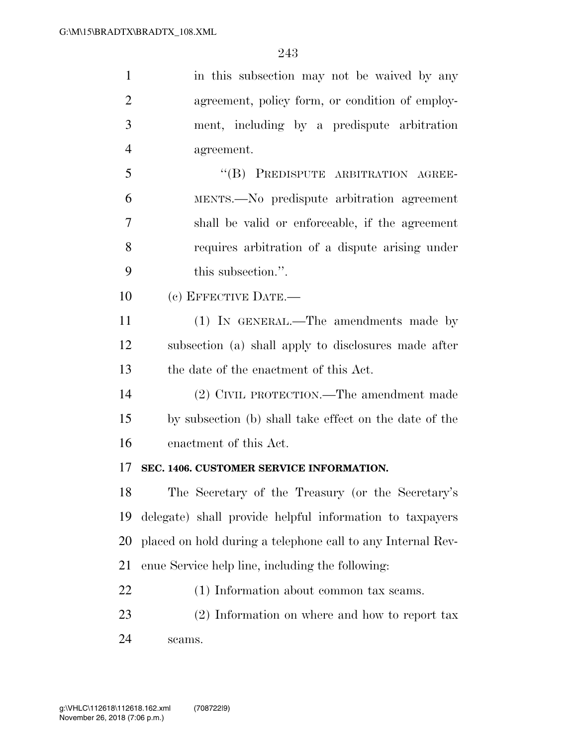| $\mathbf{1}$   | in this subsection may not be waived by any                 |
|----------------|-------------------------------------------------------------|
| $\overline{2}$ | agreement, policy form, or condition of employ-             |
| 3              | ment, including by a predispute arbitration                 |
| $\overline{4}$ | agreement.                                                  |
| 5              | "(B) PREDISPUTE ARBITRATION AGREE-                          |
| 6              | MENTS.—No predispute arbitration agreement                  |
| 7              | shall be valid or enforceable, if the agreement             |
| 8              | requires arbitration of a dispute arising under             |
| 9              | this subsection.".                                          |
| 10             | (c) EFFECTIVE DATE.-                                        |
| 11             | (1) IN GENERAL.—The amendments made by                      |
| 12             | subsection (a) shall apply to disclosures made after        |
| 13             | the date of the enactment of this Act.                      |
| 14             | (2) CIVIL PROTECTION.—The amendment made                    |
| 15             | by subsection (b) shall take effect on the date of the      |
| 16             | enactment of this Act.                                      |
| 17             | SEC. 1406. CUSTOMER SERVICE INFORMATION.                    |
| 18             | The Secretary of the Treasury (or the Secretary's           |
| 19             | delegate) shall provide helpful information to taxpayers    |
| 20             | placed on hold during a telephone call to any Internal Rev- |
| 21             | enue Service help line, including the following:            |
| 22             | (1) Information about common tax scams.                     |
| 23             | (2) Information on where and how to report tax              |
| 24             | scams.                                                      |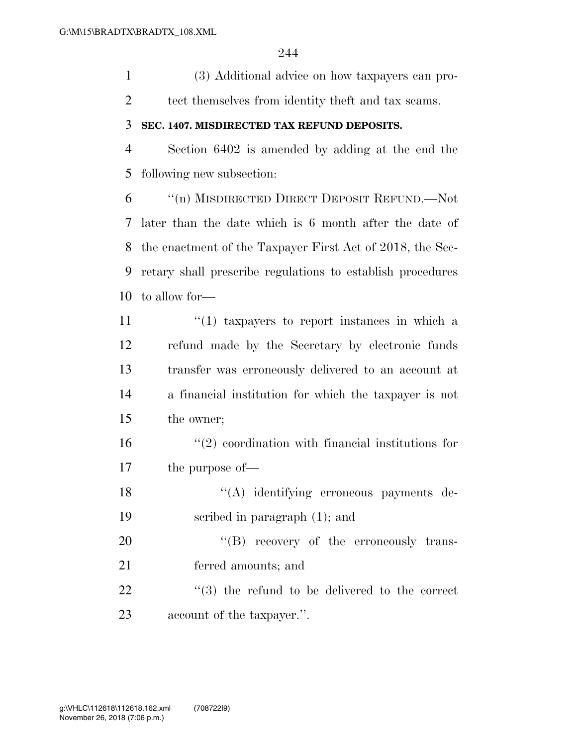(3) Additional advice on how taxpayers can pro-tect themselves from identity theft and tax scams.

#### **SEC. 1407. MISDIRECTED TAX REFUND DEPOSITS.**

 Section 6402 is amended by adding at the end the following new subsection:

 ''(n) MISDIRECTED DIRECT DEPOSIT REFUND.—Not later than the date which is 6 month after the date of the enactment of the Taxpayer First Act of 2018, the Sec- retary shall prescribe regulations to establish procedures to allow for—

 $\frac{11}{11}$  ''(1) taxpayers to report instances in which a refund made by the Secretary by electronic funds transfer was erroneously delivered to an account at a financial institution for which the taxpayer is not the owner;

 $\mathcal{L}^{(2)}$  coordination with financial institutions for the purpose of—

 ''(A) identifying erroneous payments de-scribed in paragraph (1); and

20  $((B)$  recovery of the erroneously trans- ferred amounts; and 22  $\frac{1}{2}$  (3) the refund to be delivered to the correct

account of the taxpayer.''.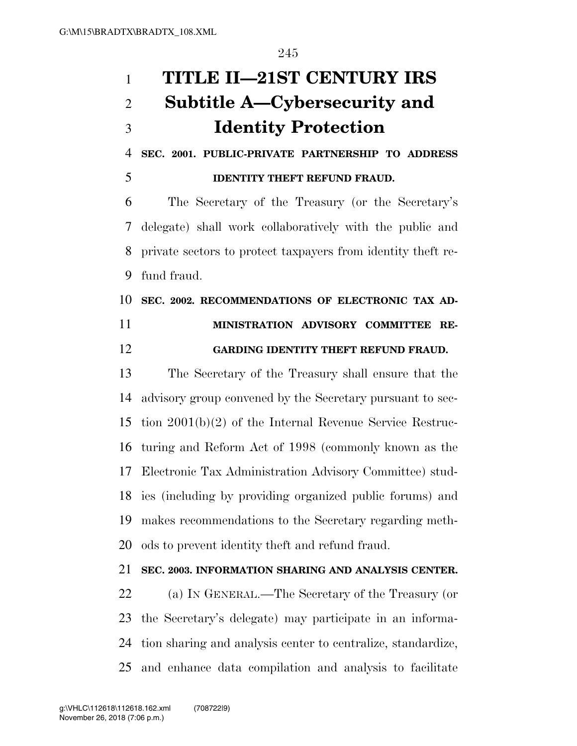# **TITLE II—21ST CENTURY IRS Subtitle A—Cybersecurity and Identity Protection**

 **SEC. 2001. PUBLIC-PRIVATE PARTNERSHIP TO ADDRESS IDENTITY THEFT REFUND FRAUD.** 

 The Secretary of the Treasury (or the Secretary's delegate) shall work collaboratively with the public and private sectors to protect taxpayers from identity theft re-fund fraud.

 **SEC. 2002. RECOMMENDATIONS OF ELECTRONIC TAX AD- MINISTRATION ADVISORY COMMITTEE RE-GARDING IDENTITY THEFT REFUND FRAUD.** 

 The Secretary of the Treasury shall ensure that the advisory group convened by the Secretary pursuant to sec- tion 2001(b)(2) of the Internal Revenue Service Restruc- turing and Reform Act of 1998 (commonly known as the Electronic Tax Administration Advisory Committee) stud- ies (including by providing organized public forums) and makes recommendations to the Secretary regarding meth-ods to prevent identity theft and refund fraud.

### **SEC. 2003. INFORMATION SHARING AND ANALYSIS CENTER.**

 (a) IN GENERAL.—The Secretary of the Treasury (or the Secretary's delegate) may participate in an informa- tion sharing and analysis center to centralize, standardize, and enhance data compilation and analysis to facilitate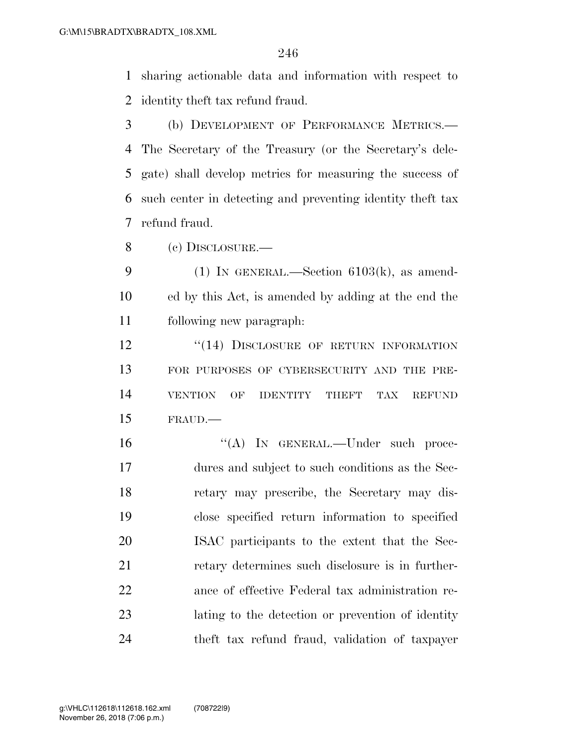sharing actionable data and information with respect to identity theft tax refund fraud.

 (b) DEVELOPMENT OF PERFORMANCE METRICS.— The Secretary of the Treasury (or the Secretary's dele- gate) shall develop metrics for measuring the success of such center in detecting and preventing identity theft tax refund fraud.

(c) DISCLOSURE.—

9 (1) IN GENERAL.—Section  $6103(k)$ , as amend- ed by this Act, is amended by adding at the end the following new paragraph:

**''(14) DISCLOSURE OF RETURN INFORMATION**  FOR PURPOSES OF CYBERSECURITY AND THE PRE- VENTION OF IDENTITY THEFT TAX REFUND FRAUD.—

16 "(A) IN GENERAL.—Under such proce- dures and subject to such conditions as the Sec- retary may prescribe, the Secretary may dis- close specified return information to specified ISAC participants to the extent that the Sec- retary determines such disclosure is in further- ance of effective Federal tax administration re- lating to the detection or prevention of identity theft tax refund fraud, validation of taxpayer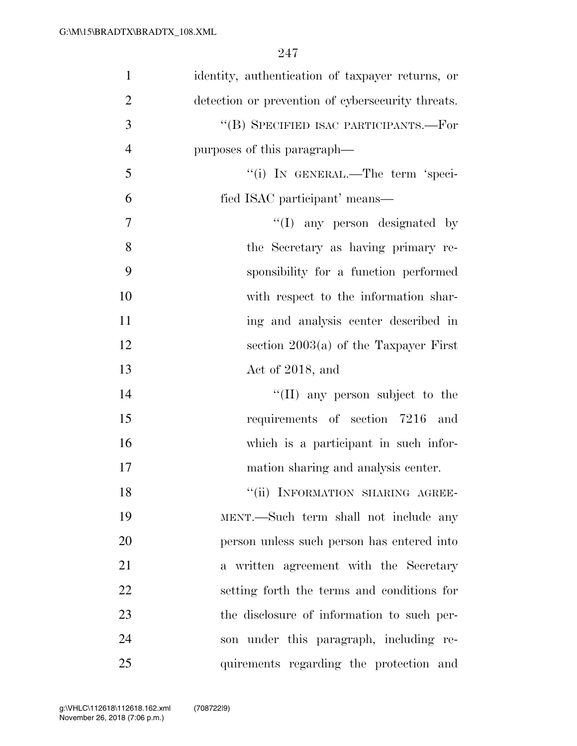| $\mathbf{1}$   | identity, authentication of taxpayer returns, or  |
|----------------|---------------------------------------------------|
| $\overline{2}$ | detection or prevention of cybersecurity threats. |
| 3              | "(B) SPECIFIED ISAC PARTICIPANTS.—For             |
| $\overline{4}$ | purposes of this paragraph—                       |
| 5              | "(i) IN GENERAL.—The term 'speci-                 |
| 6              | fied ISAC participant' means—                     |
| 7              | "(I) any person designated by                     |
| 8              | the Secretary as having primary re-               |
| 9              | sponsibility for a function performed             |
| 10             | with respect to the information shar-             |
| 11             | ing and analysis center described in              |
| 12             | section $2003(a)$ of the Taxpayer First           |
| 13             | Act of 2018, and                                  |
| 14             | "(II) any person subject to the                   |
| 15             | requirements of section 7216 and                  |
| 16             | which is a participant in such infor-             |
| 17             | mation sharing and analysis center.               |
| 18             | "(ii) INFORMATION SHARING AGREE-                  |
| 19             | MENT.—Such term shall not include any             |
| 20             | person unless such person has entered into        |
| 21             | a written agreement with the Secretary            |
| 22             | setting forth the terms and conditions for        |
| 23             | the disclosure of information to such per-        |
| 24             | son under this paragraph, including re-           |
| 25             | quirements regarding the protection and           |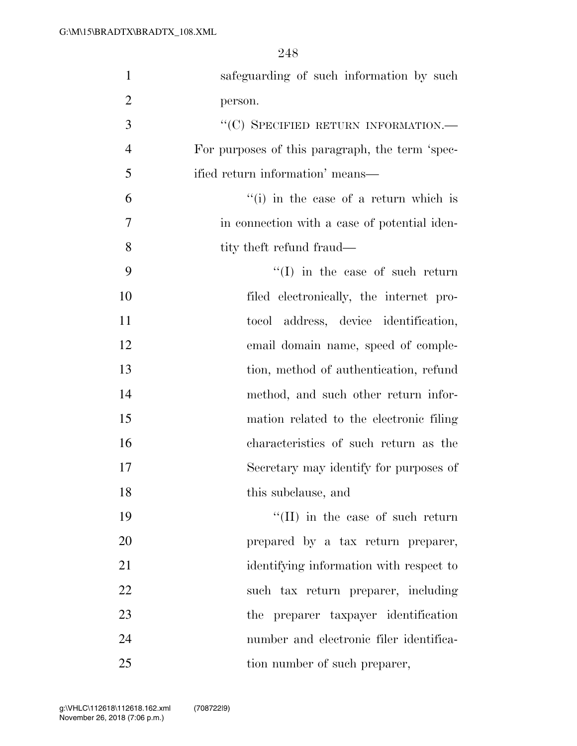| $\mathbf{1}$   | safeguarding of such information by such        |
|----------------|-------------------------------------------------|
| $\overline{2}$ | person.                                         |
| 3              | "(C) SPECIFIED RETURN INFORMATION.-             |
| $\overline{4}$ | For purposes of this paragraph, the term 'spec- |
| 5              | ified return information' means—                |
| 6              | "(i) in the case of a return which is           |
| $\tau$         | in connection with a case of potential iden-    |
| 8              | tity theft refund fraud—                        |
| 9              | $``(I)$ in the case of such return              |
| 10             | filed electronically, the internet pro-         |
| 11             | tocol address, device identification,           |
| 12             | email domain name, speed of comple-             |
| 13             | tion, method of authentication, refund          |
| 14             | method, and such other return infor-            |
| 15             | mation related to the electronic filing         |
| 16             | characteristics of such return as the           |
| 17             | Secretary may identify for purposes of          |
| 18             | this subclause, and                             |
| 19             | $\lq\lq$ (II) in the case of such return        |
| 20             | prepared by a tax return preparer,              |
| 21             | identifying information with respect to         |
| 22             | such tax return preparer, including             |
| 23             | the preparer taxpayer identification            |
| 24             | number and electronic filer identifica-         |
| 25             | tion number of such preparer,                   |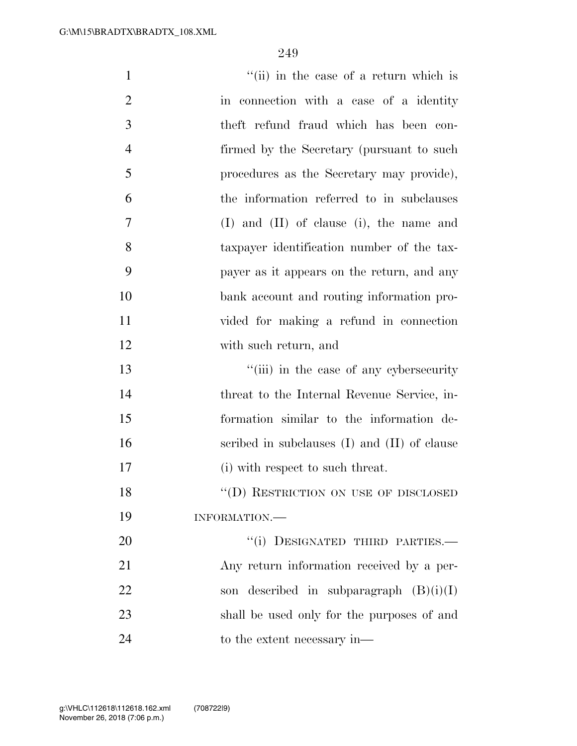| $\mathbf{1}$   | "(ii) in the case of a return which is           |
|----------------|--------------------------------------------------|
| $\overline{2}$ | in connection with a case of a identity          |
| 3              | theft refund fraud which has been con-           |
| $\overline{4}$ | firmed by the Secretary (pursuant to such        |
| 5              | procedures as the Secretary may provide),        |
| 6              | the information referred to in subclauses        |
| 7              | $(I)$ and $(II)$ of clause (i), the name and     |
| 8              | taxpayer identification number of the tax-       |
| 9              | payer as it appears on the return, and any       |
| 10             | bank account and routing information pro-        |
| 11             | vided for making a refund in connection          |
| 12             | with such return, and                            |
| 13             | "(iii) in the case of any cybersecurity          |
| 14             | threat to the Internal Revenue Service, in-      |
| 15             | formation similar to the information de-         |
| 16             | scribed in subclauses $(I)$ and $(II)$ of clause |
| 17             | (i) with respect to such threat.                 |
| 18             | "(D) RESTRICTION ON USE OF DISCLOSED             |
| 19             | INFORMATION.                                     |
| 20             | "(i) DESIGNATED THIRD PARTIES.-                  |
| 21             | Any return information received by a per-        |
| 22             | son described in subparagraph $(B)(i)(I)$        |
| 23             | shall be used only for the purposes of and       |
| 24             | to the extent necessary in—                      |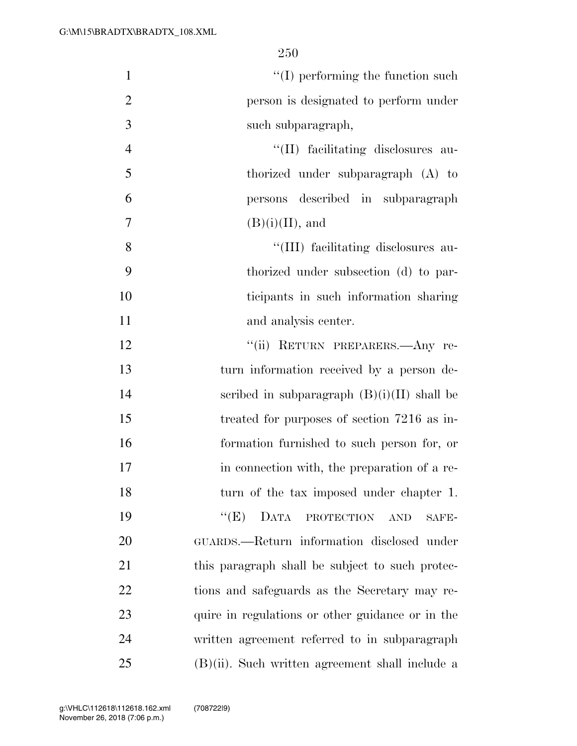| $\mathbf{1}$   | $\lq\lq$ (I) performing the function such                           |
|----------------|---------------------------------------------------------------------|
| $\overline{2}$ | person is designated to perform under                               |
| 3              | such subparagraph,                                                  |
| $\overline{4}$ | "(II) facilitating disclosures au-                                  |
| 5              | thorized under subparagraph (A) to                                  |
| 6              | persons described in subparagraph                                   |
| 7              | $(B)(i)(II)$ , and                                                  |
| 8              | "(III) facilitating disclosures au-                                 |
| 9              | thorized under subsection (d) to par-                               |
| 10             | ticipants in such information sharing                               |
| 11             | and analysis center.                                                |
| 12             | "(ii) RETURN PREPARERS .- Any re-                                   |
| 13             | turn information received by a person de-                           |
| 14             | scribed in subparagraph $(B)(i)(II)$ shall be                       |
| 15             | treated for purposes of section 7216 as in-                         |
| 16             | formation furnished to such person for, or                          |
| 17             | in connection with, the preparation of a re-                        |
| 18             | turn of the tax imposed under chapter 1.                            |
| 19             | ``(E)<br>DATA<br>$\operatorname{PROTECTION}$<br><b>AND</b><br>SAFE- |
| 20             | GUARDS.—Return information disclosed under                          |
| 21             | this paragraph shall be subject to such protec-                     |
| 22             | tions and safeguards as the Secretary may re-                       |
| 23             | quire in regulations or other guidance or in the                    |
| 24             | written agreement referred to in subparagraph                       |
| 25             | $(B)(ii)$ . Such written agreement shall include a                  |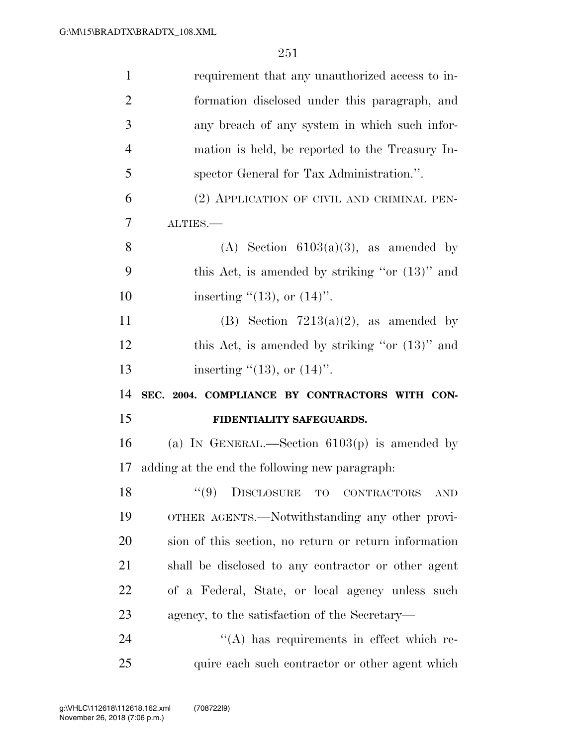| $\mathbf{1}$   | requirement that any unauthorized access to in-        |
|----------------|--------------------------------------------------------|
| $\overline{2}$ | formation disclosed under this paragraph, and          |
| 3              | any breach of any system in which such infor-          |
| $\overline{4}$ | mation is held, be reported to the Treasury In-        |
| 5              | spector General for Tax Administration.".              |
| 6              | (2) APPLICATION OF CIVIL AND CRIMINAL PEN-             |
| 7              | ALTIES.-                                               |
| 8              | (A) Section $6103(a)(3)$ , as amended by               |
| 9              | this Act, is amended by striking "or $(13)$ " and      |
| 10             | inserting $\cdot(13)$ , or $(14)$ ".                   |
| 11             | (B) Section $7213(a)(2)$ , as amended by               |
| 12             | this Act, is amended by striking "or $(13)$ " and      |
|                |                                                        |
| 13             | inserting $\degree$ (13), or (14)".                    |
| 14             | SEC. 2004. COMPLIANCE BY CONTRACTORS WITH CON-         |
| 15             | FIDENTIALITY SAFEGUARDS.                               |
| 16             | (a) IN GENERAL.—Section $6103(p)$ is amended by        |
| 17             | adding at the end the following new paragraph:         |
| 18             | $\lq(9)$<br>DISCLOSURE TO<br>CONTRACTORS<br><b>AND</b> |
| 19             | OTHER AGENTS.—Notwithstanding any other provi-         |
| 20             | sion of this section, no return or return information  |
| 21             | shall be disclosed to any contractor or other agent    |
| 22             | of a Federal, State, or local agency unless such       |
| 23             | agency, to the satisfaction of the Secretary—          |
| 24             | $\lq\lq$ has requirements in effect which re-          |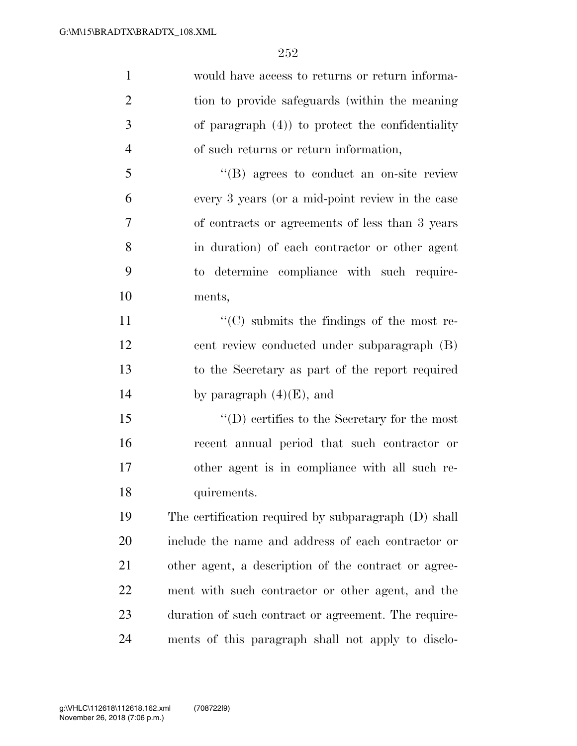| $\mathbf{1}$   | would have access to returns or return informa-      |
|----------------|------------------------------------------------------|
| $\overline{2}$ | tion to provide safeguards (within the meaning       |
| 3              | of paragraph $(4)$ ) to protect the confidentiality  |
| $\overline{4}$ | of such returns or return information,               |
| 5              | $\lq\lq (B)$ agrees to conduct an on-site review     |
| 6              | every 3 years (or a mid-point review in the case     |
| 7              | of contracts or agreements of less than 3 years      |
| 8              | in duration) of each contractor or other agent       |
| 9              | to determine compliance with such require-           |
| 10             | ments,                                               |
| 11             | $\lq\lq$ submits the findings of the most re-        |
| 12             | cent review conducted under subparagraph (B)         |
| 13             | to the Secretary as part of the report required      |
| 14             | by paragraph $(4)(E)$ , and                          |
| 15             | $\lq\lq$ (D) certifies to the Secretary for the most |
| 16             | recent annual period that such contractor or         |
| 17             | other agent is in compliance with all such re-       |
| 18             | quirements.                                          |
| 19             | The certification required by subparagraph (D) shall |
| 20             | include the name and address of each contractor or   |
| 21             | other agent, a description of the contract or agree- |
| 22             | ment with such contractor or other agent, and the    |
| 23             | duration of such contract or agreement. The require- |
| 24             | ments of this paragraph shall not apply to disclo-   |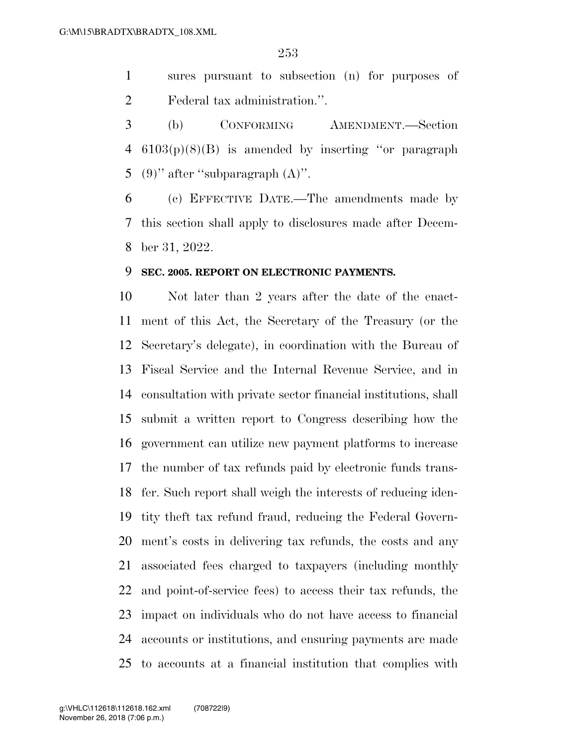sures pursuant to subsection (n) for purposes of Federal tax administration.''.

 (b) CONFORMING AMENDMENT.—Section 6103(p)(8)(B) is amended by inserting ''or paragraph 5 (9)" after "subparagraph  $(A)$ ".

 (c) EFFECTIVE DATE.—The amendments made by this section shall apply to disclosures made after Decem-ber 31, 2022.

### **SEC. 2005. REPORT ON ELECTRONIC PAYMENTS.**

 Not later than 2 years after the date of the enact- ment of this Act, the Secretary of the Treasury (or the Secretary's delegate), in coordination with the Bureau of Fiscal Service and the Internal Revenue Service, and in consultation with private sector financial institutions, shall submit a written report to Congress describing how the government can utilize new payment platforms to increase the number of tax refunds paid by electronic funds trans- fer. Such report shall weigh the interests of reducing iden- tity theft tax refund fraud, reducing the Federal Govern- ment's costs in delivering tax refunds, the costs and any associated fees charged to taxpayers (including monthly and point-of-service fees) to access their tax refunds, the impact on individuals who do not have access to financial accounts or institutions, and ensuring payments are made to accounts at a financial institution that complies with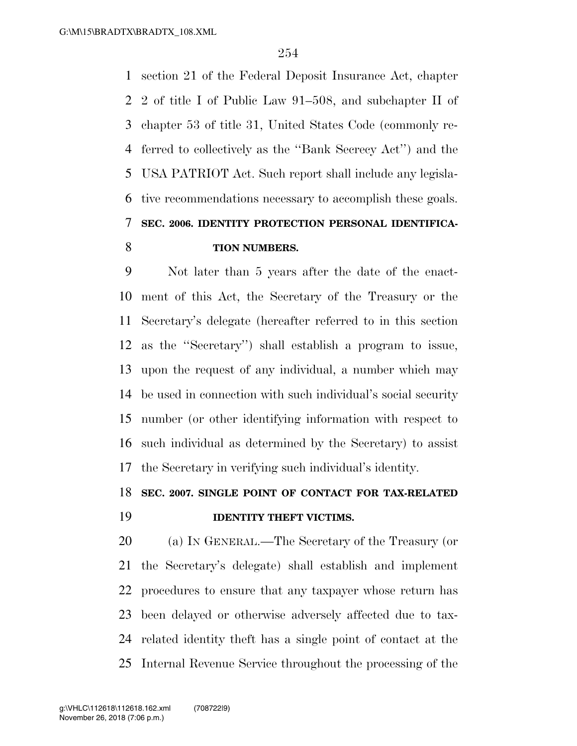section 21 of the Federal Deposit Insurance Act, chapter 2 of title I of Public Law 91–508, and subchapter II of chapter 53 of title 31, United States Code (commonly re- ferred to collectively as the ''Bank Secrecy Act'') and the USA PATRIOT Act. Such report shall include any legisla- tive recommendations necessary to accomplish these goals. **SEC. 2006. IDENTITY PROTECTION PERSONAL IDENTIFICA-TION NUMBERS.** 

 Not later than 5 years after the date of the enact- ment of this Act, the Secretary of the Treasury or the Secretary's delegate (hereafter referred to in this section as the ''Secretary'') shall establish a program to issue, upon the request of any individual, a number which may be used in connection with such individual's social security number (or other identifying information with respect to such individual as determined by the Secretary) to assist the Secretary in verifying such individual's identity.

### **SEC. 2007. SINGLE POINT OF CONTACT FOR TAX-RELATED**

### **IDENTITY THEFT VICTIMS.**

 (a) IN GENERAL.—The Secretary of the Treasury (or the Secretary's delegate) shall establish and implement procedures to ensure that any taxpayer whose return has been delayed or otherwise adversely affected due to tax- related identity theft has a single point of contact at the Internal Revenue Service throughout the processing of the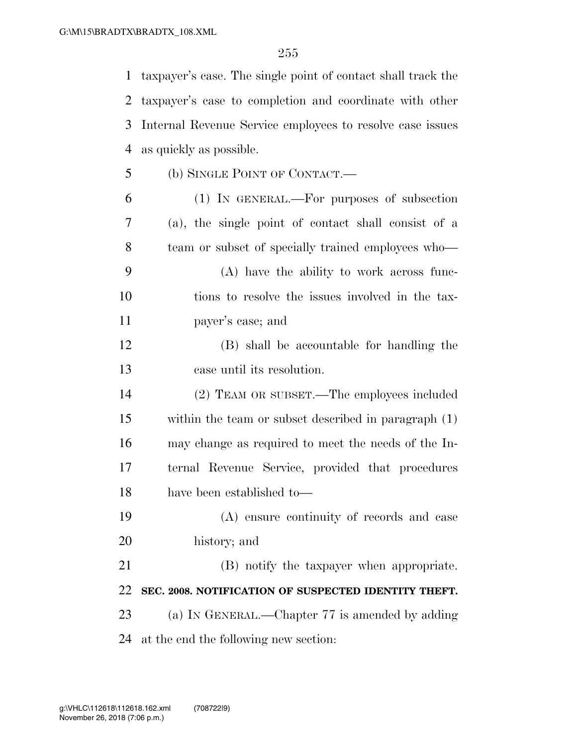taxpayer's case. The single point of contact shall track the taxpayer's case to completion and coordinate with other Internal Revenue Service employees to resolve case issues as quickly as possible. (b) SINGLE POINT OF CONTACT.—

- (1) IN GENERAL.—For purposes of subsection (a), the single point of contact shall consist of a team or subset of specially trained employees who—
- (A) have the ability to work across func- tions to resolve the issues involved in the tax-payer's case; and
- (B) shall be accountable for handling the case until its resolution.
- (2) TEAM OR SUBSET.—The employees included within the team or subset described in paragraph (1) may change as required to meet the needs of the In- ternal Revenue Service, provided that procedures have been established to—
- (A) ensure continuity of records and case history; and

 (B) notify the taxpayer when appropriate. **SEC. 2008. NOTIFICATION OF SUSPECTED IDENTITY THEFT.**  23 (a) IN GENERAL.—Chapter 77 is amended by adding at the end the following new section: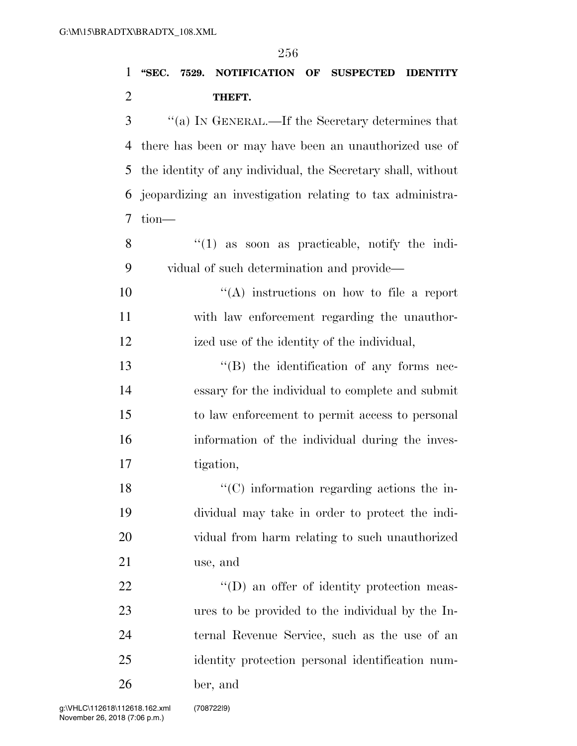### **''SEC. 7529. NOTIFICATION OF SUSPECTED IDENTITY THEFT.**

 ''(a) IN GENERAL.—If the Secretary determines that there has been or may have been an unauthorized use of the identity of any individual, the Secretary shall, without jeopardizing an investigation relating to tax administra-tion—

8 "(1) as soon as practicable, notify the indi-vidual of such determination and provide—

 $(4)$  instructions on how to file a report with law enforcement regarding the unauthor-ized use of the identity of the individual,

13 ''(B) the identification of any forms nec- essary for the individual to complete and submit to law enforcement to permit access to personal information of the individual during the inves-tigation,

18 ''(C) information regarding actions the in- dividual may take in order to protect the indi- vidual from harm relating to such unauthorized use, and

 $\text{``(D)}$  an offer of identity protection meas- ures to be provided to the individual by the In- ternal Revenue Service, such as the use of an identity protection personal identification num-ber, and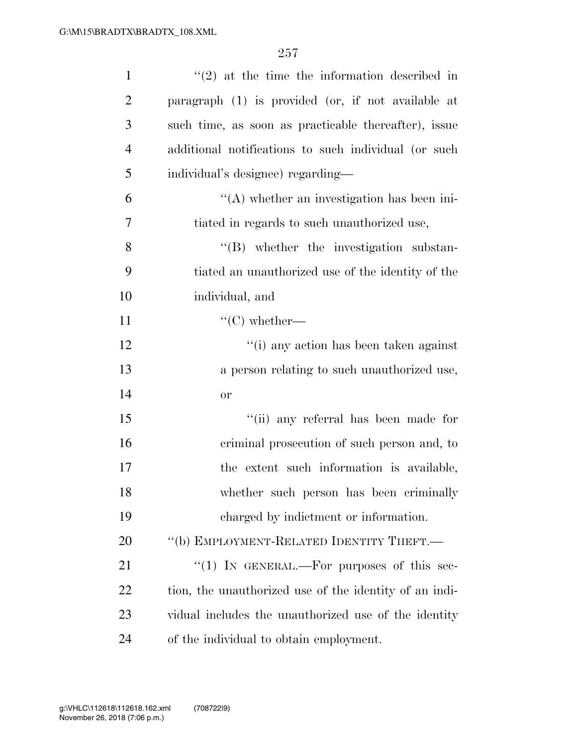| $\mathbf{1}$   | $\lq(2)$ at the time the information described in      |
|----------------|--------------------------------------------------------|
| $\overline{2}$ | paragraph (1) is provided (or, if not available at     |
| 3              | such time, as soon as practicable thereafter), issue   |
| $\overline{4}$ | additional notifications to such individual (or such   |
| 5              | individual's designee) regarding—                      |
| 6              | $\lq\lq$ whether an investigation has been ini-        |
| 7              | tiated in regards to such unauthorized use,            |
| 8              | $\lq\lq$ whether the investigation substan-            |
| 9              | tiated an unauthorized use of the identity of the      |
| 10             | individual, and                                        |
| 11             | $\lq\lq$ whether—                                      |
| 12             | "(i) any action has been taken against                 |
| 13             | a person relating to such unauthorized use,            |
| 14             | <b>or</b>                                              |
| 15             | "(ii) any referral has been made for                   |
| 16             | criminal prosecution of such person and, to            |
| 17             | the extent such information is available,              |
| 18             | whether such person has been criminally                |
| 19             | charged by indictment or information.                  |
| 20             | "(b) EMPLOYMENT-RELATED IDENTITY THEFT.—               |
| 21             | "(1) IN GENERAL.—For purposes of this sec-             |
| 22             | tion, the unauthorized use of the identity of an indi- |
| 23             | vidual includes the unauthorized use of the identity   |
| 24             | of the individual to obtain employment.                |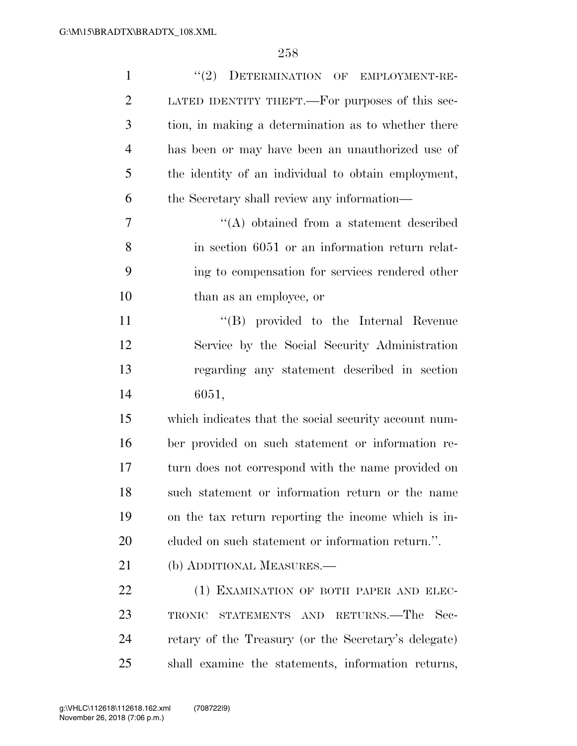| $\mathbf{1}$   | (2)<br>DETERMINATION OF EMPLOYMENT-RE-                |
|----------------|-------------------------------------------------------|
| $\overline{2}$ | LATED IDENTITY THEFT.—For purposes of this sec-       |
| 3              | tion, in making a determination as to whether there   |
| $\overline{4}$ | has been or may have been an unauthorized use of      |
| 5              | the identity of an individual to obtain employment,   |
| 6              | the Secretary shall review any information—           |
| 7              | $\lq\lq$ obtained from a statement described          |
| 8              | in section 6051 or an information return relat-       |
| 9              | ing to compensation for services rendered other       |
| 10             | than as an employee, or                               |
| 11             | "(B) provided to the Internal Revenue                 |
| 12             | Service by the Social Security Administration         |
| 13             | regarding any statement described in section          |
| 14             | 6051,                                                 |
| 15             | which indicates that the social security account num- |
| 16             | ber provided on such statement or information re-     |
| 17             | turn does not correspond with the name provided on    |
| 18             | such statement or information return or the name      |
| 19             | on the tax return reporting the income which is in-   |
| <b>20</b>      | cluded on such statement or information return.".     |
| 21             | (b) ADDITIONAL MEASURES.—                             |
| 22             | (1) EXAMINATION OF BOTH PAPER AND ELEC-               |
| 23             | RETURNS.—The<br>Sec-<br>TRONIC<br>STATEMENTS AND      |
| 24             | retary of the Treasury (or the Secretary's delegate)  |
| 25             | shall examine the statements, information returns,    |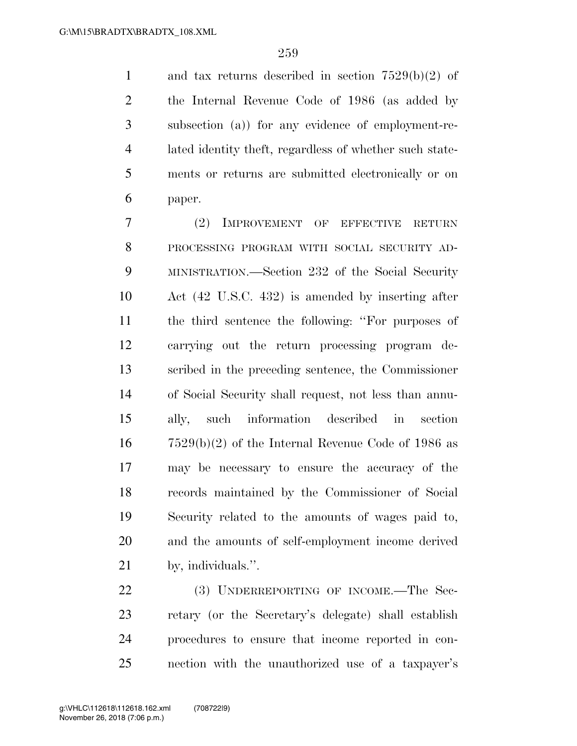and tax returns described in section 7529(b)(2) of the Internal Revenue Code of 1986 (as added by subsection (a)) for any evidence of employment-re- lated identity theft, regardless of whether such state- ments or returns are submitted electronically or on paper.

 (2) IMPROVEMENT OF EFFECTIVE RETURN PROCESSING PROGRAM WITH SOCIAL SECURITY AD- MINISTRATION.—Section 232 of the Social Security Act (42 U.S.C. 432) is amended by inserting after the third sentence the following: ''For purposes of carrying out the return processing program de- scribed in the preceding sentence, the Commissioner of Social Security shall request, not less than annu- ally, such information described in section 7529(b)(2) of the Internal Revenue Code of 1986 as may be necessary to ensure the accuracy of the records maintained by the Commissioner of Social Security related to the amounts of wages paid to, and the amounts of self-employment income derived by, individuals.''.

22 (3) UNDERREPORTING OF INCOME.—The Sec- retary (or the Secretary's delegate) shall establish procedures to ensure that income reported in con-nection with the unauthorized use of a taxpayer's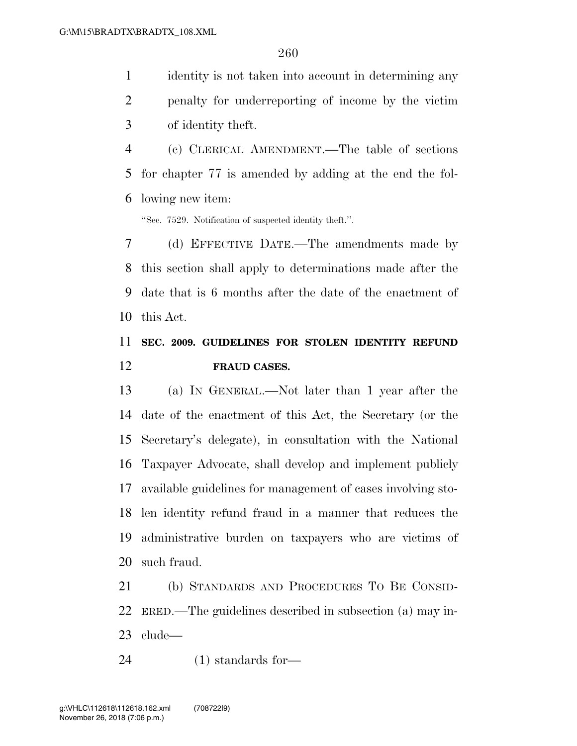identity is not taken into account in determining any penalty for underreporting of income by the victim

of identity theft.

 (c) CLERICAL AMENDMENT.—The table of sections for chapter 77 is amended by adding at the end the fol-lowing new item:

''Sec. 7529. Notification of suspected identity theft.''.

 (d) EFFECTIVE DATE.—The amendments made by this section shall apply to determinations made after the date that is 6 months after the date of the enactment of this Act.

### **SEC. 2009. GUIDELINES FOR STOLEN IDENTITY REFUND FRAUD CASES.**

 (a) IN GENERAL.—Not later than 1 year after the date of the enactment of this Act, the Secretary (or the Secretary's delegate), in consultation with the National Taxpayer Advocate, shall develop and implement publicly available guidelines for management of cases involving sto- len identity refund fraud in a manner that reduces the administrative burden on taxpayers who are victims of such fraud.

 (b) STANDARDS AND PROCEDURES TO BE CONSID- ERED.—The guidelines described in subsection (a) may in-clude—

(1) standards for—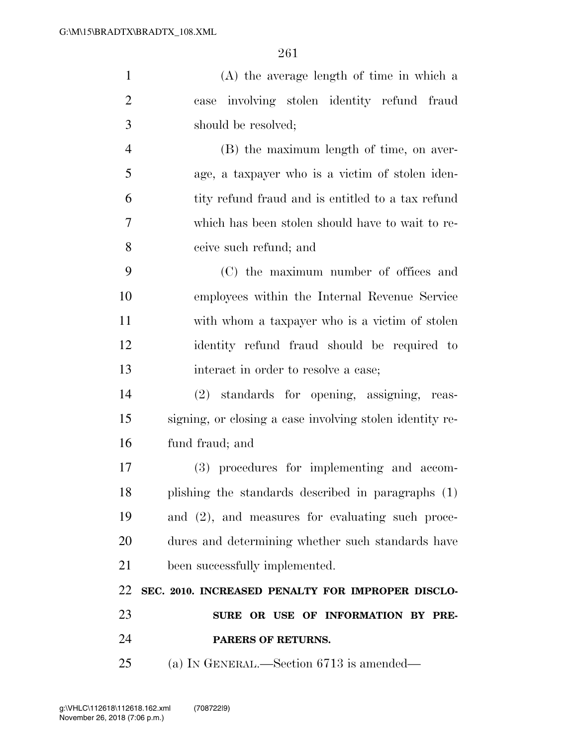| $\mathbf{1}$   | (A) the average length of time in which a                |
|----------------|----------------------------------------------------------|
| $\overline{2}$ | case involving stolen identity refund fraud              |
| 3              | should be resolved;                                      |
| $\overline{4}$ | (B) the maximum length of time, on aver-                 |
| 5              | age, a taxpayer who is a victim of stolen iden-          |
| 6              | tity refund fraud and is entitled to a tax refund        |
| 7              | which has been stolen should have to wait to re-         |
| 8              | ceive such refund; and                                   |
| 9              | (C) the maximum number of offices and                    |
| 10             | employees within the Internal Revenue Service            |
| 11             | with whom a taxpayer who is a victim of stolen           |
| 12             | identity refund fraud should be required to              |
| 13             | interact in order to resolve a case;                     |
| 14             | (2) standards for opening, assigning, reas-              |
| 15             | signing, or closing a case involving stolen identity re- |
| 16             | fund fraud; and                                          |
| 17             | (3) procedures for implementing and accom-               |
| 18             | plishing the standards described in paragraphs (1)       |
| 19             | and (2), and measures for evaluating such proce-         |
| 20             | dures and determining whether such standards have        |
| 21             | been successfully implemented.                           |
| 22             | SEC. 2010. INCREASED PENALTY FOR IMPROPER DISCLO-        |
| 23             | SURE OR USE OF INFORMATION BY PRE-                       |
| 24             | PARERS OF RETURNS.                                       |

(a) IN GENERAL.—Section 6713 is amended—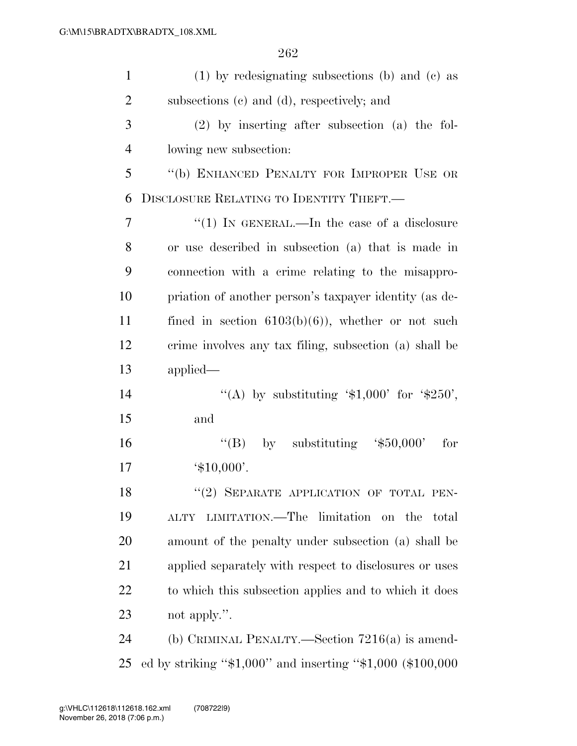| $\mathbf{1}$   | $(1)$ by redesignating subsections (b) and (c) as                 |
|----------------|-------------------------------------------------------------------|
| $\overline{2}$ | subsections (c) and (d), respectively; and                        |
| 3              | $(2)$ by inserting after subsection (a) the fol-                  |
| $\overline{4}$ | lowing new subsection:                                            |
| 5              | "(b) ENHANCED PENALTY FOR IMPROPER USE OR                         |
| 6              | DISCLOSURE RELATING TO IDENTITY THEFT.                            |
| 7              | "(1) IN GENERAL.—In the case of a disclosure                      |
| 8              | or use described in subsection (a) that is made in                |
| 9              | connection with a crime relating to the misappro-                 |
| 10             | priation of another person's taxpayer identity (as de-            |
| 11             | fined in section $6103(b)(6)$ , whether or not such               |
| 12             | crime involves any tax filing, subsection (a) shall be            |
| 13             | applied                                                           |
| 14             | "(A) by substituting ' $$1,000'$ for ' $$250'$ ,                  |
| 15             | and                                                               |
| 16             | "(B) by substituting $$50,000$ "<br>for                           |
| 17             | $^{\circ}$ \$10,000'.                                             |
| 18             | "(2) SEPARATE APPLICATION OF TOTAL PEN-                           |
| 19             | LIMITATION.—The limitation on the<br>total<br><b>ALTY</b>         |
| 20             | amount of the penalty under subsection (a) shall be               |
| 21             | applied separately with respect to disclosures or uses            |
| <u>22</u>      | to which this subsection applies and to which it does             |
| 23             | not apply.".                                                      |
| 24             | (b) CRIMINAL PENALTY.—Section $7216(a)$ is amend-                 |
| 25             | ed by striking " $$1,000$ " and inserting " $$1,000$ ( $$100,000$ |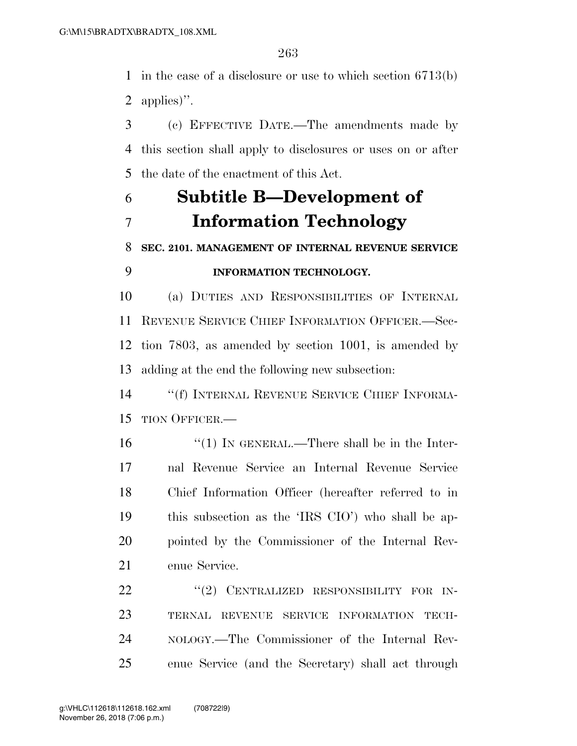in the case of a disclosure or use to which section 6713(b) applies)''.

 (c) EFFECTIVE DATE.—The amendments made by this section shall apply to disclosures or uses on or after the date of the enactment of this Act.

# **Subtitle B—Development of Information Technology**

### **SEC. 2101. MANAGEMENT OF INTERNAL REVENUE SERVICE INFORMATION TECHNOLOGY.**

 (a) DUTIES AND RESPONSIBILITIES OF INTERNAL REVENUE SERVICE CHIEF INFORMATION OFFICER.—Sec- tion 7803, as amended by section 1001, is amended by adding at the end the following new subsection:

 ''(f) INTERNAL REVENUE SERVICE CHIEF INFORMA-TION OFFICER.—

16 "(1) IN GENERAL.—There shall be in the Inter- nal Revenue Service an Internal Revenue Service Chief Information Officer (hereafter referred to in this subsection as the 'IRS CIO') who shall be ap- pointed by the Commissioner of the Internal Rev-enue Service.

22 "(2) CENTRALIZED RESPONSIBILITY FOR IN- TERNAL REVENUE SERVICE INFORMATION TECH- NOLOGY.—The Commissioner of the Internal Rev-enue Service (and the Secretary) shall act through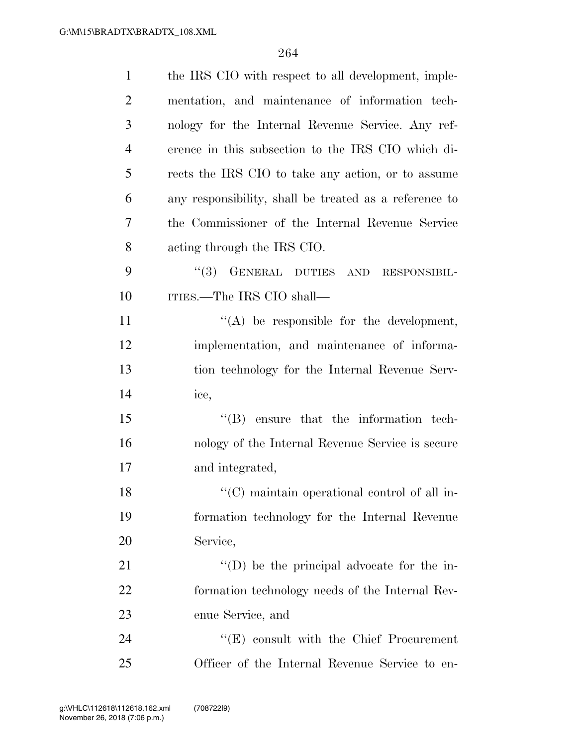| $\mathbf{1}$   | the IRS CIO with respect to all development, imple-               |
|----------------|-------------------------------------------------------------------|
| $\overline{2}$ | mentation, and maintenance of information tech-                   |
| 3              | nology for the Internal Revenue Service. Any ref-                 |
| $\overline{4}$ | erence in this subsection to the IRS CIO which di-                |
| 5              | rects the IRS CIO to take any action, or to assume                |
| 6              | any responsibility, shall be treated as a reference to            |
| 7              | the Commissioner of the Internal Revenue Service                  |
| 8              | acting through the IRS CIO.                                       |
| 9              | (3)<br>GENERAL DUTIES AND<br>RESPONSIBIL-                         |
| 10             | ITIES.—The IRS CIO shall—                                         |
| 11             | $\lq\lq$ be responsible for the development,                      |
| 12             | implementation, and maintenance of informa-                       |
| 13             | tion technology for the Internal Revenue Serv-                    |
| 14             | ice,                                                              |
| 15             | $\lq\lq$ ensure that the information tech-                        |
| 16             | nology of the Internal Revenue Service is secure                  |
| 17             | and integrated,                                                   |
| 18             | $\lq\lq$ <sup>"</sup> (C) maintain operational control of all in- |
| 19             | formation technology for the Internal Revenue                     |
| 20             | Service,                                                          |
| 21             | "(D) be the principal advocate for the in-                        |
| 22             | formation technology needs of the Internal Rev-                   |
| 23             | enue Service, and                                                 |
| 24             | $\lq\lq$ (E) consult with the Chief Procurement                   |
| 25             | Officer of the Internal Revenue Service to en-                    |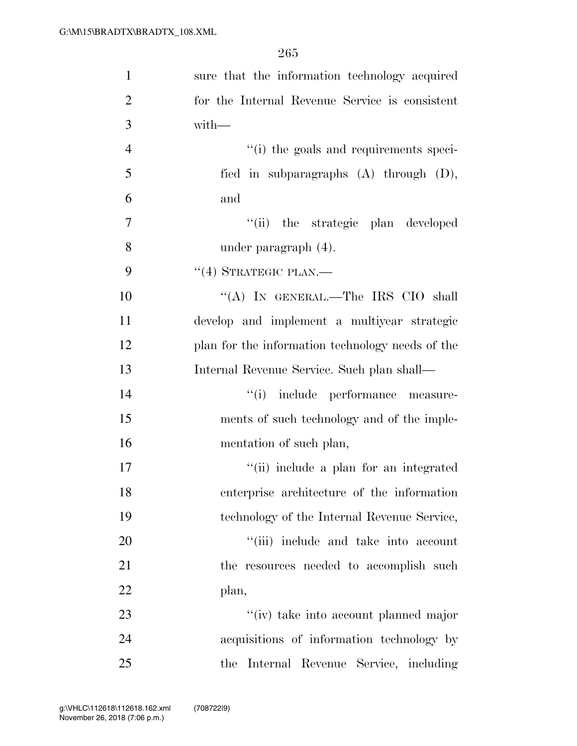| $\mathbf{1}$   | sure that the information technology acquired    |
|----------------|--------------------------------------------------|
| $\overline{2}$ | for the Internal Revenue Service is consistent   |
| 3              | $with-$                                          |
| $\overline{4}$ | "(i) the goals and requirements speci-           |
| 5              | fied in subparagraphs $(A)$ through $(D)$ ,      |
| 6              | and                                              |
| $\overline{7}$ | "(ii) the strategic plan developed               |
| 8              | under paragraph $(4)$ .                          |
| 9              | $``(4)$ STRATEGIC PLAN.—                         |
| 10             | "(A) IN GENERAL.—The IRS CIO shall               |
| 11             | develop and implement a multiyear strategic      |
| 12             | plan for the information technology needs of the |
| 13             | Internal Revenue Service. Such plan shall—       |
| 14             | "(i) include performance measure-                |
| 15             | ments of such technology and of the imple-       |
| 16             | mentation of such plan,                          |
| 17             | "(ii) include a plan for an integrated           |
| 18             | enterprise architecture of the information       |
| 19             | technology of the Internal Revenue Service,      |
| 20             | "(iii) include and take into account             |
| 21             | the resources needed to accomplish such          |
| 22             | plan,                                            |
| 23             | "(iv) take into account planned major            |
| 24             | acquisitions of information technology by        |
| 25             | Internal Revenue Service, including<br>the       |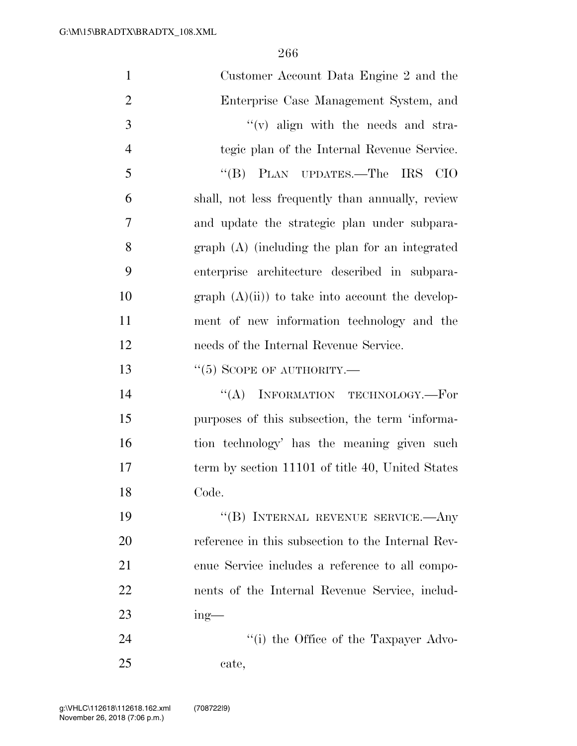| $\mathbf{1}$   | Customer Account Data Engine 2 and the            |
|----------------|---------------------------------------------------|
| $\overline{2}$ | Enterprise Case Management System, and            |
| 3              | $f'(v)$ align with the needs and stra-            |
| $\overline{4}$ | tegic plan of the Internal Revenue Service.       |
| 5              | "(B) PLAN UPDATES.—The IRS<br><b>CIO</b>          |
| 6              | shall, not less frequently than annually, review  |
| 7              | and update the strategic plan under subpara-      |
| 8              | $graph(A)$ (including the plan for an integrated  |
| 9              | enterprise architecture described in subpara-     |
| 10             | graph $(A)(ii)$ to take into account the develop- |
| 11             | ment of new information technology and the        |
| 12             | needs of the Internal Revenue Service.            |
| 13             | $``(5)$ SCOPE OF AUTHORITY.—                      |
| 14             | $``(A)$ INFORMATION TECHNOLOGY.—For               |
| 15             | purposes of this subsection, the term 'informa-   |
| 16             | tion technology' has the meaning given such       |
| 17             | term by section 11101 of title 40, United States  |
| 18             | Code.                                             |
| 19             | "(B) INTERNAL REVENUE SERVICE.—Any                |
| 20             | reference in this subsection to the Internal Rev- |
| 21             | enue Service includes a reference to all compo-   |
| 22             | nents of the Internal Revenue Service, includ-    |
| 23             | $ing$ —                                           |
| 24             | "(i) the Office of the Taxpayer Advo-             |
| 25             | cate,                                             |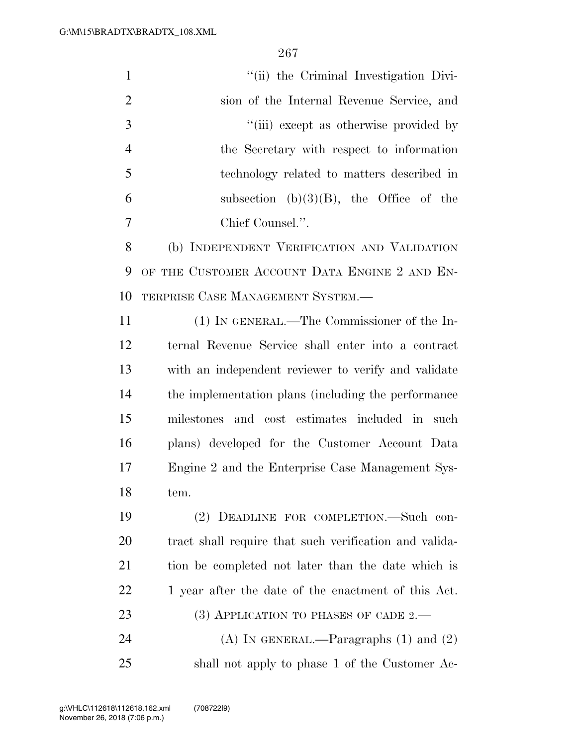| $\mathbf{1}$   | "(ii) the Criminal Investigation Divi-                 |
|----------------|--------------------------------------------------------|
| $\overline{2}$ | sion of the Internal Revenue Service, and              |
| 3              | "(iii) except as otherwise provided by                 |
| $\overline{4}$ | the Secretary with respect to information              |
| 5              | technology related to matters described in             |
| 6              | subsection $(b)(3)(B)$ , the Office of the             |
| 7              | Chief Counsel.".                                       |
| 8              | (b) INDEPENDENT VERIFICATION AND VALIDATION            |
| 9              | OF THE CUSTOMER ACCOUNT DATA ENGINE 2 AND EN-          |
| 10             | TERPRISE CASE MANAGEMENT SYSTEM.-                      |
| 11             | (1) IN GENERAL.—The Commissioner of the In-            |
| 12             | ternal Revenue Service shall enter into a contract     |
| 13             | with an independent reviewer to verify and validate    |
| 14             | the implementation plans (including the performance    |
| 15             | milestones and cost estimates included in<br>– such    |
| 16             | plans) developed for the Customer Account Data         |
| 17             | Engine 2 and the Enterprise Case Management Sys-       |
| 18             | tem.                                                   |
| 19             | (2) DEADLINE FOR COMPLETION.—Such con-                 |
| 20             | tract shall require that such verification and valida- |
| 21             | tion be completed not later than the date which is     |
| 22             | 1 year after the date of the enactment of this Act.    |
| 23             | $(3)$ APPLICATION TO PHASES OF CADE 2.—                |
| 24             | (A) IN GENERAL.—Paragraphs $(1)$ and $(2)$             |
| 25             | shall not apply to phase 1 of the Customer Ac-         |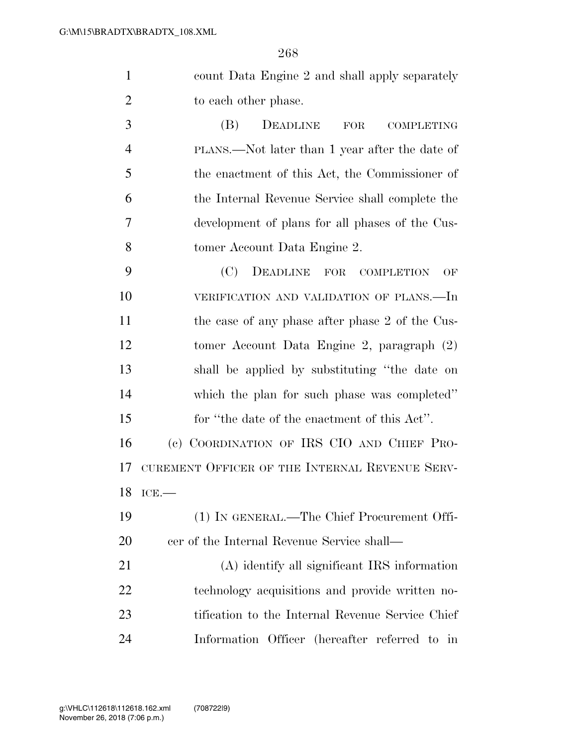| count Data Engine 2 and shall apply separately |
|------------------------------------------------|
| to each other phase.                           |

 (B) DEADLINE FOR COMPLETING PLANS.—Not later than 1 year after the date of the enactment of this Act, the Commissioner of the Internal Revenue Service shall complete the development of plans for all phases of the Cus-tomer Account Data Engine 2.

 (C) DEADLINE FOR COMPLETION OF VERIFICATION AND VALIDATION OF PLANS.—In 11 the case of any phase after phase 2 of the Cus- tomer Account Data Engine 2, paragraph (2) shall be applied by substituting ''the date on which the plan for such phase was completed'' for ''the date of the enactment of this Act''.

 (c) COORDINATION OF IRS CIO AND CHIEF PRO- CUREMENT OFFICER OF THE INTERNAL REVENUE SERV-ICE.—

 (1) IN GENERAL.—The Chief Procurement Offi-cer of the Internal Revenue Service shall—

 (A) identify all significant IRS information technology acquisitions and provide written no- tification to the Internal Revenue Service Chief Information Officer (hereafter referred to in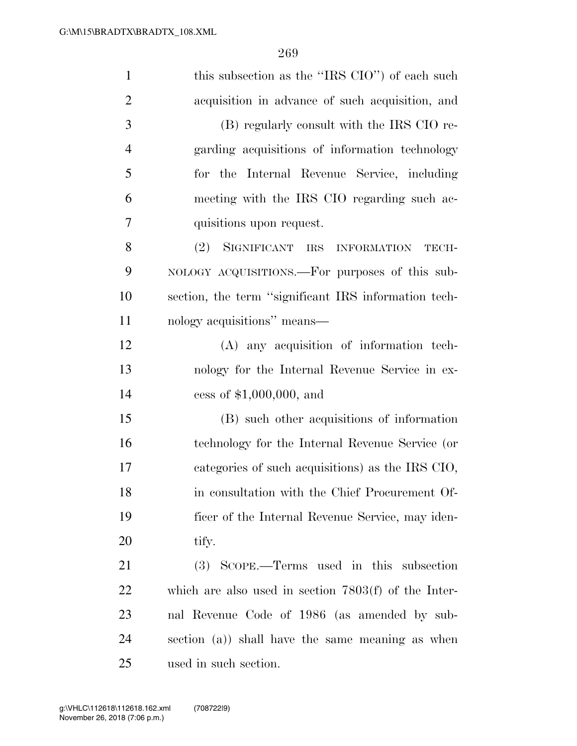| $\mathbf{1}$   | this subsection as the "IRS CIO") of each such         |
|----------------|--------------------------------------------------------|
| $\overline{2}$ | acquisition in advance of such acquisition, and        |
| 3              | (B) regularly consult with the IRS CIO re-             |
| $\overline{4}$ | garding acquisitions of information technology         |
| 5              | for the Internal Revenue Service, including            |
| 6              | meeting with the IRS CIO regarding such ac-            |
| 7              | quisitions upon request.                               |
| 8              | SIGNIFICANT IRS INFORMATION<br>(2)<br>TECH-            |
| 9              | NOLOGY ACQUISITIONS.—For purposes of this sub-         |
| 10             | section, the term "significant IRS information tech-   |
| 11             | nology acquisitions" means—                            |
| 12             | (A) any acquisition of information tech-               |
| 13             | nology for the Internal Revenue Service in ex-         |
| 14             | cess of $$1,000,000$ , and                             |
| 15             | (B) such other acquisitions of information             |
| 16             | technology for the Internal Revenue Service (or        |
| 17             | categories of such acquisitions) as the IRS CIO,       |
| 18             | in consultation with the Chief Procurement Of-         |
| 19             | ficer of the Internal Revenue Service, may iden-       |
| 20             | tify.                                                  |
| 21             | (3) SCOPE.—Terms used in this subsection               |
| <u>22</u>      | which are also used in section $7803(f)$ of the Inter- |
| 23             | nal Revenue Code of 1986 (as amended by sub-           |
| 24             | section (a)) shall have the same meaning as when       |
| 25             | used in such section.                                  |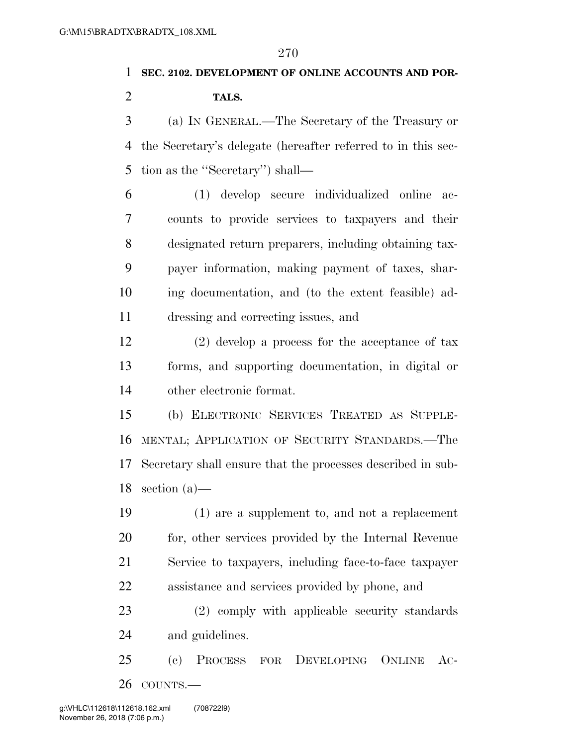#### **SEC. 2102. DEVELOPMENT OF ONLINE ACCOUNTS AND POR-**

### **TALS.**

 (a) IN GENERAL.—The Secretary of the Treasury or the Secretary's delegate (hereafter referred to in this sec-tion as the ''Secretary'') shall—

 (1) develop secure individualized online ac- counts to provide services to taxpayers and their designated return preparers, including obtaining tax- payer information, making payment of taxes, shar- ing documentation, and (to the extent feasible) ad-dressing and correcting issues, and

 (2) develop a process for the acceptance of tax forms, and supporting documentation, in digital or other electronic format.

 (b) ELECTRONIC SERVICES TREATED AS SUPPLE- MENTAL; APPLICATION OF SECURITY STANDARDS.—The Secretary shall ensure that the processes described in sub-section (a)—

 (1) are a supplement to, and not a replacement 20 for, other services provided by the Internal Revenue Service to taxpayers, including face-to-face taxpayer assistance and services provided by phone, and

 (2) comply with applicable security standards and guidelines.

 (c) PROCESS FOR DEVELOPING ONLINE AC-COUNTS.—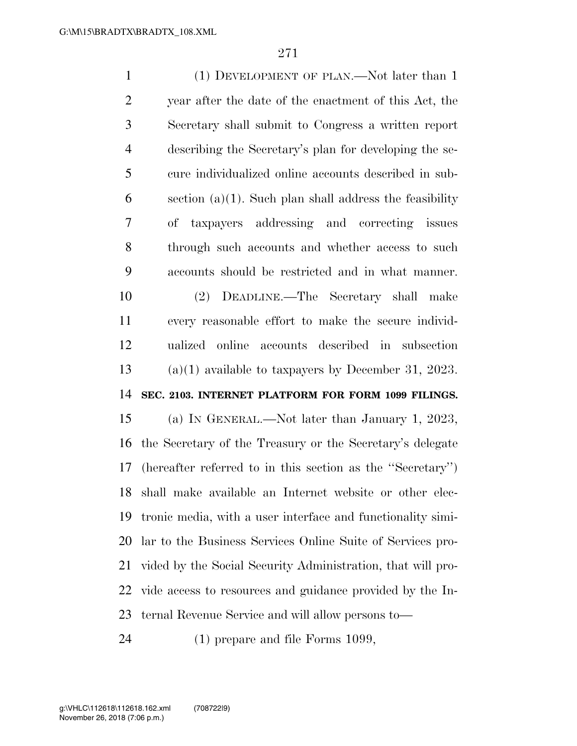(1) DEVELOPMENT OF PLAN.—Not later than 1 year after the date of the enactment of this Act, the Secretary shall submit to Congress a written report describing the Secretary's plan for developing the se- cure individualized online accounts described in sub-6 section (a)(1). Such plan shall address the feasibility of taxpayers addressing and correcting issues through such accounts and whether access to such accounts should be restricted and in what manner. (2) DEADLINE.—The Secretary shall make every reasonable effort to make the secure individ- ualized online accounts described in subsection (a)(1) available to taxpayers by December 31, 2023. **SEC. 2103. INTERNET PLATFORM FOR FORM 1099 FILINGS.**  (a) IN GENERAL.—Not later than January 1, 2023, the Secretary of the Treasury or the Secretary's delegate (hereafter referred to in this section as the ''Secretary'') shall make available an Internet website or other elec- tronic media, with a user interface and functionality simi- lar to the Business Services Online Suite of Services pro- vided by the Social Security Administration, that will pro- vide access to resources and guidance provided by the In- ternal Revenue Service and will allow persons to— (1) prepare and file Forms 1099,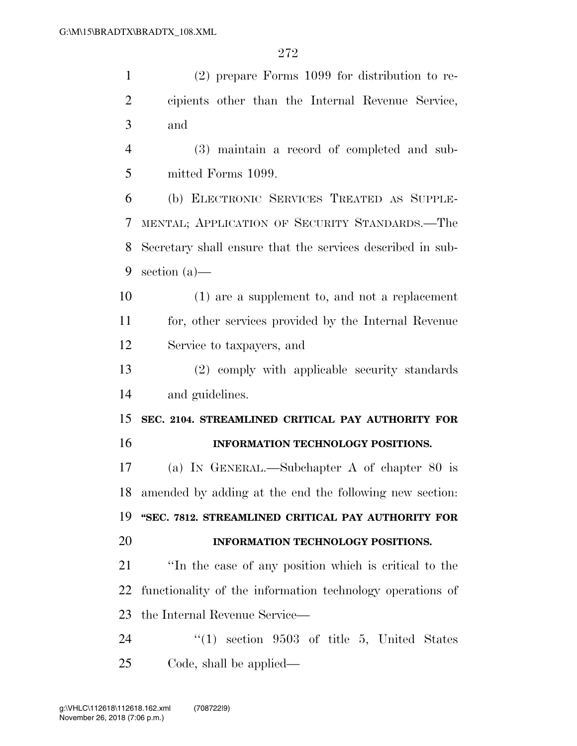(2) prepare Forms 1099 for distribution to re-

 cipients other than the Internal Revenue Service, and (3) maintain a record of completed and sub- mitted Forms 1099. (b) ELECTRONIC SERVICES TREATED AS SUPPLE- MENTAL; APPLICATION OF SECURITY STANDARDS.—The Secretary shall ensure that the services described in sub- section (a)— (1) are a supplement to, and not a replacement for, other services provided by the Internal Revenue Service to taxpayers, and (2) comply with applicable security standards and guidelines. **SEC. 2104. STREAMLINED CRITICAL PAY AUTHORITY FOR INFORMATION TECHNOLOGY POSITIONS.**  (a) IN GENERAL.—Subchapter A of chapter 80 is amended by adding at the end the following new section: **''SEC. 7812. STREAMLINED CRITICAL PAY AUTHORITY FOR INFORMATION TECHNOLOGY POSITIONS.**  ''In the case of any position which is critical to the functionality of the information technology operations of the Internal Revenue Service— 24 "(1) section 9503 of title 5, United States Code, shall be applied—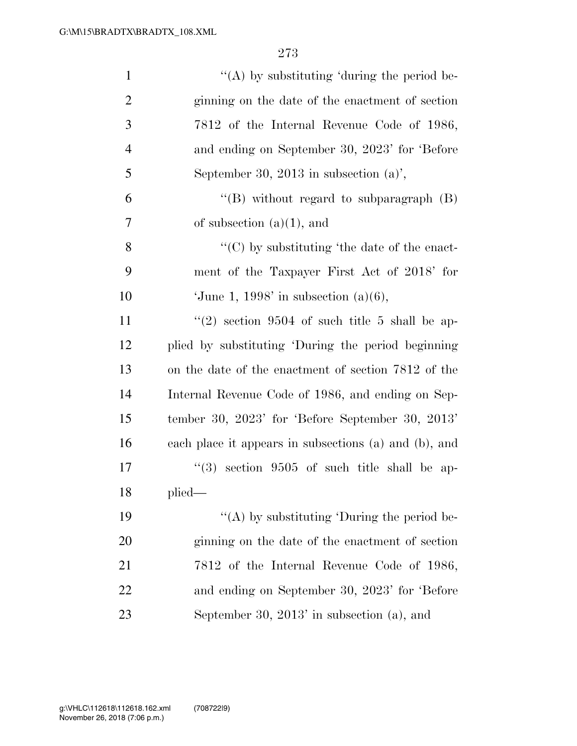| $\mathbf{1}$   | "(A) by substituting 'during the period be-           |
|----------------|-------------------------------------------------------|
| $\overline{2}$ | ginning on the date of the enactment of section       |
| 3              | 7812 of the Internal Revenue Code of 1986,            |
| $\overline{4}$ | and ending on September 30, 2023' for 'Before         |
| 5              | September 30, 2013 in subsection $(a)$ ,              |
| 6              | "(B) without regard to subparagraph $(B)$             |
| 7              | of subsection $(a)(1)$ , and                          |
| 8              | $\lq\lq$ (C) by substituting 'the date of the enact-  |
| 9              | ment of the Taxpayer First Act of 2018' for           |
| 10             | 'June 1, 1998' in subsection $(a)(6)$ ,               |
| 11             | $(2)$ section 9504 of such title 5 shall be ap-       |
| 12             | plied by substituting 'During the period beginning    |
| 13             | on the date of the enactment of section 7812 of the   |
| 14             | Internal Revenue Code of 1986, and ending on Sep-     |
| 15             | tember 30, $2023'$ for 'Before September 30, $2013'$  |
| 16             | each place it appears in subsections (a) and (b), and |
| 17             | $(3)$ section 9505 of such title shall be ap-         |
| 18             | plied-                                                |
| 19             | "(A) by substituting 'During the period be-           |
| 20             | ginning on the date of the enactment of section       |
| 21             | 7812 of the Internal Revenue Code of 1986,            |
| 22             | and ending on September 30, 2023' for 'Before         |
| 23             | September 30, $2013'$ in subsection (a), and          |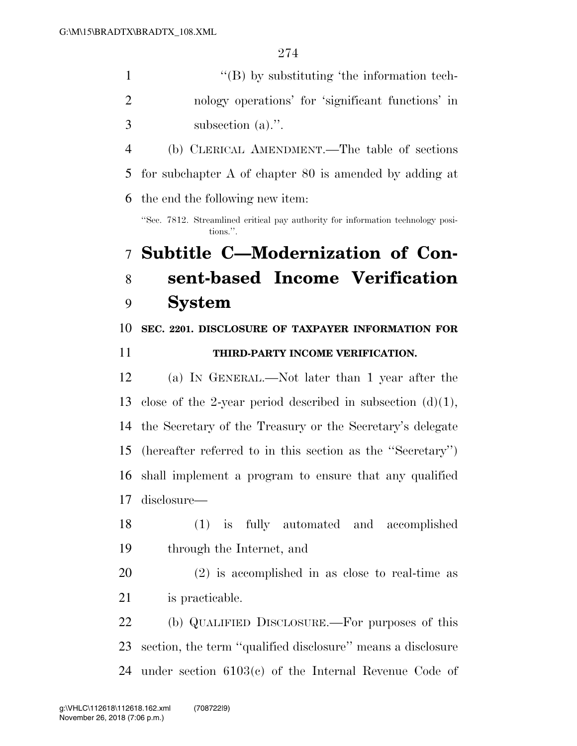| $\mathbf{1}$   | $\lq\lq$ by substituting 'the information tech-                                             |
|----------------|---------------------------------------------------------------------------------------------|
| $\overline{2}$ | nology operations' for 'significant functions' in                                           |
| 3              | subsection $(a)$ .".                                                                        |
| $\overline{4}$ | (b) CLERICAL AMENDMENT.—The table of sections                                               |
| 5              | for subchapter $A$ of chapter $80$ is amended by adding at                                  |
| 6              | the end the following new item:                                                             |
|                | "Sec. 7812. Streamlined critical pay authority for information technology posi-<br>tions.". |
| $\overline{7}$ | Subtitle C-Modernization of Con-                                                            |
| 8              | sent-based Income Verification                                                              |
| 9              | <b>System</b>                                                                               |
| 10             | SEC. 2201. DISCLOSURE OF TAXPAYER INFORMATION FOR                                           |
| 11             | THIRD-PARTY INCOME VERIFICATION.                                                            |
| 12             | (a) IN GENERAL.—Not later than 1 year after the                                             |
| 13             | close of the 2-year period described in subsection $(d)(1)$ ,                               |
| 14             | the Secretary of the Treasury or the Secretary's delegate                                   |
| 15             | (hereafter referred to in this section as the "Secretary")                                  |
| 16             | shall implement a program to ensure that any qualified                                      |
| 17             | disclosure-                                                                                 |
| 18             | (1) is fully automated and accomplished                                                     |
| 19             | through the Internet, and                                                                   |
| 20             | $(2)$ is accomplished in as close to real-time as                                           |
| 21             | is practicable.                                                                             |
| 22             | (b) QUALIFIED DISCLOSURE.—For purposes of this                                              |
| 23             | section, the term "qualified disclosure" means a disclosure                                 |

under section 6103(c) of the Internal Revenue Code of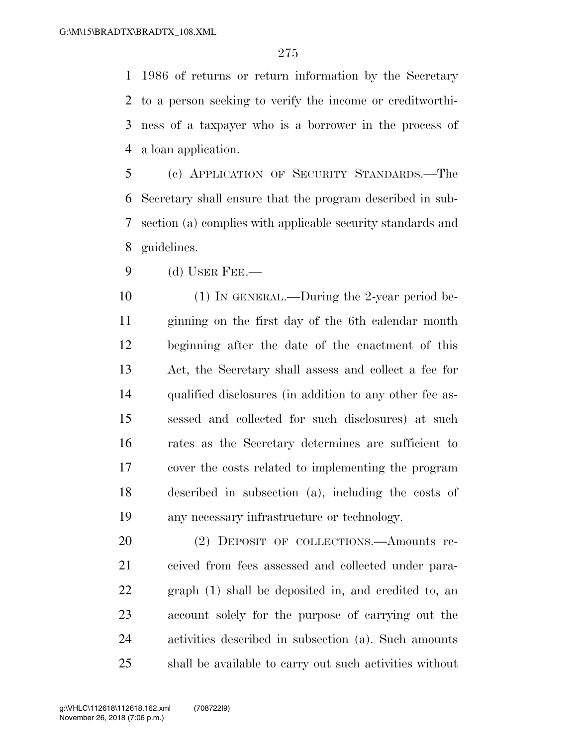1986 of returns or return information by the Secretary to a person seeking to verify the income or creditworthi- ness of a taxpayer who is a borrower in the process of a loan application.

 (c) APPLICATION OF SECURITY STANDARDS.—The Secretary shall ensure that the program described in sub- section (a) complies with applicable security standards and guidelines.

(d) USER FEE.—

 (1) IN GENERAL.—During the 2-year period be- ginning on the first day of the 6th calendar month beginning after the date of the enactment of this Act, the Secretary shall assess and collect a fee for qualified disclosures (in addition to any other fee as- sessed and collected for such disclosures) at such rates as the Secretary determines are sufficient to cover the costs related to implementing the program described in subsection (a), including the costs of any necessary infrastructure or technology.

 (2) DEPOSIT OF COLLECTIONS.—Amounts re- ceived from fees assessed and collected under para- graph (1) shall be deposited in, and credited to, an account solely for the purpose of carrying out the activities described in subsection (a). Such amounts shall be available to carry out such activities without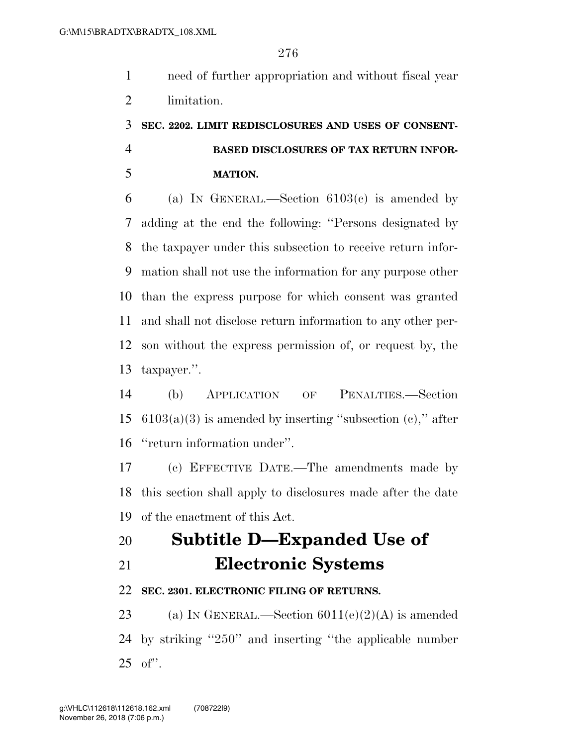need of further appropriation and without fiscal year limitation.

### **SEC. 2202. LIMIT REDISCLOSURES AND USES OF CONSENT- BASED DISCLOSURES OF TAX RETURN INFOR-MATION.**

6 (a) IN GENERAL.—Section  $6103(c)$  is amended by adding at the end the following: ''Persons designated by the taxpayer under this subsection to receive return infor- mation shall not use the information for any purpose other than the express purpose for which consent was granted and shall not disclose return information to any other per- son without the express permission of, or request by, the taxpayer.''.

 (b) APPLICATION OF PENALTIES.—Section 15  $6103(a)(3)$  is amended by inserting "subsection (c)," after ''return information under''.

 (c) EFFECTIVE DATE.—The amendments made by this section shall apply to disclosures made after the date of the enactment of this Act.

# **Subtitle D—Expanded Use of Electronic Systems**

### **SEC. 2301. ELECTRONIC FILING OF RETURNS.**

23 (a) IN GENERAL.—Section  $6011(e)(2)(A)$  is amended by striking ''250'' and inserting ''the applicable number of''.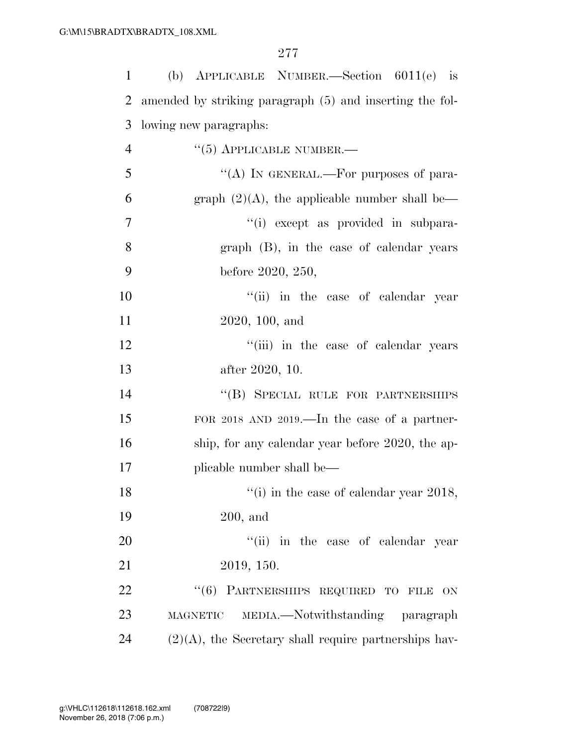| 1  | (b) APPLICABLE NUMBER.—Section $6011(e)$ is              |
|----|----------------------------------------------------------|
| 2  | amended by striking paragraph (5) and inserting the fol- |
| 3  | lowing new paragraphs:                                   |
| 4  | $\cdot\cdot$ (5) APPLICABLE NUMBER.—                     |
| 5  | "(A) IN GENERAL.—For purposes of para-                   |
| 6  | graph $(2)(A)$ , the applicable number shall be—         |
| 7  | "(i) except as provided in subpara-                      |
| 8  | graph (B), in the case of calendar years                 |
| 9  | before 2020, 250,                                        |
| 10 | "(ii) in the case of calendar year                       |
| 11 | 2020, 100, and                                           |
| 12 | "(iii) in the case of calendar years                     |
| 13 | after 2020, 10.                                          |
| 14 | "(B) SPECIAL RULE FOR PARTNERSHIPS                       |
| 15 | FOR 2018 AND 2019.—In the case of a partner-             |
| 16 | ship, for any calendar year before 2020, the ap-         |
| 17 | plicable number shall be—                                |
| 18 | $\lq($ i) in the case of calendar year 2018,             |
| 19 | $200$ , and                                              |
| 20 | "(ii) in the case of calendar year                       |
| 21 | 2019, 150.                                               |
| 22 | "(6) PARTNERSHIPS REQUIRED TO FILE ON                    |
| 23 | MAGNETIC MEDIA.—Notwithstanding paragraph                |
| 24 | $(2)(A)$ , the Secretary shall require partnerships hav- |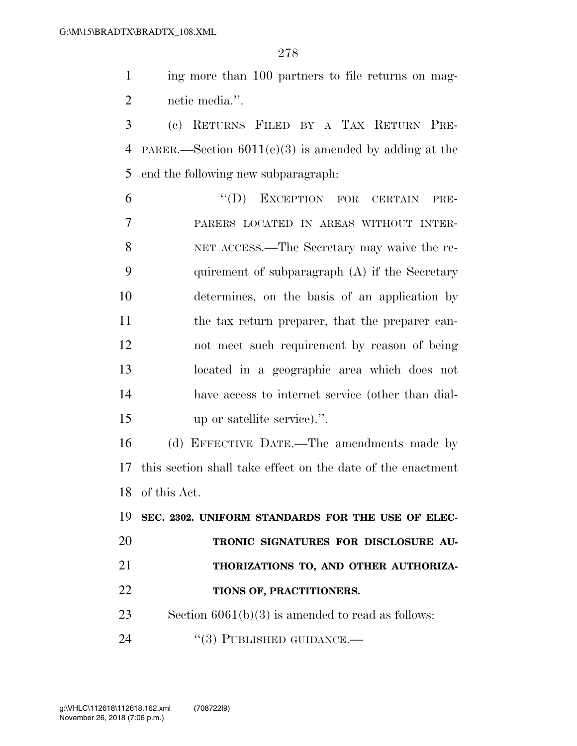ing more than 100 partners to file returns on mag-netic media.''.

 (c) RETURNS FILED BY A TAX RETURN PRE- PARER.—Section 6011(e)(3) is amended by adding at the end the following new subparagraph:

 ''(D) EXCEPTION FOR CERTAIN PRE- PARERS LOCATED IN AREAS WITHOUT INTER- NET ACCESS.—The Secretary may waive the re- quirement of subparagraph (A) if the Secretary determines, on the basis of an application by the tax return preparer, that the preparer can- not meet such requirement by reason of being located in a geographic area which does not have access to internet service (other than dial-up or satellite service).''.

 (d) EFFECTIVE DATE.—The amendments made by this section shall take effect on the date of the enactment of this Act.

 **SEC. 2302. UNIFORM STANDARDS FOR THE USE OF ELEC- TRONIC SIGNATURES FOR DISCLOSURE AU- THORIZATIONS TO, AND OTHER AUTHORIZA- TIONS OF, PRACTITIONERS.**  Section 6061(b)(3) is amended to read as follows: 24 "(3) PUBLISHED GUIDANCE.—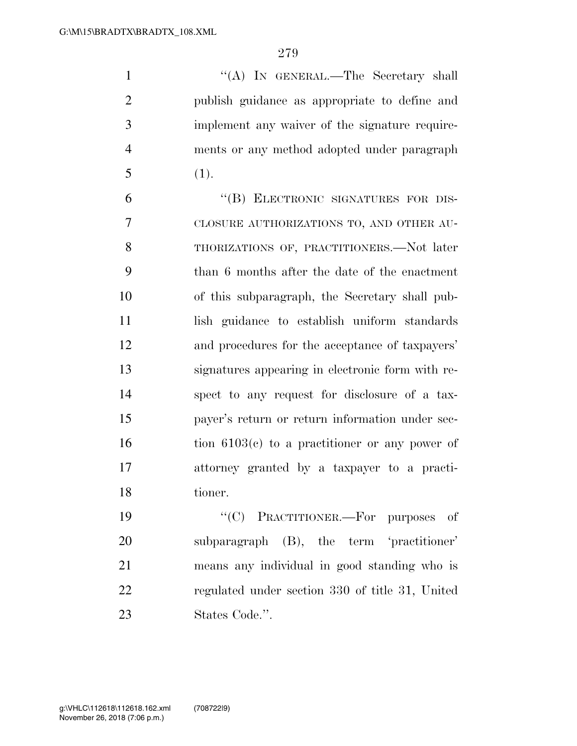1 ''(A) In GENERAL.—The Secretary shall publish guidance as appropriate to define and implement any waiver of the signature require- ments or any method adopted under paragraph (1).

6 "(B) ELECTRONIC SIGNATURES FOR DIS- CLOSURE AUTHORIZATIONS TO, AND OTHER AU- THORIZATIONS OF, PRACTITIONERS.—Not later than 6 months after the date of the enactment of this subparagraph, the Secretary shall pub- lish guidance to establish uniform standards and procedures for the acceptance of taxpayers' signatures appearing in electronic form with re- spect to any request for disclosure of a tax- payer's return or return information under sec- tion  $6103(c)$  to a practitioner or any power of attorney granted by a taxpayer to a practi-tioner.

 ''(C) PRACTITIONER.—For purposes of subparagraph (B), the term 'practitioner' means any individual in good standing who is regulated under section 330 of title 31, United States Code.''.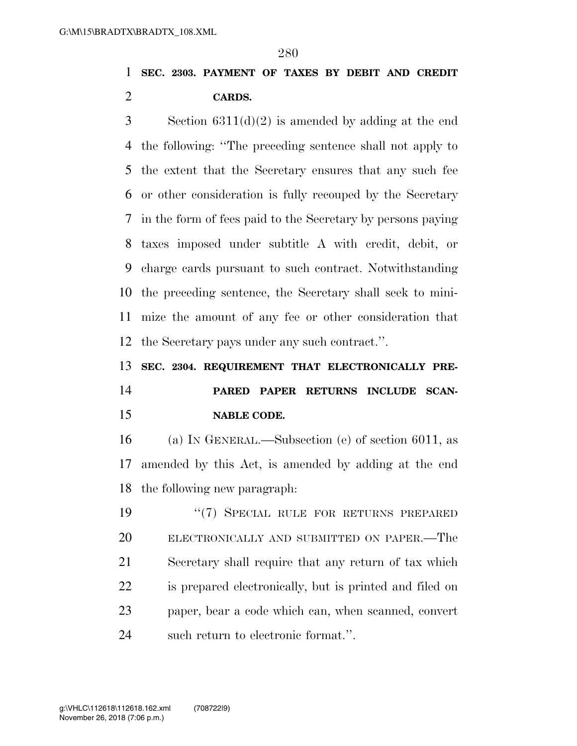### **SEC. 2303. PAYMENT OF TAXES BY DEBIT AND CREDIT CARDS.**

 Section 6311(d)(2) is amended by adding at the end the following: ''The preceding sentence shall not apply to the extent that the Secretary ensures that any such fee or other consideration is fully recouped by the Secretary in the form of fees paid to the Secretary by persons paying taxes imposed under subtitle A with credit, debit, or charge cards pursuant to such contract. Notwithstanding the preceding sentence, the Secretary shall seek to mini- mize the amount of any fee or other consideration that the Secretary pays under any such contract.''.

# **SEC. 2304. REQUIREMENT THAT ELECTRONICALLY PRE- PARED PAPER RETURNS INCLUDE SCAN-NABLE CODE.**

 (a) IN GENERAL.—Subsection (e) of section 6011, as amended by this Act, is amended by adding at the end the following new paragraph:

19 "(7) SPECIAL RULE FOR RETURNS PREPARED ELECTRONICALLY AND SUBMITTED ON PAPER.—The Secretary shall require that any return of tax which is prepared electronically, but is printed and filed on paper, bear a code which can, when scanned, convert such return to electronic format.''.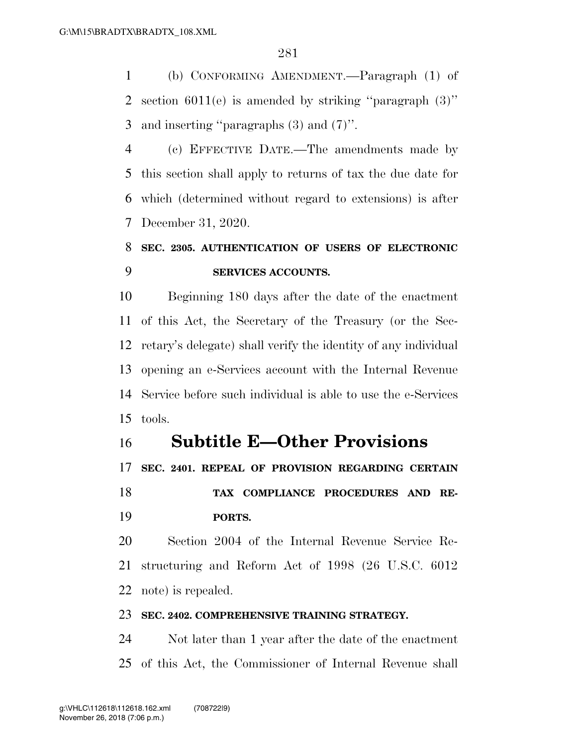(b) CONFORMING AMENDMENT.—Paragraph (1) of 2 section  $6011(e)$  is amended by striking "paragraph  $(3)$ " and inserting ''paragraphs (3) and (7)''.

 (c) EFFECTIVE DATE.—The amendments made by this section shall apply to returns of tax the due date for which (determined without regard to extensions) is after December 31, 2020.

### **SEC. 2305. AUTHENTICATION OF USERS OF ELECTRONIC SERVICES ACCOUNTS.**

 Beginning 180 days after the date of the enactment of this Act, the Secretary of the Treasury (or the Sec- retary's delegate) shall verify the identity of any individual opening an e-Services account with the Internal Revenue Service before such individual is able to use the e-Services tools.

### **Subtitle E—Other Provisions**

**SEC. 2401. REPEAL OF PROVISION REGARDING CERTAIN** 

 **TAX COMPLIANCE PROCEDURES AND RE-PORTS.** 

 Section 2004 of the Internal Revenue Service Re- structuring and Reform Act of 1998 (26 U.S.C. 6012 note) is repealed.

#### **SEC. 2402. COMPREHENSIVE TRAINING STRATEGY.**

 Not later than 1 year after the date of the enactment of this Act, the Commissioner of Internal Revenue shall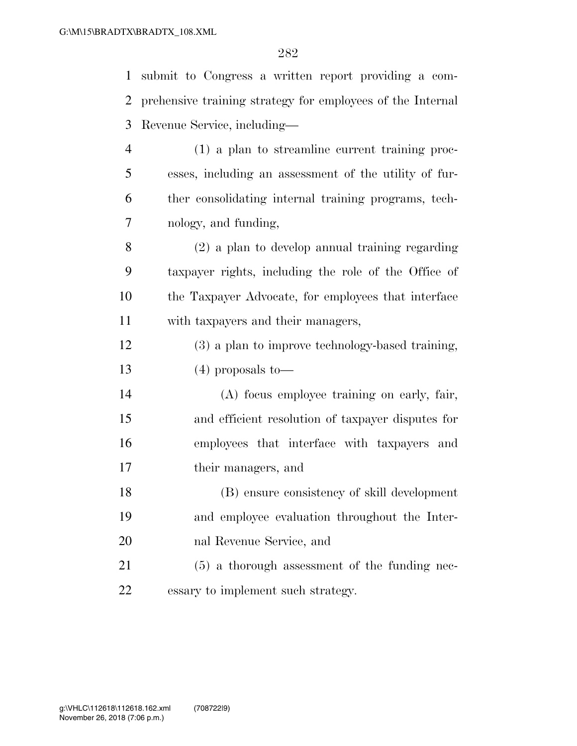| $\mathbf{1}$   | submit to Congress a written report providing a com-       |
|----------------|------------------------------------------------------------|
| $\overline{2}$ | prehensive training strategy for employees of the Internal |
| 3              | Revenue Service, including—                                |
| $\overline{4}$ | $(1)$ a plan to streamline current training proc-          |
| 5              | esses, including an assessment of the utility of fur-      |
| 6              | ther consolidating internal training programs, tech-       |
| 7              | nology, and funding,                                       |
| $8\,$          | $(2)$ a plan to develop annual training regarding          |
| 9              | taxpayer rights, including the role of the Office of       |
| 10             | the Taxpayer Advocate, for employees that interface        |
| 11             | with taxpayers and their managers,                         |
| 12             | (3) a plan to improve technology-based training,           |
| 13             | $(4)$ proposals to-                                        |
| 14             | (A) focus employee training on early, fair,                |
| 15             | and efficient resolution of taxpayer disputes for          |
| 16             | employees that interface with taxpayers and                |
| 17             | their managers, and                                        |
| 18             | (B) ensure consistency of skill development                |
| 19             | and employee evaluation throughout the Inter-              |
| 20             | nal Revenue Service, and                                   |
| 21             | $(5)$ a thorough assessment of the funding nec-            |
| 22             | essary to implement such strategy.                         |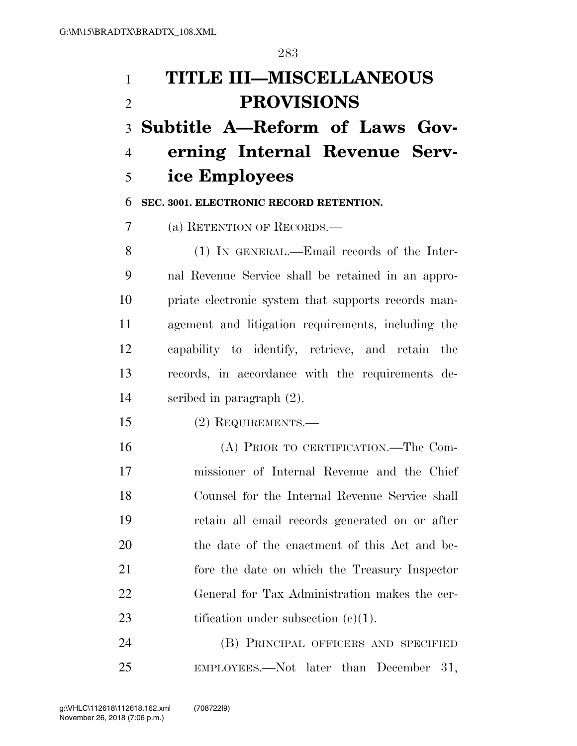# **TITLE III—MISCELLANEOUS PROVISIONS Subtitle A—Reform of Laws Gov- erning Internal Revenue Serv-ice Employees**

**SEC. 3001. ELECTRONIC RECORD RETENTION.** 

(a) RETENTION OF RECORDS.—

 (1) IN GENERAL.—Email records of the Inter- nal Revenue Service shall be retained in an appro- priate electronic system that supports records man- agement and litigation requirements, including the capability to identify, retrieve, and retain the records, in accordance with the requirements de-scribed in paragraph (2).

(2) REQUIREMENTS.—

 (A) PRIOR TO CERTIFICATION.—The Com- missioner of Internal Revenue and the Chief Counsel for the Internal Revenue Service shall retain all email records generated on or after the date of the enactment of this Act and be- fore the date on which the Treasury Inspector General for Tax Administration makes the cer-23 tification under subsection  $(c)(1)$ .

 (B) PRINCIPAL OFFICERS AND SPECIFIED EMPLOYEES.—Not later than December 31,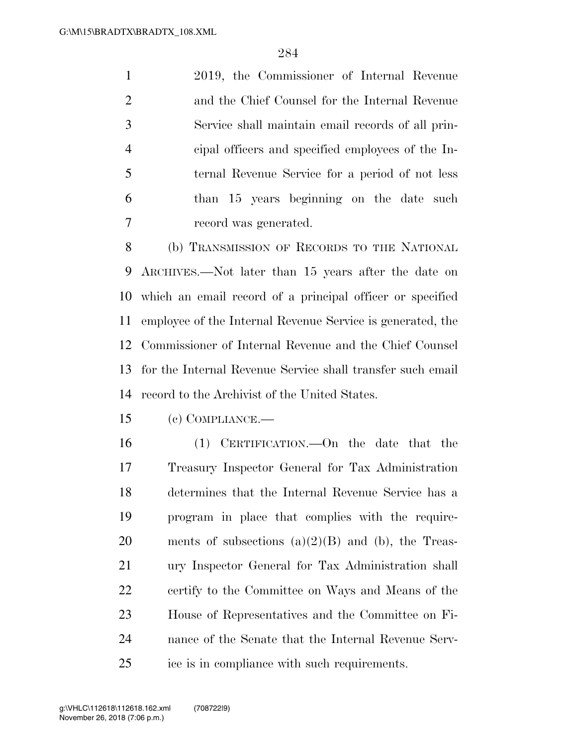2019, the Commissioner of Internal Revenue and the Chief Counsel for the Internal Revenue Service shall maintain email records of all prin- cipal officers and specified employees of the In- ternal Revenue Service for a period of not less than 15 years beginning on the date such record was generated.

 (b) TRANSMISSION OF RECORDS TO THE NATIONAL ARCHIVES.—Not later than 15 years after the date on which an email record of a principal officer or specified employee of the Internal Revenue Service is generated, the Commissioner of Internal Revenue and the Chief Counsel for the Internal Revenue Service shall transfer such email record to the Archivist of the United States.

(c) COMPLIANCE.—

 (1) CERTIFICATION.—On the date that the Treasury Inspector General for Tax Administration determines that the Internal Revenue Service has a program in place that complies with the require-20 ments of subsections  $(a)(2)(B)$  and  $(b)$ , the Treas- ury Inspector General for Tax Administration shall certify to the Committee on Ways and Means of the House of Representatives and the Committee on Fi- nance of the Senate that the Internal Revenue Serv-ice is in compliance with such requirements.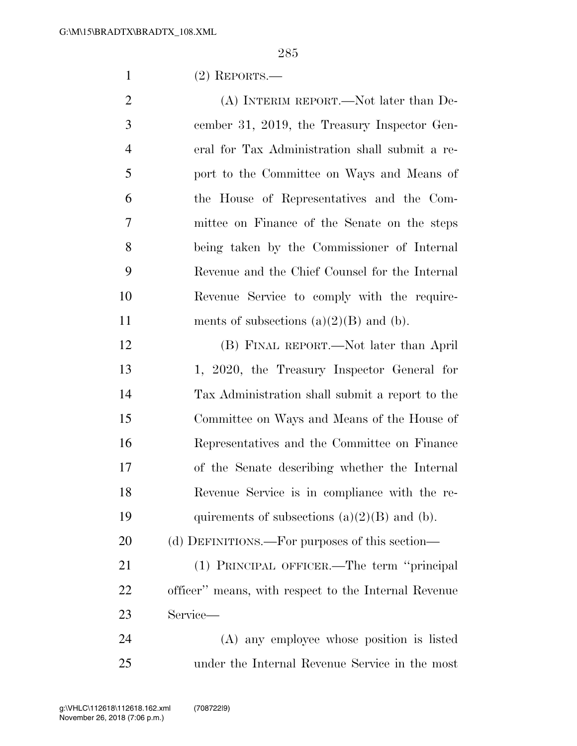(2) REPORTS.—

2 (A) INTERIM REPORT.—Not later than De- cember 31, 2019, the Treasury Inspector Gen- eral for Tax Administration shall submit a re- port to the Committee on Ways and Means of the House of Representatives and the Com- mittee on Finance of the Senate on the steps being taken by the Commissioner of Internal Revenue and the Chief Counsel for the Internal Revenue Service to comply with the require-11 ments of subsections  $(a)(2)(B)$  and  $(b)$ .

 (B) FINAL REPORT.—Not later than April 1, 2020, the Treasury Inspector General for Tax Administration shall submit a report to the Committee on Ways and Means of the House of Representatives and the Committee on Finance of the Senate describing whether the Internal Revenue Service is in compliance with the re-19 quirements of subsections  $(a)(2)(B)$  and  $(b)$ .

20 (d) DEFINITIONS.—For purposes of this section—

 (1) PRINCIPAL OFFICER.—The term ''principal officer'' means, with respect to the Internal Revenue Service—

 (A) any employee whose position is listed under the Internal Revenue Service in the most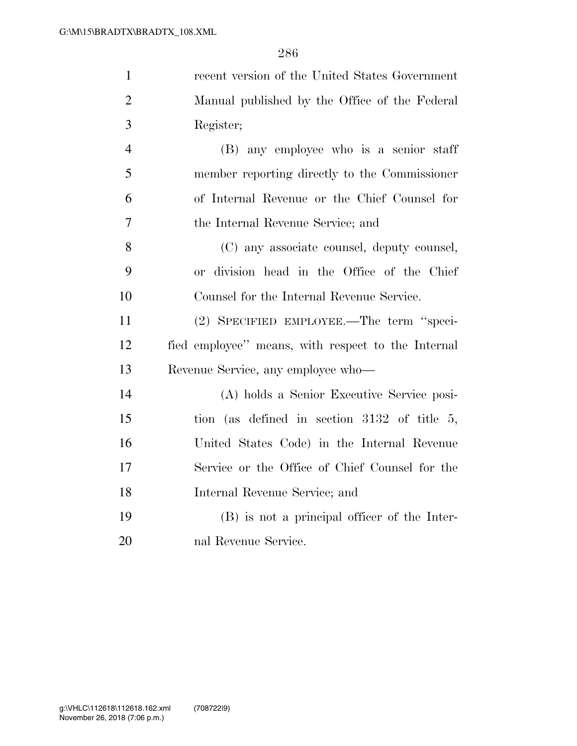| $\mathbf{1}$   | recent version of the United States Government     |
|----------------|----------------------------------------------------|
| $\overline{2}$ | Manual published by the Office of the Federal      |
| 3              | Register;                                          |
| $\overline{4}$ | (B) any employee who is a senior staff             |
| 5              | member reporting directly to the Commissioner      |
| 6              | of Internal Revenue or the Chief Counsel for       |
| $\overline{7}$ | the Internal Revenue Service; and                  |
| 8              | (C) any associate counsel, deputy counsel,         |
| 9              | division head in the Office of the Chief<br>or     |
| 10             | Counsel for the Internal Revenue Service.          |
| 11             | (2) SPECIFIED EMPLOYEE.—The term "speci-           |
| 12             | fied employee" means, with respect to the Internal |
| 13             | Revenue Service, any employee who-                 |
| 14             | (A) holds a Senior Executive Service posi-         |
| 15             | tion (as defined in section $3132$ of title 5,     |
| 16             | United States Code) in the Internal Revenue        |
| 17             | Service or the Office of Chief Counsel for the     |
| 18             | Internal Revenue Service; and                      |
| 19             | (B) is not a principal officer of the Inter-       |
| 20             | nal Revenue Service.                               |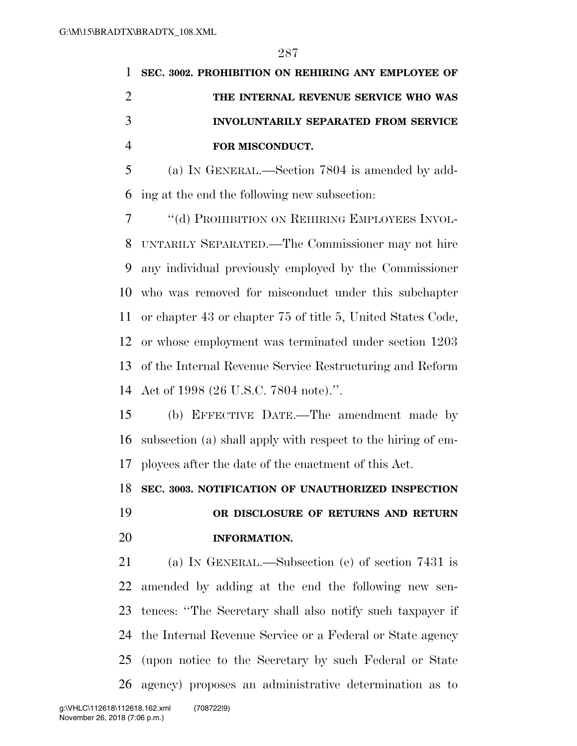| 1 SEC. 3002. PROHIBITION ON REHIRING ANY EMPLOYEE OF |
|------------------------------------------------------|
| THE INTERNAL REVENUE SERVICE WHO WAS                 |
| <b>INVOLUNTARILY SEPARATED FROM SERVICE</b>          |
| FOR MISCONDUCT.                                      |

 (a) IN GENERAL.—Section 7804 is amended by add-ing at the end the following new subsection:

 ''(d) PROHIBITION ON REHIRING EMPLOYEES INVOL- UNTARILY SEPARATED.—The Commissioner may not hire any individual previously employed by the Commissioner who was removed for misconduct under this subchapter or chapter 43 or chapter 75 of title 5, United States Code, or whose employment was terminated under section 1203 of the Internal Revenue Service Restructuring and Reform Act of 1998 (26 U.S.C. 7804 note).''.

 (b) EFFECTIVE DATE.—The amendment made by subsection (a) shall apply with respect to the hiring of em-ployees after the date of the enactment of this Act.

**SEC. 3003. NOTIFICATION OF UNAUTHORIZED INSPECTION** 

# **OR DISCLOSURE OF RETURNS AND RETURN INFORMATION.**

 (a) IN GENERAL.—Subsection (e) of section 7431 is amended by adding at the end the following new sen- tences: ''The Secretary shall also notify such taxpayer if the Internal Revenue Service or a Federal or State agency (upon notice to the Secretary by such Federal or State agency) proposes an administrative determination as to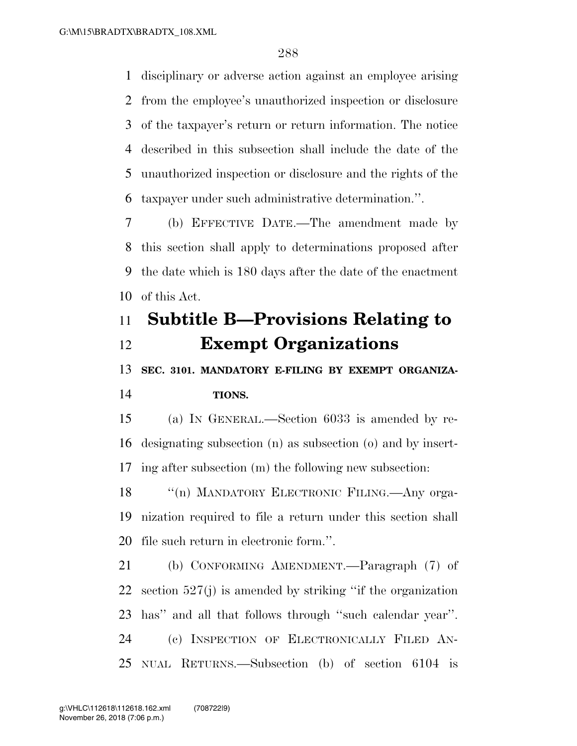disciplinary or adverse action against an employee arising from the employee's unauthorized inspection or disclosure of the taxpayer's return or return information. The notice described in this subsection shall include the date of the unauthorized inspection or disclosure and the rights of the taxpayer under such administrative determination.''.

 (b) EFFECTIVE DATE.—The amendment made by this section shall apply to determinations proposed after the date which is 180 days after the date of the enactment of this Act.

# **Subtitle B—Provisions Relating to Exempt Organizations**

**SEC. 3101. MANDATORY E-FILING BY EXEMPT ORGANIZA-**

### **TIONS.**

 (a) IN GENERAL.—Section 6033 is amended by re- designating subsection (n) as subsection (o) and by insert-ing after subsection (m) the following new subsection:

18 "(n) MANDATORY ELECTRONIC FILING.—Any orga- nization required to file a return under this section shall file such return in electronic form.''.

 (b) CONFORMING AMENDMENT.—Paragraph (7) of section 527(j) is amended by striking ''if the organization has'' and all that follows through ''such calendar year''. (c) INSPECTION OF ELECTRONICALLY FILED AN-NUAL RETURNS.—Subsection (b) of section 6104 is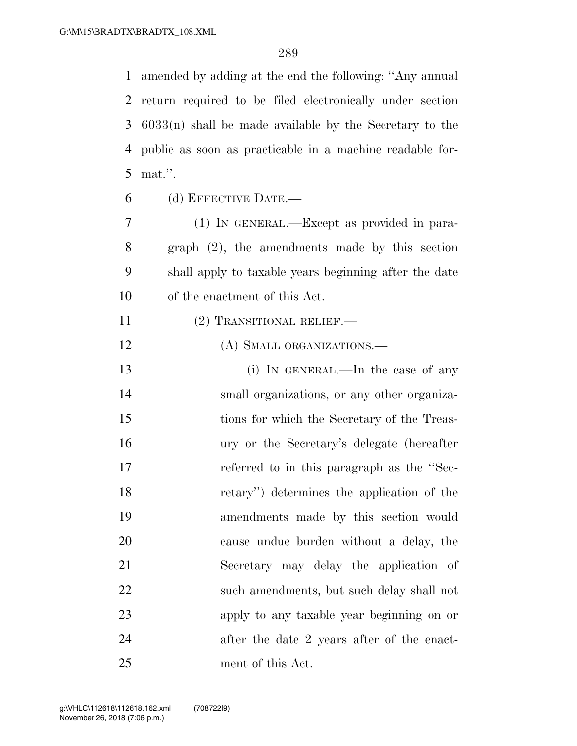amended by adding at the end the following: ''Any annual return required to be filed electronically under section 6033(n) shall be made available by the Secretary to the public as soon as practicable in a machine readable for-mat.''.

(d) EFFECTIVE DATE.—

 (1) IN GENERAL.—Except as provided in para- graph (2), the amendments made by this section shall apply to taxable years beginning after the date of the enactment of this Act.

- 11 (2) TRANSITIONAL RELIEF.—
- 12 (A) SMALL ORGANIZATIONS.—

13 (i) IN GENERAL.—In the case of any small organizations, or any other organiza- tions for which the Secretary of the Treas- ury or the Secretary's delegate (hereafter referred to in this paragraph as the ''Sec- retary'') determines the application of the amendments made by this section would cause undue burden without a delay, the Secretary may delay the application of such amendments, but such delay shall not apply to any taxable year beginning on or after the date 2 years after of the enact-ment of this Act.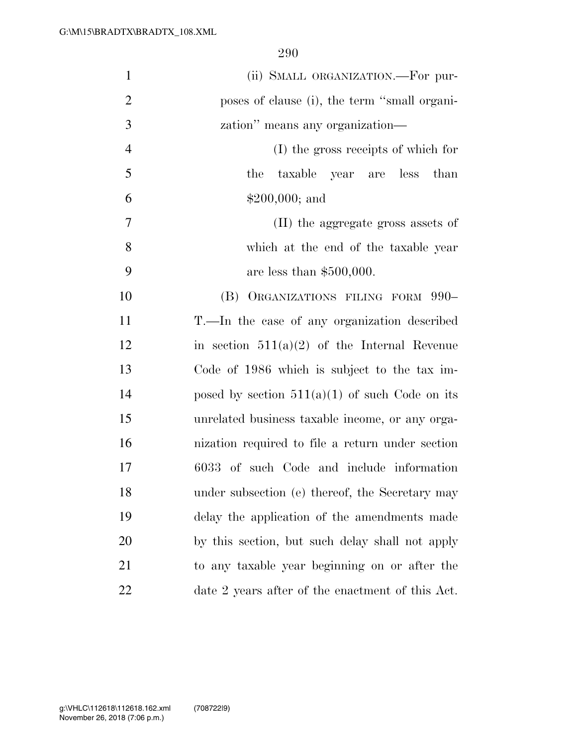| $\mathbf{1}$   | (ii) SMALL ORGANIZATION.—For pur-                |
|----------------|--------------------------------------------------|
| $\overline{2}$ | poses of clause (i), the term "small organi-     |
| 3              | zation" means any organization—                  |
| $\overline{4}$ | (I) the gross receipts of which for              |
| 5              | the<br>taxable year are less than                |
| 6              | $$200,000;$ and                                  |
| 7              | (II) the aggregate gross assets of               |
| 8              | which at the end of the taxable year             |
| 9              | are less than $$500,000$ .                       |
| 10             | (B) ORGANIZATIONS FILING FORM 990-               |
| 11             | T.—In the case of any organization described     |
| 12             | in section $511(a)(2)$ of the Internal Revenue   |
| 13             | Code of 1986 which is subject to the tax im-     |
| 14             | posed by section $511(a)(1)$ of such Code on its |
| 15             | unrelated business taxable income, or any orga-  |
| 16             | nization required to file a return under section |
| 17             | 6033 of such Code and include information        |
| 18             | under subsection (e) thereof, the Secretary may  |
| 19             | delay the application of the amendments made     |
| 20             | by this section, but such delay shall not apply  |
| 21             | to any taxable year beginning on or after the    |
| 22             | date 2 years after of the enactment of this Act. |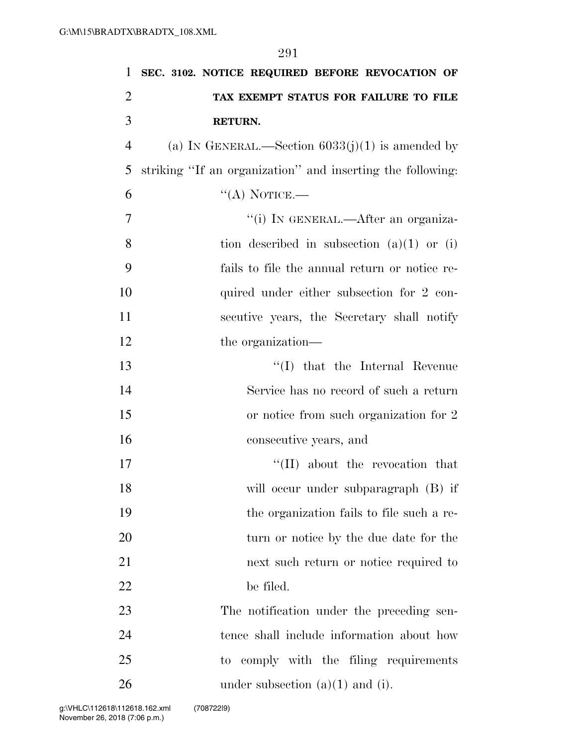| 1              | SEC. 3102. NOTICE REQUIRED BEFORE REVOCATION OF            |
|----------------|------------------------------------------------------------|
| $\overline{2}$ | TAX EXEMPT STATUS FOR FAILURE TO FILE                      |
| 3              | RETURN.                                                    |
| $\overline{4}$ | (a) IN GENERAL.—Section $6033(j)(1)$ is amended by         |
| 5              | striking "If an organization" and inserting the following: |
| 6              | $\lq (A)$ NOTICE.—                                         |
| 7              | "(i) IN GENERAL.—After an organiza-                        |
| 8              | tion described in subsection $(a)(1)$ or $(i)$             |
| 9              | fails to file the annual return or notice re-              |
| 10             | quired under either subsection for 2 con-                  |
| 11             | secutive years, the Secretary shall notify                 |
| 12             | the organization—                                          |
| 13             | $\lq\lq$ (I) that the Internal Revenue                     |
| 14             | Service has no record of such a return                     |
| 15             | or notice from such organization for 2                     |
| 16             | consecutive years, and                                     |
| 17             | "(II) about the revocation that                            |
| 18             | will occur under subparagraph (B) if                       |
| 19             | the organization fails to file such a re-                  |
| 20             | turn or notice by the due date for the                     |
| 21             | next such return or notice required to                     |
| 22             | be filed.                                                  |
| 23             | The notification under the preceding sen-                  |
| 24             | tence shall include information about how                  |
| 25             | to comply with the filing requirements                     |
| 26             | under subsection $(a)(1)$ and $(i)$ .                      |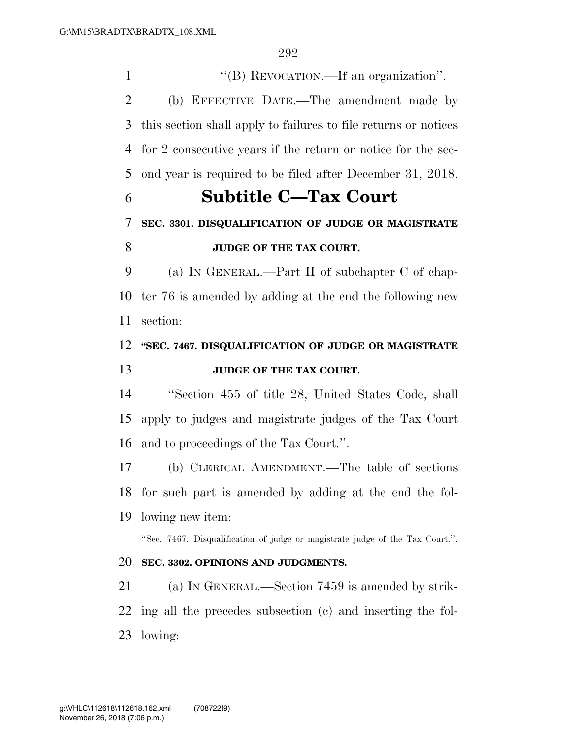$\text{``(B) REVOCATION.—If an organization''}.$  (b) EFFECTIVE DATE.—The amendment made by this section shall apply to failures to file returns or notices for 2 consecutive years if the return or notice for the sec-ond year is required to be filed after December 31, 2018.

# **Subtitle C—Tax Court**

### **SEC. 3301. DISQUALIFICATION OF JUDGE OR MAGISTRATE**

### **JUDGE OF THE TAX COURT.**

 (a) IN GENERAL.—Part II of subchapter C of chap- ter 76 is amended by adding at the end the following new section:

## **''SEC. 7467. DISQUALIFICATION OF JUDGE OR MAGISTRATE JUDGE OF THE TAX COURT.**

 ''Section 455 of title 28, United States Code, shall apply to judges and magistrate judges of the Tax Court and to proceedings of the Tax Court.''.

 (b) CLERICAL AMENDMENT.—The table of sections for such part is amended by adding at the end the fol-lowing new item:

''Sec. 7467. Disqualification of judge or magistrate judge of the Tax Court.''.

### **SEC. 3302. OPINIONS AND JUDGMENTS.**

 (a) IN GENERAL.—Section 7459 is amended by strik- ing all the precedes subsection (c) and inserting the fol-lowing: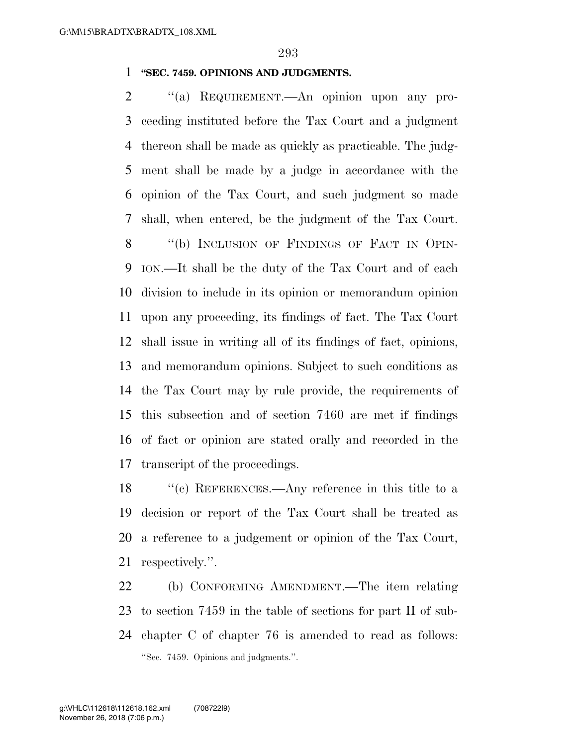#### **''SEC. 7459. OPINIONS AND JUDGMENTS.**

2 "(a) REQUIREMENT.—An opinion upon any pro- ceeding instituted before the Tax Court and a judgment thereon shall be made as quickly as practicable. The judg- ment shall be made by a judge in accordance with the opinion of the Tax Court, and such judgment so made shall, when entered, be the judgment of the Tax Court. 8 "(b) INCLUSION OF FINDINGS OF FACT IN OPIN- ION.—It shall be the duty of the Tax Court and of each division to include in its opinion or memorandum opinion upon any proceeding, its findings of fact. The Tax Court shall issue in writing all of its findings of fact, opinions, and memorandum opinions. Subject to such conditions as the Tax Court may by rule provide, the requirements of this subsection and of section 7460 are met if findings of fact or opinion are stated orally and recorded in the transcript of the proceedings.

 ''(c) REFERENCES.—Any reference in this title to a decision or report of the Tax Court shall be treated as a reference to a judgement or opinion of the Tax Court, respectively.''.

 (b) CONFORMING AMENDMENT.—The item relating to section 7459 in the table of sections for part II of sub- chapter C of chapter 76 is amended to read as follows: ''Sec. 7459. Opinions and judgments.''.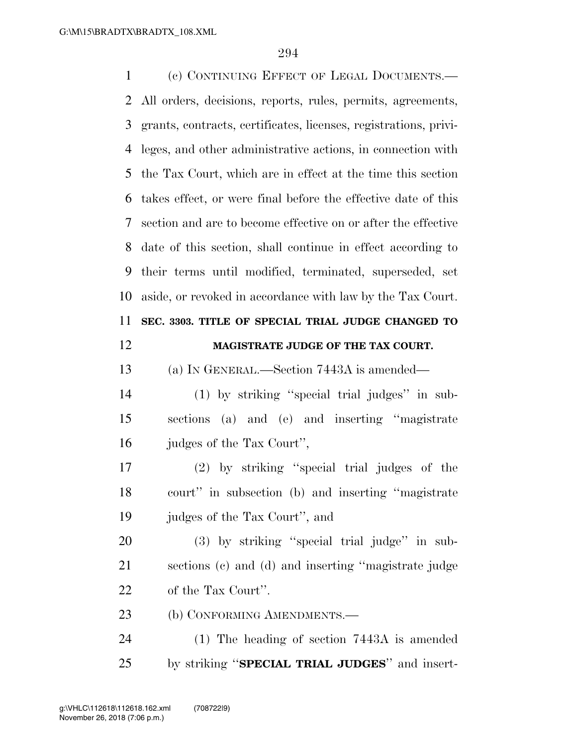(c) CONTINUING EFFECT OF LEGAL DOCUMENTS.— All orders, decisions, reports, rules, permits, agreements, grants, contracts, certificates, licenses, registrations, privi- leges, and other administrative actions, in connection with the Tax Court, which are in effect at the time this section takes effect, or were final before the effective date of this section and are to become effective on or after the effective date of this section, shall continue in effect according to their terms until modified, terminated, superseded, set aside, or revoked in accordance with law by the Tax Court. **SEC. 3303. TITLE OF SPECIAL TRIAL JUDGE CHANGED TO MAGISTRATE JUDGE OF THE TAX COURT.**  (a) IN GENERAL.—Section 7443A is amended— (1) by striking ''special trial judges'' in sub- sections (a) and (e) and inserting ''magistrate judges of the Tax Court'', (2) by striking ''special trial judges of the court'' in subsection (b) and inserting ''magistrate judges of the Tax Court'', and (3) by striking ''special trial judge'' in sub- sections (c) and (d) and inserting ''magistrate judge of the Tax Court''. 23 (b) CONFORMING AMENDMENTS.— (1) The heading of section 7443A is amended by striking ''**SPECIAL TRIAL JUDGES**'' and insert-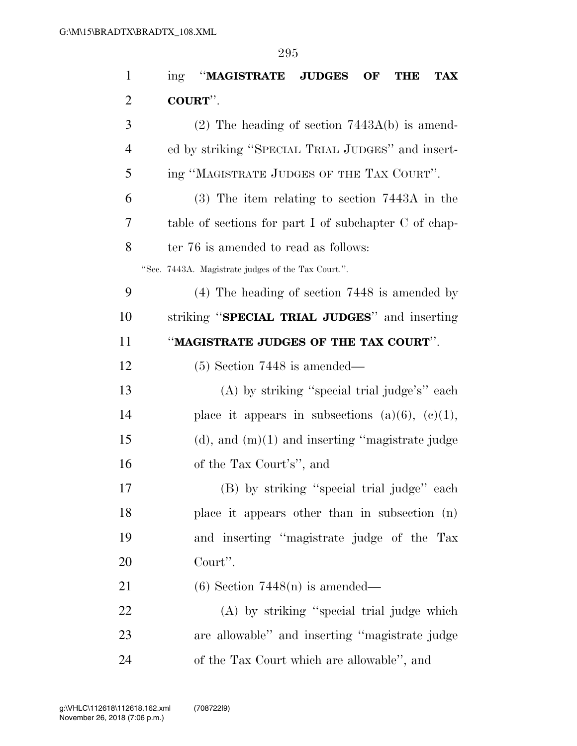| $\mathbf{1}$   | "MAGISTRATE JUDGES<br>OF<br>ing<br><b>TAX</b><br>THE  |
|----------------|-------------------------------------------------------|
| $\overline{2}$ | COURT".                                               |
| 3              | $(2)$ The heading of section 7443A(b) is amend-       |
| 4              | ed by striking "SPECIAL TRIAL JUDGES" and insert-     |
| 5              | ing "MAGISTRATE JUDGES OF THE TAX COURT".             |
| 6              | $(3)$ The item relating to section 7443A in the       |
| 7              | table of sections for part I of subchapter C of chap- |
| 8              | ter 76 is amended to read as follows:                 |
|                | "Sec. 7443A. Magistrate judges of the Tax Court.".    |
| 9              | $(4)$ The heading of section 7448 is amended by       |
| 10             | striking "SPECIAL TRIAL JUDGES" and inserting         |
| 11             | "MAGISTRATE JUDGES OF THE TAX COURT".                 |
| 12             | $(5)$ Section 7448 is amended—                        |
| 13             | (A) by striking "special trial judge's" each          |
| 14             | place it appears in subsections $(a)(6)$ , $(c)(1)$ , |
| 15             | $(d)$ , and $(m)(1)$ and inserting "magistrate judge  |
| 16             | of the Tax Court's", and                              |
| 17             | (B) by striking "special trial judge" each            |
| 18             | place it appears other than in subsection (n)         |
| 19             | and inserting "magistrate judge of the Tax            |
| 20             | Court".                                               |
| 21             | $(6)$ Section 7448(n) is amended—                     |
| 22             | (A) by striking "special trial judge which            |
| 23             | are allowable" and inserting "magistrate judge        |
| 24             | of the Tax Court which are allowable", and            |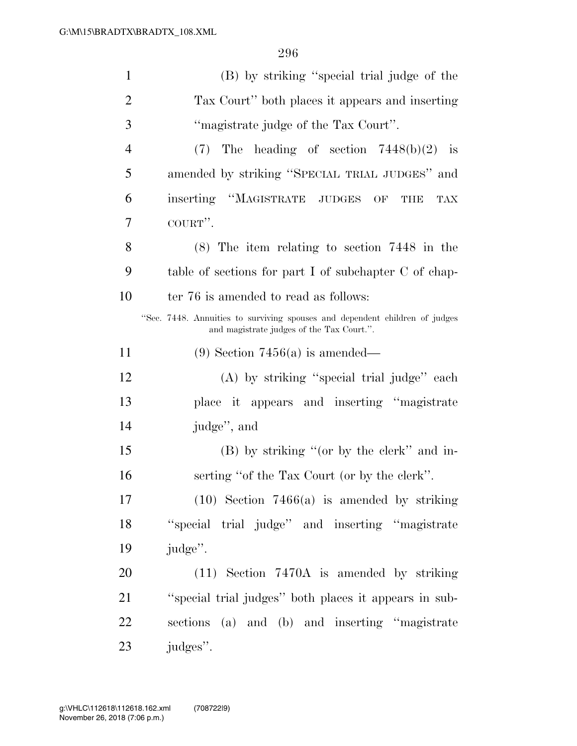| $\mathbf{1}$   | (B) by striking "special trial judge of the                                                                              |
|----------------|--------------------------------------------------------------------------------------------------------------------------|
| $\overline{2}$ | Tax Court" both places it appears and inserting                                                                          |
| 3              | "magistrate judge of the Tax Court".                                                                                     |
| $\overline{4}$ | (7)<br>The heading of section $7448(b)(2)$ is                                                                            |
| 5              | amended by striking "SPECIAL TRIAL JUDGES" and                                                                           |
| 6              | inserting "MAGISTRATE JUDGES OF<br>THE<br>TAX                                                                            |
| 7              | COURT".                                                                                                                  |
| 8              | $(8)$ The item relating to section 7448 in the                                                                           |
| 9              | table of sections for part I of subchapter C of chap-                                                                    |
| 10             | ter 76 is amended to read as follows:                                                                                    |
|                | "Sec. 7448. Annuities to surviving spouses and dependent children of judges<br>and magistrate judges of the Tax Court.". |
| 11             | $(9)$ Section 7456(a) is amended—                                                                                        |
| 12             | (A) by striking "special trial judge" each                                                                               |
| 13             | place it appears and inserting "magistrate"                                                                              |
| 14             | judge", and                                                                                                              |
| 15             | (B) by striking "(or by the clerk" and in-                                                                               |
| 16             | serting "of the Tax Court (or by the clerk".                                                                             |
| 17             | $(10)$ Section 7466(a) is amended by striking                                                                            |
| 18             | "special trial judge" and inserting "magistrate"                                                                         |
| 19             | judge".                                                                                                                  |
| 20             | $(11)$ Section 7470A is amended by striking                                                                              |
| 21             | "special trial judges" both places it appears in sub-                                                                    |
| 22             | sections (a) and (b) and inserting "magistrate                                                                           |
| 23             | judges".                                                                                                                 |